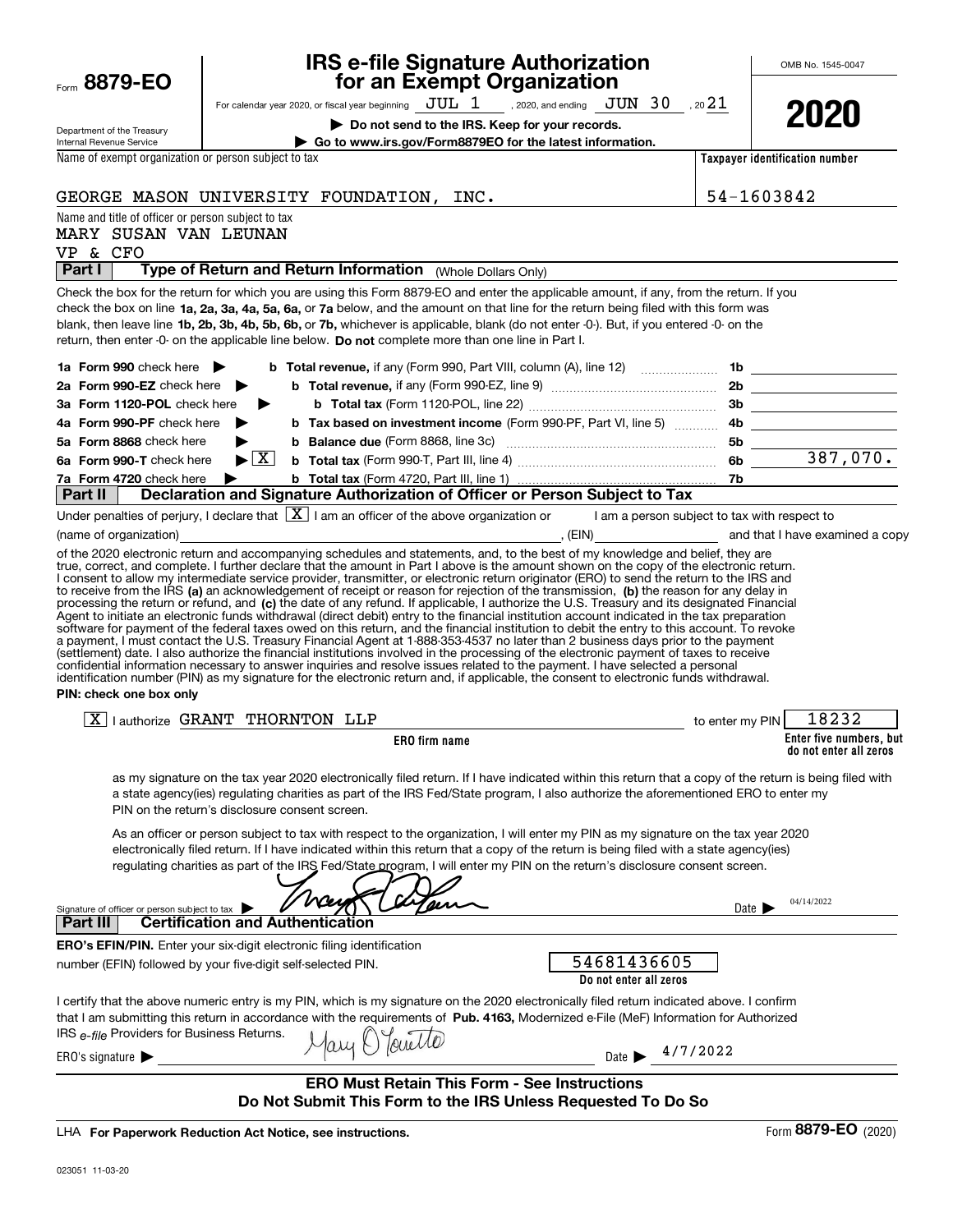| Form 8879-EO                                                                            | <b>IRS e-file Signature Authorization</b><br>for an Exempt Organization                                                                                                                                                                                                                                                                                                                                                                                                                                                                                                                                                                                                                                                                                                                                                                                                                                                                                                                         |                     | OMB No. 1545-0047                                 |
|-----------------------------------------------------------------------------------------|-------------------------------------------------------------------------------------------------------------------------------------------------------------------------------------------------------------------------------------------------------------------------------------------------------------------------------------------------------------------------------------------------------------------------------------------------------------------------------------------------------------------------------------------------------------------------------------------------------------------------------------------------------------------------------------------------------------------------------------------------------------------------------------------------------------------------------------------------------------------------------------------------------------------------------------------------------------------------------------------------|---------------------|---------------------------------------------------|
|                                                                                         | For calendar year 2020, or fiscal year beginning $JUL$ 1, 2020, and ending $JUN$ 30, 20 21                                                                                                                                                                                                                                                                                                                                                                                                                                                                                                                                                                                                                                                                                                                                                                                                                                                                                                      |                     |                                                   |
|                                                                                         | Do not send to the IRS. Keep for your records.                                                                                                                                                                                                                                                                                                                                                                                                                                                                                                                                                                                                                                                                                                                                                                                                                                                                                                                                                  |                     | 2020                                              |
| Department of the Treasury<br>Internal Revenue Service                                  | Go to www.irs.gov/Form8879EO for the latest information.                                                                                                                                                                                                                                                                                                                                                                                                                                                                                                                                                                                                                                                                                                                                                                                                                                                                                                                                        |                     |                                                   |
| Name of exempt organization or person subject to tax                                    |                                                                                                                                                                                                                                                                                                                                                                                                                                                                                                                                                                                                                                                                                                                                                                                                                                                                                                                                                                                                 |                     | Taxpayer identification number                    |
|                                                                                         | GEORGE MASON UNIVERSITY FOUNDATION, INC.                                                                                                                                                                                                                                                                                                                                                                                                                                                                                                                                                                                                                                                                                                                                                                                                                                                                                                                                                        | 54-1603842          |                                                   |
| Name and title of officer or person subject to tax<br>MARY SUSAN VAN LEUNAN<br>VP & CFO |                                                                                                                                                                                                                                                                                                                                                                                                                                                                                                                                                                                                                                                                                                                                                                                                                                                                                                                                                                                                 |                     |                                                   |
| Part I                                                                                  | Type of Return and Return Information (Whole Dollars Only)                                                                                                                                                                                                                                                                                                                                                                                                                                                                                                                                                                                                                                                                                                                                                                                                                                                                                                                                      |                     |                                                   |
|                                                                                         | Check the box for the return for which you are using this Form 8879-EO and enter the applicable amount, if any, from the return. If you<br>check the box on line 1a, 2a, 3a, 4a, 5a, 6a, or 7a below, and the amount on that line for the return being filed with this form was<br>blank, then leave line 1b, 2b, 3b, 4b, 5b, 6b, or 7b, whichever is applicable, blank (do not enter -0-). But, if you entered -0- on the<br>return, then enter -0- on the applicable line below. Do not complete more than one line in Part I.                                                                                                                                                                                                                                                                                                                                                                                                                                                                |                     |                                                   |
| 1a Form 990 check here $\blacktriangleright$                                            |                                                                                                                                                                                                                                                                                                                                                                                                                                                                                                                                                                                                                                                                                                                                                                                                                                                                                                                                                                                                 |                     |                                                   |
| 2a Form 990-EZ check here                                                               |                                                                                                                                                                                                                                                                                                                                                                                                                                                                                                                                                                                                                                                                                                                                                                                                                                                                                                                                                                                                 |                     |                                                   |
| 3a Form 1120-POL check here                                                             | ▶                                                                                                                                                                                                                                                                                                                                                                                                                                                                                                                                                                                                                                                                                                                                                                                                                                                                                                                                                                                               |                     |                                                   |
| 4a Form 990-PF check here                                                               |                                                                                                                                                                                                                                                                                                                                                                                                                                                                                                                                                                                                                                                                                                                                                                                                                                                                                                                                                                                                 |                     |                                                   |
| 5a Form 8868 check here                                                                 |                                                                                                                                                                                                                                                                                                                                                                                                                                                                                                                                                                                                                                                                                                                                                                                                                                                                                                                                                                                                 |                     |                                                   |
| 6a Form 990-T check here                                                                | $\blacktriangleright$ $\boxed{\text{X}}$                                                                                                                                                                                                                                                                                                                                                                                                                                                                                                                                                                                                                                                                                                                                                                                                                                                                                                                                                        |                     |                                                   |
| 7a Form 4720 check here<br>Part II                                                      | ▶<br>Declaration and Signature Authorization of Officer or Person Subject to Tax                                                                                                                                                                                                                                                                                                                                                                                                                                                                                                                                                                                                                                                                                                                                                                                                                                                                                                                |                     |                                                   |
|                                                                                         | Under penalties of perjury, I declare that $\boxed{\mathbf{X}}$ I am an officer of the above organization or I am a person subject to tax with respect to                                                                                                                                                                                                                                                                                                                                                                                                                                                                                                                                                                                                                                                                                                                                                                                                                                       |                     |                                                   |
| (name of organization)                                                                  |                                                                                                                                                                                                                                                                                                                                                                                                                                                                                                                                                                                                                                                                                                                                                                                                                                                                                                                                                                                                 |                     |                                                   |
| PIN: check one box only                                                                 | processing the return or retund, and (c) the date of any refund. If applicable, I authorize the U.S. Treasury and its designated Financial<br>Agent to initiate an electronic funds withdrawal (direct debit) entry to the financial institution account indicated in the tax preparation<br>software for payment of the federal taxes owed on this return, and the financial institution to debit the entry to this account. To revoke<br>a payment, I must contact the U.S. Treasury Financial Agent at 1-888-353-4537 no later than 2 business days prior to the payment<br>(settlement) date. I also authorize the financial institutions involved in the processing of the electronic payment of taxes to receive<br>confidential information necessary to answer inquiries and resolve issues related to the payment. I have selected a personal<br>identification number (PIN) as my signature for the electronic return and, if applicable, the consent to electronic funds withdrawal. |                     |                                                   |
|                                                                                         | $\boxed{X}$   authorize GRANT THORNTON LLP<br>to enter my PIN                                                                                                                                                                                                                                                                                                                                                                                                                                                                                                                                                                                                                                                                                                                                                                                                                                                                                                                                   |                     | 18232                                             |
|                                                                                         | <b>ERO</b> firm name                                                                                                                                                                                                                                                                                                                                                                                                                                                                                                                                                                                                                                                                                                                                                                                                                                                                                                                                                                            |                     | Enter five numbers, but<br>do not enter all zeros |
|                                                                                         | as my signature on the tax year 2020 electronically filed return. If I have indicated within this return that a copy of the return is being filed with<br>a state agency(ies) regulating charities as part of the IRS Fed/State program, I also authorize the aforementioned ERO to enter my<br>PIN on the return's disclosure consent screen.                                                                                                                                                                                                                                                                                                                                                                                                                                                                                                                                                                                                                                                  |                     |                                                   |
|                                                                                         | As an officer or person subject to tax with respect to the organization, I will enter my PIN as my signature on the tax year 2020<br>electronically filed return. If I have indicated within this return that a copy of the return is being filed with a state agency(ies)<br>regulating charities as part of the IRS Fed/State program, I will enter my PIN on the return's disclosure consent screen.                                                                                                                                                                                                                                                                                                                                                                                                                                                                                                                                                                                         |                     |                                                   |
| Signature of officer or person subject to tax                                           |                                                                                                                                                                                                                                                                                                                                                                                                                                                                                                                                                                                                                                                                                                                                                                                                                                                                                                                                                                                                 | Date $\blacksquare$ | 04/14/2022                                        |
| <b>Part III</b>                                                                         | <b>Certification and Authentication</b>                                                                                                                                                                                                                                                                                                                                                                                                                                                                                                                                                                                                                                                                                                                                                                                                                                                                                                                                                         |                     |                                                   |
|                                                                                         | <b>ERO's EFIN/PIN.</b> Enter your six-digit electronic filing identification                                                                                                                                                                                                                                                                                                                                                                                                                                                                                                                                                                                                                                                                                                                                                                                                                                                                                                                    |                     |                                                   |
|                                                                                         | 54681436605<br>number (EFIN) followed by your five-digit self-selected PIN.<br>Do not enter all zeros                                                                                                                                                                                                                                                                                                                                                                                                                                                                                                                                                                                                                                                                                                                                                                                                                                                                                           |                     |                                                   |
| IRS e-file Providers for Business Returns.                                              | I certify that the above numeric entry is my PIN, which is my signature on the 2020 electronically filed return indicated above. I confirm<br>that I am submitting this return in accordance with the requirements of Pub. 4163, Modernized e-File (MeF) Information for Authorized<br>Touchlo                                                                                                                                                                                                                                                                                                                                                                                                                                                                                                                                                                                                                                                                                                  |                     |                                                   |
| ERO's signature $\blacktriangleright$                                                   | Date > 4/7/2022                                                                                                                                                                                                                                                                                                                                                                                                                                                                                                                                                                                                                                                                                                                                                                                                                                                                                                                                                                                 |                     |                                                   |
|                                                                                         | <b>ERO Must Retain This Form - See Instructions</b><br>Do Not Submit This Form to the IRS Unless Requested To Do So                                                                                                                                                                                                                                                                                                                                                                                                                                                                                                                                                                                                                                                                                                                                                                                                                                                                             |                     |                                                   |

LHA For Paperwork Reduction Act Notice, see instructions.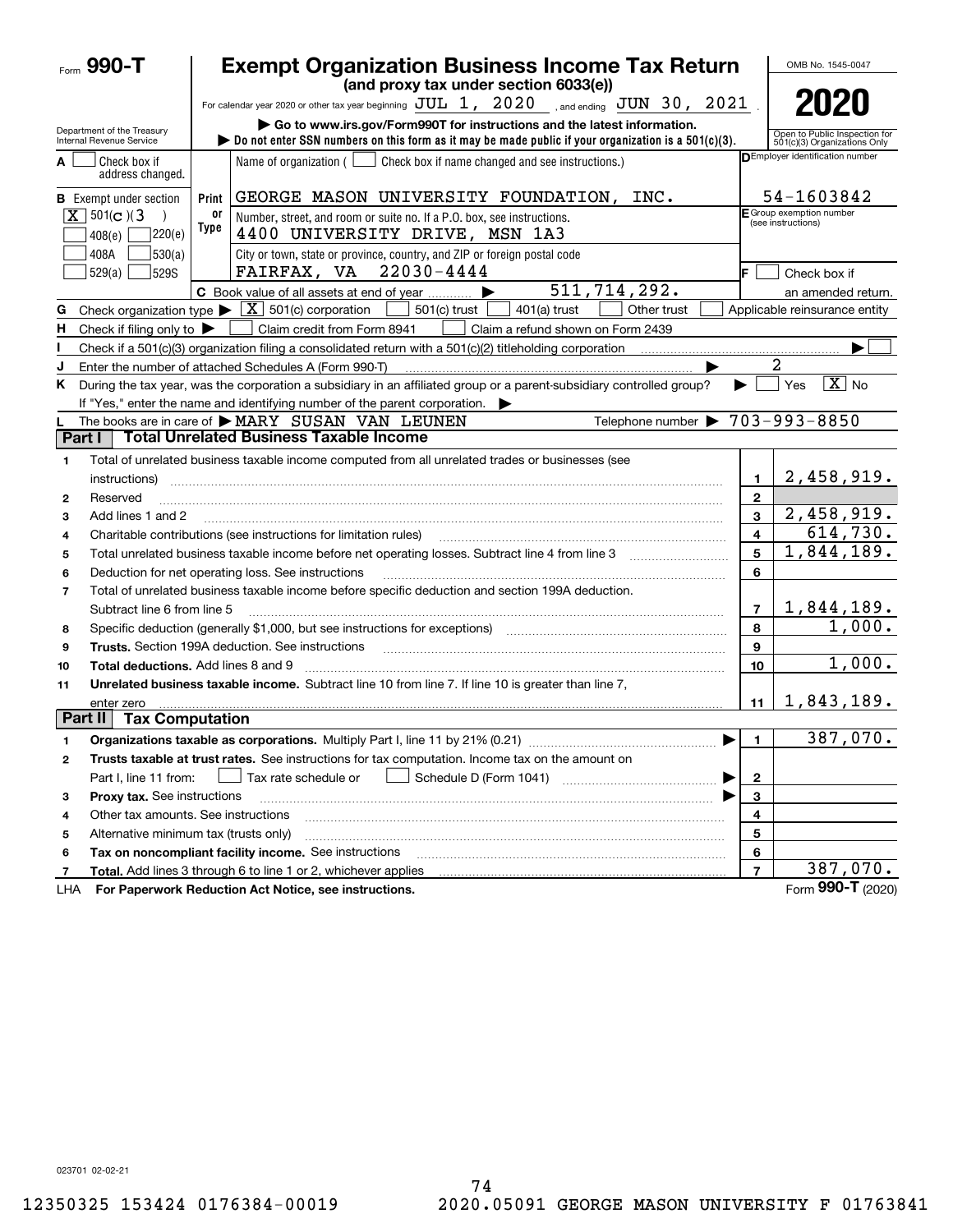|                | Form $990 - T$                                                                                                                                                                                                                                            |            | <b>Exempt Organization Business Income Tax Return</b>                                                                                             | OMB No. 1545-0047 |                                                                                                         |  |
|----------------|-----------------------------------------------------------------------------------------------------------------------------------------------------------------------------------------------------------------------------------------------------------|------------|---------------------------------------------------------------------------------------------------------------------------------------------------|-------------------|---------------------------------------------------------------------------------------------------------|--|
|                |                                                                                                                                                                                                                                                           |            | (and proxy tax under section 6033(e))                                                                                                             |                   |                                                                                                         |  |
|                |                                                                                                                                                                                                                                                           |            | For calendar year 2020 or other tax year beginning $JUL$ 1, $2020$ , and ending $JUN$ 30, $2021$ .                                                |                   | 2020                                                                                                    |  |
|                | Go to www.irs.gov/Form990T for instructions and the latest information.<br>Department of the Treasury<br>$\triangleright$ Do not enter SSN numbers on this form as it may be made public if your organization is a 501(c)(3).<br>Internal Revenue Service |            |                                                                                                                                                   |                   |                                                                                                         |  |
| A              | Check box if<br>address changed.                                                                                                                                                                                                                          |            | Name of organization $($<br>Check box if name changed and see instructions.)                                                                      |                   | Open to Public Inspection for<br>501(c)(3) Organizations Only<br><b>DEmployer identification number</b> |  |
|                | <b>B</b> Exempt under section                                                                                                                                                                                                                             | Print      | GEORGE MASON UNIVERSITY FOUNDATION, INC.                                                                                                          |                   | 54-1603842                                                                                              |  |
|                | $X$ 501(c)(3)<br>220(e)<br>408(e)                                                                                                                                                                                                                         | 0ľ<br>Type | Number, street, and room or suite no. If a P.O. box, see instructions.<br>4400 UNIVERSITY DRIVE, MSN 1A3                                          |                   | $F$ Group exemption number<br>(see instructions)                                                        |  |
|                | 530(a) <br>408A<br>529(a)<br>529S                                                                                                                                                                                                                         |            | City or town, state or province, country, and ZIP or foreign postal code<br>$22030 - 4444$<br>FAIRFAX, VA                                         |                   | Check box if                                                                                            |  |
|                |                                                                                                                                                                                                                                                           |            | 511,714,292.<br>C Book value of all assets at end of year                                                                                         |                   | an amended return.                                                                                      |  |
| G              |                                                                                                                                                                                                                                                           |            | Check organization type $\blacktriangleright \lfloor \underline{X} \rfloor$ 501(c) corporation<br>$501(c)$ trust<br>$401(a)$ trust<br>Other trust |                   | Applicable reinsurance entity                                                                           |  |
| н.             | Check if filing only to $\blacktriangleright$                                                                                                                                                                                                             |            | Claim credit from Form 8941<br>Claim a refund shown on Form 2439                                                                                  |                   |                                                                                                         |  |
|                |                                                                                                                                                                                                                                                           |            |                                                                                                                                                   |                   |                                                                                                         |  |
|                |                                                                                                                                                                                                                                                           |            | Enter the number of attached Schedules A (Form 990-T)                                                                                             |                   | 2                                                                                                       |  |
| K.             |                                                                                                                                                                                                                                                           |            | During the tax year, was the corporation a subsidiary in an affiliated group or a parent-subsidiary controlled group?                             |                   | $\boxed{\text{X}}$ No<br>Yes                                                                            |  |
|                |                                                                                                                                                                                                                                                           |            | If "Yes," enter the name and identifying number of the parent corporation.                                                                        |                   |                                                                                                         |  |
|                |                                                                                                                                                                                                                                                           |            | Telephone number $\triangleright$ 703-993-8850<br>The books are in care of MARY SUSAN VAN LEUNEN                                                  |                   |                                                                                                         |  |
| Part I         |                                                                                                                                                                                                                                                           |            | <b>Total Unrelated Business Taxable Income</b>                                                                                                    |                   |                                                                                                         |  |
| 1              |                                                                                                                                                                                                                                                           |            | Total of unrelated business taxable income computed from all unrelated trades or businesses (see                                                  |                   |                                                                                                         |  |
|                | instructions)                                                                                                                                                                                                                                             |            |                                                                                                                                                   | 1                 | 2,458,919.                                                                                              |  |
| $\mathbf{2}$   | Reserved                                                                                                                                                                                                                                                  |            |                                                                                                                                                   | $\mathbf{2}$      |                                                                                                         |  |
| 3              | Add lines 1 and 2                                                                                                                                                                                                                                         |            |                                                                                                                                                   | 3                 | 2,458,919.                                                                                              |  |
| 4              |                                                                                                                                                                                                                                                           |            | Charitable contributions (see instructions for limitation rules)                                                                                  | $\overline{4}$    | 614,730.                                                                                                |  |
| 5              |                                                                                                                                                                                                                                                           |            |                                                                                                                                                   | 5                 | 1,844,189.                                                                                              |  |
| 6              |                                                                                                                                                                                                                                                           |            | Deduction for net operating loss. See instructions                                                                                                | 6                 |                                                                                                         |  |
| $\overline{7}$ |                                                                                                                                                                                                                                                           |            | Total of unrelated business taxable income before specific deduction and section 199A deduction.                                                  |                   |                                                                                                         |  |
|                | Subtract line 6 from line 5                                                                                                                                                                                                                               |            |                                                                                                                                                   | $\overline{7}$    | <u>1,844,189.</u>                                                                                       |  |
| 8              |                                                                                                                                                                                                                                                           |            | Specific deduction (generally \$1,000, but see instructions for exceptions) manufactured contains an exception of                                 | 8                 | 1,000.                                                                                                  |  |
| 9              |                                                                                                                                                                                                                                                           |            | <b>Trusts.</b> Section 199A deduction. See instructions                                                                                           | 9                 |                                                                                                         |  |
| 10             | Total deductions. Add lines 8 and 9                                                                                                                                                                                                                       |            |                                                                                                                                                   | 10                | 1,000.                                                                                                  |  |
| 11             |                                                                                                                                                                                                                                                           |            | Unrelated business taxable income. Subtract line 10 from line 7. If line 10 is greater than line 7.                                               |                   |                                                                                                         |  |
|                | enter zero                                                                                                                                                                                                                                                |            |                                                                                                                                                   | 11                | 1,843,189.                                                                                              |  |
| Part II        | <b>Tax Computation</b>                                                                                                                                                                                                                                    |            |                                                                                                                                                   |                   |                                                                                                         |  |
|                |                                                                                                                                                                                                                                                           |            | Organizations taxable as corporations. Multiply Part I, line 11 by 21% (0.21)                                                                     | $\overline{1}$    | 387,070.                                                                                                |  |
| 2              |                                                                                                                                                                                                                                                           |            | Trusts taxable at trust rates. See instructions for tax computation. Income tax on the amount on                                                  |                   |                                                                                                         |  |
|                | Part I, line 11 from:                                                                                                                                                                                                                                     |            | Schedule D (Form 1041)<br>Tax rate schedule or                                                                                                    | $\overline{2}$    |                                                                                                         |  |
| з              | Proxy tax. See instructions                                                                                                                                                                                                                               |            |                                                                                                                                                   | 3                 |                                                                                                         |  |
| 4              | Other tax amounts. See instructions                                                                                                                                                                                                                       |            |                                                                                                                                                   | 4                 |                                                                                                         |  |
| 5              | Alternative minimum tax (trusts only)                                                                                                                                                                                                                     |            |                                                                                                                                                   | 5                 |                                                                                                         |  |
| 6              |                                                                                                                                                                                                                                                           |            | Tax on noncompliant facility income. See instructions                                                                                             | 6                 |                                                                                                         |  |
| 7              |                                                                                                                                                                                                                                                           |            | Total. Add lines 3 through 6 to line 1 or 2, whichever applies                                                                                    | $\overline{7}$    | 387,070.                                                                                                |  |
| LHA            |                                                                                                                                                                                                                                                           |            | For Paperwork Reduction Act Notice, see instructions.                                                                                             |                   | Form 990-T (2020)                                                                                       |  |

023701 02-02-21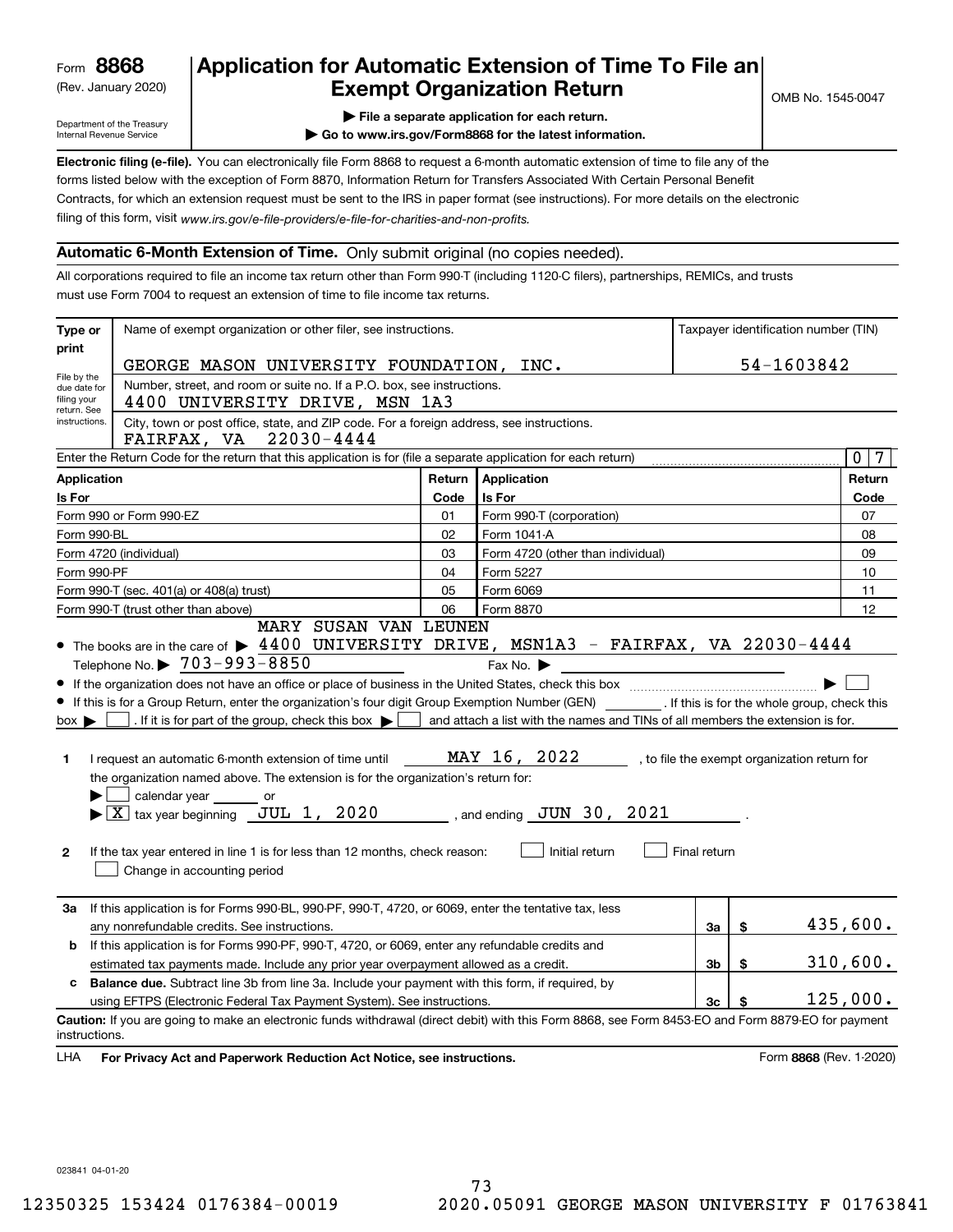(Rev. January 2020)

# **Application for Automatic Extension of Time To File an Exempt Organization Return**

Department of the Treasury Internal Revenue Service

**| File a separate application for each return.**

**| Go to www.irs.gov/Form8868 for the latest information.**

**Electronic filing (e-file).**  You can electronically file Form 8868 to request a 6-month automatic extension of time to file any of the filing of this form, visit www.irs.gov/e-file-providers/e-file-for-charities-and-non-profits. forms listed below with the exception of Form 8870, Information Return for Transfers Associated With Certain Personal Benefit Contracts, for which an extension request must be sent to the IRS in paper format (see instructions). For more details on the electronic

### **Automatic 6-Month Extension of Time.** Only submit original (no copies needed).

All corporations required to file an income tax return other than Form 990-T (including 1120-C filers), partnerships, REMICs, and trusts must use Form 7004 to request an extension of time to file income tax returns.

| Type or                        | Name of exempt organization or other filer, see instructions.                                                                                                                                                                                                                                                                                                                                                                                           |        |                                                                                                                                 |          |            | Taxpayer identification number (TIN)         |
|--------------------------------|---------------------------------------------------------------------------------------------------------------------------------------------------------------------------------------------------------------------------------------------------------------------------------------------------------------------------------------------------------------------------------------------------------------------------------------------------------|--------|---------------------------------------------------------------------------------------------------------------------------------|----------|------------|----------------------------------------------|
| print                          | GEORGE MASON UNIVERSITY FOUNDATION, INC.                                                                                                                                                                                                                                                                                                                                                                                                                |        |                                                                                                                                 |          | 54-1603842 |                                              |
|                                | File by the<br>Number, street, and room or suite no. If a P.O. box, see instructions.<br>due date for                                                                                                                                                                                                                                                                                                                                                   |        |                                                                                                                                 |          |            |                                              |
| filing your                    | 4400 UNIVERSITY DRIVE, MSN 1A3                                                                                                                                                                                                                                                                                                                                                                                                                          |        |                                                                                                                                 |          |            |                                              |
| return. See<br>instructions.   | City, town or post office, state, and ZIP code. For a foreign address, see instructions.                                                                                                                                                                                                                                                                                                                                                                |        |                                                                                                                                 |          |            |                                              |
|                                | FAIRFAX, VA 22030-4444                                                                                                                                                                                                                                                                                                                                                                                                                                  |        |                                                                                                                                 |          |            |                                              |
|                                | Enter the Return Code for the return that this application is for (file a separate application for each return)                                                                                                                                                                                                                                                                                                                                         |        |                                                                                                                                 |          |            | $7\phantom{.0}$<br>$\overline{0}$            |
| Application                    |                                                                                                                                                                                                                                                                                                                                                                                                                                                         | Return | <b>Application</b>                                                                                                              |          |            | Return                                       |
| Is For                         |                                                                                                                                                                                                                                                                                                                                                                                                                                                         | Code   | Is For                                                                                                                          |          |            | Code                                         |
|                                | Form 990 or Form 990-EZ                                                                                                                                                                                                                                                                                                                                                                                                                                 | 01     | Form 990-T (corporation)                                                                                                        |          |            | 07                                           |
|                                | Form 990-BL                                                                                                                                                                                                                                                                                                                                                                                                                                             | 02     | Form 1041-A                                                                                                                     |          |            | 08                                           |
|                                | Form 4720 (individual)                                                                                                                                                                                                                                                                                                                                                                                                                                  | 03     | Form 4720 (other than individual)                                                                                               |          |            | 09                                           |
|                                | Form 990-PF                                                                                                                                                                                                                                                                                                                                                                                                                                             | 04     | Form 5227                                                                                                                       |          |            | 10                                           |
|                                | Form 990-T (sec. 401(a) or 408(a) trust)                                                                                                                                                                                                                                                                                                                                                                                                                | 05     | Form 6069                                                                                                                       |          |            | 11                                           |
|                                | Form 990-T (trust other than above)<br>MARY SUSAN VAN LEUNEN                                                                                                                                                                                                                                                                                                                                                                                            | 06     | Form 8870                                                                                                                       |          |            | 12                                           |
| $box \blacktriangleright$<br>1 | • The books are in the care of $\blacktriangleright$ 4400 UNIVERSITY DRIVE, MSN1A3 - FAIRFAX, VA 22030-4444<br>Telephone No. $\triangleright$ 703-993-8850<br>If this is for a Group Return, enter the organization's four digit Group Exemption Number (GEN) _________. If this is for the whole group, check this<br>. If it is for part of the group, check this box $\blacktriangleright$<br>I request an automatic 6-month extension of time until |        | Fax No. $\blacktriangleright$<br>and attach a list with the names and TINs of all members the extension is for.<br>MAY 16, 2022 |          |            | , to file the exempt organization return for |
| $\mathbf{2}$                   | the organization named above. The extension is for the organization's return for:<br>calendar year or<br>$\blacktriangleright$ $ \underline{X} $ tax year beginning $\underline{JUL}$ 1, 2020<br>$\_$ , and ending $\_JUN$ 30 , 2021<br>Initial return<br>Final return<br>If the tax year entered in line 1 is for less than 12 months, check reason:<br>Change in accounting period                                                                    |        |                                                                                                                                 |          |            |                                              |
| За                             | If this application is for Forms 990-BL, 990-PF, 990-T, 4720, or 6069, enter the tentative tax, less<br>any nonrefundable credits. See instructions.                                                                                                                                                                                                                                                                                                    |        |                                                                                                                                 | 3a       | \$         | 435,600.                                     |
|                                |                                                                                                                                                                                                                                                                                                                                                                                                                                                         |        |                                                                                                                                 |          |            |                                              |
|                                | If this application is for Forms 990-PF, 990-T, 4720, or 6069, enter any refundable credits and<br>b<br>3 <sub>b</sub><br>\$<br>estimated tax payments made. Include any prior year overpayment allowed as a credit.                                                                                                                                                                                                                                    |        | 310,600.                                                                                                                        |          |            |                                              |
| c                              |                                                                                                                                                                                                                                                                                                                                                                                                                                                         |        |                                                                                                                                 |          |            |                                              |
|                                | Balance due. Subtract line 3b from line 3a. Include your payment with this form, if required, by<br>using EFTPS (Electronic Federal Tax Payment System). See instructions.<br>3c<br>\$                                                                                                                                                                                                                                                                  |        |                                                                                                                                 | 125,000. |            |                                              |
| instructions.<br>LHA           | Caution: If you are going to make an electronic funds withdrawal (direct debit) with this Form 8868, see Form 8453-EO and Form 8879-EO for payment<br>For Privacy Act and Paperwork Reduction Act Notice, see instructions.                                                                                                                                                                                                                             |        |                                                                                                                                 |          |            | Form 8868 (Rev. 1-2020)                      |

023841 04-01-20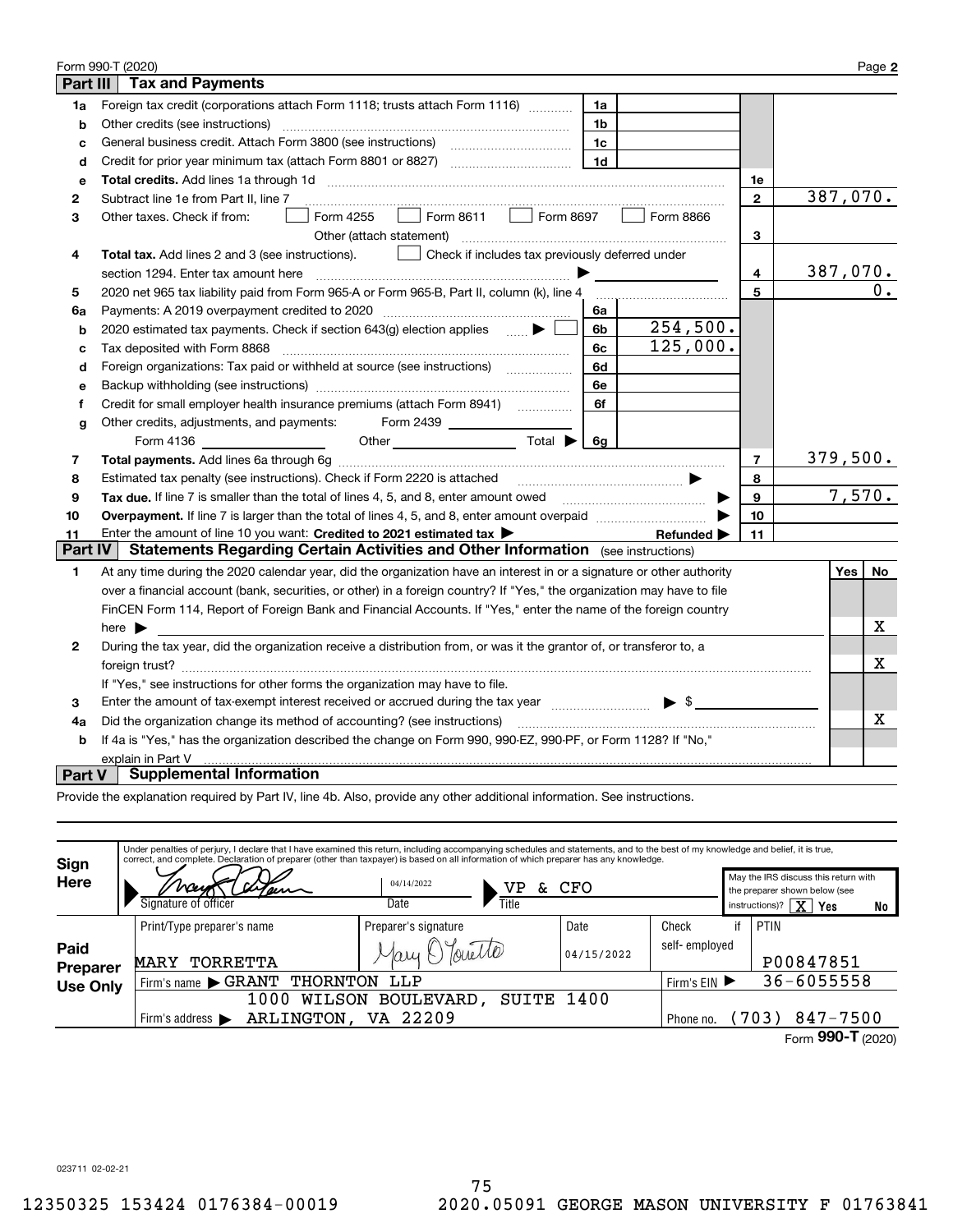|              | Form 990-T (2020)                                                                                                                                                                                                              |                | Page 2    |  |  |  |  |
|--------------|--------------------------------------------------------------------------------------------------------------------------------------------------------------------------------------------------------------------------------|----------------|-----------|--|--|--|--|
| Part III     | <b>Tax and Payments</b>                                                                                                                                                                                                        |                |           |  |  |  |  |
| 1a           | Foreign tax credit (corporations attach Form 1118; trusts attach Form 1116)<br>1a                                                                                                                                              |                |           |  |  |  |  |
| b            | Other credits (see instructions)<br>1b                                                                                                                                                                                         |                |           |  |  |  |  |
| с            | 1c                                                                                                                                                                                                                             |                |           |  |  |  |  |
| d            | 1 <sub>d</sub>                                                                                                                                                                                                                 |                |           |  |  |  |  |
| е            |                                                                                                                                                                                                                                | 1е             |           |  |  |  |  |
| 2            | Subtract line 1e from Part II, line 7                                                                                                                                                                                          | $\mathbf{2}$   | 387,070.  |  |  |  |  |
| 3            | Form 4255<br>Form 8866<br>Other taxes. Check if from:<br>$\mathcal{L} \subset \mathcal{L}$                                                                                                                                     |                |           |  |  |  |  |
|              | Other (attach statement)                                                                                                                                                                                                       | 3              |           |  |  |  |  |
| 4            | Check if includes tax previously deferred under<br><b>Total tax.</b> Add lines 2 and 3 (see instructions).                                                                                                                     |                |           |  |  |  |  |
|              | section 1294. Enter tax amount here                                                                                                                                                                                            | 4              | 387,070.  |  |  |  |  |
| 5            | 2020 net 965 tax liability paid from Form 965-A or Form 965-B, Part II, column (k), line 4                                                                                                                                     | 5              | 0.        |  |  |  |  |
| 6a           | Payments: A 2019 overpayment credited to 2020 [11] [11] maximum materials: A 2019 overpayment credited to 2020<br>6a                                                                                                           |                |           |  |  |  |  |
| b            | 254,500.<br>6b<br>2020 estimated tax payments. Check if section 643(g) election applies $\qquad \qquad \bullet$                                                                                                                |                |           |  |  |  |  |
| c            | 125,000.<br>6c<br>Tax deposited with Form 8868                                                                                                                                                                                 |                |           |  |  |  |  |
| d            | Foreign organizations: Tax paid or withheld at source (see instructions) [[[[[[[[[[[[[[[[[[[[[[[[[[]]]]]]]]]]<br>6d                                                                                                            |                |           |  |  |  |  |
| е            | 6e                                                                                                                                                                                                                             |                |           |  |  |  |  |
| f            | 6f                                                                                                                                                                                                                             |                |           |  |  |  |  |
| g            | Other credits, adjustments, and payments: Form 2439                                                                                                                                                                            |                |           |  |  |  |  |
|              | Other $\overline{\qquad \qquad }$ Total $\blacktriangleright \boxed{6g}$                                                                                                                                                       |                |           |  |  |  |  |
| 7            |                                                                                                                                                                                                                                | $\overline{7}$ | 379,500.  |  |  |  |  |
| 8            | Estimated tax penalty (see instructions). Check if Form 2220 is attached<br>□ …………………………………………… <del>♪</del>                                                                                                                   | 8              |           |  |  |  |  |
| 9            | Tax due. If line 7 is smaller than the total of lines 4, 5, and 8, enter amount owed <i>manumerane infine 7</i> is smaller than the total of lines 4, 5, and 8, enter amount owed                                              | 9              | 7,570.    |  |  |  |  |
| 10           |                                                                                                                                                                                                                                | 10             |           |  |  |  |  |
| 11           | Enter the amount of line 10 you want: Credited to 2021 estimated tax<br>Refunded $\blacktriangleright$                                                                                                                         | 11             |           |  |  |  |  |
| Part IV      | <b>Statements Regarding Certain Activities and Other Information</b> (see instructions)                                                                                                                                        |                |           |  |  |  |  |
| 1.           | At any time during the 2020 calendar year, did the organization have an interest in or a signature or other authority                                                                                                          |                | No<br>Yes |  |  |  |  |
|              | over a financial account (bank, securities, or other) in a foreign country? If "Yes," the organization may have to file                                                                                                        |                |           |  |  |  |  |
|              | FinCEN Form 114, Report of Foreign Bank and Financial Accounts. If "Yes," enter the name of the foreign country                                                                                                                |                |           |  |  |  |  |
|              | here $\blacktriangleright$                                                                                                                                                                                                     |                | х         |  |  |  |  |
| $\mathbf{2}$ | During the tax year, did the organization receive a distribution from, or was it the grantor of, or transferor to, a                                                                                                           |                |           |  |  |  |  |
|              |                                                                                                                                                                                                                                |                | х         |  |  |  |  |
|              | If "Yes," see instructions for other forms the organization may have to file.                                                                                                                                                  |                |           |  |  |  |  |
| 3            | Enter the amount of tax-exempt interest received or accrued during the tax year match states and set the amount of tax-exempt interest received or accrued during the tax year matches and set of the amount of the states and |                |           |  |  |  |  |
| 4a           | Did the organization change its method of accounting? (see instructions)                                                                                                                                                       |                |           |  |  |  |  |
| b            | If 4a is "Yes," has the organization described the change on Form 990, 990-EZ, 990-PF, or Form 1128? If "No,"                                                                                                                  |                |           |  |  |  |  |
|              | explain in Part V                                                                                                                                                                                                              |                |           |  |  |  |  |
| Part V       | <b>Supplemental Information</b>                                                                                                                                                                                                |                |           |  |  |  |  |

Provide the explanation required by Part IV, line 4b. Also, provide any other additional information. See instructions.

| Sign<br><b>Here</b>         | Under penalties of perjury, I declare that I have examined this return, including accompanying schedules and statements, and to the best of my knowledge and belief, it is true,<br>correct, and complete. Declaration of preparer (other than taxpayer) is based on all information of which preparer has any knowledge.<br>Signature of officer | 04/14/2022<br>VP<br>δc.<br>Date<br>Title | CFO                |                        |              | May the IRS discuss this return with<br>the preparer shown below (see<br>$\overline{\text{X}}$<br>instructions)?<br>Yes<br>No |
|-----------------------------|---------------------------------------------------------------------------------------------------------------------------------------------------------------------------------------------------------------------------------------------------------------------------------------------------------------------------------------------------|------------------------------------------|--------------------|------------------------|--------------|-------------------------------------------------------------------------------------------------------------------------------|
| Paid                        | Print/Type preparer's name<br>TORRETTA<br><b>MARY</b>                                                                                                                                                                                                                                                                                             | Preparer's signature                     | Date<br>04/15/2022 | Check<br>self-employed | if           | PTIN<br>P00847851                                                                                                             |
| Preparer<br><b>Use Only</b> | Firm's name GRANT<br>THORNTON<br>LLP<br>SUITE 1400<br>1000<br><b>BOULEVARD</b><br>WILSON                                                                                                                                                                                                                                                          |                                          |                    |                        | Firm's $EIN$ | $36 - 6055558$                                                                                                                |
|                             | ARLINGTON,<br>Firm's address $\blacktriangleright$                                                                                                                                                                                                                                                                                                | VA 22209                                 |                    | Phone no.              |              | 847-7500<br>(703)<br>Form 990-T (2020)                                                                                        |

023711 02-02-21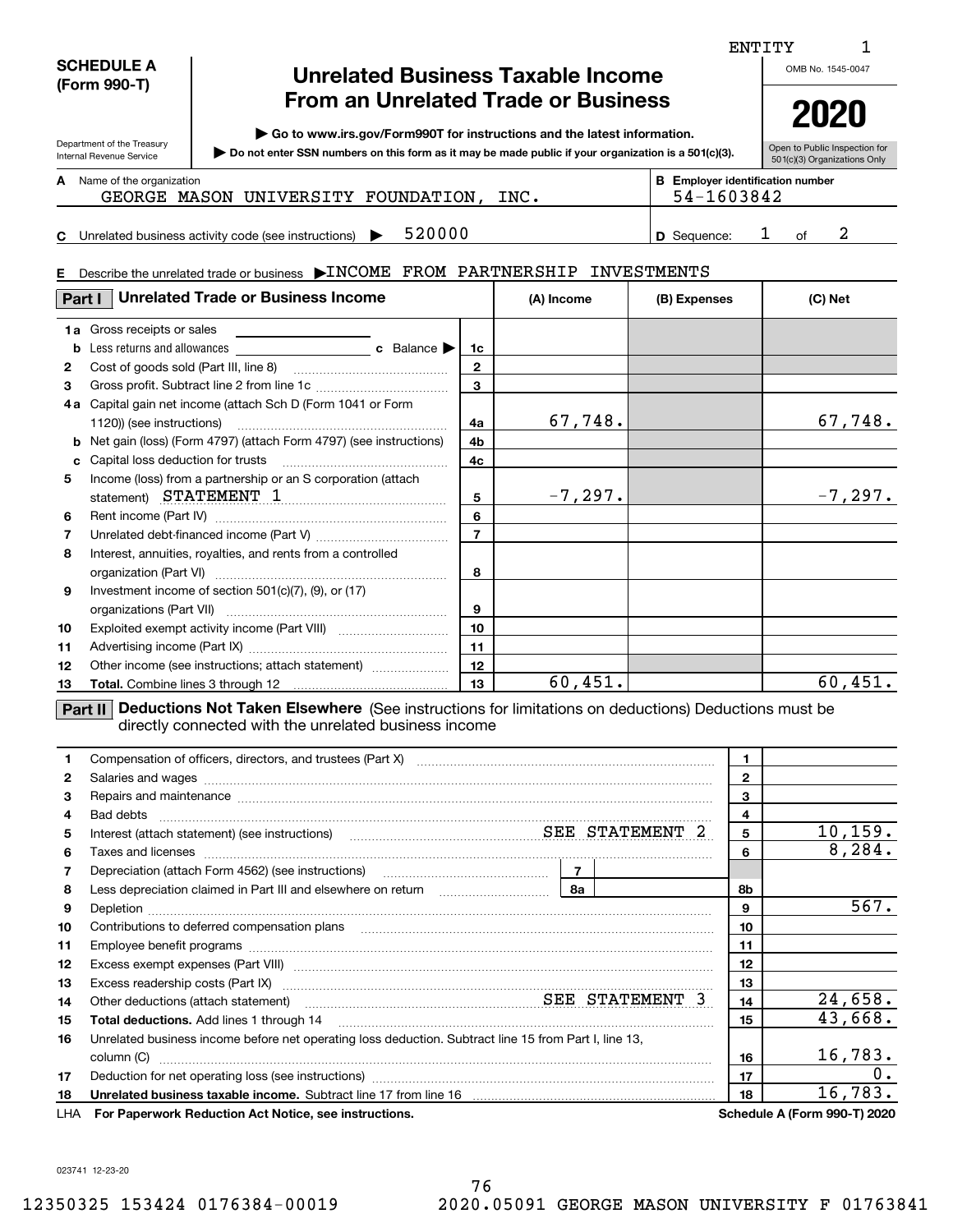| <b>SCHEDULE A</b> |
|-------------------|
| (Form 990-T)      |

Department of the Treasury Internal Revenue Service

**C**

# **Unrelated Business Taxable Income From an Unrelated Trade or Business**

**| Go to www.irs.gov/Form990T for instructions and the latest information.**

**Do not enter SSN numbers on this form as it may be made public if your organization is a 501(c)(3). |** 

Unrelated business activity code (see instructions)  $\blacktriangleright$  520000  $\blacktriangleright$   $\blacktriangleright$  9 Sequence: 1 of

Open to Public Inspection for 501(c)(3) Organizations Only **2020**

| A | Name of the organization |  |
|---|--------------------------|--|
|---|--------------------------|--|

| Name of the organization | <b>B</b> Employer identification number |
|--------------------------|-----------------------------------------|
|                          |                                         |

GEORGE MASON UNIVERSITY FOUNDATION, INC.  $\vert$  54-1603842

520000 **1 D** Sequence: 1 of 2

| E. | Describe the unrelated trade or business >INCOME FROM PARTNERSHIP INVESTMENTS          |                |            |              |            |  |
|----|----------------------------------------------------------------------------------------|----------------|------------|--------------|------------|--|
|    | <b>Unrelated Trade or Business Income</b><br>Part I                                    |                | (A) Income | (B) Expenses | (C) Net    |  |
|    | <b>1a</b> Gross receipts or sales                                                      |                |            |              |            |  |
| b  | Less returns and allowances <b>c</b> Balance                                           | 1c             |            |              |            |  |
| 2  |                                                                                        | $\mathbf{2}$   |            |              |            |  |
| 3  |                                                                                        | 3              |            |              |            |  |
|    | 4a Capital gain net income (attach Sch D (Form 1041 or Form                            | 4a             | 67,748.    |              | 67,748.    |  |
|    | <b>b</b> Net gain (loss) (Form 4797) (attach Form 4797) (see instructions)             | 4b             |            |              |            |  |
| c  | Capital loss deduction for trusts                                                      | 4c             |            |              |            |  |
| 5  | Income (loss) from a partnership or an S corporation (attach<br>statement) STATEMENT 1 | 5              | $-7, 297.$ |              | $-7, 297.$ |  |
| 6  |                                                                                        | 6              |            |              |            |  |
| 7  |                                                                                        | $\overline{7}$ |            |              |            |  |
| 8  | Interest, annuities, royalties, and rents from a controlled                            | 8              |            |              |            |  |
| 9  | Investment income of section $501(c)(7)$ , (9), or (17)                                | 9              |            |              |            |  |
| 10 |                                                                                        | 10             |            |              |            |  |
| 11 |                                                                                        | 11             |            |              |            |  |
| 12 | Other income (see instructions; attach statement)                                      | 12             |            |              |            |  |
| 13 |                                                                                        | 13             | 60,451.    |              | 60,451.    |  |

**Part II** Deductions Not Taken Elsewhere (See instructions for limitations on deductions) Deductions must be directly connected with the unrelated business income

|    | Compensation of officers, directors, and trustees (Part X) [11] [2000] [2000] [2000] [2000] [2000] [2000] [2000] [2000] [2000] [2000] [2000] [2000] [2000] [2000] [2000] [2000] [2000] [2000] [2000] [2000] [2000] [2000] [200            |              |                              |
|----|-------------------------------------------------------------------------------------------------------------------------------------------------------------------------------------------------------------------------------------------|--------------|------------------------------|
| 2  |                                                                                                                                                                                                                                           | $\mathbf{2}$ |                              |
| 3  | Repairs and maintenance measurements are all the contract of the contract of the contract of the contract of the contract of the contract of the contract of the contract of the contract of the contract of the contract of t            | 3            |                              |
| 4  |                                                                                                                                                                                                                                           | 4            |                              |
| 5. |                                                                                                                                                                                                                                           | 5            | 10, 159.                     |
| 6  | Taxes and licenses <b>communications</b> and interest and interest and interest and licenses <b>contract and interest and interest and interest and interest and interest and interest and interest and interest and interest and int</b> | 6            | 8,284.                       |
| 7  |                                                                                                                                                                                                                                           |              |                              |
| 8  |                                                                                                                                                                                                                                           | 8b           |                              |
| 9  | Depletion                                                                                                                                                                                                                                 | 9            | 567.                         |
| 10 | Contributions to deferred compensation plans                                                                                                                                                                                              | 10           |                              |
| 11 |                                                                                                                                                                                                                                           | 11           |                              |
| 12 |                                                                                                                                                                                                                                           | 12           |                              |
| 13 |                                                                                                                                                                                                                                           | 13           |                              |
| 14 | Other deductions (attach statement) material material material SEE STATEMENT 3                                                                                                                                                            | 14           | 24,658.                      |
| 15 | <b>Total deductions.</b> Add lines 1 through 14                                                                                                                                                                                           | 15           | 43,668.                      |
| 16 | Unrelated business income before net operating loss deduction. Subtract line 15 from Part I, line 13,                                                                                                                                     |              |                              |
|    | column (C)                                                                                                                                                                                                                                | 16           | 16,783.                      |
| 17 | Deduction for net operating loss (see instructions) manufactions.com/manufactions.com/manufactions.com/manufactions.com/manufactions.com/manufactions.com/manufactions.com/manufactions.com/manufactions.com/manufactions.com/            | 17           | $0$ .                        |
| 18 |                                                                                                                                                                                                                                           | 18           | 16,783.                      |
|    | LHA For Paperwork Reduction Act Notice, see instructions.                                                                                                                                                                                 |              | Schedule A (Form 990-T) 2020 |

023741 12-23-20

ENTITY

OMB No. 1545-0047

1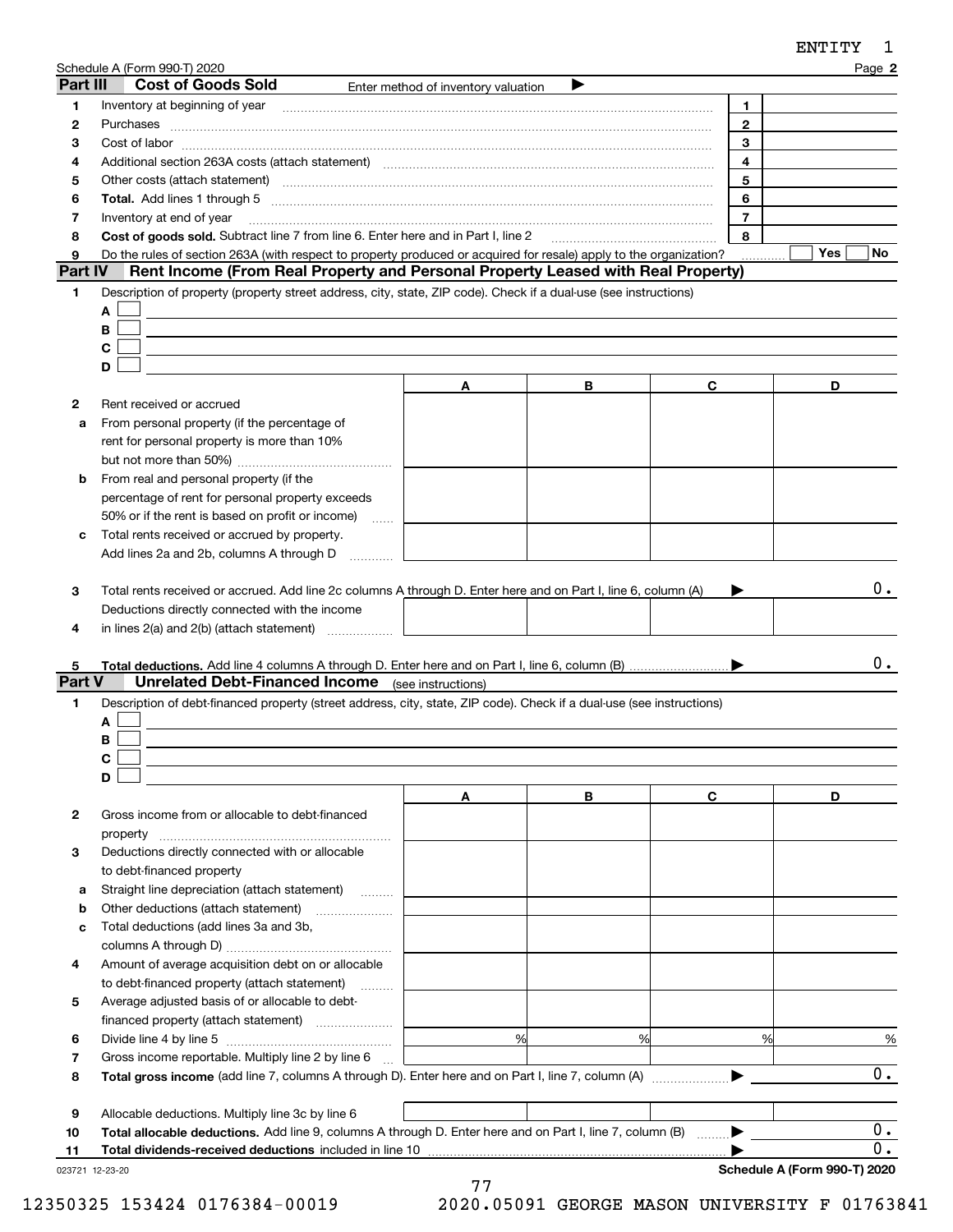|                | Schedule A (Form 990-T) 2020                                                                                                                                                                                                   |                                     |   |                | Page 2           |
|----------------|--------------------------------------------------------------------------------------------------------------------------------------------------------------------------------------------------------------------------------|-------------------------------------|---|----------------|------------------|
| Part III       | <b>Cost of Goods Sold</b>                                                                                                                                                                                                      | Enter method of inventory valuation |   |                |                  |
| 1              |                                                                                                                                                                                                                                |                                     |   | 1.             |                  |
| 2              | Purchases                                                                                                                                                                                                                      |                                     |   | $\mathbf{2}$   |                  |
| з              |                                                                                                                                                                                                                                |                                     |   | 3              |                  |
| 4              |                                                                                                                                                                                                                                |                                     |   | 4              |                  |
| 5              | Other costs (attach statement) manufactured and contract and contract and contract and contract and contract and contract and contract and contract and contract and contract and contract and contract and contract and contr |                                     |   | 5              |                  |
| 6              |                                                                                                                                                                                                                                |                                     |   | 6              |                  |
| 7              | Inventory at end of year                                                                                                                                                                                                       |                                     |   | $\overline{7}$ |                  |
| 8              | Cost of goods sold. Subtract line 7 from line 6. Enter here and in Part I, line 2                                                                                                                                              |                                     |   | 8              |                  |
| 9              | Do the rules of section 263A (with respect to property produced or acquired for resale) apply to the organization?                                                                                                             |                                     |   |                | Yes<br>No.       |
| <b>Part IV</b> | Rent Income (From Real Property and Personal Property Leased with Real Property)                                                                                                                                               |                                     |   |                |                  |
| 1              | Description of property (property street address, city, state, ZIP code). Check if a dual-use (see instructions)                                                                                                               |                                     |   |                |                  |
|                | A                                                                                                                                                                                                                              |                                     |   |                |                  |
|                | B                                                                                                                                                                                                                              |                                     |   |                |                  |
|                | С                                                                                                                                                                                                                              |                                     |   |                |                  |
|                | D                                                                                                                                                                                                                              |                                     |   |                |                  |
|                |                                                                                                                                                                                                                                | A                                   | В | C              | D                |
| 2              | Rent received or accrued                                                                                                                                                                                                       |                                     |   |                |                  |
| a              | From personal property (if the percentage of                                                                                                                                                                                   |                                     |   |                |                  |
|                | rent for personal property is more than 10%                                                                                                                                                                                    |                                     |   |                |                  |
|                |                                                                                                                                                                                                                                |                                     |   |                |                  |
| b              | From real and personal property (if the                                                                                                                                                                                        |                                     |   |                |                  |
|                | percentage of rent for personal property exceeds                                                                                                                                                                               |                                     |   |                |                  |
|                | 50% or if the rent is based on profit or income)<br><b>Service</b>                                                                                                                                                             |                                     |   |                |                  |
| с              | Total rents received or accrued by property.                                                                                                                                                                                   |                                     |   |                |                  |
|                | Add lines 2a and 2b, columns A through D                                                                                                                                                                                       |                                     |   |                |                  |
| з<br>4         | Total rents received or accrued. Add line 2c columns A through D. Enter here and on Part I, line 6, column (A)<br>Deductions directly connected with the income<br>in lines $2(a)$ and $2(b)$ (attach statement) $\ldots$      |                                     |   |                | 0.               |
|                |                                                                                                                                                                                                                                |                                     |   |                |                  |
| 5              |                                                                                                                                                                                                                                |                                     |   |                | 0.               |
| Part V         | <b>Unrelated Debt-Financed Income</b> (see instructions)                                                                                                                                                                       |                                     |   |                |                  |
| 1              | Description of debt-financed property (street address, city, state, ZIP code). Check if a dual-use (see instructions)                                                                                                          |                                     |   |                |                  |
|                | A                                                                                                                                                                                                                              |                                     |   |                |                  |
|                | В                                                                                                                                                                                                                              |                                     |   |                |                  |
|                | C.                                                                                                                                                                                                                             |                                     |   |                |                  |
|                | D                                                                                                                                                                                                                              |                                     |   |                |                  |
|                |                                                                                                                                                                                                                                | A                                   | В | C              | D                |
| 2              | Gross income from or allocable to debt-financed                                                                                                                                                                                |                                     |   |                |                  |
|                | property                                                                                                                                                                                                                       |                                     |   |                |                  |
| 3              | Deductions directly connected with or allocable                                                                                                                                                                                |                                     |   |                |                  |
|                | to debt-financed property                                                                                                                                                                                                      |                                     |   |                |                  |
| а              | Straight line depreciation (attach statement)                                                                                                                                                                                  |                                     |   |                |                  |
| b              | Other deductions (attach statement)                                                                                                                                                                                            |                                     |   |                |                  |
| c              | Total deductions (add lines 3a and 3b,                                                                                                                                                                                         |                                     |   |                |                  |
|                |                                                                                                                                                                                                                                |                                     |   |                |                  |
| 4              | Amount of average acquisition debt on or allocable                                                                                                                                                                             |                                     |   |                |                  |
|                | to debt-financed property (attach statement)                                                                                                                                                                                   |                                     |   |                |                  |
| 5              | Average adjusted basis of or allocable to debt-                                                                                                                                                                                |                                     |   |                |                  |
|                |                                                                                                                                                                                                                                |                                     |   |                |                  |
| 6              |                                                                                                                                                                                                                                | %                                   | % | %              | %                |
| 7              | Gross income reportable. Multiply line 2 by line 6                                                                                                                                                                             |                                     |   |                |                  |
| 8              |                                                                                                                                                                                                                                |                                     |   |                | 0.               |
|                |                                                                                                                                                                                                                                |                                     |   |                |                  |
| 9              | Allocable deductions. Multiply line 3c by line 6                                                                                                                                                                               |                                     |   |                |                  |
| 10             | Total allocable deductions. Add line 9, columns A through D. Enter here and on Part I, line 7, column (B) ▶                                                                                                                    |                                     |   |                | $\overline{0}$ . |

|        | <b>Total dividends-received deductions</b> included in line <sup>1</sup><br>10 |  |
|--------|--------------------------------------------------------------------------------|--|
| 023721 | 12-23-20                                                                       |  |

**Schedule A (Form 990-T) 2020**

 $\overline{0.}$ 

ENTITY 1

| 12350325 153424 0176384-0001 |  |  |  |  |
|------------------------------|--|--|--|--|
|------------------------------|--|--|--|--|

12350325 153424 0176384-00019 2020.05091 GEORGE MASON UNIVERSITY F 01763841

 $\blacktriangleright$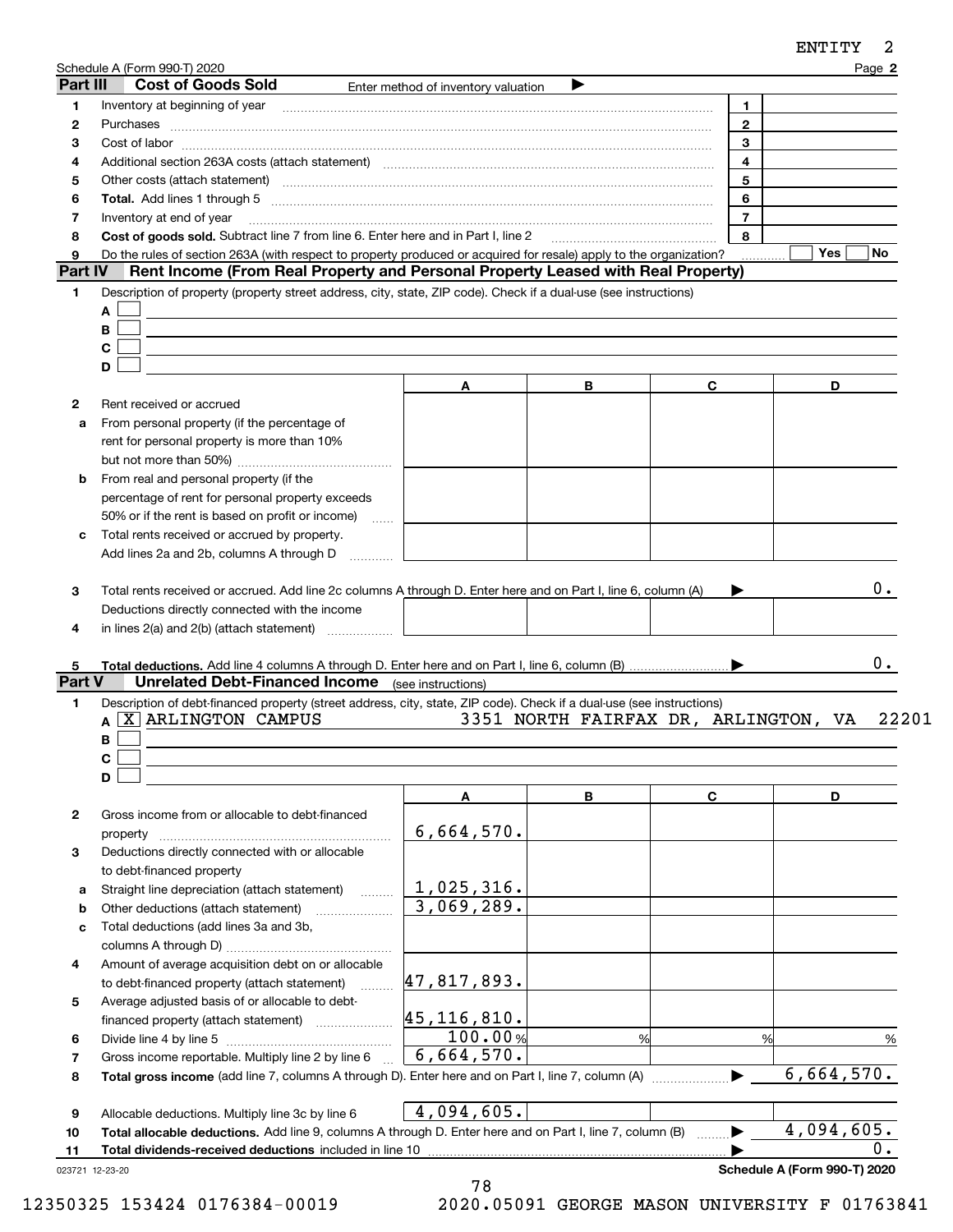|          | <u>Schedule A (Form 990-T) 2020</u>                                                                                                                                                                                            |                                     |                                      |                       | Page 2           |
|----------|--------------------------------------------------------------------------------------------------------------------------------------------------------------------------------------------------------------------------------|-------------------------------------|--------------------------------------|-----------------------|------------------|
| Part III | <b>Cost of Goods Sold</b>                                                                                                                                                                                                      | Enter method of inventory valuation | ▶                                    |                       |                  |
| 1        | Inventory at beginning of year [11] matter contains and the control of the control of the control of the control of the control of the control of the control of the control of the control of the control of the control of t |                                     |                                      | $\mathbf{1}$          |                  |
| 2        |                                                                                                                                                                                                                                |                                     |                                      | $\overline{2}$        |                  |
| З        |                                                                                                                                                                                                                                |                                     |                                      | 3                     |                  |
| 4        | Additional section 263A costs (attach statement) material content content and according to the Additional section 263A costs (attach statement)                                                                                |                                     |                                      | $\overline{4}$        |                  |
| 5        |                                                                                                                                                                                                                                |                                     |                                      | 5                     |                  |
| 6        |                                                                                                                                                                                                                                |                                     |                                      | 6                     |                  |
| 7        | Inventory at end of year                                                                                                                                                                                                       |                                     |                                      | $\overline{7}$        |                  |
| 8        | Cost of goods sold. Subtract line 7 from line 6. Enter here and in Part I, line 2                                                                                                                                              |                                     |                                      | 8                     |                  |
| 9        | Do the rules of section 263A (with respect to property produced or acquired for resale) apply to the organization?                                                                                                             |                                     |                                      |                       | Yes<br>No        |
| Part IV  | Rent Income (From Real Property and Personal Property Leased with Real Property)                                                                                                                                               |                                     |                                      |                       |                  |
| 1        | Description of property (property street address, city, state, ZIP code). Check if a dual-use (see instructions)                                                                                                               |                                     |                                      |                       |                  |
|          | A                                                                                                                                                                                                                              |                                     |                                      |                       |                  |
|          | В                                                                                                                                                                                                                              |                                     |                                      |                       |                  |
|          | C                                                                                                                                                                                                                              |                                     |                                      |                       |                  |
|          | D                                                                                                                                                                                                                              |                                     |                                      |                       |                  |
|          |                                                                                                                                                                                                                                | Α                                   | В                                    | C                     | D                |
| 2        | Rent received or accrued                                                                                                                                                                                                       |                                     |                                      |                       |                  |
| a        | From personal property (if the percentage of                                                                                                                                                                                   |                                     |                                      |                       |                  |
|          | rent for personal property is more than 10%                                                                                                                                                                                    |                                     |                                      |                       |                  |
|          |                                                                                                                                                                                                                                |                                     |                                      |                       |                  |
| b        | From real and personal property (if the                                                                                                                                                                                        |                                     |                                      |                       |                  |
|          | percentage of rent for personal property exceeds                                                                                                                                                                               |                                     |                                      |                       |                  |
|          | 50% or if the rent is based on profit or income)<br>$\sim$                                                                                                                                                                     |                                     |                                      |                       |                  |
| c        | Total rents received or accrued by property.                                                                                                                                                                                   |                                     |                                      |                       |                  |
|          | Add lines 2a and 2b, columns A through D<br>.                                                                                                                                                                                  |                                     |                                      |                       |                  |
| 5        |                                                                                                                                                                                                                                |                                     |                                      |                       | 0.               |
| Part V   | <b>Unrelated Debt-Financed Income</b> (see instructions)                                                                                                                                                                       |                                     |                                      |                       |                  |
| 1        | Description of debt-financed property (street address, city, state, ZIP code). Check if a dual-use (see instructions)                                                                                                          |                                     |                                      |                       |                  |
|          | A <b>X</b> ARLINGTON CAMPUS                                                                                                                                                                                                    |                                     | 3351 NORTH FAIRFAX DR, ARLINGTON, VA |                       | 22201            |
|          | В                                                                                                                                                                                                                              |                                     |                                      |                       |                  |
|          | C                                                                                                                                                                                                                              |                                     |                                      |                       |                  |
|          | D                                                                                                                                                                                                                              |                                     |                                      |                       |                  |
|          |                                                                                                                                                                                                                                | Α                                   | В                                    | C                     | D                |
| 2        | Gross income from or allocable to debt-financed                                                                                                                                                                                |                                     |                                      |                       |                  |
|          | property                                                                                                                                                                                                                       | 6,664,570.                          |                                      |                       |                  |
| з        | Deductions directly connected with or allocable                                                                                                                                                                                |                                     |                                      |                       |                  |
|          | to debt-financed property                                                                                                                                                                                                      |                                     |                                      |                       |                  |
| а        | Straight line depreciation (attach statement)                                                                                                                                                                                  | <u>1,025,316.</u>                   |                                      |                       |                  |
| b        | Other deductions (attach statement)                                                                                                                                                                                            | 3,069,289.                          |                                      |                       |                  |
| c        | Total deductions (add lines 3a and 3b,                                                                                                                                                                                         |                                     |                                      |                       |                  |
|          |                                                                                                                                                                                                                                |                                     |                                      |                       |                  |
| 4        | Amount of average acquisition debt on or allocable                                                                                                                                                                             |                                     |                                      |                       |                  |
|          | to debt-financed property (attach statement)                                                                                                                                                                                   | <u>47,817,893.</u>                  |                                      |                       |                  |
| 5        | Average adjusted basis of or allocable to debt-                                                                                                                                                                                |                                     |                                      |                       |                  |
|          | financed property (attach statement)                                                                                                                                                                                           |                                     |                                      |                       |                  |
| 6        |                                                                                                                                                                                                                                | $\frac{45,116,810.}{100.00\%}$      | %                                    | %                     | %                |
| 7        | Gross income reportable. Multiply line 2 by line 6                                                                                                                                                                             | 6,664,570.                          |                                      |                       |                  |
| 8        |                                                                                                                                                                                                                                |                                     |                                      | $\blacktriangleright$ | 6,664,570.       |
|          |                                                                                                                                                                                                                                |                                     |                                      |                       |                  |
| 9        | Allocable deductions. Multiply line 3c by line 6                                                                                                                                                                               | 4,094,605.                          |                                      |                       |                  |
| 10       | Total allocable deductions. Add line 9, columns A through D. Enter here and on Part I, line 7, column (B)                                                                                                                      |                                     |                                      | $\blacktriangleright$ | 4,094,605.       |
| 11       | Total dividends-received deductions included in line 10                                                                                                                                                                        |                                     |                                      |                       | $\overline{0}$ . |

023721 12-23-20

**Schedule A (Form 990-T) 2020**

ENTITY 2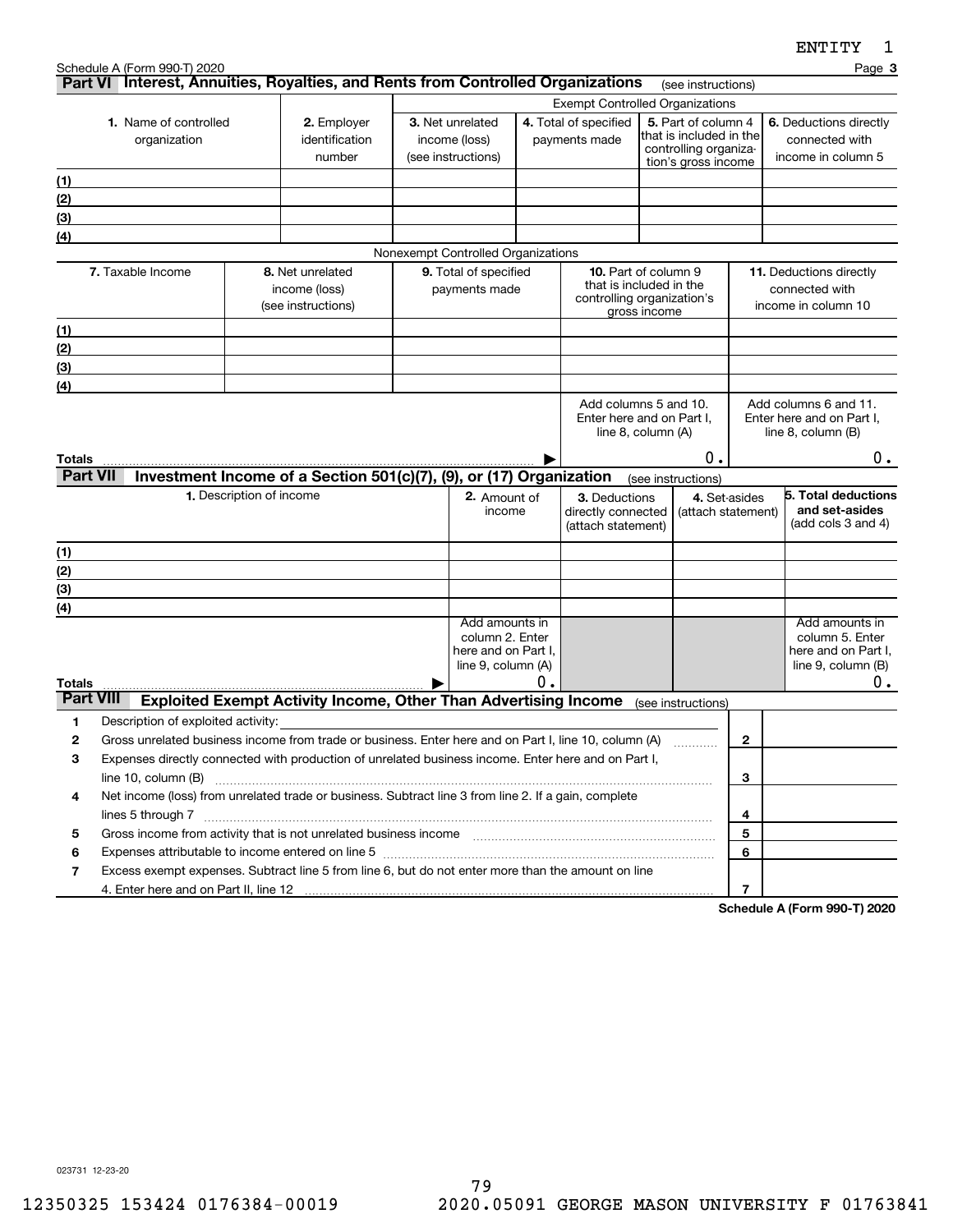|                  | Schedule A (Form 990-T) 2020                                                                                                                                                                                                                                                                                                        |                          |                                                                        |                                        |    |                                        |                    |                                                |                | ---------                                       | Page 3 |
|------------------|-------------------------------------------------------------------------------------------------------------------------------------------------------------------------------------------------------------------------------------------------------------------------------------------------------------------------------------|--------------------------|------------------------------------------------------------------------|----------------------------------------|----|----------------------------------------|--------------------|------------------------------------------------|----------------|-------------------------------------------------|--------|
|                  | Part VI Interest, Annuities, Royalties, and Rents from Controlled Organizations                                                                                                                                                                                                                                                     |                          |                                                                        |                                        |    |                                        |                    | (see instructions)                             |                |                                                 |        |
|                  |                                                                                                                                                                                                                                                                                                                                     |                          |                                                                        |                                        |    | <b>Exempt Controlled Organizations</b> |                    |                                                |                |                                                 |        |
|                  | 1. Name of controlled                                                                                                                                                                                                                                                                                                               |                          | 2. Employer                                                            | 3. Net unrelated                       |    | 4. Total of specified                  |                    | 5. Part of column 4<br>that is included in the |                | 6. Deductions directly                          |        |
|                  | organization                                                                                                                                                                                                                                                                                                                        |                          | identification<br>number                                               | income (loss)<br>(see instructions)    |    | payments made                          |                    | controlling organiza-                          |                | connected with<br>income in column 5            |        |
|                  |                                                                                                                                                                                                                                                                                                                                     |                          |                                                                        |                                        |    |                                        |                    | tion's gross income                            |                |                                                 |        |
| (1)              |                                                                                                                                                                                                                                                                                                                                     |                          |                                                                        |                                        |    |                                        |                    |                                                |                |                                                 |        |
| (2)              |                                                                                                                                                                                                                                                                                                                                     |                          |                                                                        |                                        |    |                                        |                    |                                                |                |                                                 |        |
| (3)              |                                                                                                                                                                                                                                                                                                                                     |                          |                                                                        |                                        |    |                                        |                    |                                                |                |                                                 |        |
| (4)              |                                                                                                                                                                                                                                                                                                                                     |                          |                                                                        | Nonexempt Controlled Organizations     |    |                                        |                    |                                                |                |                                                 |        |
|                  | 7. Taxable Income                                                                                                                                                                                                                                                                                                                   |                          | 8. Net unrelated                                                       | 9. Total of specified                  |    | <b>10.</b> Part of column 9            |                    |                                                |                | 11. Deductions directly                         |        |
|                  |                                                                                                                                                                                                                                                                                                                                     |                          | income (loss)                                                          | payments made                          |    | that is included in the                |                    |                                                |                | connected with                                  |        |
|                  |                                                                                                                                                                                                                                                                                                                                     |                          | (see instructions)                                                     |                                        |    | controlling organization's             | gross income       |                                                |                | income in column 10                             |        |
| (1)              |                                                                                                                                                                                                                                                                                                                                     |                          |                                                                        |                                        |    |                                        |                    |                                                |                |                                                 |        |
| (2)              |                                                                                                                                                                                                                                                                                                                                     |                          |                                                                        |                                        |    |                                        |                    |                                                |                |                                                 |        |
| (3)              |                                                                                                                                                                                                                                                                                                                                     |                          |                                                                        |                                        |    |                                        |                    |                                                |                |                                                 |        |
| (4)              |                                                                                                                                                                                                                                                                                                                                     |                          |                                                                        |                                        |    |                                        |                    |                                                |                |                                                 |        |
|                  |                                                                                                                                                                                                                                                                                                                                     |                          |                                                                        |                                        |    | Add columns 5 and 10.                  |                    |                                                |                | Add columns 6 and 11.                           |        |
|                  |                                                                                                                                                                                                                                                                                                                                     |                          |                                                                        |                                        |    | Enter here and on Part I,              | line 8, column (A) |                                                |                | Enter here and on Part I,<br>line 8, column (B) |        |
|                  |                                                                                                                                                                                                                                                                                                                                     |                          |                                                                        |                                        |    |                                        |                    |                                                |                |                                                 |        |
| Totals           |                                                                                                                                                                                                                                                                                                                                     |                          |                                                                        |                                        |    |                                        |                    | 0.                                             |                |                                                 | $0$ .  |
| <b>Part VII</b>  |                                                                                                                                                                                                                                                                                                                                     |                          | Investment Income of a Section 501(c)(7), (9), or (17) Organization    |                                        |    |                                        | (see instructions) |                                                |                |                                                 |        |
|                  |                                                                                                                                                                                                                                                                                                                                     | 1. Description of income |                                                                        | 2. Amount of<br>income                 |    | 3. Deductions<br>directly connected    |                    | 4. Set-asides<br>(attach statement)            |                | 5. Total deductions<br>and set-asides           |        |
|                  |                                                                                                                                                                                                                                                                                                                                     |                          |                                                                        |                                        |    | (attach statement)                     |                    |                                                |                | (add cols $3$ and $4$ )                         |        |
| (1)              |                                                                                                                                                                                                                                                                                                                                     |                          |                                                                        |                                        |    |                                        |                    |                                                |                |                                                 |        |
| (2)              |                                                                                                                                                                                                                                                                                                                                     |                          |                                                                        |                                        |    |                                        |                    |                                                |                |                                                 |        |
| (3)              |                                                                                                                                                                                                                                                                                                                                     |                          |                                                                        |                                        |    |                                        |                    |                                                |                |                                                 |        |
| (4)              |                                                                                                                                                                                                                                                                                                                                     |                          |                                                                        |                                        |    |                                        |                    |                                                |                |                                                 |        |
|                  |                                                                                                                                                                                                                                                                                                                                     |                          |                                                                        | Add amounts in                         |    |                                        |                    |                                                |                | Add amounts in                                  |        |
|                  |                                                                                                                                                                                                                                                                                                                                     |                          |                                                                        | column 2. Enter<br>here and on Part I, |    |                                        |                    |                                                |                | column 5. Enter<br>here and on Part I,          |        |
|                  |                                                                                                                                                                                                                                                                                                                                     |                          |                                                                        | line 9, column (A)                     |    |                                        |                    |                                                |                | line 9, column (B)                              |        |
| Totals           |                                                                                                                                                                                                                                                                                                                                     |                          |                                                                        |                                        | Ο. |                                        |                    |                                                |                |                                                 | 0.     |
| <b>Part VIII</b> |                                                                                                                                                                                                                                                                                                                                     |                          | <b>Exploited Exempt Activity Income, Other Than Advertising Income</b> |                                        |    |                                        |                    | (see instructions)                             |                |                                                 |        |
| 1                | Description of exploited activity:                                                                                                                                                                                                                                                                                                  |                          |                                                                        |                                        |    |                                        |                    |                                                |                |                                                 |        |
| 2                | Gross unrelated business income from trade or business. Enter here and on Part I, line 10, column (A)                                                                                                                                                                                                                               |                          |                                                                        |                                        |    |                                        |                    |                                                | $\mathbf{2}$   |                                                 |        |
| 3                | Expenses directly connected with production of unrelated business income. Enter here and on Part I,                                                                                                                                                                                                                                 |                          |                                                                        |                                        |    |                                        |                    |                                                |                |                                                 |        |
|                  | line 10, column (B)                                                                                                                                                                                                                                                                                                                 |                          |                                                                        |                                        |    |                                        |                    |                                                | 3              |                                                 |        |
| 4                | Net income (loss) from unrelated trade or business. Subtract line 3 from line 2. If a gain, complete                                                                                                                                                                                                                                |                          |                                                                        |                                        |    |                                        |                    |                                                |                |                                                 |        |
|                  |                                                                                                                                                                                                                                                                                                                                     |                          |                                                                        |                                        |    |                                        |                    |                                                | 4              |                                                 |        |
| 5                |                                                                                                                                                                                                                                                                                                                                     |                          |                                                                        |                                        |    |                                        |                    |                                                | 5<br>6         |                                                 |        |
| 6<br>7           | Expenses attributable to income entered on line 5 [[11] manufacture manufacture attributable to income entered on line 5 [[11] manufacture manufacture attributable to income entered on line 5 [[11] manufacture manufacture<br>Excess exempt expenses. Subtract line 5 from line 6, but do not enter more than the amount on line |                          |                                                                        |                                        |    |                                        |                    |                                                |                |                                                 |        |
|                  |                                                                                                                                                                                                                                                                                                                                     |                          |                                                                        |                                        |    |                                        |                    |                                                | $\overline{7}$ |                                                 |        |
|                  |                                                                                                                                                                                                                                                                                                                                     |                          |                                                                        |                                        |    |                                        |                    |                                                |                | Cabadula A (Fauna 000 T) 0000                   |        |

**Schedule A (Form 990-T) 2020**

023731 12-23-20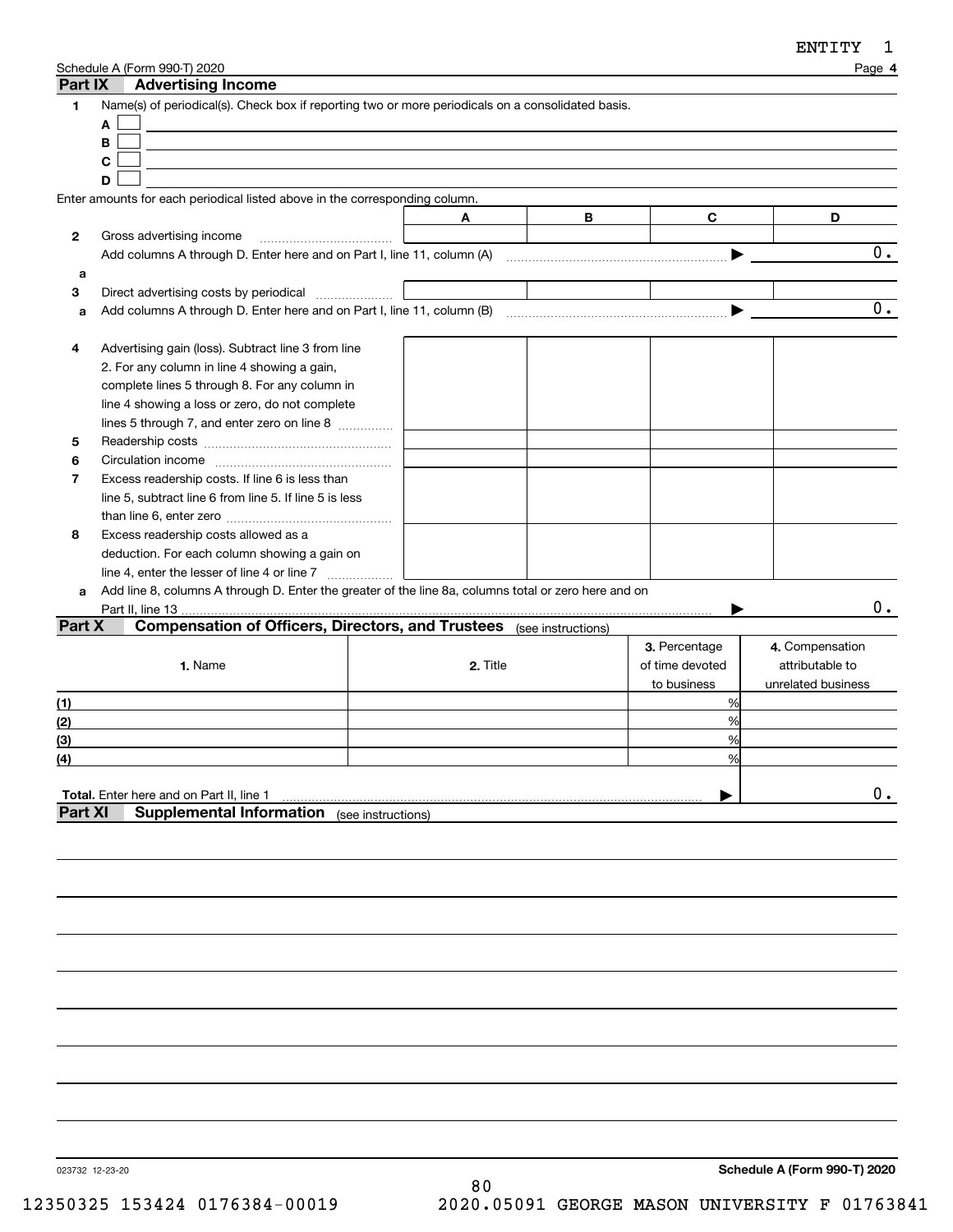| Part IX        | Schedule A (Form 990-T) 2020<br><b>Advertising Income</b>                                            |                    |   |                 | Page 4             |
|----------------|------------------------------------------------------------------------------------------------------|--------------------|---|-----------------|--------------------|
| 1              | Name(s) of periodical(s). Check box if reporting two or more periodicals on a consolidated basis.    |                    |   |                 |                    |
|                | A                                                                                                    |                    |   |                 |                    |
|                | B                                                                                                    |                    |   |                 |                    |
|                | C                                                                                                    |                    |   |                 |                    |
|                | D                                                                                                    |                    |   |                 |                    |
|                | Enter amounts for each periodical listed above in the corresponding column.                          |                    |   |                 |                    |
|                |                                                                                                      | A                  | В | C               | D                  |
| 2              | Gross advertising income                                                                             |                    |   |                 |                    |
|                |                                                                                                      |                    |   | ▶               | 0.                 |
| a              |                                                                                                      |                    |   |                 |                    |
| 3              | Direct advertising costs by periodical                                                               |                    |   |                 |                    |
| a              |                                                                                                      |                    |   | ▶               | $\overline{0}$ .   |
|                |                                                                                                      |                    |   |                 |                    |
| 4              |                                                                                                      |                    |   |                 |                    |
|                | Advertising gain (loss). Subtract line 3 from line                                                   |                    |   |                 |                    |
|                | 2. For any column in line 4 showing a gain,                                                          |                    |   |                 |                    |
|                | complete lines 5 through 8. For any column in                                                        |                    |   |                 |                    |
|                | line 4 showing a loss or zero, do not complete                                                       |                    |   |                 |                    |
|                | lines 5 through 7, and enter zero on line 8                                                          |                    |   |                 |                    |
| 5              |                                                                                                      |                    |   |                 |                    |
| 6              |                                                                                                      |                    |   |                 |                    |
| $\overline{7}$ | Excess readership costs. If line 6 is less than                                                      |                    |   |                 |                    |
|                | line 5, subtract line 6 from line 5. If line 5 is less                                               |                    |   |                 |                    |
|                |                                                                                                      |                    |   |                 |                    |
| 8              | Excess readership costs allowed as a                                                                 |                    |   |                 |                    |
|                | deduction. For each column showing a gain on                                                         |                    |   |                 |                    |
|                | line 4, enter the lesser of line 4 or line 7                                                         |                    |   |                 |                    |
| a              | Add line 8, columns A through D. Enter the greater of the line 8a, columns total or zero here and on |                    |   |                 |                    |
|                | Part II, line 13.                                                                                    |                    |   |                 | $0$ .              |
| Part X         | <b>Compensation of Officers, Directors, and Trustees</b> (see instructions)                          |                    |   |                 |                    |
|                |                                                                                                      |                    |   | 3. Percentage   | 4. Compensation    |
|                | 1. Name                                                                                              | 2. Title           |   | of time devoted | attributable to    |
|                |                                                                                                      |                    |   | to business     | unrelated business |
| (1)            |                                                                                                      |                    |   | %               |                    |
|                |                                                                                                      |                    |   | %               |                    |
| (2)            |                                                                                                      |                    |   |                 |                    |
| (3)            |                                                                                                      |                    |   | %               |                    |
| (4)            |                                                                                                      |                    |   | %               |                    |
|                |                                                                                                      |                    |   |                 |                    |
|                | <b>Total.</b> Enter here and on Part II, line 1                                                      |                    |   |                 | $0$ .              |
| Part XI        | <b>Supplemental Information</b>                                                                      | (see instructions) |   |                 |                    |
|                |                                                                                                      |                    |   |                 |                    |

023732 12-23-20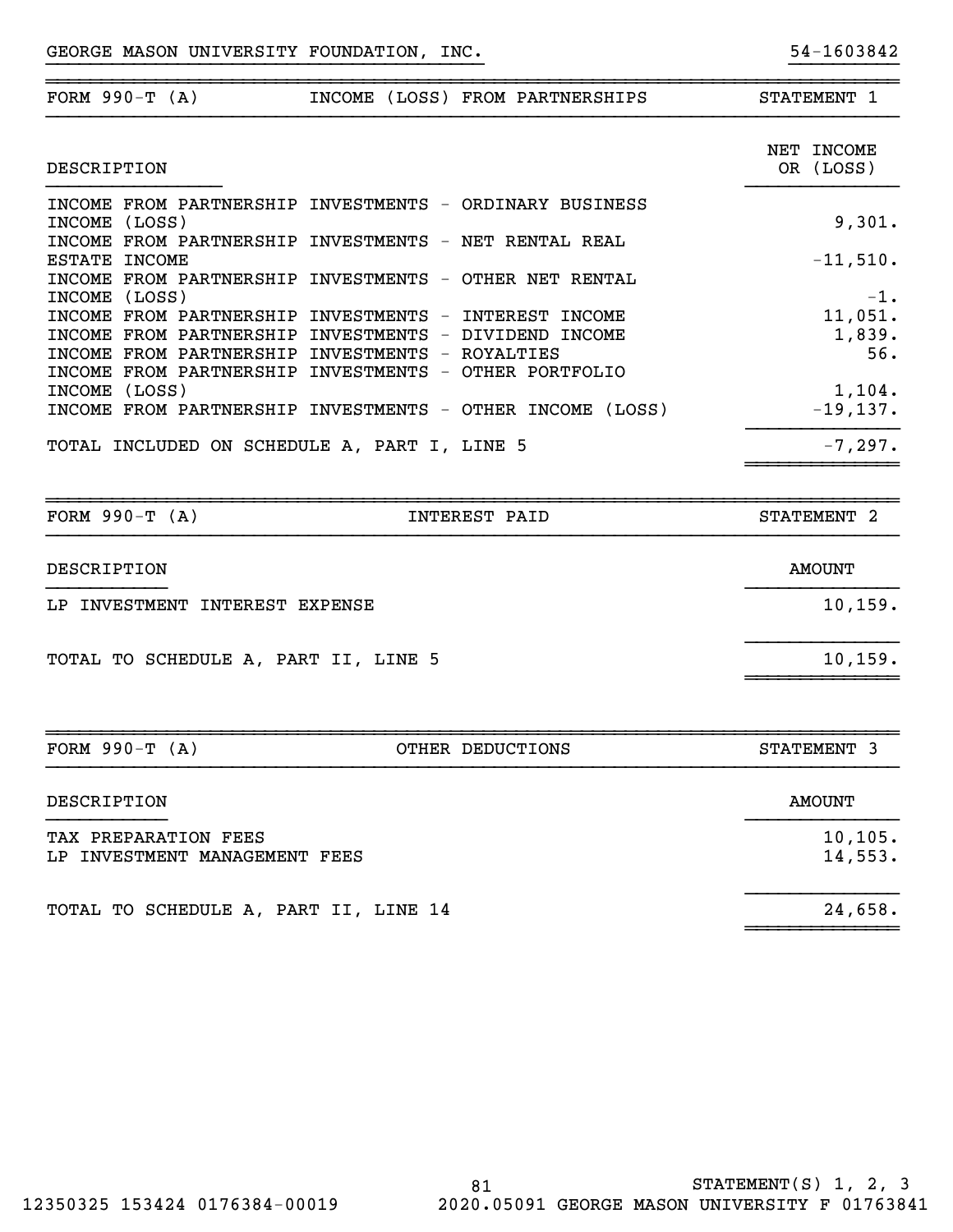| FORM $990-T (A)$                                                                                                 | INCOME (LOSS) FROM PARTNERSHIPS                                                                                                                                                                                                                                                                                                                                                                                                                                       | STATEMENT 1                                                                                       |
|------------------------------------------------------------------------------------------------------------------|-----------------------------------------------------------------------------------------------------------------------------------------------------------------------------------------------------------------------------------------------------------------------------------------------------------------------------------------------------------------------------------------------------------------------------------------------------------------------|---------------------------------------------------------------------------------------------------|
| DESCRIPTION                                                                                                      |                                                                                                                                                                                                                                                                                                                                                                                                                                                                       | NET INCOME<br>OR (LOSS)                                                                           |
| INCOME (LOSS)<br>ESTATE INCOME<br>INCOME (LOSS)<br>INCOME (LOSS)<br>TOTAL INCLUDED ON SCHEDULE A, PART I, LINE 5 | INCOME FROM PARTNERSHIP INVESTMENTS - ORDINARY BUSINESS<br>INCOME FROM PARTNERSHIP INVESTMENTS - NET RENTAL REAL<br>INCOME FROM PARTNERSHIP INVESTMENTS - OTHER NET RENTAL<br>INCOME FROM PARTNERSHIP INVESTMENTS - INTEREST INCOME<br>INCOME FROM PARTNERSHIP INVESTMENTS - DIVIDEND INCOME<br>INCOME FROM PARTNERSHIP INVESTMENTS - ROYALTIES<br>INCOME FROM PARTNERSHIP INVESTMENTS - OTHER PORTFOLIO<br>INCOME FROM PARTNERSHIP INVESTMENTS - OTHER INCOME (LOSS) | 9,301.<br>$-11,510.$<br>$-1$ .<br>11,051.<br>1,839.<br>56.<br>1,104.<br>$-19, 137.$<br>$-7, 297.$ |
|                                                                                                                  |                                                                                                                                                                                                                                                                                                                                                                                                                                                                       |                                                                                                   |
| FORM $990-T (A)$                                                                                                 | <b>INTEREST PAID</b>                                                                                                                                                                                                                                                                                                                                                                                                                                                  | STATEMENT <sub>2</sub>                                                                            |
| DESCRIPTION<br>LP INVESTMENT INTEREST EXPENSE                                                                    |                                                                                                                                                                                                                                                                                                                                                                                                                                                                       | <b>AMOUNT</b><br>10, 159.                                                                         |
| TOTAL TO SCHEDULE A, PART II, LINE 5                                                                             |                                                                                                                                                                                                                                                                                                                                                                                                                                                                       | 10, 159.                                                                                          |
| FORM $990-T (A)$                                                                                                 | OTHER DEDUCTIONS                                                                                                                                                                                                                                                                                                                                                                                                                                                      | STATEMENT 3                                                                                       |
| DESCRIPTION                                                                                                      |                                                                                                                                                                                                                                                                                                                                                                                                                                                                       | <b>AMOUNT</b>                                                                                     |
| TAX PREPARATION FEES<br>LP INVESTMENT MANAGEMENT FEES                                                            |                                                                                                                                                                                                                                                                                                                                                                                                                                                                       | 10, 105.<br>14,553.                                                                               |

~~~~~~~~~~~~~~

}}}}}}}}}}}}}}}}}}}}}}}}}}}}}}}}}}}}}}}} }}}}}}}}}}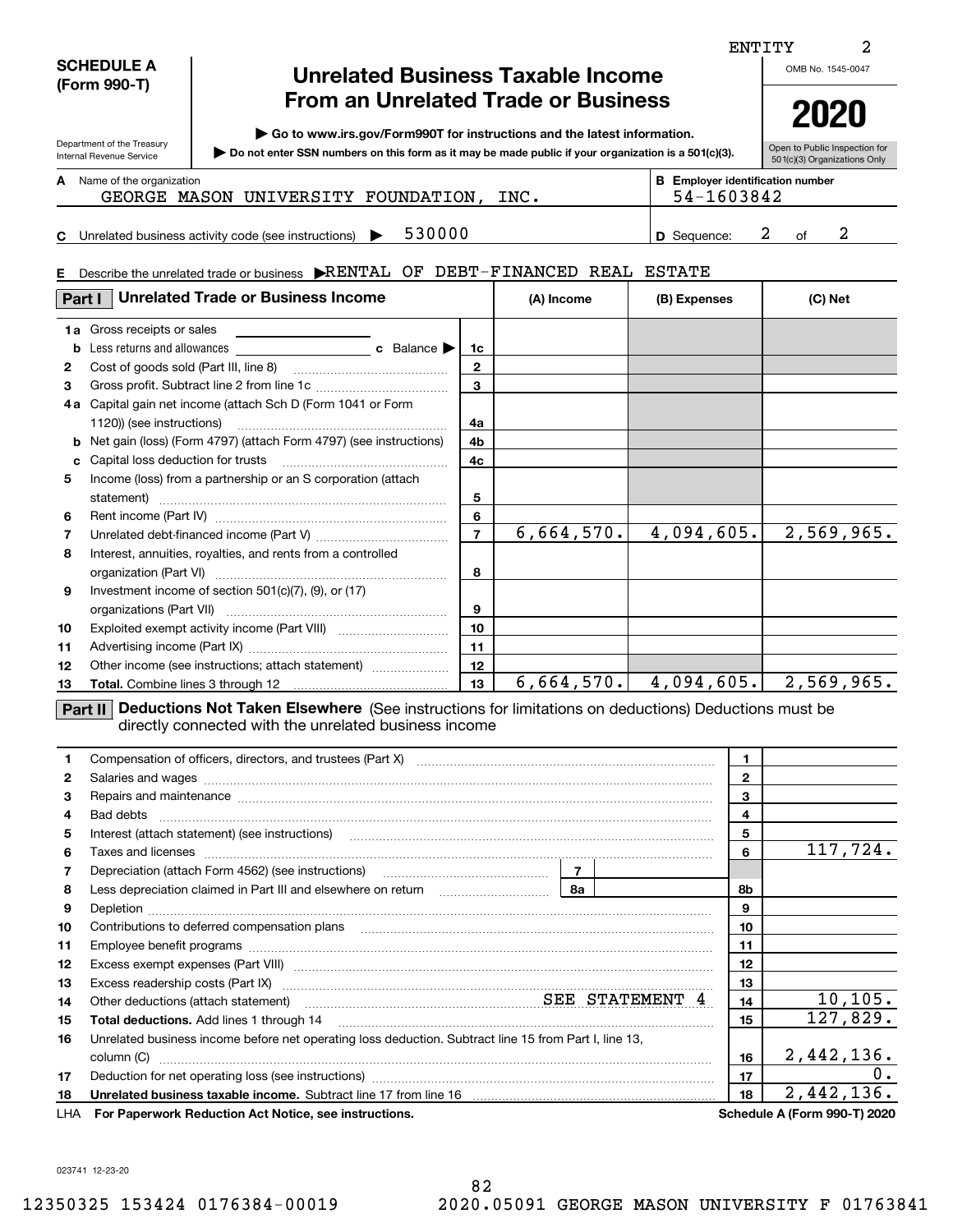| <b>SCHEDULE A</b> |  |
|-------------------|--|
| (Form 990-T)      |  |

Department of the Treasury Internal Revenue Service

**E**

# **Unrelated Business Taxable Income From an Unrelated Trade or Business**

**| Go to www.irs.gov/Form990T for instructions and the latest information.**

**Do not enter SSN numbers on this form as it may be made public if your organization is a 501(c)(3). |** 

Open to Public Inspection for 501(c)(3) Organizations Only **2020**

| A | Name of the organization |
|---|--------------------------|
|   |                          |

**BE**

| Name of the organization |                        |      | <b>Employer identification number</b> |
|--------------------------|------------------------|------|---------------------------------------|
| MASON<br>GEORGE          | UNIVERSITY FOUNDATION, | INC. | 1603842<br>54-.                       |
|                          |                        |      |                                       |

**C** Unrelated business activity code (see instructions)  $\rightarrow$  530000  $\mid$  D Sequence: 2 of **D**530000 2 2

Describe the unrelated trade or business  $\blacktriangleright$ RENTAL OF DEBT-FINANCED REAL ESTATE

| Part I       | <b>Unrelated Trade or Business Income</b>                                                                                                                              | (A) Income               | (B) Expenses | (C) Net                 |            |  |  |  |
|--------------|------------------------------------------------------------------------------------------------------------------------------------------------------------------------|--------------------------|--------------|-------------------------|------------|--|--|--|
|              | 1a Gross receipts or sales                                                                                                                                             |                          |              |                         |            |  |  |  |
| b            |                                                                                                                                                                        | 1c                       |              |                         |            |  |  |  |
| $\mathbf{2}$ |                                                                                                                                                                        | $\mathbf{2}$             |              |                         |            |  |  |  |
| 3            |                                                                                                                                                                        | 3                        |              |                         |            |  |  |  |
| 4а           | Capital gain net income (attach Sch D (Form 1041 or Form                                                                                                               |                          |              |                         |            |  |  |  |
|              |                                                                                                                                                                        | 4a                       |              |                         |            |  |  |  |
| b            | Net gain (loss) (Form 4797) (attach Form 4797) (see instructions)                                                                                                      | 4b                       |              |                         |            |  |  |  |
| c            |                                                                                                                                                                        | 4c                       |              |                         |            |  |  |  |
| 5            | Income (loss) from a partnership or an S corporation (attach                                                                                                           |                          |              |                         |            |  |  |  |
|              | statement)                                                                                                                                                             | 5                        |              |                         |            |  |  |  |
| 6            |                                                                                                                                                                        | 6                        |              |                         |            |  |  |  |
| 7            |                                                                                                                                                                        | $\overline{\phantom{a}}$ | 6,664,570.   | 4,094,605.              | 2,569,965. |  |  |  |
| 8            | Interest, annuities, royalties, and rents from a controlled                                                                                                            |                          |              |                         |            |  |  |  |
|              |                                                                                                                                                                        | 8                        |              |                         |            |  |  |  |
| 9            | Investment income of section $501(c)(7)$ , (9), or (17)                                                                                                                |                          |              |                         |            |  |  |  |
|              |                                                                                                                                                                        | 9                        |              |                         |            |  |  |  |
| 10           |                                                                                                                                                                        | 10                       |              |                         |            |  |  |  |
| 11           |                                                                                                                                                                        | 11                       |              |                         |            |  |  |  |
| 12           | Other income (see instructions; attach statement)                                                                                                                      | 12                       |              |                         |            |  |  |  |
| 13           |                                                                                                                                                                        | 13                       |              | $6,664,570.$ 4,094,605. | 2,569,965. |  |  |  |
|              | Deductions Not Taken Elsewhere (See instructions for limitations on deductions) Deductions must be<br>Part II<br>diractly connected with the unrelated business income |                          |              |                         |            |  |  |  |

directly connected with the unrelated business income

|    | Compensation of officers, directors, and trustees (Part X) [11] manufactured and substitution of officers, directors, and trustees (Part X) [12] manufactured and substitution of $\sim$                                             | $\mathbf{1}$ |              |                              |
|----|--------------------------------------------------------------------------------------------------------------------------------------------------------------------------------------------------------------------------------------|--------------|--------------|------------------------------|
| 2  |                                                                                                                                                                                                                                      |              | $\mathbf{2}$ |                              |
| 3  | Repairs and maintenance measurements are all the contract of the contract of the contract of the contract of the contract of the contract of the contract of the contract of the contract of the contract of the contract of t       |              | 3            |                              |
| 4  |                                                                                                                                                                                                                                      |              | 4            |                              |
| 5  |                                                                                                                                                                                                                                      |              | 5            |                              |
| 6  |                                                                                                                                                                                                                                      |              | 6            | 117,724.                     |
| 7  |                                                                                                                                                                                                                                      |              |              |                              |
| 8  |                                                                                                                                                                                                                                      |              | 8b           |                              |
| 9  |                                                                                                                                                                                                                                      |              | 9            |                              |
| 10 | Contributions to deferred compensation plans                                                                                                                                                                                         |              | 10           |                              |
| 11 |                                                                                                                                                                                                                                      |              | 11           |                              |
| 12 | Excess exempt expenses (Part VIII) <b>manual contract and contract and contract and contract and contract and contract and contract and contract and contract and contract and contract and contract and contract and contract a</b> |              | 12           |                              |
| 13 |                                                                                                                                                                                                                                      |              | 13           |                              |
| 14 | Other deductions (attach statement) material material material SEE STATEMENT 4                                                                                                                                                       |              | 14           | 10, 105.                     |
| 15 | <b>Total deductions.</b> Add lines 1 through 14                                                                                                                                                                                      |              | 15           | 127,829.                     |
| 16 | Unrelated business income before net operating loss deduction. Subtract line 15 from Part I, line 13,                                                                                                                                |              |              |                              |
|    | column (C)                                                                                                                                                                                                                           |              | 16           | 2,442,136.                   |
| 17 |                                                                                                                                                                                                                                      |              | 17           | 0.                           |
| 18 |                                                                                                                                                                                                                                      |              | 18           | 2,442,136.                   |
|    | LHA For Paperwork Reduction Act Notice, see instructions.                                                                                                                                                                            |              |              | Schedule A (Form 990-T) 2020 |

023741 12-23-20

OMB No. 1545-0047

2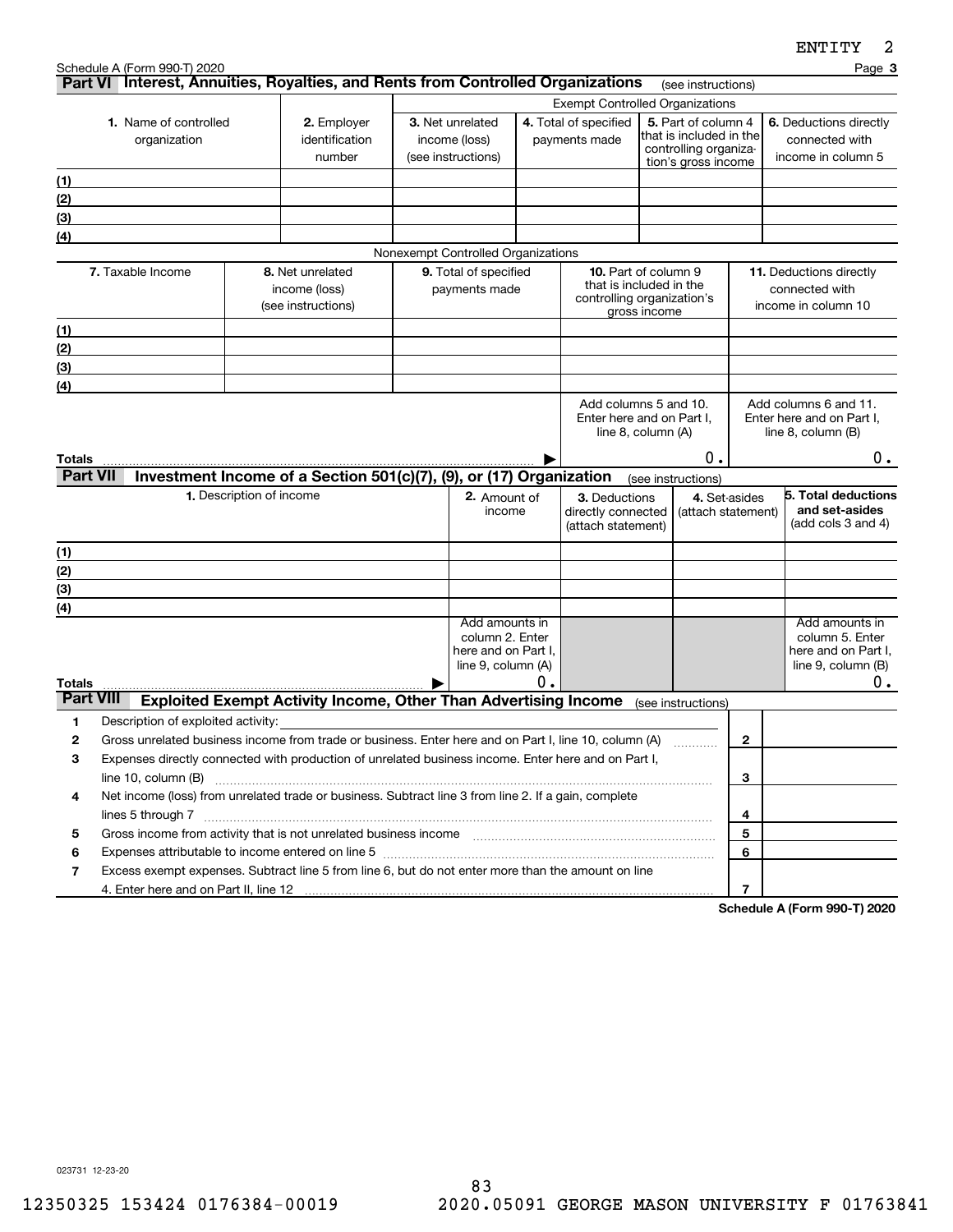|                            | Schedule A (Form 990-T) 2020                                                                                                                                                                                                                          |                          |                                                                     |                                                                                |    |                                                                                  |                                                                                                |                                     | Page 3                                                                               |
|----------------------------|-------------------------------------------------------------------------------------------------------------------------------------------------------------------------------------------------------------------------------------------------------|--------------------------|---------------------------------------------------------------------|--------------------------------------------------------------------------------|----|----------------------------------------------------------------------------------|------------------------------------------------------------------------------------------------|-------------------------------------|--------------------------------------------------------------------------------------|
|                            | Part VI Interest, Annuities, Royalties, and Rents from Controlled Organizations                                                                                                                                                                       |                          |                                                                     |                                                                                |    |                                                                                  |                                                                                                | (see instructions)                  |                                                                                      |
|                            | <b>1.</b> Name of controlled<br>organization                                                                                                                                                                                                          |                          | 2. Employer<br>identification<br>number                             | 3. Net unrelated<br>income (loss)<br>(see instructions)                        |    | <b>Exempt Controlled Organizations</b><br>4. Total of specified<br>payments made | 5. Part of column 4<br>that is included in the<br>controlling organiza-<br>tion's gross income |                                     | <b>6.</b> Deductions directly<br>connected with<br>income in column 5                |
| (1)                        |                                                                                                                                                                                                                                                       |                          |                                                                     |                                                                                |    |                                                                                  |                                                                                                |                                     |                                                                                      |
| (2)                        |                                                                                                                                                                                                                                                       |                          |                                                                     |                                                                                |    |                                                                                  |                                                                                                |                                     |                                                                                      |
| (3)                        |                                                                                                                                                                                                                                                       |                          |                                                                     |                                                                                |    |                                                                                  |                                                                                                |                                     |                                                                                      |
| (4)                        |                                                                                                                                                                                                                                                       |                          |                                                                     |                                                                                |    |                                                                                  |                                                                                                |                                     |                                                                                      |
|                            |                                                                                                                                                                                                                                                       |                          |                                                                     | Nonexempt Controlled Organizations                                             |    |                                                                                  |                                                                                                |                                     |                                                                                      |
|                            | 7. Taxable Income                                                                                                                                                                                                                                     |                          | 8. Net unrelated<br>income (loss)<br>(see instructions)             | 9. Total of specified<br>payments made                                         |    | controlling organization's                                                       | 10. Part of column 9<br>that is included in the<br>gross income                                |                                     | <b>11.</b> Deductions directly<br>connected with<br>income in column 10              |
| (1)                        |                                                                                                                                                                                                                                                       |                          |                                                                     |                                                                                |    |                                                                                  |                                                                                                |                                     |                                                                                      |
| (2)                        |                                                                                                                                                                                                                                                       |                          |                                                                     |                                                                                |    |                                                                                  |                                                                                                |                                     |                                                                                      |
| (3)                        |                                                                                                                                                                                                                                                       |                          |                                                                     |                                                                                |    |                                                                                  |                                                                                                |                                     |                                                                                      |
| (4)                        |                                                                                                                                                                                                                                                       |                          |                                                                     |                                                                                |    |                                                                                  |                                                                                                |                                     |                                                                                      |
|                            |                                                                                                                                                                                                                                                       |                          |                                                                     |                                                                                |    |                                                                                  | Add columns 5 and 10.<br>Enter here and on Part I,<br>line 8, column (A)                       |                                     | Add columns 6 and 11.<br>Enter here and on Part I,<br>line $8$ , column $(B)$        |
| Totals<br><b>Part VII</b>  |                                                                                                                                                                                                                                                       |                          | Investment Income of a Section 501(c)(7), (9), or (17) Organization |                                                                                |    |                                                                                  | (see instructions)                                                                             | 0.                                  | 0.                                                                                   |
|                            |                                                                                                                                                                                                                                                       | 1. Description of income |                                                                     | 2. Amount of<br>income                                                         |    | 3. Deductions<br>directly connected<br>(attach statement)                        |                                                                                                | 4. Set-asides<br>(attach statement) | 5. Total deductions<br>and set-asides<br>(add cols $3$ and $4$ )                     |
| (1)                        |                                                                                                                                                                                                                                                       |                          |                                                                     |                                                                                |    |                                                                                  |                                                                                                |                                     |                                                                                      |
| (2)                        |                                                                                                                                                                                                                                                       |                          |                                                                     |                                                                                |    |                                                                                  |                                                                                                |                                     |                                                                                      |
| (3)                        |                                                                                                                                                                                                                                                       |                          |                                                                     |                                                                                |    |                                                                                  |                                                                                                |                                     |                                                                                      |
| (4)                        |                                                                                                                                                                                                                                                       |                          |                                                                     |                                                                                |    |                                                                                  |                                                                                                |                                     |                                                                                      |
|                            |                                                                                                                                                                                                                                                       |                          |                                                                     | Add amounts in<br>column 2. Enter<br>here and on Part I,<br>line 9, column (A) | о. |                                                                                  |                                                                                                |                                     | Add amounts in<br>column 5. Enter<br>here and on Part I,<br>line 9, column (B)<br>0. |
| Totals<br><b>Part VIII</b> |                                                                                                                                                                                                                                                       |                          | Exploited Exempt Activity Income, Other Than Advertising Income     |                                                                                |    |                                                                                  |                                                                                                |                                     |                                                                                      |
| 1                          | Description of exploited activity:                                                                                                                                                                                                                    |                          |                                                                     |                                                                                |    |                                                                                  | (see instructions)                                                                             |                                     |                                                                                      |
| 2                          | Gross unrelated business income from trade or business. Enter here and on Part I, line 10, column (A)                                                                                                                                                 |                          |                                                                     |                                                                                |    |                                                                                  |                                                                                                | $\mathbf{2}$                        |                                                                                      |
| 3                          | Expenses directly connected with production of unrelated business income. Enter here and on Part I,                                                                                                                                                   |                          |                                                                     |                                                                                |    |                                                                                  |                                                                                                |                                     |                                                                                      |
|                            | line 10, column (B)                                                                                                                                                                                                                                   |                          |                                                                     |                                                                                |    |                                                                                  |                                                                                                | 3                                   |                                                                                      |
| 4                          | Net income (loss) from unrelated trade or business. Subtract line 3 from line 2. If a gain, complete                                                                                                                                                  |                          |                                                                     |                                                                                |    |                                                                                  |                                                                                                |                                     |                                                                                      |
|                            |                                                                                                                                                                                                                                                       |                          |                                                                     |                                                                                |    |                                                                                  |                                                                                                | 4                                   |                                                                                      |
| 5                          | Gross income from activity that is not unrelated business income [11] [11] content material content from activity that is not unrelated business income [11] [11] [11] $\alpha$ [11] $\alpha$ [11] $\alpha$ [11] $\alpha$ [11] $\alpha$ [11] $\alpha$ |                          |                                                                     |                                                                                |    |                                                                                  |                                                                                                | 5                                   |                                                                                      |
| 6                          | Expenses attributable to income entered on line 5 [111] [12] material contents at the income entered on line 5                                                                                                                                        |                          |                                                                     |                                                                                |    |                                                                                  |                                                                                                | 6                                   |                                                                                      |
| 7                          | Excess exempt expenses. Subtract line 5 from line 6, but do not enter more than the amount on line                                                                                                                                                    |                          |                                                                     |                                                                                |    |                                                                                  |                                                                                                |                                     |                                                                                      |
|                            |                                                                                                                                                                                                                                                       |                          |                                                                     |                                                                                |    |                                                                                  |                                                                                                | $\overline{7}$                      | Cahadula A (Faum 000 T) 0000                                                         |

**Schedule A (Form 990-T) 2020**

023731 12-23-20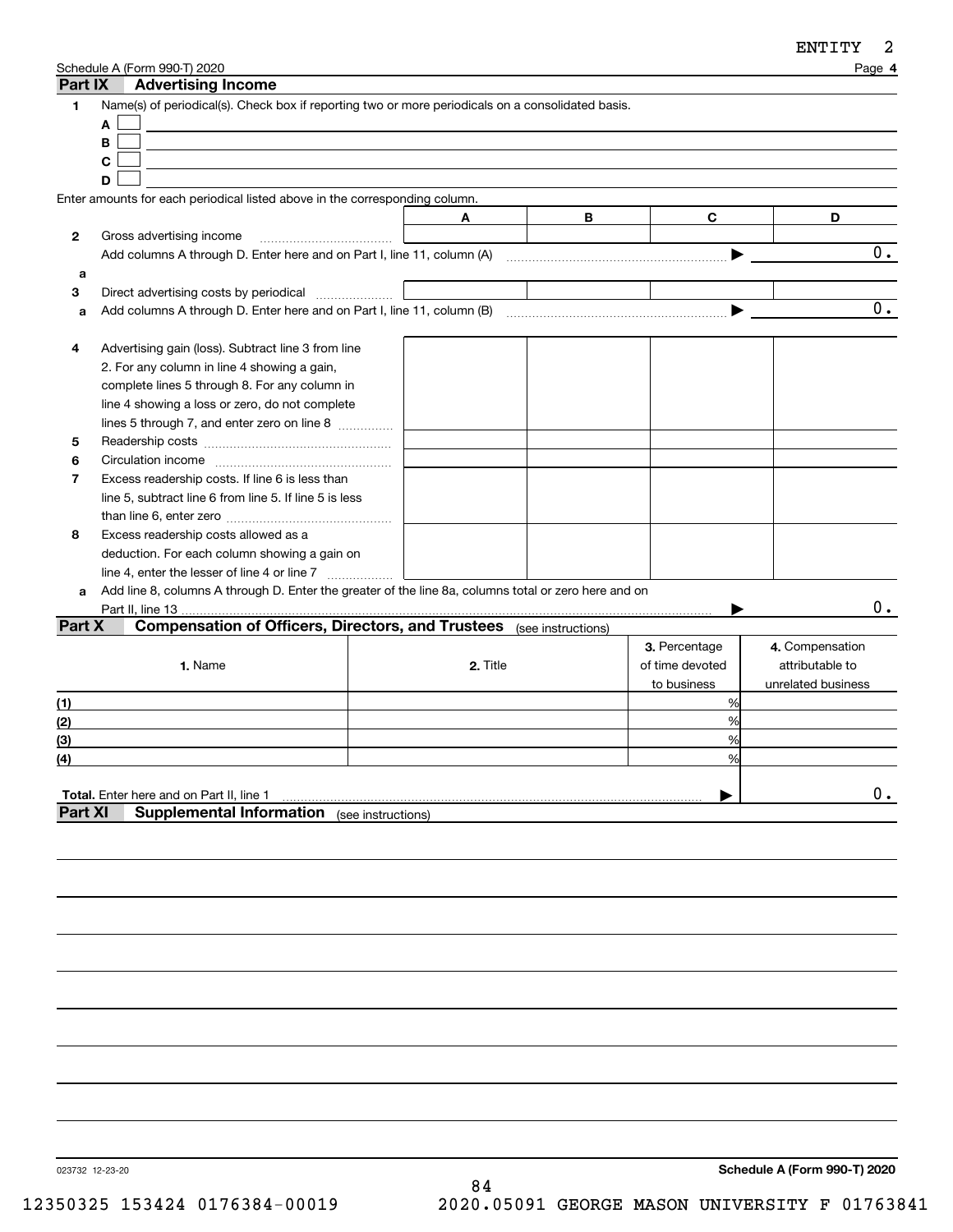| Part IX        | Schedule A (Form 990-T) 2020<br><b>Advertising Income</b>                                            |                    |          |   |                 | Page 4             |
|----------------|------------------------------------------------------------------------------------------------------|--------------------|----------|---|-----------------|--------------------|
| 1              | Name(s) of periodical(s). Check box if reporting two or more periodicals on a consolidated basis.    |                    |          |   |                 |                    |
|                | A                                                                                                    |                    |          |   |                 |                    |
|                | B                                                                                                    |                    |          |   |                 |                    |
|                | C                                                                                                    |                    |          |   |                 |                    |
|                | D                                                                                                    |                    |          |   |                 |                    |
|                | Enter amounts for each periodical listed above in the corresponding column.                          |                    |          |   |                 |                    |
|                |                                                                                                      | Α                  |          | B | C               | D                  |
| 2              | Gross advertising income                                                                             |                    |          |   |                 |                    |
|                | Add columns A through D. Enter here and on Part I, line 11, column (A)                               |                    |          |   |                 | 0.                 |
| a              |                                                                                                      |                    |          |   |                 |                    |
| 3              | Direct advertising costs by periodical                                                               |                    |          |   |                 |                    |
| a              |                                                                                                      |                    |          |   |                 | 0.                 |
|                |                                                                                                      |                    |          |   |                 |                    |
| 4              | Advertising gain (loss). Subtract line 3 from line                                                   |                    |          |   |                 |                    |
|                | 2. For any column in line 4 showing a gain,                                                          |                    |          |   |                 |                    |
|                | complete lines 5 through 8. For any column in                                                        |                    |          |   |                 |                    |
|                | line 4 showing a loss or zero, do not complete                                                       |                    |          |   |                 |                    |
|                | lines 5 through 7, and enter zero on line 8                                                          |                    |          |   |                 |                    |
| 5              |                                                                                                      |                    |          |   |                 |                    |
| 6              |                                                                                                      |                    |          |   |                 |                    |
| $\overline{7}$ | Excess readership costs. If line 6 is less than                                                      |                    |          |   |                 |                    |
|                | line 5, subtract line 6 from line 5. If line 5 is less                                               |                    |          |   |                 |                    |
|                |                                                                                                      |                    |          |   |                 |                    |
| 8              | Excess readership costs allowed as a                                                                 |                    |          |   |                 |                    |
|                | deduction. For each column showing a gain on                                                         |                    |          |   |                 |                    |
|                | line 4, enter the lesser of line 4 or line 7                                                         |                    |          |   |                 |                    |
| a              | Add line 8, columns A through D. Enter the greater of the line 8a, columns total or zero here and on |                    |          |   |                 |                    |
|                | Part II, line 13                                                                                     |                    |          |   |                 | О.                 |
| Part X         | <b>Compensation of Officers, Directors, and Trustees</b> (see instructions)                          |                    |          |   |                 |                    |
|                |                                                                                                      |                    |          |   | 3. Percentage   | 4. Compensation    |
|                | 1. Name                                                                                              |                    | 2. Title |   | of time devoted | attributable to    |
|                |                                                                                                      |                    |          |   |                 |                    |
|                |                                                                                                      |                    |          |   | to business     | unrelated business |
| (1)            |                                                                                                      |                    |          |   | %<br>%          |                    |
| (2)            |                                                                                                      |                    |          |   |                 |                    |
| (3)            |                                                                                                      |                    |          |   | %               |                    |
| (4)            |                                                                                                      |                    |          |   | %               |                    |
|                |                                                                                                      |                    |          |   |                 | $0$ .              |
| <b>Part XI</b> | Total. Enter here and on Part II, line 1<br><b>Supplemental Information</b>                          |                    |          |   |                 |                    |
|                |                                                                                                      | (see instructions) |          |   |                 |                    |
|                |                                                                                                      |                    |          |   |                 |                    |
|                |                                                                                                      |                    |          |   |                 |                    |

023732 12-23-20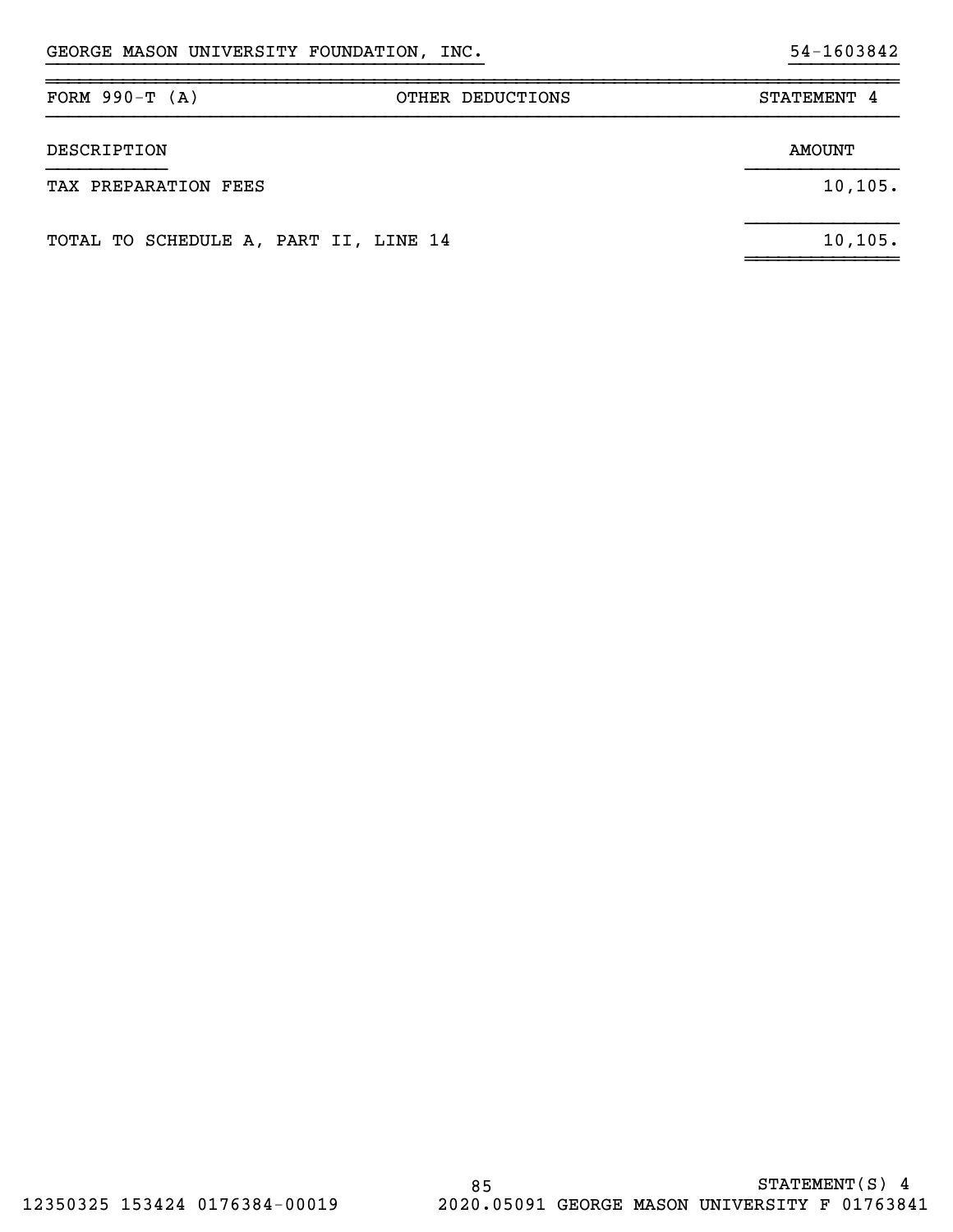| FORM $990-T (A)$                      | OTHER DEDUCTIONS | STATEMENT 4 |
|---------------------------------------|------------------|-------------|
| DESCRIPTION                           |                  | AMOUNT      |
| TAX PREPARATION FEES                  |                  | 10, 105.    |
| TOTAL TO SCHEDULE A, PART II, LINE 14 |                  | 10, 105.    |

}}}}}}}}}}}}}}}}}}}}}}}}}}}}}}}}}}}}}}}} }}}}}}}}}}

~~~~~~~~~~~~~~~~~~~~~~~~~~~~~~~~~~~~~~~~~~~~~~~~~~~~~~~~~~~~~~~~~~~~~~~~~~~~~~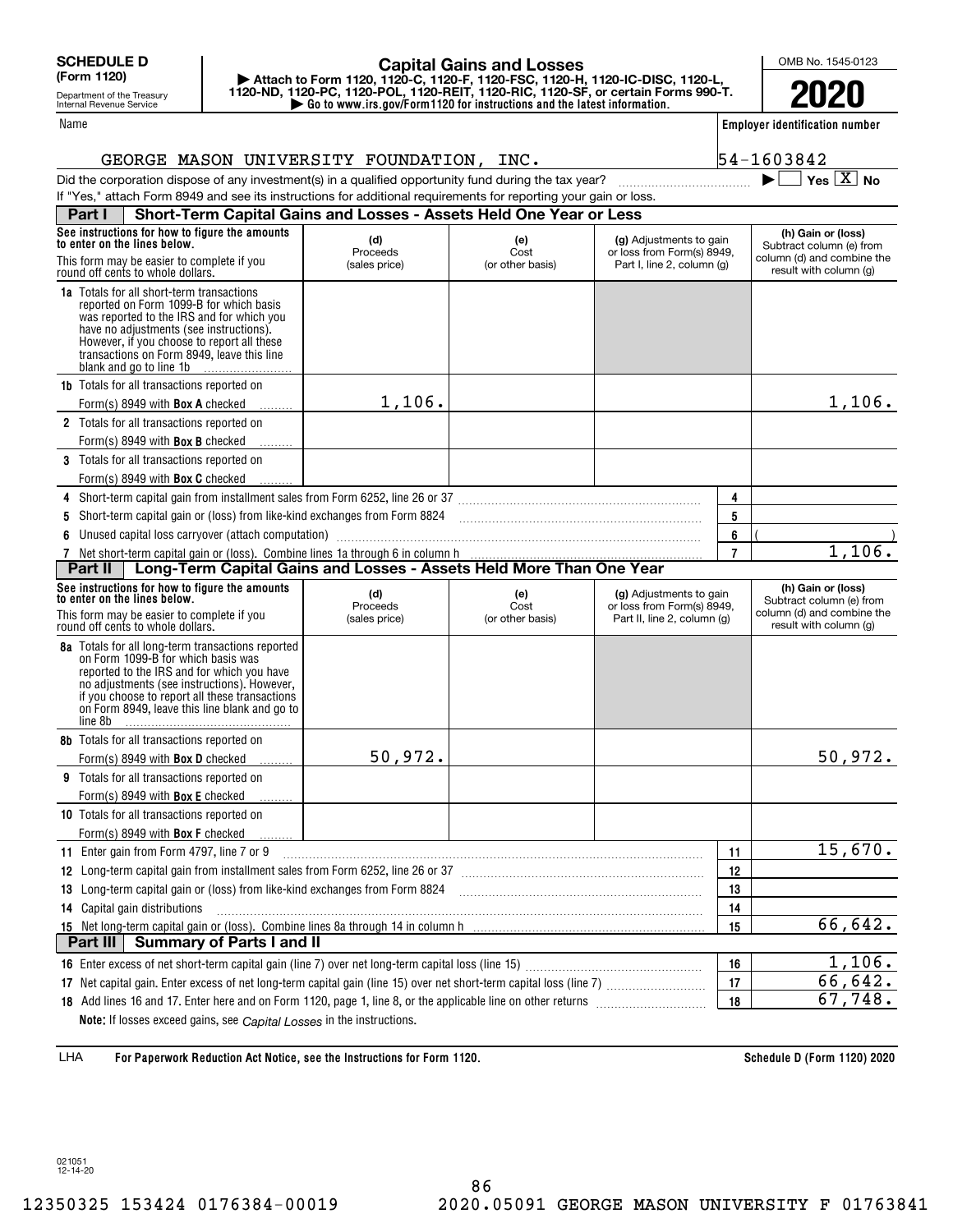Department of the Treasury Internal Revenue Service

#### Name

## **| Go to www.irs.gov/Form1120 for instructions and the latest information. | Attach to Form 1120, 1120-C, 1120-F, 1120-FSC, 1120-H, 1120-IC-DISC, 1120-L, 1120-ND, 1120-PC, 1120-POL, 1120-REIT, 1120-RIC, 1120-SF, or certain Forms 990-T. Capital Gains and Losses**

OMB No. 1545-0123

**2020**

**Employer identification number**

 $\mathcal{L}^{\text{max}}$ 

54-1603842

 $\blacktriangleright$   $\Box$  Yes  $\boxed{X}$  No

|  |  |  |  | GEORGE MASON UNIVERSITY FOUNDATION. | INC |
|--|--|--|--|-------------------------------------|-----|
|--|--|--|--|-------------------------------------|-----|

Did the corporation dispose of any investment(s) in a qualified opportunity fund during the tax year?<br>If "Yes," attach Form 8949 and see its instructions for additional requirements for reporting your gain

| If "Yes," attach Form 8949 and see its instructions for additional requirements for reporting your gain or loss. |  |    |                         |                                      |  |  |  |
|------------------------------------------------------------------------------------------------------------------|--|----|-------------------------|--------------------------------------|--|--|--|
| Short-Term Capital Gains and Losses - Assets Held One Year or Less<br>Part <sup>1</sup>                          |  |    |                         |                                      |  |  |  |
| See instructions for how to figure the amounts<br>to antar on tha linge halow.                                   |  | (e | (g) Adjustments to gain | (h) Gain or (loss)<br>$P_{\text{t}}$ |  |  |  |

| to enter on the lines below.                                                                                                                                                                                                                                                                               | (u)<br>Proceeds                                                                 | (e)<br>Cost                     | (g) Adjustments to gain<br>or loss from Form(s) 8949,                                |                | Subtract column (e) from                                                                               |
|------------------------------------------------------------------------------------------------------------------------------------------------------------------------------------------------------------------------------------------------------------------------------------------------------------|---------------------------------------------------------------------------------|---------------------------------|--------------------------------------------------------------------------------------|----------------|--------------------------------------------------------------------------------------------------------|
| This form may be easier to complete if you<br>round off cents to whole dollars.                                                                                                                                                                                                                            | (sales price)                                                                   | (or other basis)                | Part I, line 2, column (g)                                                           |                | column (d) and combine the<br>result with column (g)                                                   |
| <b>1a</b> Totals for all short-term transactions<br>reported on Form 1099-B for which basis<br>was reported to the IRS and for which you<br>have no adjustments (see instructions).<br>However, if you choose to report all these<br>transactions on Form 8949, leave this line<br>blank and go to line 1b |                                                                                 |                                 |                                                                                      |                |                                                                                                        |
| <b>1b</b> Totals for all transactions reported on                                                                                                                                                                                                                                                          |                                                                                 |                                 |                                                                                      |                |                                                                                                        |
| Form(s) 8949 with <b>Box A</b> checked                                                                                                                                                                                                                                                                     | 1,106.                                                                          |                                 |                                                                                      |                | 1,106.                                                                                                 |
| 2 Totals for all transactions reported on                                                                                                                                                                                                                                                                  |                                                                                 |                                 |                                                                                      |                |                                                                                                        |
| Form(s) 8949 with <b>Box B</b> checked                                                                                                                                                                                                                                                                     |                                                                                 |                                 |                                                                                      |                |                                                                                                        |
| <b>3</b> Totals for all transactions reported on                                                                                                                                                                                                                                                           |                                                                                 |                                 |                                                                                      |                |                                                                                                        |
| Form(s) 8949 with <b>Box C</b> checked                                                                                                                                                                                                                                                                     |                                                                                 |                                 |                                                                                      |                |                                                                                                        |
|                                                                                                                                                                                                                                                                                                            |                                                                                 |                                 |                                                                                      | $\overline{4}$ |                                                                                                        |
| 5 Short-term capital gain or (loss) from like-kind exchanges from Form 8824 [11] [12] [2] Short-term capital gain or (loss) from like-kind exchanges from Form 8824                                                                                                                                        |                                                                                 |                                 |                                                                                      | 5              |                                                                                                        |
|                                                                                                                                                                                                                                                                                                            |                                                                                 |                                 |                                                                                      | 6              |                                                                                                        |
| 7 Net short-term capital gain or (loss). Combine lines 1a through 6 in column h <b>matter and Confedential Capital Gains and Losses - Assets Held More Than One Year</b>                                                                                                                                   |                                                                                 |                                 |                                                                                      | $\overline{7}$ | 1,106.                                                                                                 |
|                                                                                                                                                                                                                                                                                                            |                                                                                 |                                 |                                                                                      |                |                                                                                                        |
| See instructions for how to figure the amounts<br>to enter on the lines below.<br>This form may be easier to complete if you<br>round off cents to whole dollars.                                                                                                                                          | (d)<br>Proceeds<br>(sales price)                                                | (e)<br>Cost<br>(or other basis) | (g) Adjustments to gain<br>or loss from Form(s) 8949,<br>Part II, line 2, column (g) |                | (h) Gain or (loss)<br>Subtract column (e) from<br>column (d) and combine the<br>result with column (g) |
| <b>8a</b> Totals for all long-term transactions reported<br>on Form 1099-B for which basis was<br>reported to the IRS and for which you have<br>no adjustments (see instructions). However,<br>if you choose to report all these transactions<br>on Form 8949, leave this line blank and go to<br>line 8b  |                                                                                 |                                 |                                                                                      |                |                                                                                                        |
| <b>8b</b> Totals for all transactions reported on                                                                                                                                                                                                                                                          |                                                                                 |                                 |                                                                                      |                |                                                                                                        |
| Form(s) 8949 with Box D checked                                                                                                                                                                                                                                                                            | 50,972.                                                                         |                                 |                                                                                      |                | 50,972.                                                                                                |
| 9 Totals for all transactions reported on                                                                                                                                                                                                                                                                  |                                                                                 |                                 |                                                                                      |                |                                                                                                        |
| Form(s) 8949 with <b>Box E</b> checked                                                                                                                                                                                                                                                                     |                                                                                 |                                 |                                                                                      |                |                                                                                                        |
| 10 Totals for all transactions reported on                                                                                                                                                                                                                                                                 |                                                                                 |                                 |                                                                                      |                |                                                                                                        |
| Form(s) 8949 with <b>Box F</b> checked                                                                                                                                                                                                                                                                     | the contract of the contract of the contract of the contract of the contract of |                                 |                                                                                      |                |                                                                                                        |
| 11 Enter gain from Form 4797, line 7 or 9                                                                                                                                                                                                                                                                  |                                                                                 |                                 |                                                                                      | 11             | 15,670.                                                                                                |
| 12 Long-term capital gain from installment sales from Form 6252, line 26 or 37 [11] [12] Long-term capital gain from installment sales from Form 6252, line 26 or 37                                                                                                                                       |                                                                                 |                                 |                                                                                      | 12             |                                                                                                        |
| 13 Long-term capital gain or (loss) from like-kind exchanges from Form 8824 [11] [12] Long-term capital gain or (loss) from like-kind exchanges from Form 8824                                                                                                                                             |                                                                                 |                                 |                                                                                      |                |                                                                                                        |
| 14 Capital gain distributions                                                                                                                                                                                                                                                                              | 14                                                                              |                                 |                                                                                      |                |                                                                                                        |
|                                                                                                                                                                                                                                                                                                            | 15                                                                              | 66,642.                         |                                                                                      |                |                                                                                                        |
| Part III   Summary of Parts I and II                                                                                                                                                                                                                                                                       |                                                                                 |                                 |                                                                                      |                |                                                                                                        |
|                                                                                                                                                                                                                                                                                                            |                                                                                 |                                 |                                                                                      | 16             | 1,106.                                                                                                 |
|                                                                                                                                                                                                                                                                                                            |                                                                                 |                                 |                                                                                      | 17             | 66,642.                                                                                                |
| 18 Add lines 16 and 17. Enter here and on Form 1120, page 1, line 8, or the applicable line on other returns                                                                                                                                                                                               | 18                                                                              | 67,748.                         |                                                                                      |                |                                                                                                        |

**For Paperwork Reduction Act Notice, see the Instructions for Form 1120. Schedule D (Form 1120) 2020** LHA

**Note:** If losses exceed gains, see *Capital Losses* in the instructions.

021051 12-14-20

**18**~~~~~~~~~~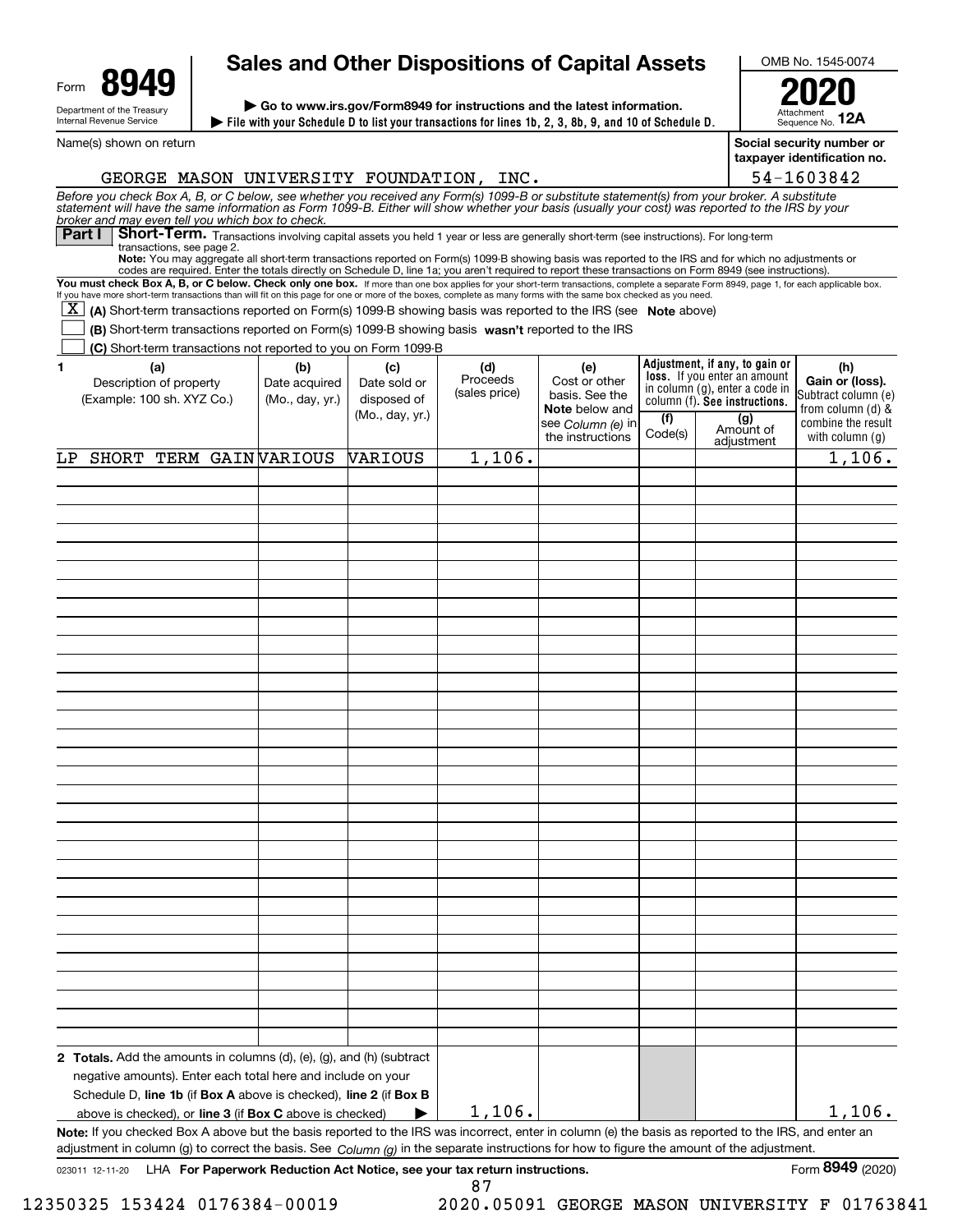| Form                                                   | Q/I |  |  |  |  |
|--------------------------------------------------------|-----|--|--|--|--|
| Department of the Treasury<br>Internal Revenue Service |     |  |  |  |  |

Name(s) shown on return

# **Sales and Other Dispositions of Capital Assets**

**File with your Schedule D to list your transactions for lines 1b, 2, 3, 8b, 9, and 10 of Schedule D. | | Go to www.irs.gov/Form8949 for instructions and the latest information.**

OMB No. 1545-0074

AttachmentSequence No. **12A2020**

**Social security number or**

|                                                                                                                                                                                                                                                                                                                                                            |                      |                     |                 |                      |                                                                 |                  | taxpayer identification no. |
|------------------------------------------------------------------------------------------------------------------------------------------------------------------------------------------------------------------------------------------------------------------------------------------------------------------------------------------------------------|----------------------|---------------------|-----------------|----------------------|-----------------------------------------------------------------|------------------|-----------------------------|
| GEORGE MASON UNIVERSITY FOUNDATION, INC.                                                                                                                                                                                                                                                                                                                   |                      |                     |                 |                      |                                                                 |                  | 54-1603842                  |
| Before you check Box A, B, or C below, see whether you received any Form(s) 1099-B or substitute statement(s) from your broker. A substitute<br>statement will have the same information as Form 1099-B. Either will show whether<br>broker and may even tell you which box to check.                                                                      |                      |                     |                 |                      |                                                                 |                  |                             |
| Short-Term. Transactions involving capital assets you held 1 year or less are generally short-term (see instructions). For long-term<br><b>Part I</b>                                                                                                                                                                                                      |                      |                     |                 |                      |                                                                 |                  |                             |
| transactions, see page 2.<br>Note: You may aggregate all short-term transactions reported on Form(s) 1099-B showing basis was reported to the IRS and for which no adjustments or                                                                                                                                                                          |                      |                     |                 |                      |                                                                 |                  |                             |
| codes are required. Enter the totals directly on Schedule D, line 1a; you aren't required to report these transactions on Form 8949 (see instructions).                                                                                                                                                                                                    |                      |                     |                 |                      |                                                                 |                  |                             |
| You must check Box A, B, or C below. Check only one box. If more than one box applies for your short-term transactions, complete a separate Form 8949, page 1, for each applicable box.<br>If you have more short-term transactions than will fit on this page for one or more of the boxes, complete as many forms with the same box checked as you need. |                      |                     |                 |                      |                                                                 |                  |                             |
| X  <br>(A) Short-term transactions reported on Form(s) 1099-B showing basis was reported to the IRS (see Note above)                                                                                                                                                                                                                                       |                      |                     |                 |                      |                                                                 |                  |                             |
| (B) Short-term transactions reported on Form(s) 1099-B showing basis wasn't reported to the IRS                                                                                                                                                                                                                                                            |                      |                     |                 |                      |                                                                 |                  |                             |
| (C) Short-term transactions not reported to you on Form 1099-B                                                                                                                                                                                                                                                                                             |                      |                     |                 |                      |                                                                 |                  |                             |
|                                                                                                                                                                                                                                                                                                                                                            |                      |                     |                 |                      | Adjustment, if any, to gain or                                  |                  |                             |
| 1.<br>(a)<br>Description of property                                                                                                                                                                                                                                                                                                                       | (b)<br>Date acquired | (c)<br>Date sold or | (d)<br>Proceeds | (e)<br>Cost or other | loss. If you enter an amount                                    |                  | (h)<br>Gain or (loss).      |
| (Example: 100 sh. XYZ Co.)                                                                                                                                                                                                                                                                                                                                 | (Mo., day, yr.)      | disposed of         | (sales price)   | basis. See the       | in column (g), enter a code in<br>column (f). See instructions. |                  | Subtract column (e)         |
|                                                                                                                                                                                                                                                                                                                                                            |                      | (Mo., day, yr.)     |                 | Note below and       |                                                                 |                  | from column (d) &           |
|                                                                                                                                                                                                                                                                                                                                                            |                      |                     |                 | see Column (e) in    | (f)<br>Code(s)                                                  | (g)<br>Amount of | combine the result          |
|                                                                                                                                                                                                                                                                                                                                                            |                      |                     |                 | the instructions     |                                                                 | adjustment       | with column (g)             |
| SHORT TERM GAINVARIOUS<br>LP                                                                                                                                                                                                                                                                                                                               |                      | <b>VARIOUS</b>      | 1,106.          |                      |                                                                 |                  | 1,106.                      |
|                                                                                                                                                                                                                                                                                                                                                            |                      |                     |                 |                      |                                                                 |                  |                             |
|                                                                                                                                                                                                                                                                                                                                                            |                      |                     |                 |                      |                                                                 |                  |                             |
|                                                                                                                                                                                                                                                                                                                                                            |                      |                     |                 |                      |                                                                 |                  |                             |
|                                                                                                                                                                                                                                                                                                                                                            |                      |                     |                 |                      |                                                                 |                  |                             |
|                                                                                                                                                                                                                                                                                                                                                            |                      |                     |                 |                      |                                                                 |                  |                             |
|                                                                                                                                                                                                                                                                                                                                                            |                      |                     |                 |                      |                                                                 |                  |                             |
|                                                                                                                                                                                                                                                                                                                                                            |                      |                     |                 |                      |                                                                 |                  |                             |
|                                                                                                                                                                                                                                                                                                                                                            |                      |                     |                 |                      |                                                                 |                  |                             |
|                                                                                                                                                                                                                                                                                                                                                            |                      |                     |                 |                      |                                                                 |                  |                             |
|                                                                                                                                                                                                                                                                                                                                                            |                      |                     |                 |                      |                                                                 |                  |                             |
|                                                                                                                                                                                                                                                                                                                                                            |                      |                     |                 |                      |                                                                 |                  |                             |
|                                                                                                                                                                                                                                                                                                                                                            |                      |                     |                 |                      |                                                                 |                  |                             |
|                                                                                                                                                                                                                                                                                                                                                            |                      |                     |                 |                      |                                                                 |                  |                             |
|                                                                                                                                                                                                                                                                                                                                                            |                      |                     |                 |                      |                                                                 |                  |                             |
|                                                                                                                                                                                                                                                                                                                                                            |                      |                     |                 |                      |                                                                 |                  |                             |
|                                                                                                                                                                                                                                                                                                                                                            |                      |                     |                 |                      |                                                                 |                  |                             |
|                                                                                                                                                                                                                                                                                                                                                            |                      |                     |                 |                      |                                                                 |                  |                             |
|                                                                                                                                                                                                                                                                                                                                                            |                      |                     |                 |                      |                                                                 |                  |                             |
|                                                                                                                                                                                                                                                                                                                                                            |                      |                     |                 |                      |                                                                 |                  |                             |
|                                                                                                                                                                                                                                                                                                                                                            |                      |                     |                 |                      |                                                                 |                  |                             |
|                                                                                                                                                                                                                                                                                                                                                            |                      |                     |                 |                      |                                                                 |                  |                             |
|                                                                                                                                                                                                                                                                                                                                                            |                      |                     |                 |                      |                                                                 |                  |                             |
|                                                                                                                                                                                                                                                                                                                                                            |                      |                     |                 |                      |                                                                 |                  |                             |
|                                                                                                                                                                                                                                                                                                                                                            |                      |                     |                 |                      |                                                                 |                  |                             |
|                                                                                                                                                                                                                                                                                                                                                            |                      |                     |                 |                      |                                                                 |                  |                             |
|                                                                                                                                                                                                                                                                                                                                                            |                      |                     |                 |                      |                                                                 |                  |                             |
|                                                                                                                                                                                                                                                                                                                                                            |                      |                     |                 |                      |                                                                 |                  |                             |
|                                                                                                                                                                                                                                                                                                                                                            |                      |                     |                 |                      |                                                                 |                  |                             |
|                                                                                                                                                                                                                                                                                                                                                            |                      |                     |                 |                      |                                                                 |                  |                             |
|                                                                                                                                                                                                                                                                                                                                                            |                      |                     |                 |                      |                                                                 |                  |                             |
|                                                                                                                                                                                                                                                                                                                                                            |                      |                     |                 |                      |                                                                 |                  |                             |
|                                                                                                                                                                                                                                                                                                                                                            |                      |                     |                 |                      |                                                                 |                  |                             |
|                                                                                                                                                                                                                                                                                                                                                            |                      |                     |                 |                      |                                                                 |                  |                             |
| 2 Totals. Add the amounts in columns (d), (e), (g), and (h) (subtract                                                                                                                                                                                                                                                                                      |                      |                     |                 |                      |                                                                 |                  |                             |
| negative amounts). Enter each total here and include on your                                                                                                                                                                                                                                                                                               |                      |                     |                 |                      |                                                                 |                  |                             |
| Schedule D, line 1b (if Box A above is checked), line 2 (if Box B                                                                                                                                                                                                                                                                                          |                      |                     |                 |                      |                                                                 |                  |                             |
| above is checked), or line 3 (if Box C above is checked)                                                                                                                                                                                                                                                                                                   |                      |                     | 1,106.          |                      |                                                                 |                  | 1,106.                      |
| Note: If you checked Box A above but the basis reported to the IRS was incorrect, enter in column (e) the basis as reported to the IRS, and enter an                                                                                                                                                                                                       |                      |                     |                 |                      |                                                                 |                  |                             |
| adjustment in column (g) to correct the basis. See Column (g) in the separate instructions for how to figure the amount of the adjustment.                                                                                                                                                                                                                 |                      |                     |                 |                      |                                                                 |                  |                             |

87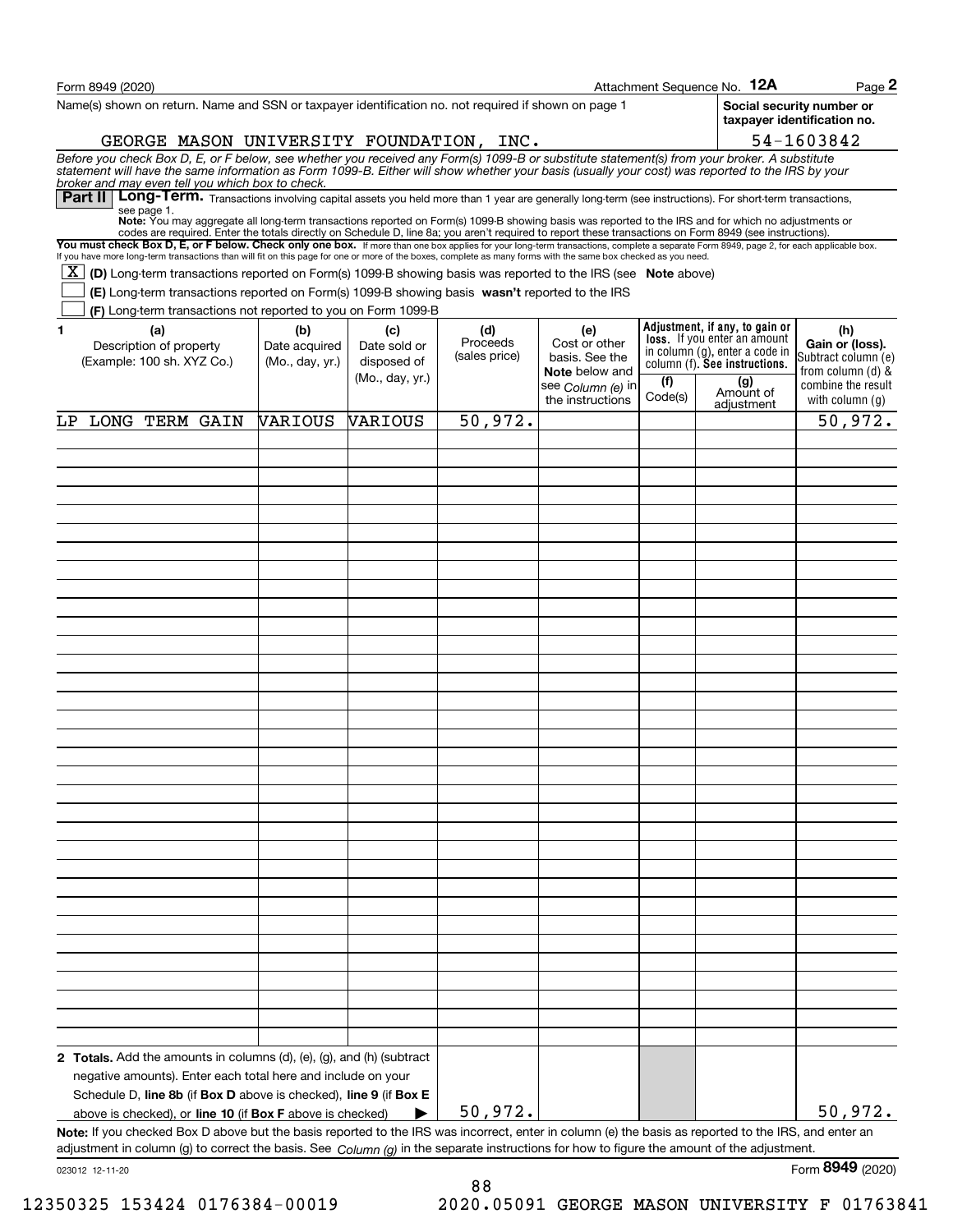| Form 8949 (2020)                                                                                                                                                                                                                                                                                                                                                                                                                                       |                 |                                |                           |                                         |                | Attachment Sequence No. 12A                                    | Page 2                                                   |
|--------------------------------------------------------------------------------------------------------------------------------------------------------------------------------------------------------------------------------------------------------------------------------------------------------------------------------------------------------------------------------------------------------------------------------------------------------|-----------------|--------------------------------|---------------------------|-----------------------------------------|----------------|----------------------------------------------------------------|----------------------------------------------------------|
| Name(s) shown on return. Name and SSN or taxpayer identification no. not required if shown on page 1                                                                                                                                                                                                                                                                                                                                                   |                 |                                |                           |                                         |                |                                                                | Social security number or<br>taxpayer identification no. |
| GEORGE MASON UNIVERSITY FOUNDATION, INC.                                                                                                                                                                                                                                                                                                                                                                                                               |                 |                                |                           |                                         |                |                                                                | 54-1603842                                               |
| Before you check Box D, E, or F below, see whether you received any Form(s) 1099-B or substitute statement(s) from your broker. A substitute<br>statement will have the same information as Form 1099-B. Either will show whether<br>broker and may even tell you which box to check.<br>Part II   Long-Term. Transactions involving capital assets you held more than 1 year are generally long-term (see instructions). For short-term transactions, |                 |                                |                           |                                         |                |                                                                |                                                          |
| see page 1.<br>Note: You may aggregate all long-term transactions reported on Form(s) 1099-B showing basis was reported to the IRS and for which no adjustments or                                                                                                                                                                                                                                                                                     |                 |                                |                           |                                         |                |                                                                |                                                          |
| codes are required. Enter the totals directly on Schedule D, line 8a; you aren't required to report these transactions on Form 8949 (see instructions).<br>You must check Box D, E, or F below. Check only one box. If more than one box applies for your long-term transactions, complete a separate Form 8949, page 2, for each applicable box.                                                                                                      |                 |                                |                           |                                         |                |                                                                |                                                          |
| If you have more long-term transactions than will fit on this page for one or more of the boxes, complete as many forms with the same box checked as you need.                                                                                                                                                                                                                                                                                         |                 |                                |                           |                                         |                |                                                                |                                                          |
| X  <br>(D) Long-term transactions reported on Form(s) 1099-B showing basis was reported to the IRS (see Note above)                                                                                                                                                                                                                                                                                                                                    |                 |                                |                           |                                         |                |                                                                |                                                          |
| (E) Long-term transactions reported on Form(s) 1099-B showing basis wasn't reported to the IRS<br>(F) Long-term transactions not reported to you on Form 1099-B                                                                                                                                                                                                                                                                                        |                 |                                |                           |                                         |                |                                                                |                                                          |
| 1<br>(a)                                                                                                                                                                                                                                                                                                                                                                                                                                               | (b)             | (c)                            | (d)                       | (e)                                     |                | Adjustment, if any, to gain or                                 | (h)                                                      |
| Description of property                                                                                                                                                                                                                                                                                                                                                                                                                                | Date acquired   | Date sold or                   | Proceeds<br>(sales price) | Cost or other                           |                | loss. If you enter an amount<br>in column (g), enter a code in | Gain or (loss).                                          |
| (Example: 100 sh. XYZ Co.)                                                                                                                                                                                                                                                                                                                                                                                                                             | (Mo., day, yr.) | disposed of<br>(Mo., day, yr.) |                           | basis. See the<br><b>Note</b> below and |                | column (f). See instructions.                                  | Subtract column (e)<br>from column (d) &                 |
|                                                                                                                                                                                                                                                                                                                                                                                                                                                        |                 |                                |                           | see Column (e) in<br>the instructions   | (f)<br>Code(s) | (g)<br>Amount of<br>adjustment                                 | combine the result<br>with column $(g)$                  |
| LP LONG TERM GAIN                                                                                                                                                                                                                                                                                                                                                                                                                                      | <b>VARIOUS</b>  | <b>VARIOUS</b>                 | 50,972.                   |                                         |                |                                                                | 50,972.                                                  |
|                                                                                                                                                                                                                                                                                                                                                                                                                                                        |                 |                                |                           |                                         |                |                                                                |                                                          |
|                                                                                                                                                                                                                                                                                                                                                                                                                                                        |                 |                                |                           |                                         |                |                                                                |                                                          |
|                                                                                                                                                                                                                                                                                                                                                                                                                                                        |                 |                                |                           |                                         |                |                                                                |                                                          |
|                                                                                                                                                                                                                                                                                                                                                                                                                                                        |                 |                                |                           |                                         |                |                                                                |                                                          |
|                                                                                                                                                                                                                                                                                                                                                                                                                                                        |                 |                                |                           |                                         |                |                                                                |                                                          |
|                                                                                                                                                                                                                                                                                                                                                                                                                                                        |                 |                                |                           |                                         |                |                                                                |                                                          |
|                                                                                                                                                                                                                                                                                                                                                                                                                                                        |                 |                                |                           |                                         |                |                                                                |                                                          |
|                                                                                                                                                                                                                                                                                                                                                                                                                                                        |                 |                                |                           |                                         |                |                                                                |                                                          |
|                                                                                                                                                                                                                                                                                                                                                                                                                                                        |                 |                                |                           |                                         |                |                                                                |                                                          |
|                                                                                                                                                                                                                                                                                                                                                                                                                                                        |                 |                                |                           |                                         |                |                                                                |                                                          |
|                                                                                                                                                                                                                                                                                                                                                                                                                                                        |                 |                                |                           |                                         |                |                                                                |                                                          |
|                                                                                                                                                                                                                                                                                                                                                                                                                                                        |                 |                                |                           |                                         |                |                                                                |                                                          |
|                                                                                                                                                                                                                                                                                                                                                                                                                                                        |                 |                                |                           |                                         |                |                                                                |                                                          |
|                                                                                                                                                                                                                                                                                                                                                                                                                                                        |                 |                                |                           |                                         |                |                                                                |                                                          |
|                                                                                                                                                                                                                                                                                                                                                                                                                                                        |                 |                                |                           |                                         |                |                                                                |                                                          |
|                                                                                                                                                                                                                                                                                                                                                                                                                                                        |                 |                                |                           |                                         |                |                                                                |                                                          |
|                                                                                                                                                                                                                                                                                                                                                                                                                                                        |                 |                                |                           |                                         |                |                                                                |                                                          |
|                                                                                                                                                                                                                                                                                                                                                                                                                                                        |                 |                                |                           |                                         |                |                                                                |                                                          |
|                                                                                                                                                                                                                                                                                                                                                                                                                                                        |                 |                                |                           |                                         |                |                                                                |                                                          |
|                                                                                                                                                                                                                                                                                                                                                                                                                                                        |                 |                                |                           |                                         |                |                                                                |                                                          |
|                                                                                                                                                                                                                                                                                                                                                                                                                                                        |                 |                                |                           |                                         |                |                                                                |                                                          |
|                                                                                                                                                                                                                                                                                                                                                                                                                                                        |                 |                                |                           |                                         |                |                                                                |                                                          |
|                                                                                                                                                                                                                                                                                                                                                                                                                                                        |                 |                                |                           |                                         |                |                                                                |                                                          |
|                                                                                                                                                                                                                                                                                                                                                                                                                                                        |                 |                                |                           |                                         |                |                                                                |                                                          |
|                                                                                                                                                                                                                                                                                                                                                                                                                                                        |                 |                                |                           |                                         |                |                                                                |                                                          |
|                                                                                                                                                                                                                                                                                                                                                                                                                                                        |                 |                                |                           |                                         |                |                                                                |                                                          |
|                                                                                                                                                                                                                                                                                                                                                                                                                                                        |                 |                                |                           |                                         |                |                                                                |                                                          |
|                                                                                                                                                                                                                                                                                                                                                                                                                                                        |                 |                                |                           |                                         |                |                                                                |                                                          |
| 2 Totals. Add the amounts in columns (d), (e), (g), and (h) (subtract                                                                                                                                                                                                                                                                                                                                                                                  |                 |                                |                           |                                         |                |                                                                |                                                          |
| negative amounts). Enter each total here and include on your<br>Schedule D, line 8b (if Box D above is checked), line 9 (if Box E                                                                                                                                                                                                                                                                                                                      |                 |                                |                           |                                         |                |                                                                |                                                          |
| above is checked), or line 10 (if Box F above is checked)                                                                                                                                                                                                                                                                                                                                                                                              |                 |                                | 50,972.                   |                                         |                |                                                                | 50,972.                                                  |
| Note: If you checked Box D above but the basis reported to the IRS was incorrect, enter in column (e) the basis as reported to the IRS, and enter an                                                                                                                                                                                                                                                                                                   |                 |                                |                           |                                         |                |                                                                |                                                          |
| adjustment in column (g) to correct the basis. See $Column(q)$ in the separate instructions for how to figure the amount of the adjustment.                                                                                                                                                                                                                                                                                                            |                 |                                |                           |                                         |                |                                                                |                                                          |
| 023012 12-11-20                                                                                                                                                                                                                                                                                                                                                                                                                                        |                 |                                |                           |                                         |                |                                                                | Form 8949 (2020)                                         |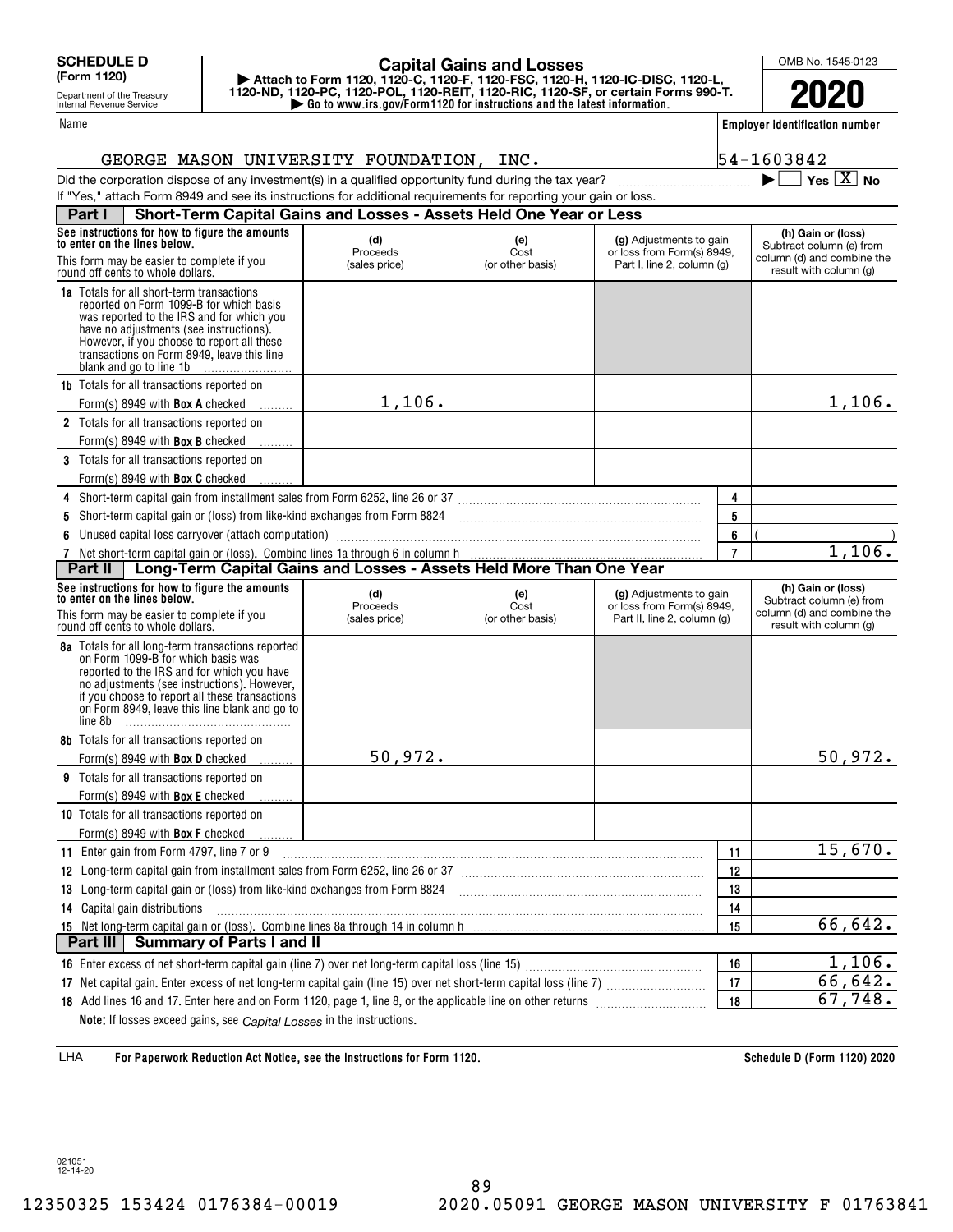Department of the Treasury Internal Revenue Service

#### Name

## **| Go to www.irs.gov/Form1120 for instructions and the latest information. | Attach to Form 1120, 1120-C, 1120-F, 1120-FSC, 1120-H, 1120-IC-DISC, 1120-L, 1120-ND, 1120-PC, 1120-POL, 1120-REIT, 1120-RIC, 1120-SF, or certain Forms 990-T. Capital Gains and Losses**

OMB No. 1545-0123

**2020**

**Employer identification number**

54-1603842

 $\blacktriangleright$   $\Box$  Yes  $\boxed{X}$  No

|  | GEORGE MASON UNIVERSITY FOUNDATION, | INC |
|--|-------------------------------------|-----|
|  |                                     |     |

Did the corporation dispose of any investment(s) in a qualified opportunity fund during the tax year?

## If "Yes," attach Form 8949 and see its instructions for additional requirements for reporting your gain or loss. **Part I Short-Term Capital Gains and Losses - Assets Held One Year or Less**

| See instructions for how to figure the amounts<br>to enter on the lines below.                                                                                                                                                                                                                             | (d)<br>Proceeds | (e)<br>Cost      | (g) Adjustments to gain<br>or loss from Form(s) 8949, |                | (h) Gain or (loss)<br>Subtract column (e) from       |
|------------------------------------------------------------------------------------------------------------------------------------------------------------------------------------------------------------------------------------------------------------------------------------------------------------|-----------------|------------------|-------------------------------------------------------|----------------|------------------------------------------------------|
| This form may be easier to complete if you<br>round off cents to whole dollars.                                                                                                                                                                                                                            | (sales price)   | (or other basis) | Part I, line 2, column (g)                            |                | column (d) and combine the<br>result with column (g) |
| <b>1a</b> Totals for all short-term transactions<br>reported on Form 1099-B for which basis<br>was reported to the IRS and for which you<br>have no adjustments (see instructions).<br>However, if you choose to report all these<br>transactions on Form 8949, leave this line<br>blank and go to line 1b |                 |                  |                                                       |                |                                                      |
| <b>1b</b> Totals for all transactions reported on                                                                                                                                                                                                                                                          |                 |                  |                                                       |                |                                                      |
| Form(s) 8949 with <b>Box A</b> checked                                                                                                                                                                                                                                                                     | 1,106.          |                  |                                                       |                | 1,106.                                               |
| 2 Totals for all transactions reported on                                                                                                                                                                                                                                                                  |                 |                  |                                                       |                |                                                      |
| Form(s) 8949 with <b>Box B</b> checked                                                                                                                                                                                                                                                                     |                 |                  |                                                       |                |                                                      |
| <b>3</b> Totals for all transactions reported on                                                                                                                                                                                                                                                           |                 |                  |                                                       |                |                                                      |
| Form(s) 8949 with <b>Box C</b> checked                                                                                                                                                                                                                                                                     |                 |                  |                                                       |                |                                                      |
| 4 Short-term capital gain from installment sales from Form 6252, line 26 or 37 [11] [12] Short-term capital gain from installment sales from Form 6252, line 26 or 37                                                                                                                                      |                 |                  |                                                       | 4              |                                                      |
| 5 Short-term capital gain or (loss) from like-kind exchanges from Form 8824 [11] [12] Short-term capital gain or (loss) from like-kind exchanges from Form 8824                                                                                                                                            |                 |                  |                                                       | 5              |                                                      |
|                                                                                                                                                                                                                                                                                                            |                 |                  |                                                       | 6              |                                                      |
|                                                                                                                                                                                                                                                                                                            |                 |                  |                                                       | $\overline{7}$ | 1,106.                                               |
| Long-Term Capital Gains and Losses - Assets Held More Than One Year<br>Part II                                                                                                                                                                                                                             |                 |                  |                                                       |                |                                                      |
| See instructions for how to figure the amounts<br>to enter on the lines below.                                                                                                                                                                                                                             | (d)<br>Proceeds | (e)<br>Cost      | (g) Adjustments to gain<br>or loss from Form(s) 8949, |                | (h) Gain or (loss)<br>Subtract column (e) from       |
| This form may be easier to complete if you<br>round off cents to whole dollars.                                                                                                                                                                                                                            | (sales price)   | (or other basis) | Part II, line 2, column (g)                           |                | column (d) and combine the<br>result with column (g) |
| 8a Totals for all long-term transactions reported<br>on Form 1099-B for which basis was<br>reported to the IRS and for which you have<br>no adjustments (see instructions). However,<br>if you choose to report all these transactions<br>on Form 8949, leave this line blank and go to<br>line 8b         |                 |                  |                                                       |                |                                                      |
| 8b Totals for all transactions reported on                                                                                                                                                                                                                                                                 |                 |                  |                                                       |                |                                                      |
| Form(s) 8949 with <b>Box D</b> checked                                                                                                                                                                                                                                                                     | 50,972.         |                  |                                                       |                | 50,972.                                              |
| <b>9</b> Totals for all transactions reported on                                                                                                                                                                                                                                                           |                 |                  |                                                       |                |                                                      |
| Form(s) 8949 with <b>Box E</b> checked                                                                                                                                                                                                                                                                     |                 |                  |                                                       |                |                                                      |
| 10 Totals for all transactions reported on                                                                                                                                                                                                                                                                 |                 |                  |                                                       |                |                                                      |
| Form(s) 8949 with Box F checked                                                                                                                                                                                                                                                                            |                 |                  |                                                       |                |                                                      |
| 11 Enter gain from Form 4797, line 7 or 9                                                                                                                                                                                                                                                                  |                 |                  |                                                       | 11             | 15,670.                                              |
| 12 Long-term capital gain from installment sales from Form 6252, line 26 or 37 [11] [12] Long-term capital gain from installment sales from Form 6252, line 26 or 37                                                                                                                                       |                 |                  |                                                       | 12             |                                                      |
| 13 Long-term capital gain or (loss) from like-kind exchanges from Form 8824 [11] [12] Long-term capital gain or (loss) from like-kind exchanges from Form 8824                                                                                                                                             |                 |                  |                                                       | 13             |                                                      |
| 14 Capital gain distributions                                                                                                                                                                                                                                                                              |                 |                  |                                                       | 14             |                                                      |
|                                                                                                                                                                                                                                                                                                            | 66,642.         |                  |                                                       |                |                                                      |
| Part III Summary of Parts I and II                                                                                                                                                                                                                                                                         |                 |                  |                                                       |                |                                                      |
|                                                                                                                                                                                                                                                                                                            |                 |                  |                                                       | 16             | 1,106.                                               |
|                                                                                                                                                                                                                                                                                                            |                 |                  |                                                       | 17             | 66,642.                                              |
|                                                                                                                                                                                                                                                                                                            |                 |                  |                                                       | 18             | 67,748.                                              |
| Note: If losses exceed gains, see Capital Losses in the instructions.                                                                                                                                                                                                                                      |                 |                  |                                                       |                |                                                      |

**For Paperwork Reduction Act Notice, see the Instructions for Form 1120. Schedule D (Form 1120) 2020** LHA

021051 12-14-20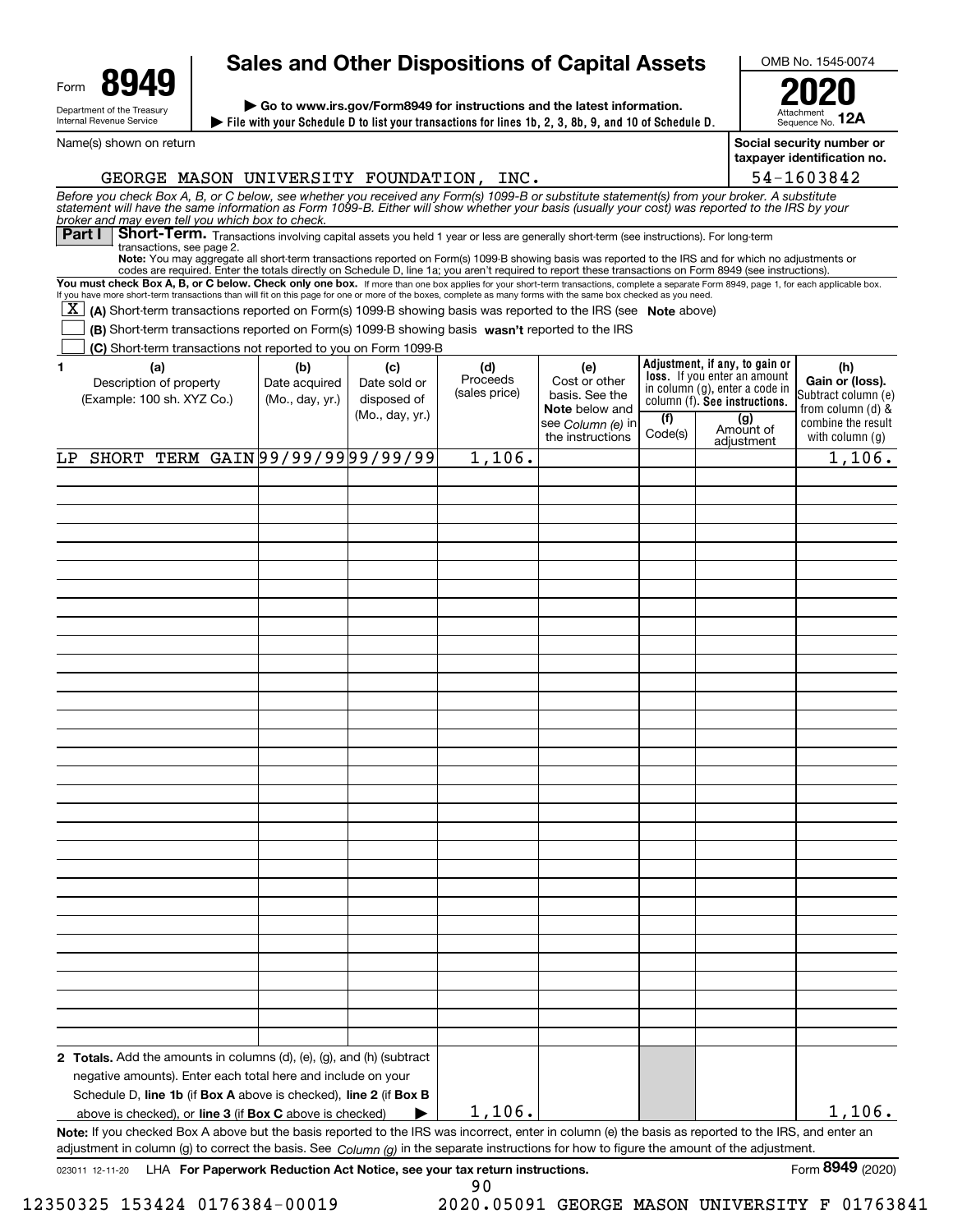| Form                                                   | UЛ |  |  |  |  |
|--------------------------------------------------------|----|--|--|--|--|
| Department of the Treasury<br>Internal Revenue Service |    |  |  |  |  |

# **Sales and Other Dispositions of Capital Assets**

**File with your Schedule D to list your transactions for lines 1b, 2, 3, 8b, 9, and 10 of Schedule D. | | Go to www.irs.gov/Form8949 for instructions and the latest information.**

OMB No. 1545-0074

AttachmentSequence No. **Social security number or 12A2020**

**taxpayer identification no.**

54-1603842

| Name(s) shown on return |
|-------------------------|
|                         |

## GEORGE MASON UNIVERSITY FOUNDATION, INC.

Before you check Box A, B, or C below, see whether you received any Form(s) 1099-B or substitute statement(s) from your broker. A substitute<br>statement will have the same information as Form 1099-B. Either will show whether *broker and may even tell you which box to check.*

Part I Short-Term. Transactions involving capital assets you held 1 year or less are generally short-term (see instructions). For long-term transactions, see page 2.

**Note:**You may aggregate all short-term transactions reported on Form(s) 1099-B showing basis was reported to the IRS and for which no adjustments or codes are required. Enter the totals directly on Schedule D, line 1a; you aren't required to report these transactions on Form 8949 (see instructions).

You must check Box A, B, or C below. Check only one box. If more than one box applies for your short-term transactions, complete a separate Form 8949, page 1, for each applicable box. If you have more short-term transactions than will fit on this page for one or more of the boxes, complete as many forms with the same box checked as you need.

[X] (A) Short-term transactions reported on Form(s) 1099-B showing basis was reported to the IRS (see Note above)

**(B)** Short-term transactions reported on Form(s) 1099-B showing basis wasn't reported to the IRS  $\mathcal{L}^{\text{max}}$ 

**(C)** Short-term transactions not reported to you on Form 1099-B

| 1   | (U) Onone torm transactions not reported to you on nomin 1033 B<br>(a)<br>Description of property<br>(Example: 100 sh. XYZ Co.)                                                                                                                                                                    | (b)<br>Date acquired<br>(Mo., day, yr.) | (c)<br>Date sold or<br>disposed of<br>(Mo., day, yr.) | (d)<br>Proceeds<br>(sales price) | (e)<br>Cost or other<br>basis. See the<br>Note below and<br>see Column (e) in<br>the instructions | (f)<br>Code(s) | Adjustment, if any, to gain or<br>loss. If you enter an amount<br>in column (g), enter a code in<br>column (f). See instructions.<br>(g)<br>Amount of<br>adjustment | (h)<br>Gain or (loss).<br>Subtract column (e)<br>from column (d) &<br>combine the result<br>with column (g) |  |  |
|-----|----------------------------------------------------------------------------------------------------------------------------------------------------------------------------------------------------------------------------------------------------------------------------------------------------|-----------------------------------------|-------------------------------------------------------|----------------------------------|---------------------------------------------------------------------------------------------------|----------------|---------------------------------------------------------------------------------------------------------------------------------------------------------------------|-------------------------------------------------------------------------------------------------------------|--|--|
| LP. | SHORT TERM GAIN 99/99/99 99/99/99                                                                                                                                                                                                                                                                  |                                         |                                                       | 1,106.                           |                                                                                                   |                |                                                                                                                                                                     | 1,106.                                                                                                      |  |  |
|     |                                                                                                                                                                                                                                                                                                    |                                         |                                                       |                                  |                                                                                                   |                |                                                                                                                                                                     |                                                                                                             |  |  |
|     |                                                                                                                                                                                                                                                                                                    |                                         |                                                       |                                  |                                                                                                   |                |                                                                                                                                                                     |                                                                                                             |  |  |
|     |                                                                                                                                                                                                                                                                                                    |                                         |                                                       |                                  |                                                                                                   |                |                                                                                                                                                                     |                                                                                                             |  |  |
|     |                                                                                                                                                                                                                                                                                                    |                                         |                                                       |                                  |                                                                                                   |                |                                                                                                                                                                     |                                                                                                             |  |  |
|     |                                                                                                                                                                                                                                                                                                    |                                         |                                                       |                                  |                                                                                                   |                |                                                                                                                                                                     |                                                                                                             |  |  |
|     |                                                                                                                                                                                                                                                                                                    |                                         |                                                       |                                  |                                                                                                   |                |                                                                                                                                                                     |                                                                                                             |  |  |
|     |                                                                                                                                                                                                                                                                                                    |                                         |                                                       |                                  |                                                                                                   |                |                                                                                                                                                                     |                                                                                                             |  |  |
|     |                                                                                                                                                                                                                                                                                                    |                                         |                                                       |                                  |                                                                                                   |                |                                                                                                                                                                     |                                                                                                             |  |  |
|     |                                                                                                                                                                                                                                                                                                    |                                         |                                                       |                                  |                                                                                                   |                |                                                                                                                                                                     |                                                                                                             |  |  |
|     |                                                                                                                                                                                                                                                                                                    |                                         |                                                       |                                  |                                                                                                   |                |                                                                                                                                                                     |                                                                                                             |  |  |
|     |                                                                                                                                                                                                                                                                                                    |                                         |                                                       |                                  |                                                                                                   |                |                                                                                                                                                                     |                                                                                                             |  |  |
|     |                                                                                                                                                                                                                                                                                                    |                                         |                                                       |                                  |                                                                                                   |                |                                                                                                                                                                     |                                                                                                             |  |  |
|     |                                                                                                                                                                                                                                                                                                    |                                         |                                                       |                                  |                                                                                                   |                |                                                                                                                                                                     |                                                                                                             |  |  |
|     |                                                                                                                                                                                                                                                                                                    |                                         |                                                       |                                  |                                                                                                   |                |                                                                                                                                                                     |                                                                                                             |  |  |
|     |                                                                                                                                                                                                                                                                                                    |                                         |                                                       |                                  |                                                                                                   |                |                                                                                                                                                                     |                                                                                                             |  |  |
|     |                                                                                                                                                                                                                                                                                                    |                                         |                                                       |                                  |                                                                                                   |                |                                                                                                                                                                     |                                                                                                             |  |  |
|     |                                                                                                                                                                                                                                                                                                    |                                         |                                                       |                                  |                                                                                                   |                |                                                                                                                                                                     |                                                                                                             |  |  |
|     |                                                                                                                                                                                                                                                                                                    |                                         |                                                       |                                  |                                                                                                   |                |                                                                                                                                                                     |                                                                                                             |  |  |
|     |                                                                                                                                                                                                                                                                                                    |                                         |                                                       |                                  |                                                                                                   |                |                                                                                                                                                                     |                                                                                                             |  |  |
|     |                                                                                                                                                                                                                                                                                                    |                                         |                                                       |                                  |                                                                                                   |                |                                                                                                                                                                     |                                                                                                             |  |  |
|     |                                                                                                                                                                                                                                                                                                    |                                         |                                                       |                                  |                                                                                                   |                |                                                                                                                                                                     |                                                                                                             |  |  |
|     |                                                                                                                                                                                                                                                                                                    |                                         |                                                       |                                  |                                                                                                   |                |                                                                                                                                                                     |                                                                                                             |  |  |
|     |                                                                                                                                                                                                                                                                                                    |                                         |                                                       |                                  |                                                                                                   |                |                                                                                                                                                                     |                                                                                                             |  |  |
|     |                                                                                                                                                                                                                                                                                                    |                                         |                                                       |                                  |                                                                                                   |                |                                                                                                                                                                     |                                                                                                             |  |  |
|     |                                                                                                                                                                                                                                                                                                    |                                         |                                                       |                                  |                                                                                                   |                |                                                                                                                                                                     |                                                                                                             |  |  |
|     |                                                                                                                                                                                                                                                                                                    |                                         |                                                       |                                  |                                                                                                   |                |                                                                                                                                                                     |                                                                                                             |  |  |
|     |                                                                                                                                                                                                                                                                                                    |                                         |                                                       |                                  |                                                                                                   |                |                                                                                                                                                                     |                                                                                                             |  |  |
|     |                                                                                                                                                                                                                                                                                                    |                                         |                                                       |                                  |                                                                                                   |                |                                                                                                                                                                     |                                                                                                             |  |  |
|     |                                                                                                                                                                                                                                                                                                    |                                         |                                                       |                                  |                                                                                                   |                |                                                                                                                                                                     |                                                                                                             |  |  |
|     | <b>2 Totals.</b> Add the amounts in columns $(d)$ , $(e)$ , $(g)$ , and $(h)$ (subtract                                                                                                                                                                                                            |                                         |                                                       |                                  |                                                                                                   |                |                                                                                                                                                                     |                                                                                                             |  |  |
|     | negative amounts). Enter each total here and include on your                                                                                                                                                                                                                                       |                                         |                                                       |                                  |                                                                                                   |                |                                                                                                                                                                     |                                                                                                             |  |  |
|     | Schedule D, line 1b (if Box A above is checked), line 2 (if Box B<br>above is checked), or line 3 (if Box C above is checked)                                                                                                                                                                      |                                         | ▶                                                     | 1,106.                           |                                                                                                   |                |                                                                                                                                                                     | 1,106.                                                                                                      |  |  |
|     |                                                                                                                                                                                                                                                                                                    |                                         |                                                       |                                  |                                                                                                   |                |                                                                                                                                                                     |                                                                                                             |  |  |
|     | Note: If you checked Box A above but the basis reported to the IRS was incorrect, enter in column (e) the basis as reported to the IRS, and enter an<br>adjustment in column (g) to correct the basis. See Column (g) in the separate instructions for how to figure the amount of the adjustment. |                                         |                                                       |                                  |                                                                                                   |                |                                                                                                                                                                     |                                                                                                             |  |  |

12350325 153424 0176384-00019 2020.05091 GEORGE MASON UNIVERSITY F 01763841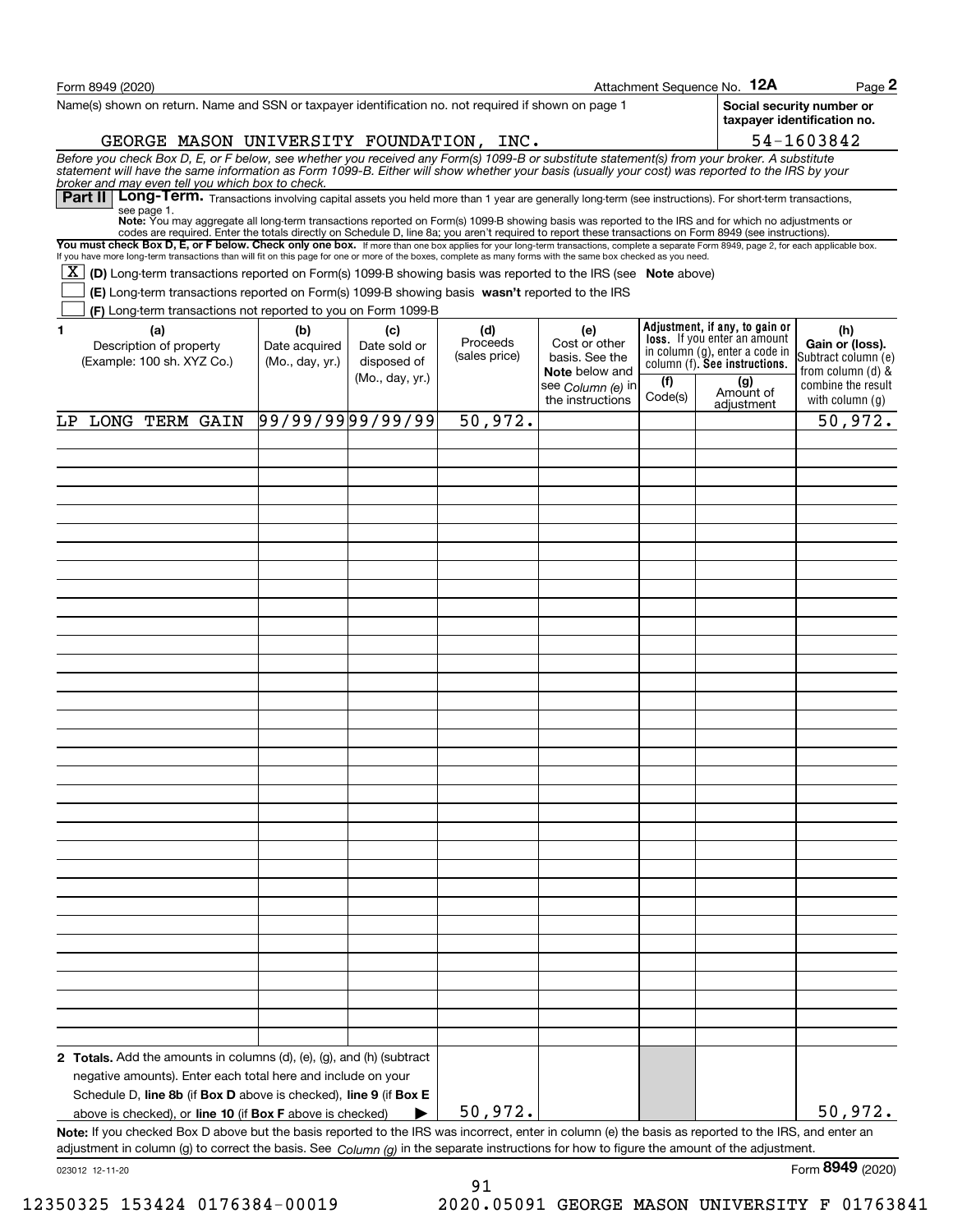| Form 8949 (2020)                                                                                                                                                                                                                                                                                                                                                                                                                                                                                                    |                                  |                             |                           |                                                                |                | Attachment Sequence No. 12A                                                                     | $Page$ 2                                                     |
|---------------------------------------------------------------------------------------------------------------------------------------------------------------------------------------------------------------------------------------------------------------------------------------------------------------------------------------------------------------------------------------------------------------------------------------------------------------------------------------------------------------------|----------------------------------|-----------------------------|---------------------------|----------------------------------------------------------------|----------------|-------------------------------------------------------------------------------------------------|--------------------------------------------------------------|
| Name(s) shown on return. Name and SSN or taxpayer identification no. not required if shown on page 1                                                                                                                                                                                                                                                                                                                                                                                                                |                                  |                             |                           |                                                                |                |                                                                                                 | Social security number or<br>taxpayer identification no.     |
| GEORGE MASON UNIVERSITY FOUNDATION, INC.                                                                                                                                                                                                                                                                                                                                                                                                                                                                            |                                  |                             |                           |                                                                |                |                                                                                                 | 54-1603842                                                   |
| Before you check Box D, E, or F below, see whether you received any Form(s) 1099-B or substitute statement(s) from your broker. A substitute statement will have the same information as Form 1099-B. Either will show whether<br>broker and may even tell you which box to check.<br>Part II   Long-Term. Transactions involving capital assets you held more than 1 year are generally long-term (see instructions). For short-term transactions,                                                                 |                                  |                             |                           |                                                                |                |                                                                                                 |                                                              |
| see page 1.<br>Note: You may aggregate all long-term transactions reported on Form(s) 1099-B showing basis was reported to the IRS and for which no adjustments or                                                                                                                                                                                                                                                                                                                                                  |                                  |                             |                           |                                                                |                |                                                                                                 |                                                              |
| codes are required. Enter the totals directly on Schedule D, line 8a; you aren't required to report these transactions on Form 8949 (see instructions).<br>You must check Box D, E, or F below. Check only one box. If more than one box applies for your long-term transactions, complete a separate Form 8949, page 2, for each applicable box.<br>If you have more long-term transactions than will fit on this page for one or more of the boxes, complete as many forms with the same box checked as you need. |                                  |                             |                           |                                                                |                |                                                                                                 |                                                              |
| $\boxed{\text{X}}$ (D) Long-term transactions reported on Form(s) 1099-B showing basis was reported to the IRS (see Note above)                                                                                                                                                                                                                                                                                                                                                                                     |                                  |                             |                           |                                                                |                |                                                                                                 |                                                              |
| (E) Long-term transactions reported on Form(s) 1099-B showing basis wasn't reported to the IRS                                                                                                                                                                                                                                                                                                                                                                                                                      |                                  |                             |                           |                                                                |                |                                                                                                 |                                                              |
| (F) Long-term transactions not reported to you on Form 1099-B<br>$\mathbf{1}$<br>(a)                                                                                                                                                                                                                                                                                                                                                                                                                                | (b)                              | (c)                         | (d)                       | (e)                                                            |                | Adjustment, if any, to gain or                                                                  | (h)                                                          |
| Description of property<br>(Example: 100 sh. XYZ Co.)                                                                                                                                                                                                                                                                                                                                                                                                                                                               | Date acquired<br>(Mo., day, yr.) | Date sold or<br>disposed of | Proceeds<br>(sales price) | Cost or other<br>basis. See the                                |                | loss. If you enter an amount<br>in column (g), enter a code in<br>column (f). See instructions. | Gain or (loss).<br>Subtract column (e)                       |
|                                                                                                                                                                                                                                                                                                                                                                                                                                                                                                                     |                                  | (Mo., day, yr.)             |                           | <b>Note</b> below and<br>see Column (e) in<br>the instructions | (f)<br>Code(s) | (g)<br>Amount of                                                                                | from column (d) &<br>combine the result<br>with column $(g)$ |
| LP LONG TERM GAIN                                                                                                                                                                                                                                                                                                                                                                                                                                                                                                   | 99/99/9999/99/99                 |                             | 50,972.                   |                                                                |                | adjustment                                                                                      | 50,972.                                                      |
|                                                                                                                                                                                                                                                                                                                                                                                                                                                                                                                     |                                  |                             |                           |                                                                |                |                                                                                                 |                                                              |
|                                                                                                                                                                                                                                                                                                                                                                                                                                                                                                                     |                                  |                             |                           |                                                                |                |                                                                                                 |                                                              |
|                                                                                                                                                                                                                                                                                                                                                                                                                                                                                                                     |                                  |                             |                           |                                                                |                |                                                                                                 |                                                              |
|                                                                                                                                                                                                                                                                                                                                                                                                                                                                                                                     |                                  |                             |                           |                                                                |                |                                                                                                 |                                                              |
|                                                                                                                                                                                                                                                                                                                                                                                                                                                                                                                     |                                  |                             |                           |                                                                |                |                                                                                                 |                                                              |
|                                                                                                                                                                                                                                                                                                                                                                                                                                                                                                                     |                                  |                             |                           |                                                                |                |                                                                                                 |                                                              |
|                                                                                                                                                                                                                                                                                                                                                                                                                                                                                                                     |                                  |                             |                           |                                                                |                |                                                                                                 |                                                              |
|                                                                                                                                                                                                                                                                                                                                                                                                                                                                                                                     |                                  |                             |                           |                                                                |                |                                                                                                 |                                                              |
|                                                                                                                                                                                                                                                                                                                                                                                                                                                                                                                     |                                  |                             |                           |                                                                |                |                                                                                                 |                                                              |
|                                                                                                                                                                                                                                                                                                                                                                                                                                                                                                                     |                                  |                             |                           |                                                                |                |                                                                                                 |                                                              |
|                                                                                                                                                                                                                                                                                                                                                                                                                                                                                                                     |                                  |                             |                           |                                                                |                |                                                                                                 |                                                              |
|                                                                                                                                                                                                                                                                                                                                                                                                                                                                                                                     |                                  |                             |                           |                                                                |                |                                                                                                 |                                                              |
|                                                                                                                                                                                                                                                                                                                                                                                                                                                                                                                     |                                  |                             |                           |                                                                |                |                                                                                                 |                                                              |
|                                                                                                                                                                                                                                                                                                                                                                                                                                                                                                                     |                                  |                             |                           |                                                                |                |                                                                                                 |                                                              |
|                                                                                                                                                                                                                                                                                                                                                                                                                                                                                                                     |                                  |                             |                           |                                                                |                |                                                                                                 |                                                              |
|                                                                                                                                                                                                                                                                                                                                                                                                                                                                                                                     |                                  |                             |                           |                                                                |                |                                                                                                 |                                                              |
|                                                                                                                                                                                                                                                                                                                                                                                                                                                                                                                     |                                  |                             |                           |                                                                |                |                                                                                                 |                                                              |
|                                                                                                                                                                                                                                                                                                                                                                                                                                                                                                                     |                                  |                             |                           |                                                                |                |                                                                                                 |                                                              |
|                                                                                                                                                                                                                                                                                                                                                                                                                                                                                                                     |                                  |                             |                           |                                                                |                |                                                                                                 |                                                              |
|                                                                                                                                                                                                                                                                                                                                                                                                                                                                                                                     |                                  |                             |                           |                                                                |                |                                                                                                 |                                                              |
|                                                                                                                                                                                                                                                                                                                                                                                                                                                                                                                     |                                  |                             |                           |                                                                |                |                                                                                                 |                                                              |
|                                                                                                                                                                                                                                                                                                                                                                                                                                                                                                                     |                                  |                             |                           |                                                                |                |                                                                                                 |                                                              |
|                                                                                                                                                                                                                                                                                                                                                                                                                                                                                                                     |                                  |                             |                           |                                                                |                |                                                                                                 |                                                              |
|                                                                                                                                                                                                                                                                                                                                                                                                                                                                                                                     |                                  |                             |                           |                                                                |                |                                                                                                 |                                                              |
|                                                                                                                                                                                                                                                                                                                                                                                                                                                                                                                     |                                  |                             |                           |                                                                |                |                                                                                                 |                                                              |
|                                                                                                                                                                                                                                                                                                                                                                                                                                                                                                                     |                                  |                             |                           |                                                                |                |                                                                                                 |                                                              |
|                                                                                                                                                                                                                                                                                                                                                                                                                                                                                                                     |                                  |                             |                           |                                                                |                |                                                                                                 |                                                              |
|                                                                                                                                                                                                                                                                                                                                                                                                                                                                                                                     |                                  |                             |                           |                                                                |                |                                                                                                 |                                                              |
| 2 Totals. Add the amounts in columns (d), (e), (g), and (h) (subtract                                                                                                                                                                                                                                                                                                                                                                                                                                               |                                  |                             |                           |                                                                |                |                                                                                                 |                                                              |
| negative amounts). Enter each total here and include on your<br>Schedule D, line 8b (if Box D above is checked), line 9 (if Box E                                                                                                                                                                                                                                                                                                                                                                                   |                                  |                             |                           |                                                                |                |                                                                                                 |                                                              |
| above is checked), or line 10 (if Box F above is checked)                                                                                                                                                                                                                                                                                                                                                                                                                                                           |                                  |                             | 50,972.                   |                                                                |                |                                                                                                 | 50,972.                                                      |
| Note: If you checked Box D above but the basis reported to the IRS was incorrect, enter in column (e) the basis as reported to the IRS, and enter an                                                                                                                                                                                                                                                                                                                                                                |                                  |                             |                           |                                                                |                |                                                                                                 |                                                              |
| adjustment in column (g) to correct the basis. See Column (g) in the separate instructions for how to figure the amount of the adjustment.                                                                                                                                                                                                                                                                                                                                                                          |                                  |                             |                           |                                                                |                |                                                                                                 |                                                              |
| 023012 12-11-20                                                                                                                                                                                                                                                                                                                                                                                                                                                                                                     |                                  |                             |                           |                                                                |                |                                                                                                 | Form 8949 (2020)                                             |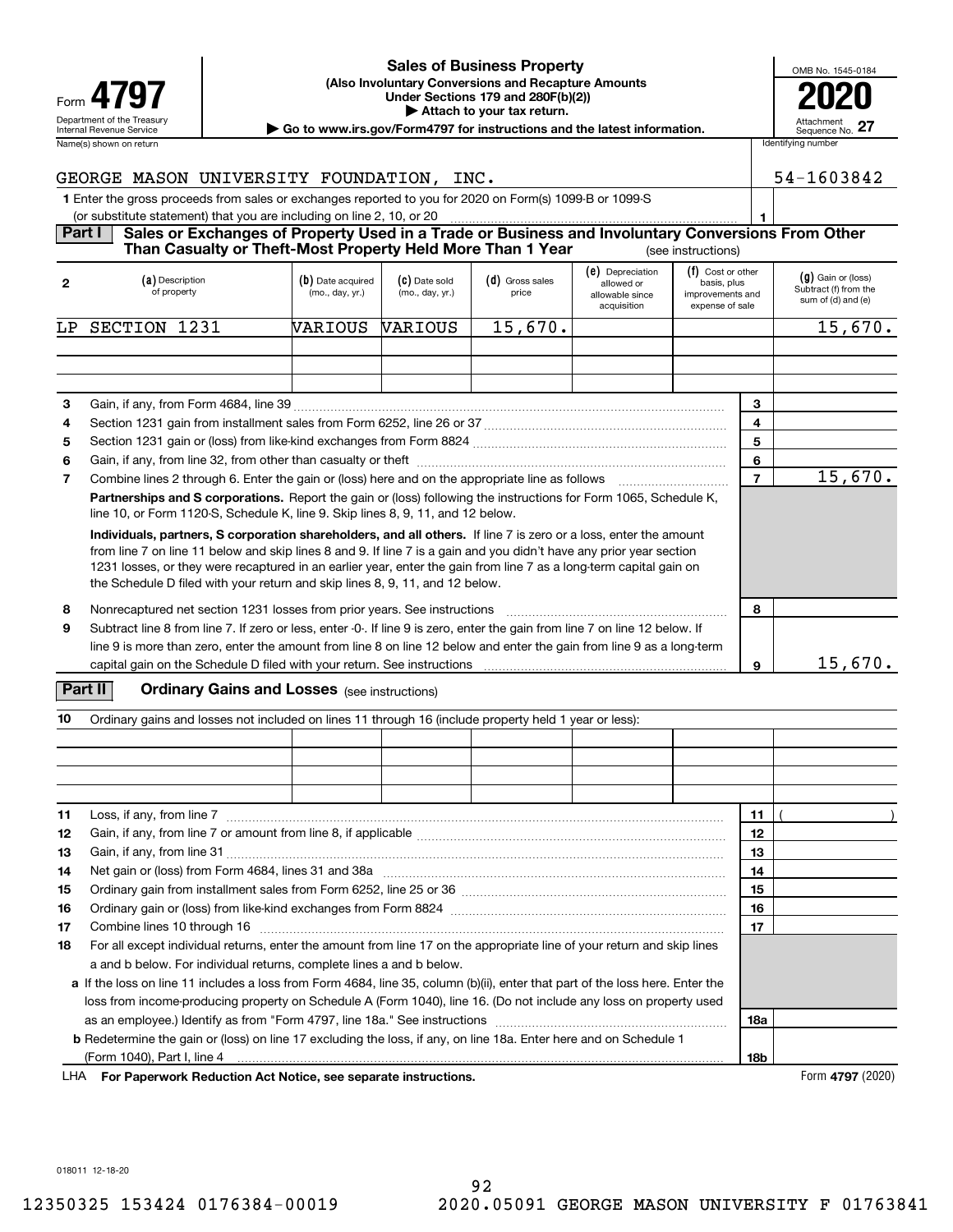|                            | <u>UAICS UI DUSINESS FIUDELLY</u>                                                          | OMB No. 1             |
|----------------------------|--------------------------------------------------------------------------------------------|-----------------------|
| Form 4797                  | (Also Involuntary Conversions and Recapture Amounts)<br>Under Sections 179 and 280F(b)(2)) | 20                    |
| Department of the Treasury | Attach to your tax return.                                                                 |                       |
| Internal Revenue Service   | Go to www.irs.gov/Form4797 for instructions and the latest information.                    | Attachmer<br>Sequence |
| Name(s) shown on return    |                                                                                            | Identifying number    |

#### **(Also Involuntary Conversions and Recapture Amounts Under Sections 179 and 280F(b)(2)) 4797 2020 | Attach to your tax return. Sales of Business Property**

| OMB No. 1545-0184             |
|-------------------------------|
| T                             |
|                               |
| Attachment<br>Sequence No. 27 |

| GEORGE MASON UNIVERSITY FOUNDATION,<br>INC.                                                             | 54-1603842 |
|---------------------------------------------------------------------------------------------------------|------------|
| 1 Enter the gross proceeds from sales or exchanges reported to you for 2020 on Form(s) 1099-B or 1099-S |            |
| (or substitute statement) that you are including on line 2, 10, or 20                                   |            |

#### **Part I Sales or Exchanges of Property Used in a Trade or Business and Involuntary Conversions From Other** (see instructions) **Than Casualty or Theft-Most Property Held More Than 1 Year**

| $\mathbf{2}$ | (a) Description<br>of property                                                                                                                                                                                                                                                                                                                                                                                                                | (b) Date acquired<br>(mo., day, yr.) | (C) Date sold<br>(mo., day, yr.) | (d) Gross sales<br>price | (e) Depreciation<br>allowed or<br>allowable since<br>acquisition | (f) Cost or other<br>basis, plus<br>improvements and<br>expense of sale |                | $(g)$ Gain or (loss)<br>Subtract (f) from the<br>sum of (d) and (e) |         |
|--------------|-----------------------------------------------------------------------------------------------------------------------------------------------------------------------------------------------------------------------------------------------------------------------------------------------------------------------------------------------------------------------------------------------------------------------------------------------|--------------------------------------|----------------------------------|--------------------------|------------------------------------------------------------------|-------------------------------------------------------------------------|----------------|---------------------------------------------------------------------|---------|
| LP.          | SECTION 1231                                                                                                                                                                                                                                                                                                                                                                                                                                  | WARIOUS                              | <b>VARIOUS</b>                   | 15,670.                  |                                                                  |                                                                         |                |                                                                     | 15,670. |
|              |                                                                                                                                                                                                                                                                                                                                                                                                                                               |                                      |                                  |                          |                                                                  |                                                                         |                |                                                                     |         |
|              |                                                                                                                                                                                                                                                                                                                                                                                                                                               |                                      |                                  |                          |                                                                  |                                                                         |                |                                                                     |         |
|              |                                                                                                                                                                                                                                                                                                                                                                                                                                               |                                      |                                  |                          |                                                                  |                                                                         |                |                                                                     |         |
| 3            |                                                                                                                                                                                                                                                                                                                                                                                                                                               |                                      |                                  |                          |                                                                  |                                                                         | 3              |                                                                     |         |
| 4            |                                                                                                                                                                                                                                                                                                                                                                                                                                               |                                      |                                  |                          |                                                                  |                                                                         | 4              |                                                                     |         |
| 5            |                                                                                                                                                                                                                                                                                                                                                                                                                                               |                                      |                                  |                          |                                                                  |                                                                         | 5              |                                                                     |         |
| 6            |                                                                                                                                                                                                                                                                                                                                                                                                                                               |                                      |                                  |                          |                                                                  |                                                                         | 6              |                                                                     |         |
| 7            | Combine lines 2 through 6. Enter the gain or (loss) here and on the appropriate line as follows manufactured in                                                                                                                                                                                                                                                                                                                               |                                      |                                  |                          |                                                                  |                                                                         | $\overline{7}$ |                                                                     | 15,670. |
|              | <b>Partnerships and S corporations.</b> Report the gain or (loss) following the instructions for Form 1065, Schedule K,<br>line 10, or Form 1120-S, Schedule K, line 9. Skip lines 8, 9, 11, and 12 below.                                                                                                                                                                                                                                    |                                      |                                  |                          |                                                                  |                                                                         |                |                                                                     |         |
|              | Individuals, partners, S corporation shareholders, and all others. If line 7 is zero or a loss, enter the amount<br>from line 7 on line 11 below and skip lines 8 and 9. If line 7 is a gain and you didn't have any prior year section<br>1231 losses, or they were recaptured in an earlier year, enter the gain from line 7 as a long-term capital gain on<br>the Schedule D filed with your return and skip lines 8, 9, 11, and 12 below. |                                      |                                  |                          |                                                                  |                                                                         |                |                                                                     |         |
| 8            | Nonrecaptured net section 1231 losses from prior years. See instructions                                                                                                                                                                                                                                                                                                                                                                      |                                      |                                  |                          |                                                                  |                                                                         | 8              |                                                                     |         |
| 9            | Subtract line 8 from line 7. If zero or less, enter -0-. If line 9 is zero, enter the gain from line 7 on line 12 below. If                                                                                                                                                                                                                                                                                                                   |                                      |                                  |                          |                                                                  |                                                                         |                |                                                                     |         |
|              | line 9 is more than zero, enter the amount from line 8 on line 12 below and enter the gain from line 9 as a long-term                                                                                                                                                                                                                                                                                                                         |                                      |                                  |                          |                                                                  |                                                                         |                |                                                                     |         |
|              |                                                                                                                                                                                                                                                                                                                                                                                                                                               |                                      |                                  |                          |                                                                  |                                                                         | 9              |                                                                     | 15,670. |

### **Part II** | Crdinary Gains and Losses (see instructions)

| 10 | Ordinary gains and losses not included on lines 11 through 16 (include property held 1 year or less):                                     |  |  |  |  |  |     |  |
|----|-------------------------------------------------------------------------------------------------------------------------------------------|--|--|--|--|--|-----|--|
|    |                                                                                                                                           |  |  |  |  |  |     |  |
|    |                                                                                                                                           |  |  |  |  |  |     |  |
|    |                                                                                                                                           |  |  |  |  |  |     |  |
|    |                                                                                                                                           |  |  |  |  |  |     |  |
|    |                                                                                                                                           |  |  |  |  |  |     |  |
| 11 | Loss, if any, from line 7                                                                                                                 |  |  |  |  |  | 11  |  |
| 12 |                                                                                                                                           |  |  |  |  |  | 12  |  |
| 13 |                                                                                                                                           |  |  |  |  |  | 13  |  |
| 14 | Net gain or (loss) from Form 4684, lines 31 and 38a manufactured contain and state in the state of loss) from Form 4684, lines 31 and 38a |  |  |  |  |  | 14  |  |
| 15 |                                                                                                                                           |  |  |  |  |  | 15  |  |
| 16 |                                                                                                                                           |  |  |  |  |  | 16  |  |
| 17 |                                                                                                                                           |  |  |  |  |  | 17  |  |
| 18 | For all except individual returns, enter the amount from line 17 on the appropriate line of your return and skip lines                    |  |  |  |  |  |     |  |
|    | a and b below. For individual returns, complete lines a and b below.                                                                      |  |  |  |  |  |     |  |
|    | a If the loss on line 11 includes a loss from Form 4684, line 35, column (b)(ii), enter that part of the loss here. Enter the             |  |  |  |  |  |     |  |
|    | loss from income producing property on Schedule A (Form 1040), line 16. (Do not include any loss on property used                         |  |  |  |  |  |     |  |
|    |                                                                                                                                           |  |  |  |  |  | 18a |  |
|    | <b>b</b> Redetermine the gain or (loss) on line 17 excluding the loss, if any, on line 18a. Enter here and on Schedule 1                  |  |  |  |  |  |     |  |
|    |                                                                                                                                           |  |  |  |  |  | 18b |  |

**For Paperwork Reduction Act Notice, see separate instructions.** Form **4797** (2020) LHA

018011 12-18-20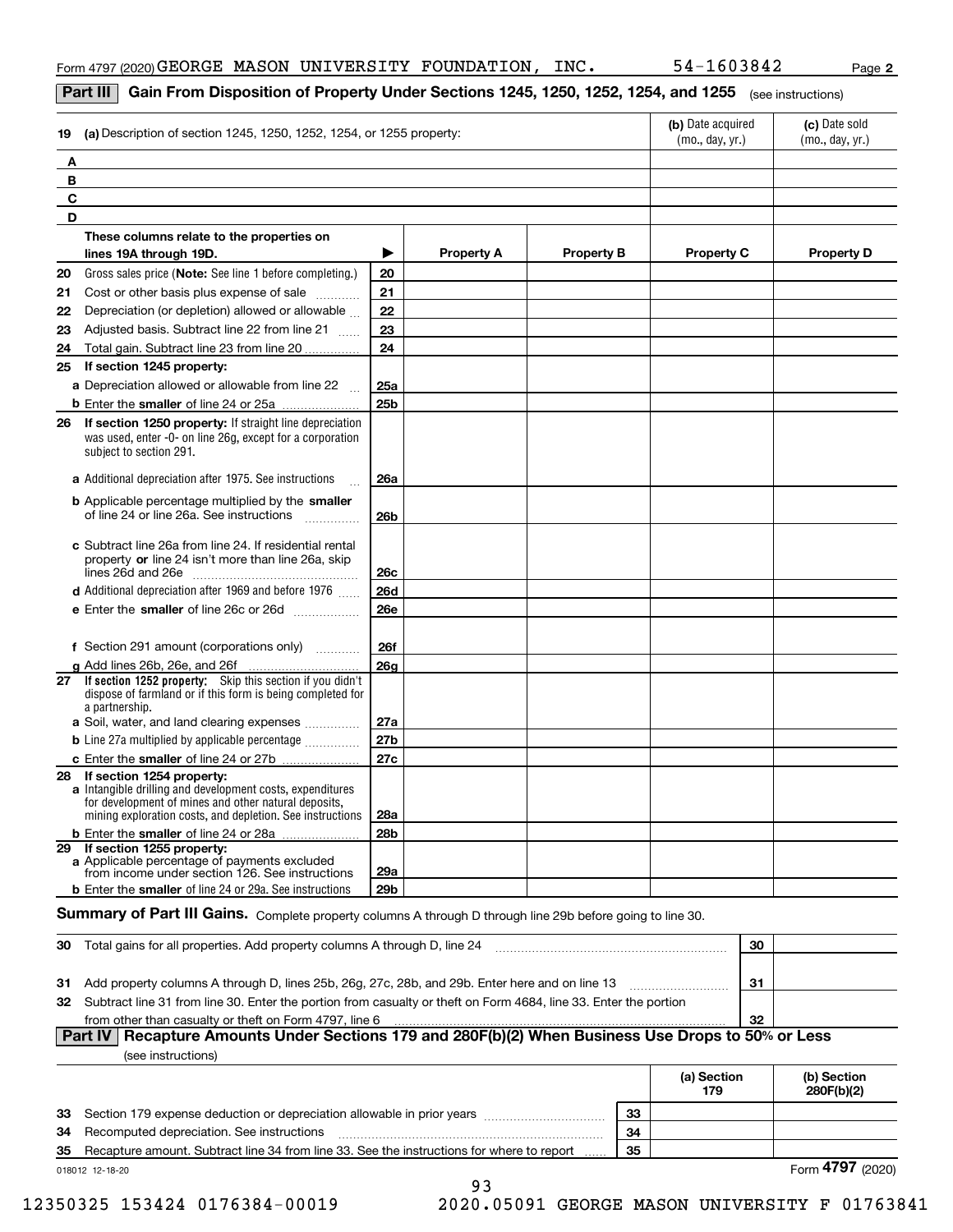#### **Part III**  $\mid$  **Gain From Disposition of Property Under Sections 1245, 1250, 1252, 1254, and 1255**  $\mid$  $_{\rm (see\, instructions)}$

| 19 | (a) Description of section 1245, 1250, 1252, 1254, or 1255 property:                                                                                                                                           |                 | (b) Date acquired<br>(mo., day, yr.) | (c) Date sold<br>(mo., day, yr.) |                   |                   |
|----|----------------------------------------------------------------------------------------------------------------------------------------------------------------------------------------------------------------|-----------------|--------------------------------------|----------------------------------|-------------------|-------------------|
| Α  |                                                                                                                                                                                                                |                 |                                      |                                  |                   |                   |
| В  |                                                                                                                                                                                                                |                 |                                      |                                  |                   |                   |
| C  |                                                                                                                                                                                                                |                 |                                      |                                  |                   |                   |
| D  |                                                                                                                                                                                                                |                 |                                      |                                  |                   |                   |
|    | These columns relate to the properties on                                                                                                                                                                      |                 |                                      |                                  |                   |                   |
|    | lines 19A through 19D.                                                                                                                                                                                         | ▶               | <b>Property A</b>                    | <b>Property B</b>                | <b>Property C</b> | <b>Property D</b> |
| 20 | Gross sales price (Note: See line 1 before completing.)                                                                                                                                                        | 20              |                                      |                                  |                   |                   |
| 21 | Cost or other basis plus expense of sale                                                                                                                                                                       | 21              |                                      |                                  |                   |                   |
| 22 | Depreciation (or depletion) allowed or allowable                                                                                                                                                               | 22              |                                      |                                  |                   |                   |
| 23 | Adjusted basis. Subtract line 22 from line 21                                                                                                                                                                  | 23              |                                      |                                  |                   |                   |
| 24 | Total gain. Subtract line 23 from line 20                                                                                                                                                                      | 24              |                                      |                                  |                   |                   |
| 25 | If section 1245 property:                                                                                                                                                                                      |                 |                                      |                                  |                   |                   |
|    | <b>a</b> Depreciation allowed or allowable from line 22 $\ldots$                                                                                                                                               | 25a             |                                      |                                  |                   |                   |
|    | <b>b</b> Enter the smaller of line 24 or 25a                                                                                                                                                                   | 25 <sub>b</sub> |                                      |                                  |                   |                   |
|    | 26 If section 1250 property: If straight line depreciation<br>was used, enter -0- on line 26g, except for a corporation<br>subject to section 291.                                                             |                 |                                      |                                  |                   |                   |
|    | a Additional depreciation after 1975. See instructions                                                                                                                                                         | <b>26a</b>      |                                      |                                  |                   |                   |
|    | <b>b</b> Applicable percentage multiplied by the smaller<br>of line 24 or line 26a. See instructions                                                                                                           | 26 <sub>b</sub> |                                      |                                  |                   |                   |
|    | c Subtract line 26a from line 24. If residential rental<br>property or line 24 isn't more than line 26a, skip                                                                                                  | 26c             |                                      |                                  |                   |                   |
|    | d Additional depreciation after 1969 and before 1976                                                                                                                                                           | <b>26d</b>      |                                      |                                  |                   |                   |
|    | e Enter the smaller of line 26c or 26d                                                                                                                                                                         | <b>26e</b>      |                                      |                                  |                   |                   |
|    | f Section 291 amount (corporations only)                                                                                                                                                                       | <b>26f</b>      |                                      |                                  |                   |                   |
|    | g Add lines 26b, 26e, and 26f                                                                                                                                                                                  | 26 <sub>a</sub> |                                      |                                  |                   |                   |
|    | 27 If section 1252 property: Skip this section if you didn't<br>dispose of farmland or if this form is being completed for<br>a partnership.                                                                   |                 |                                      |                                  |                   |                   |
|    | a Soil, water, and land clearing expenses                                                                                                                                                                      | 27a             |                                      |                                  |                   |                   |
|    | <b>b</b> Line 27a multiplied by applicable percentage <i></i>                                                                                                                                                  | 27b             |                                      |                                  |                   |                   |
|    | c Enter the smaller of line 24 or 27b                                                                                                                                                                          | 27c             |                                      |                                  |                   |                   |
|    | 28 If section 1254 property:<br>a Intangible drilling and development costs, expenditures<br>for development of mines and other natural deposits,<br>mining exploration costs, and depletion. See instructions | 28a             |                                      |                                  |                   |                   |
|    | <b>b</b> Enter the smaller of line 24 or 28a                                                                                                                                                                   | 28 <sub>b</sub> |                                      |                                  |                   |                   |
|    | 29 If section 1255 property:<br>a Applicable percentage of payments excluded<br>from income under section 126. See instructions                                                                                | 29a             |                                      |                                  |                   |                   |
|    | <b>b</b> Enter the smaller of line 24 or 29a. See instructions                                                                                                                                                 | 29b             |                                      |                                  |                   |                   |

#### $S$ ummary of Part III Gains. Complete property columns A through D through line 29b before going to line 30.

| 30  | Total gains for all properties. Add property columns A through D, line 24                                        | 30 |  |
|-----|------------------------------------------------------------------------------------------------------------------|----|--|
|     |                                                                                                                  |    |  |
| -31 | Add property columns A through D, lines 25b, 26g, 27c, 28b, and 29b. Enter here and on line 13                   | 31 |  |
| 32  | Subtract line 31 from line 30. Enter the portion from casualty or theft on Form 4684, line 33. Enter the portion |    |  |
|     | from other than casualty or theft on Form 4797, line 6                                                           | 32 |  |
|     | Part IV   Recapture Amounts Under Sections 179 and 280F(b)(2) When Business Use Drops to 50% or Less             |    |  |
|     | (see instructions)                                                                                               |    |  |

|    |                                                                                           |    | (a) Section<br>179 | (b) Section<br>280F(b)(2) |
|----|-------------------------------------------------------------------------------------------|----|--------------------|---------------------------|
| 33 | Section 179 expense deduction or depreciation allowable in prior years                    | 33 |                    |                           |
| 34 | Recomputed depreciation. See instructions                                                 | 34 |                    |                           |
| 35 | Recapture amount. Subtract line 34 from line 33. See the instructions for where to report | 35 |                    |                           |
|    | 018012 12-18-20                                                                           |    |                    | Form $4797$ $\cdot$       |

12350325 153424 0176384-00019 2020.05091 GEORGE MASON UNIVERSITY F 01763841

93

Form (2020) **4797**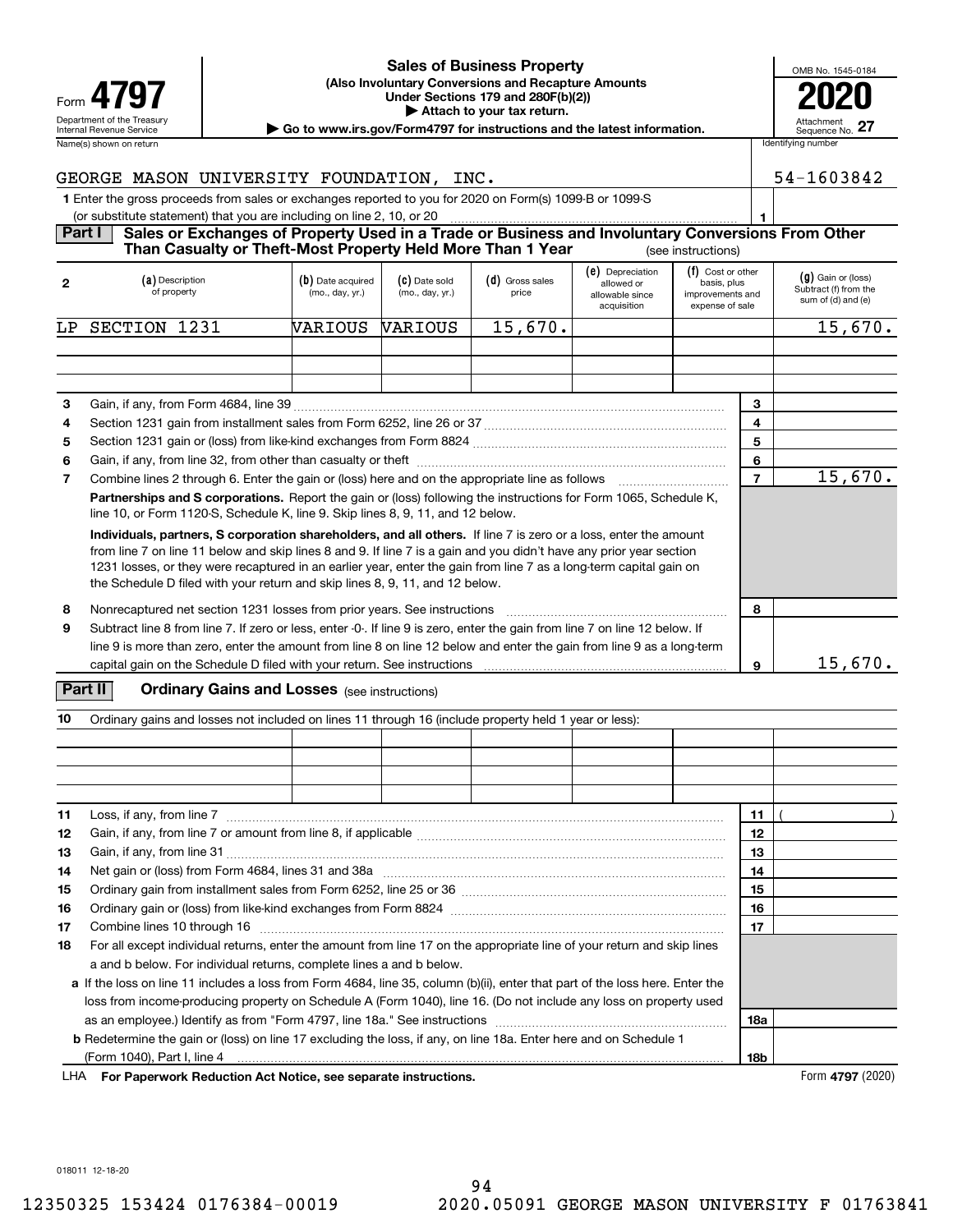|                            | <u>UAICS UI DUSINESS FIUDELLY</u>                                                          | OMB No. 1             |
|----------------------------|--------------------------------------------------------------------------------------------|-----------------------|
| Form 4797                  | (Also Involuntary Conversions and Recapture Amounts)<br>Under Sections 179 and 280F(b)(2)) | 20                    |
| Department of the Treasury | Attach to your tax return.                                                                 |                       |
| Internal Revenue Service   | Go to www.irs.gov/Form4797 for instructions and the latest information.                    | Attachmer<br>Sequence |
| Name(s) shown on return    |                                                                                            | Identifying number    |

#### **(Also Involuntary Conversions and Recapture Amounts Under Sections 179 and 280F(b)(2)) 4797 2020 | Attach to your tax return. Sales of Business Property**

| OMB No. 1545-0184             |
|-------------------------------|
| T                             |
|                               |
| Attachment<br>Sequence No. 27 |

| GEORGE MASON UNIVERSITY FOUNDATION, INC.                                                                    | 54-1603842 |
|-------------------------------------------------------------------------------------------------------------|------------|
| 1 Enter the gross proceeds from sales or exchanges reported to you for 2020 on Form(s) 1099-B or 1099-S     |            |
| (or substitute statement) that you are including on line 2, 10, or 20                                       |            |
| Part I<br>Sales or Exchanges of Property Used in a Trade or Business and Involuntary Conversions From Other |            |
| Than Casualty or Theft-Most Property Held More Than 1 Year<br>(see instructions)                            |            |

| $\mathbf{2}$ | (a) Description<br>of property                                                                                                                                                                                                                                                                                                                                                                                                                | (b) Date acquired<br>(mo., day, yr.)                                                                                                                                                               | (C) Date sold<br>(mo., day, yr.) | (d) Gross sales<br>price | (e) Depreciation<br>allowed or<br>allowable since<br>acquisition | (f) Cost or other<br>basis, plus<br>improvements and<br>expense of sale |        | $(g)$ Gain or (loss)<br>Subtract (f) from the<br>sum of (d) and (e) |  |  |  |
|--------------|-----------------------------------------------------------------------------------------------------------------------------------------------------------------------------------------------------------------------------------------------------------------------------------------------------------------------------------------------------------------------------------------------------------------------------------------------|----------------------------------------------------------------------------------------------------------------------------------------------------------------------------------------------------|----------------------------------|--------------------------|------------------------------------------------------------------|-------------------------------------------------------------------------|--------|---------------------------------------------------------------------|--|--|--|
| LP.          | 1231<br><b>SECTION</b>                                                                                                                                                                                                                                                                                                                                                                                                                        | WARIOUS                                                                                                                                                                                            | VARIOUS                          | 15,670.                  |                                                                  |                                                                         |        | 15,670.                                                             |  |  |  |
|              |                                                                                                                                                                                                                                                                                                                                                                                                                                               |                                                                                                                                                                                                    |                                  |                          |                                                                  |                                                                         |        |                                                                     |  |  |  |
|              |                                                                                                                                                                                                                                                                                                                                                                                                                                               |                                                                                                                                                                                                    |                                  |                          |                                                                  |                                                                         |        |                                                                     |  |  |  |
|              |                                                                                                                                                                                                                                                                                                                                                                                                                                               |                                                                                                                                                                                                    |                                  |                          |                                                                  |                                                                         |        |                                                                     |  |  |  |
| 3<br>4       |                                                                                                                                                                                                                                                                                                                                                                                                                                               |                                                                                                                                                                                                    |                                  |                          |                                                                  |                                                                         | 3<br>4 |                                                                     |  |  |  |
| 5            |                                                                                                                                                                                                                                                                                                                                                                                                                                               | 5                                                                                                                                                                                                  |                                  |                          |                                                                  |                                                                         |        |                                                                     |  |  |  |
| 6            | 6                                                                                                                                                                                                                                                                                                                                                                                                                                             |                                                                                                                                                                                                    |                                  |                          |                                                                  |                                                                         |        |                                                                     |  |  |  |
| 7            | Combine lines 2 through 6. Enter the gain or (loss) here and on the appropriate line as follows <i>manumumum</i>                                                                                                                                                                                                                                                                                                                              | $\overline{7}$                                                                                                                                                                                     | 15,670.                          |                          |                                                                  |                                                                         |        |                                                                     |  |  |  |
|              | Partnerships and S corporations. Report the gain or (loss) following the instructions for Form 1065, Schedule K,<br>line 10, or Form 1120-S, Schedule K, line 9. Skip lines 8, 9, 11, and 12 below.                                                                                                                                                                                                                                           |                                                                                                                                                                                                    |                                  |                          |                                                                  |                                                                         |        |                                                                     |  |  |  |
|              | Individuals, partners, S corporation shareholders, and all others. If line 7 is zero or a loss, enter the amount<br>from line 7 on line 11 below and skip lines 8 and 9. If line 7 is a gain and you didn't have any prior year section<br>1231 losses, or they were recaptured in an earlier year, enter the gain from line 7 as a long-term capital gain on<br>the Schedule D filed with your return and skip lines 8, 9, 11, and 12 below. |                                                                                                                                                                                                    |                                  |                          |                                                                  |                                                                         |        |                                                                     |  |  |  |
| 8            |                                                                                                                                                                                                                                                                                                                                                                                                                                               | Nonrecaptured net section 1231 losses from prior years. See instructions                                                                                                                           |                                  |                          |                                                                  |                                                                         | 8      |                                                                     |  |  |  |
| 9            |                                                                                                                                                                                                                                                                                                                                                                                                                                               | Subtract line 8 from line 7. If zero or less, enter -0-. If line 9 is zero, enter the gain from line 7 on line 12 below. If                                                                        |                                  |                          |                                                                  |                                                                         |        |                                                                     |  |  |  |
|              |                                                                                                                                                                                                                                                                                                                                                                                                                                               | line 9 is more than zero, enter the amount from line 8 on line 12 below and enter the gain from line 9 as a long-term                                                                              |                                  |                          |                                                                  |                                                                         |        |                                                                     |  |  |  |
|              |                                                                                                                                                                                                                                                                                                                                                                                                                                               | capital gain on the Schedule D filed with your return. See instructions [11] contains the schedule D filed with your return. See instructions [11] contains the schedule D filed with your return. |                                  |                          |                                                                  |                                                                         | 9      | 15,670.                                                             |  |  |  |

#### **Part II** | Crdinary Gains and Losses (see instructions)

| 10 | Ordinary gains and losses not included on lines 11 through 16 (include property held 1 year or less):                                           |  |  |  |  |  |     |  |  |
|----|-------------------------------------------------------------------------------------------------------------------------------------------------|--|--|--|--|--|-----|--|--|
|    |                                                                                                                                                 |  |  |  |  |  |     |  |  |
|    |                                                                                                                                                 |  |  |  |  |  |     |  |  |
|    |                                                                                                                                                 |  |  |  |  |  |     |  |  |
|    |                                                                                                                                                 |  |  |  |  |  |     |  |  |
| 11 | Loss, if any, from line 7<br>11                                                                                                                 |  |  |  |  |  |     |  |  |
| 12 |                                                                                                                                                 |  |  |  |  |  | 12  |  |  |
| 13 | 13                                                                                                                                              |  |  |  |  |  |     |  |  |
| 14 | Net gain or (loss) from Form 4684, lines 31 and 38a manufactured contain and state in the state of loss) from Form 4684, lines 31 and 38a<br>14 |  |  |  |  |  |     |  |  |
| 15 |                                                                                                                                                 |  |  |  |  |  | 15  |  |  |
| 16 |                                                                                                                                                 |  |  |  |  |  | 16  |  |  |
| 17 |                                                                                                                                                 |  |  |  |  |  | 17  |  |  |
| 18 | For all except individual returns, enter the amount from line 17 on the appropriate line of your return and skip lines                          |  |  |  |  |  |     |  |  |
|    | a and b below. For individual returns, complete lines a and b below.                                                                            |  |  |  |  |  |     |  |  |
|    | a If the loss on line 11 includes a loss from Form 4684, line 35, column (b)(ii), enter that part of the loss here. Enter the                   |  |  |  |  |  |     |  |  |
|    | loss from income producing property on Schedule A (Form 1040), line 16. (Do not include any loss on property used                               |  |  |  |  |  |     |  |  |
|    |                                                                                                                                                 |  |  |  |  |  | 18a |  |  |
|    | <b>b</b> Redetermine the gain or (loss) on line 17 excluding the loss, if any, on line 18a. Enter here and on Schedule 1                        |  |  |  |  |  |     |  |  |
|    |                                                                                                                                                 |  |  |  |  |  | 18b |  |  |

**For Paperwork Reduction Act Notice, see separate instructions.** Form **4797** (2020) LHA

018011 12-18-20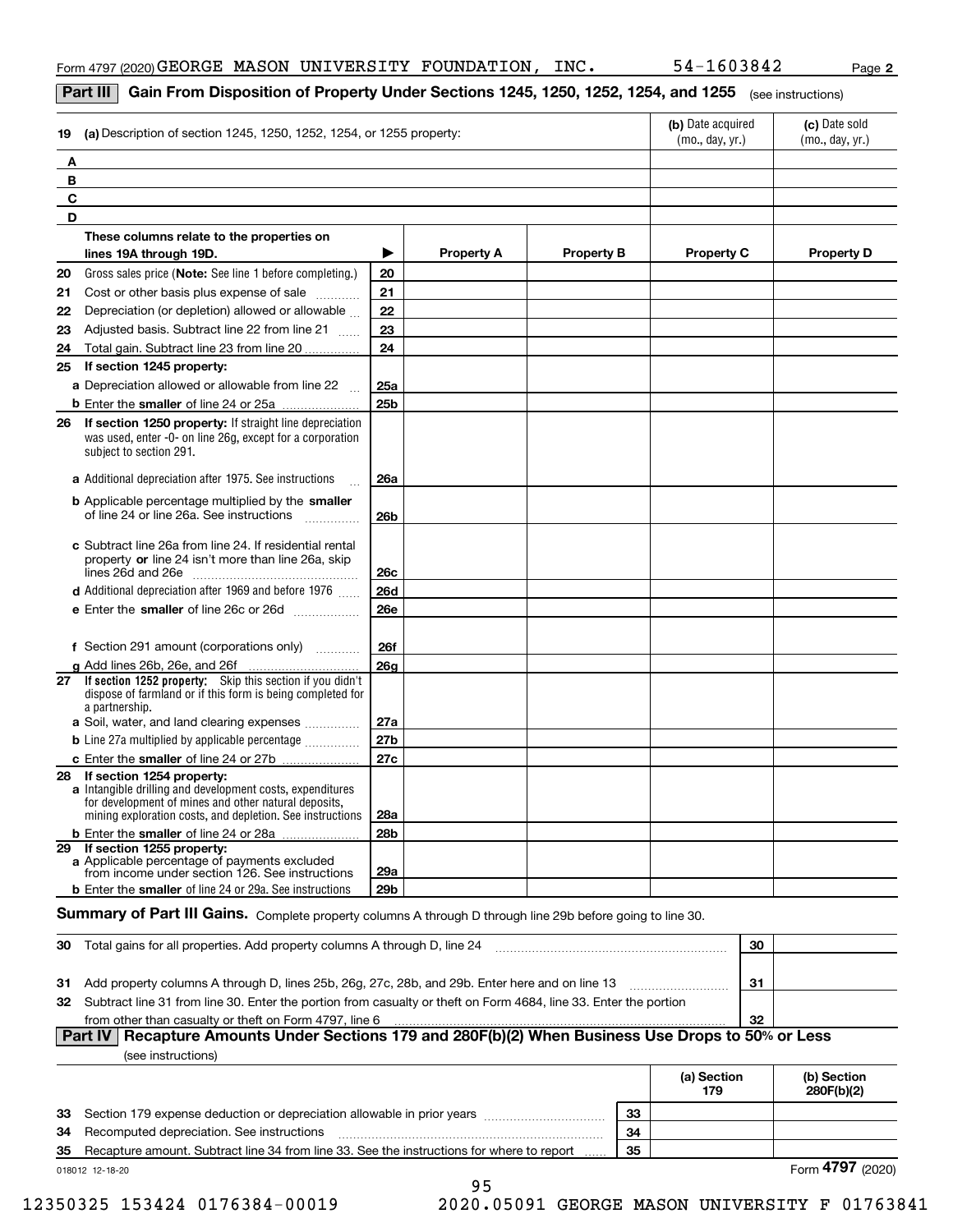#### **Part III**  $\mid$  **Gain From Disposition of Property Under Sections 1245, 1250, 1252, 1254, and 1255**  $\mid$  $_{\rm (see\, instructions)}$

| 19 | (a) Description of section 1245, 1250, 1252, 1254, or 1255 property:                                                                                                                                        |                 | (b) Date acquired<br>(mo., day, yr.) | (c) Date sold<br>(mo., day, yr.) |                   |                   |  |  |  |  |
|----|-------------------------------------------------------------------------------------------------------------------------------------------------------------------------------------------------------------|-----------------|--------------------------------------|----------------------------------|-------------------|-------------------|--|--|--|--|
|    | Α                                                                                                                                                                                                           |                 |                                      |                                  |                   |                   |  |  |  |  |
|    | В                                                                                                                                                                                                           |                 |                                      |                                  |                   |                   |  |  |  |  |
| C  |                                                                                                                                                                                                             |                 |                                      |                                  |                   |                   |  |  |  |  |
| D  |                                                                                                                                                                                                             |                 |                                      |                                  |                   |                   |  |  |  |  |
|    | These columns relate to the properties on                                                                                                                                                                   |                 |                                      |                                  |                   |                   |  |  |  |  |
|    | lines 19A through 19D.                                                                                                                                                                                      | ▶               | <b>Property A</b>                    | <b>Property B</b>                | <b>Property C</b> | <b>Property D</b> |  |  |  |  |
| 20 | Gross sales price (Note: See line 1 before completing.)                                                                                                                                                     | 20              |                                      |                                  |                   |                   |  |  |  |  |
| 21 | Cost or other basis plus expense of sale                                                                                                                                                                    | 21              |                                      |                                  |                   |                   |  |  |  |  |
| 22 | Depreciation (or depletion) allowed or allowable                                                                                                                                                            | 22              |                                      |                                  |                   |                   |  |  |  |  |
| 23 | Adjusted basis. Subtract line 22 from line 21                                                                                                                                                               | 23              |                                      |                                  |                   |                   |  |  |  |  |
| 24 | Total gain. Subtract line 23 from line 20                                                                                                                                                                   | 24              |                                      |                                  |                   |                   |  |  |  |  |
| 25 | If section 1245 property:                                                                                                                                                                                   |                 |                                      |                                  |                   |                   |  |  |  |  |
|    | a Depreciation allowed or allowable from line 22                                                                                                                                                            | 25a             |                                      |                                  |                   |                   |  |  |  |  |
|    |                                                                                                                                                                                                             | 25 <sub>b</sub> |                                      |                                  |                   |                   |  |  |  |  |
| 26 | If section 1250 property: If straight line depreciation<br>was used, enter -0- on line 26g, except for a corporation<br>subject to section 291.                                                             |                 |                                      |                                  |                   |                   |  |  |  |  |
|    | a Additional depreciation after 1975. See instructions                                                                                                                                                      | 26a             |                                      |                                  |                   |                   |  |  |  |  |
|    | <b>b</b> Applicable percentage multiplied by the smaller<br>of line 24 or line 26a. See instructions                                                                                                        | <b>26b</b>      |                                      |                                  |                   |                   |  |  |  |  |
|    | c Subtract line 26a from line 24. If residential rental<br>property or line 24 isn't more than line 26a, skip                                                                                               | 26 <sub>c</sub> |                                      |                                  |                   |                   |  |  |  |  |
|    | d Additional depreciation after 1969 and before 1976                                                                                                                                                        | <b>26d</b>      |                                      |                                  |                   |                   |  |  |  |  |
|    | e Enter the smaller of line 26c or 26d                                                                                                                                                                      | <b>26e</b>      |                                      |                                  |                   |                   |  |  |  |  |
|    | f Section 291 amount (corporations only)                                                                                                                                                                    | <b>26f</b>      |                                      |                                  |                   |                   |  |  |  |  |
| 27 | g Add lines 26b, 26e, and 26f<br>If section 1252 property: Skip this section if you didn't                                                                                                                  | 26g             |                                      |                                  |                   |                   |  |  |  |  |
|    | dispose of farmland or if this form is being completed for<br>a partnership.<br>a Soil, water, and land clearing expenses                                                                                   | 27a             |                                      |                                  |                   |                   |  |  |  |  |
|    | <b>b</b> Line 27a multiplied by applicable percentage                                                                                                                                                       | 27b             |                                      |                                  |                   |                   |  |  |  |  |
|    |                                                                                                                                                                                                             |                 |                                      |                                  |                   |                   |  |  |  |  |
| 28 | If section 1254 property:<br>a Intangible drilling and development costs, expenditures<br>for development of mines and other natural deposits,<br>mining exploration costs, and depletion. See instructions | 28a             |                                      |                                  |                   |                   |  |  |  |  |
|    | <b>b</b> Enter the smaller of line 24 or 28a                                                                                                                                                                | 28 <sub>b</sub> |                                      |                                  |                   |                   |  |  |  |  |
| 29 | If section 1255 property:<br>a Applicable percentage of payments excluded<br>from income under section 126. See instructions                                                                                | 29a             |                                      |                                  |                   |                   |  |  |  |  |
|    | <b>b</b> Enter the smaller of line 24 or 29a. See instructions                                                                                                                                              | 29 <sub>b</sub> |                                      |                                  |                   |                   |  |  |  |  |

#### $S$ ummary of Part III Gains. Complete property columns A through D through line 29b before going to line 30.

| 30  | Total gains for all properties. Add property columns A through D, line 24                                        | 30 |  |  |  |  |  |
|-----|------------------------------------------------------------------------------------------------------------------|----|--|--|--|--|--|
|     |                                                                                                                  |    |  |  |  |  |  |
| -31 | Add property columns A through D, lines 25b, 26g, 27c, 28b, and 29b. Enter here and on line 13                   | 31 |  |  |  |  |  |
| 32  | Subtract line 31 from line 30. Enter the portion from casualty or theft on Form 4684, line 33. Enter the portion |    |  |  |  |  |  |
|     | from other than casualty or theft on Form 4797, line 6                                                           | 32 |  |  |  |  |  |
|     | Part IV   Recapture Amounts Under Sections 179 and 280F(b)(2) When Business Use Drops to 50% or Less             |    |  |  |  |  |  |
|     | (see instructions)                                                                                               |    |  |  |  |  |  |

|    |                                                                                           |    | (a) Section<br>179 | (b) Section<br>280F(b)(2) |
|----|-------------------------------------------------------------------------------------------|----|--------------------|---------------------------|
|    | 33 Section 179 expense deduction or depreciation allowable in prior years                 | 33 |                    |                           |
| 34 | Recomputed depreciation. See instructions                                                 | 34 |                    |                           |
| 35 | Recapture amount. Subtract line 34 from line 33. See the instructions for where to report | 35 |                    |                           |
|    | 018012 12-18-20                                                                           |    |                    | Form 4797 (202            |

Form (2020) **4797** 

 $\overline{\phantom{0}}$ 

95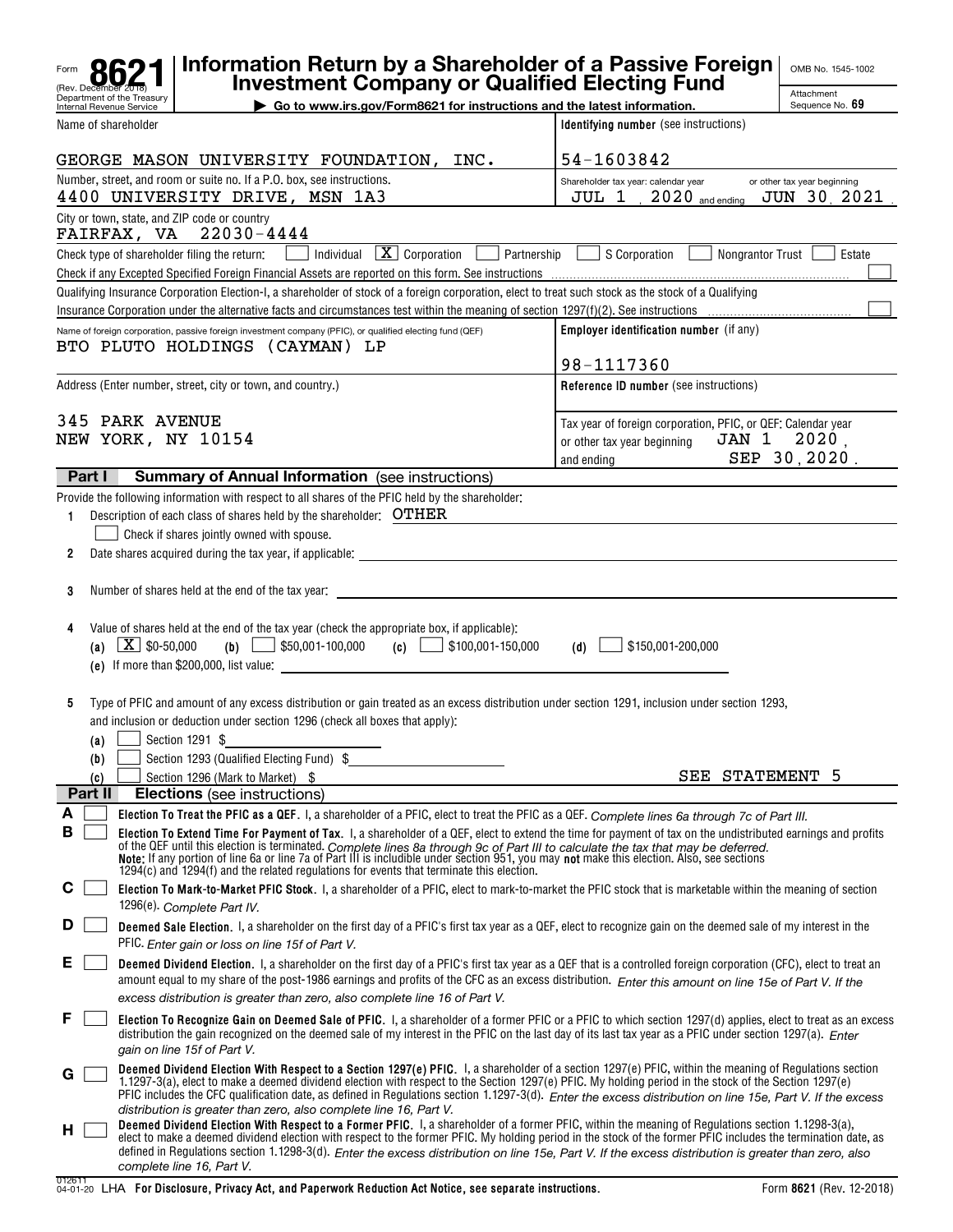|        |                   |                                                        | Information Return by a Shareholder of a Passive Foreign<br><b>Investment Company or Qualified Electing Fund</b>                                                                                                                                                                                                                                                                                                                                                                                                                                                                                                                             |                                                                                                                    | OMB No. 1545-1002                          |
|--------|-------------------|--------------------------------------------------------|----------------------------------------------------------------------------------------------------------------------------------------------------------------------------------------------------------------------------------------------------------------------------------------------------------------------------------------------------------------------------------------------------------------------------------------------------------------------------------------------------------------------------------------------------------------------------------------------------------------------------------------------|--------------------------------------------------------------------------------------------------------------------|--------------------------------------------|
|        |                   | Department of the Treasury<br>Internal Revenue Service | Go to www.irs.gov/Form8621 for instructions and the latest information.                                                                                                                                                                                                                                                                                                                                                                                                                                                                                                                                                                      |                                                                                                                    | Attachment<br>Sequence No. 69              |
|        |                   | Name of shareholder                                    |                                                                                                                                                                                                                                                                                                                                                                                                                                                                                                                                                                                                                                              | Identifying number (see instructions)                                                                              |                                            |
|        |                   |                                                        | GEORGE MASON UNIVERSITY FOUNDATION, INC.                                                                                                                                                                                                                                                                                                                                                                                                                                                                                                                                                                                                     | 54-1603842                                                                                                         |                                            |
|        |                   |                                                        | Number, street, and room or suite no. If a P.O. box, see instructions.<br>4400 UNIVERSITY DRIVE, MSN 1A3                                                                                                                                                                                                                                                                                                                                                                                                                                                                                                                                     | Shareholder tax year: calendar year<br>JUL 1<br>$2020$ and ending                                                  | or other tax year beginning<br>JUN 30 2021 |
|        |                   | FAIRFAX, VA                                            | City or town, state, and ZIP code or country<br>$22030 - 4444$                                                                                                                                                                                                                                                                                                                                                                                                                                                                                                                                                                               |                                                                                                                    |                                            |
|        |                   |                                                        | $X$ Corporation<br>Individual<br>Partnership<br>Check type of shareholder filing the return:<br>Check if any Excepted Specified Foreign Financial Assets are reported on this form. See instructions                                                                                                                                                                                                                                                                                                                                                                                                                                         | S Corporation<br><b>Nongrantor Trust</b>                                                                           | Estate                                     |
|        |                   |                                                        | Qualifying Insurance Corporation Election-I, a shareholder of stock of a foreign corporation, elect to treat such stock as the stock of a Qualifying                                                                                                                                                                                                                                                                                                                                                                                                                                                                                         |                                                                                                                    |                                            |
|        |                   |                                                        | Insurance Corporation under the alternative facts and circumstances test within the meaning of section 1297(f)(2). See instructions                                                                                                                                                                                                                                                                                                                                                                                                                                                                                                          | Employer identification number (if any)                                                                            |                                            |
|        |                   |                                                        | Name of foreign corporation, passive foreign investment company (PFIC), or qualified electing fund (QEF)<br>BTO PLUTO HOLDINGS (CAYMAN) LP                                                                                                                                                                                                                                                                                                                                                                                                                                                                                                   | 98-1117360                                                                                                         |                                            |
|        |                   |                                                        | Address (Enter number, street, city or town, and country.)                                                                                                                                                                                                                                                                                                                                                                                                                                                                                                                                                                                   | Reference ID number (see instructions)                                                                             |                                            |
|        |                   |                                                        |                                                                                                                                                                                                                                                                                                                                                                                                                                                                                                                                                                                                                                              |                                                                                                                    |                                            |
|        |                   | 345 PARK AVENUE                                        | NEW YORK, NY 10154                                                                                                                                                                                                                                                                                                                                                                                                                                                                                                                                                                                                                           | Tax year of foreign corporation, PFIC, or QEF: Calendar year<br>JAN 1<br>or other tax year beginning<br>and ending | $2020$ .<br>SEP 30, 2020                   |
|        | Part I            |                                                        | <b>Summary of Annual Information</b> (see instructions)                                                                                                                                                                                                                                                                                                                                                                                                                                                                                                                                                                                      |                                                                                                                    |                                            |
|        |                   |                                                        | Provide the following information with respect to all shares of the PFIC held by the shareholder:<br>Description of each class of shares held by the shareholder: OTHER                                                                                                                                                                                                                                                                                                                                                                                                                                                                      |                                                                                                                    |                                            |
| 1      |                   |                                                        | Check if shares jointly owned with spouse.                                                                                                                                                                                                                                                                                                                                                                                                                                                                                                                                                                                                   |                                                                                                                    |                                            |
| 2      |                   |                                                        | Date shares acquired during the tax year, if applicable:                                                                                                                                                                                                                                                                                                                                                                                                                                                                                                                                                                                     |                                                                                                                    |                                            |
| 3      |                   |                                                        | Number of shares held at the end of the tax year:                                                                                                                                                                                                                                                                                                                                                                                                                                                                                                                                                                                            |                                                                                                                    |                                            |
| 4<br>5 | (a)<br>(b)<br>(c) | $\boxed{\text{X}}$ \$0-50,000                          | Value of shares held at the end of the tax year (check the appropriate box, if applicable):<br>(b)<br>$\Box$ \$50,001-100,000<br>(e) If more than $$200,000$ , list value:<br>Type of PFIC and amount of any excess distribution or gain treated as an excess distribution under section 1291, inclusion under section 1293,<br>and inclusion or deduction under section 1296 (check all boxes that apply):<br>$\Box$ Section 1291 \$<br>Section 1293 (Qualified Electing Fund) \$<br>Section 1296 (Mark to Market) \$                                                                                                                       | \$150,001-200,000<br>(d)<br>SEE STATEMENT 5                                                                        |                                            |
|        | Part II           |                                                        | Elections (see instructions)                                                                                                                                                                                                                                                                                                                                                                                                                                                                                                                                                                                                                 |                                                                                                                    |                                            |
| Α<br>В |                   |                                                        | Election To Treat the PFIC as a QEF. I, a shareholder of a PFIC, elect to treat the PFIC as a QEF. Complete lines 6a through 7c of Part III.<br>Election To Extend Time For Payment of Tax. I, a shareholder of a QEF, elect to extend the time for payment of tax on the undistributed earnings and profits<br>of the QEF until this election is terminated. Complete lines 8a through 9c of Part III to calculate the tax that may be deferred.<br>Note: If any portion of line 6a or line 7a of Part III is includible under section 951, you<br>1294(c) and 1294(f) and the related regulations for events that terminate this election. |                                                                                                                    |                                            |
| С      |                   |                                                        | Election To Mark-to-Market PFIC Stock. I, a shareholder of a PFIC, elect to mark-to-market the PFIC stock that is marketable within the meaning of section<br>$1296(e)$ . Complete Part IV.                                                                                                                                                                                                                                                                                                                                                                                                                                                  |                                                                                                                    |                                            |
| D      |                   |                                                        | Deemed Sale Election. I, a shareholder on the first day of a PFIC's first tax year as a QEF, elect to recognize gain on the deemed sale of my interest in the<br>PFIC. Enter gain or loss on line 15f of Part V.                                                                                                                                                                                                                                                                                                                                                                                                                             |                                                                                                                    |                                            |
| Е      |                   |                                                        | Deemed Dividend Election. I, a shareholder on the first day of a PFIC's first tax year as a QEF that is a controlled foreign corporation (CFC), elect to treat an<br>amount equal to my share of the post-1986 earnings and profits of the CFC as an excess distribution. Enter this amount on line 15e of Part V. If the                                                                                                                                                                                                                                                                                                                    |                                                                                                                    |                                            |
|        |                   |                                                        | excess distribution is greater than zero, also complete line 16 of Part V.                                                                                                                                                                                                                                                                                                                                                                                                                                                                                                                                                                   |                                                                                                                    |                                            |
| F      |                   |                                                        | Election To Recognize Gain on Deemed Sale of PFIC. I, a shareholder of a former PFIC or a PFIC to which section 1297(d) applies, elect to treat as an excess<br>distribution the gain recognized on the deemed sale of my interest in the PFIC on the last day of its last tax year as a PFIC under section 1297(a). Enter<br>gain on line 15f of Part V.                                                                                                                                                                                                                                                                                    |                                                                                                                    |                                            |
| G      |                   |                                                        | Deemed Dividend Election With Respect to a Section 1297(e) PFIC. I, a shareholder of a section 1297(e) PFIC, within the meaning of Regulations section<br>1.1297-3(a), elect to make a deemed dividend election with respect to the Section 1297(e) PFIC. My holding period in the stock of the Section 1297(e)<br>PFIC includes the CFC qualification date, as defined in Regulations section 1.1297-3(d). Enter the excess distribution on line 15e, Part V. If the excess<br>distribution is greater than zero, also complete line 16, Part V.                                                                                            |                                                                                                                    |                                            |
| н      |                   |                                                        | Deemed Dividend Election With Respect to a Former PFIC. I, a shareholder of a former PFIC, within the meaning of Regulations section 1.1298-3(a),<br>elect to make a deemed dividend election with respect to the former PFIC. My holding period in the stock of the former PFIC includes the termination date, as<br>defined in Regulations section 1.1298-3(d). Enter the excess distribution on line 15e, Part V. If the excess distribution is greater than zero, also<br>complete line 16, Part V.                                                                                                                                      |                                                                                                                    |                                            |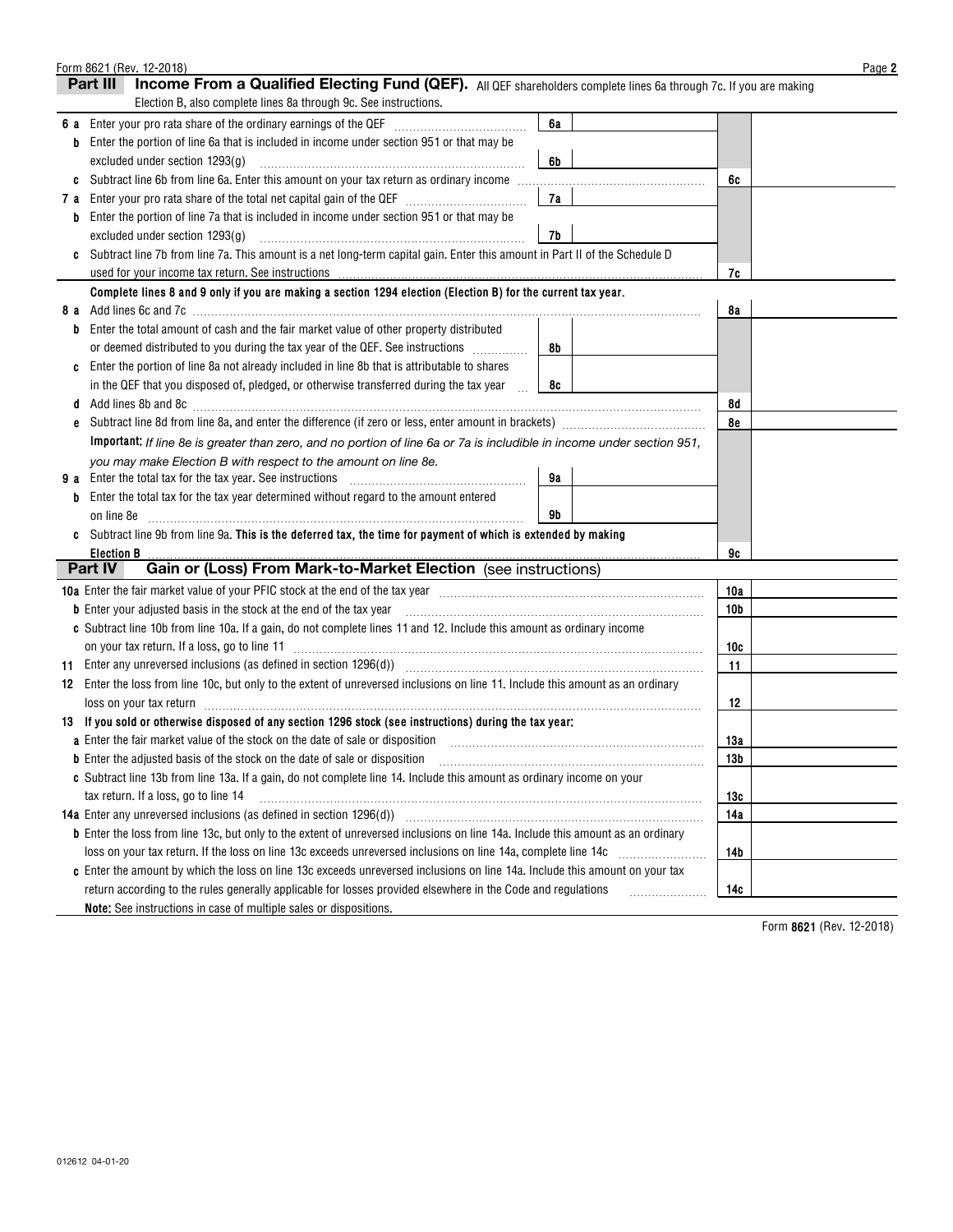|     | Form 8621 (Rev. 12-2018)                                                                                                                                    |                 | Page 2 |
|-----|-------------------------------------------------------------------------------------------------------------------------------------------------------------|-----------------|--------|
|     | Income From a Qualified Electing Fund (QEF). All QEF shareholders complete lines 6a through 7c. If you are making<br>Part III                               |                 |        |
|     | Election B, also complete lines 8a through 9c. See instructions.                                                                                            |                 |        |
| 6а  | 6a<br>Enter your pro rata share of the ordinary earnings of the QEF [111] [11] [11] Enter your pro-rata share of the ordinary earnings of the QEF           |                 |        |
|     | Enter the portion of line 6a that is included in income under section 951 or that may be<br>b                                                               |                 |        |
|     | excluded under section 1293(g)<br>6b                                                                                                                        |                 |        |
| C   |                                                                                                                                                             | 6c              |        |
| 7 a | 7a                                                                                                                                                          |                 |        |
|     | Enter the portion of line 7a that is included in income under section 951 or that may be<br>b                                                               |                 |        |
|     | excluded under section 1293(g)<br>7b                                                                                                                        |                 |        |
|     | Subtract line 7b from line 7a. This amount is a net long-term capital gain. Enter this amount in Part II of the Schedule D                                  |                 |        |
|     | used for your income tax return. See instructions                                                                                                           | 7c              |        |
|     | Complete lines 8 and 9 only if you are making a section 1294 election (Election B) for the current tax year.                                                |                 |        |
| 8а  |                                                                                                                                                             | 8a              |        |
|     | Enter the total amount of cash and the fair market value of other property distributed<br>b                                                                 |                 |        |
|     | or deemed distributed to you during the tax year of the QEF. See instructions <i>minimizion</i><br>8b                                                       |                 |        |
|     | Enter the portion of line 8a not already included in line 8b that is attributable to shares                                                                 |                 |        |
|     | in the QEF that you disposed of, pledged, or otherwise transferred during the tax year                                                                      |                 |        |
|     | 8c                                                                                                                                                          |                 |        |
|     | d                                                                                                                                                           | 8d              |        |
| e   |                                                                                                                                                             | 8e              |        |
|     | Important: If line 8e is greater than zero, and no portion of line 6a or 7a is includible in income under section 951,                                      |                 |        |
|     | you may make Election B with respect to the amount on line 8e.                                                                                              |                 |        |
| 9а  | 9а<br>Enter the total tax for the tax year. See instructions                                                                                                |                 |        |
|     | Enter the total tax for the tax year determined without regard to the amount entered                                                                        |                 |        |
|     | 9b<br>on line 8e                                                                                                                                            |                 |        |
|     | Subtract line 9b from line 9a. This is the deferred tax, the time for payment of which is extended by making                                                |                 |        |
|     | <b>Election B</b>                                                                                                                                           | 9c              |        |
|     | Gain or (Loss) From Mark-to-Market Election (see instructions)<br>Part IV                                                                                   |                 |        |
|     |                                                                                                                                                             | 10a             |        |
|     | <b>b</b> Enter your adjusted basis in the stock at the end of the tax year                                                                                  | 10 <sub>b</sub> |        |
|     | c Subtract line 10b from line 10a. If a gain, do not complete lines 11 and 12. Include this amount as ordinary income                                       |                 |        |
|     | on your tax return. If a loss, go to line 11 <b>manually construct to the constant of the constant of the set of t</b>                                      | 10c             |        |
|     | 11 Enter any unreversed inclusions (as defined in section 1296(d)) [11] Entertainmodulation contracts and section of                                        | 11              |        |
|     | 12 Enter the loss from line 10c, but only to the extent of unreversed inclusions on line 11. Include this amount as an ordinary                             |                 |        |
|     | loss on your tax return in the committee of the contract of the contract of the contract of the contract of the                                             | 12              |        |
|     | 13 If you sold or otherwise disposed of any section 1296 stock (see instructions) during the tax year:                                                      |                 |        |
|     | a Enter the fair market value of the stock on the date of sale or disposition [11] [11] [11] [11] [11] [11] [1                                              | 13a             |        |
|     | b Enter the adjusted basis of the stock on the date of sale or disposition manufactured contains and contained the stock on the date of sale or disposition | 13 <sub>b</sub> |        |
|     | c Subtract line 13b from line 13a. If a gain, do not complete line 14. Include this amount as ordinary income on your                                       |                 |        |
|     | tax return. If a loss, go to line 14                                                                                                                        | 13с             |        |
|     | 14a Enter any unreversed inclusions (as defined in section 1296(d))                                                                                         | 14a             |        |
|     | b Enter the loss from line 13c, but only to the extent of unreversed inclusions on line 14a. Include this amount as an ordinary                             |                 |        |
|     | loss on your tax return. If the loss on line 13c exceeds unreversed inclusions on line 14a, complete line 14c                                               | 14b             |        |
|     | c Enter the amount by which the loss on line 13c exceeds unreversed inclusions on line 14a. Include this amount on your tax                                 |                 |        |
|     | return according to the rules generally applicable for losses provided elsewhere in the Code and regulations                                                | 14c             |        |
|     | Note: See instructions in case of multiple sales or dispositions.                                                                                           |                 |        |
|     |                                                                                                                                                             |                 |        |

**8621**  Form (Rev. 12-2018)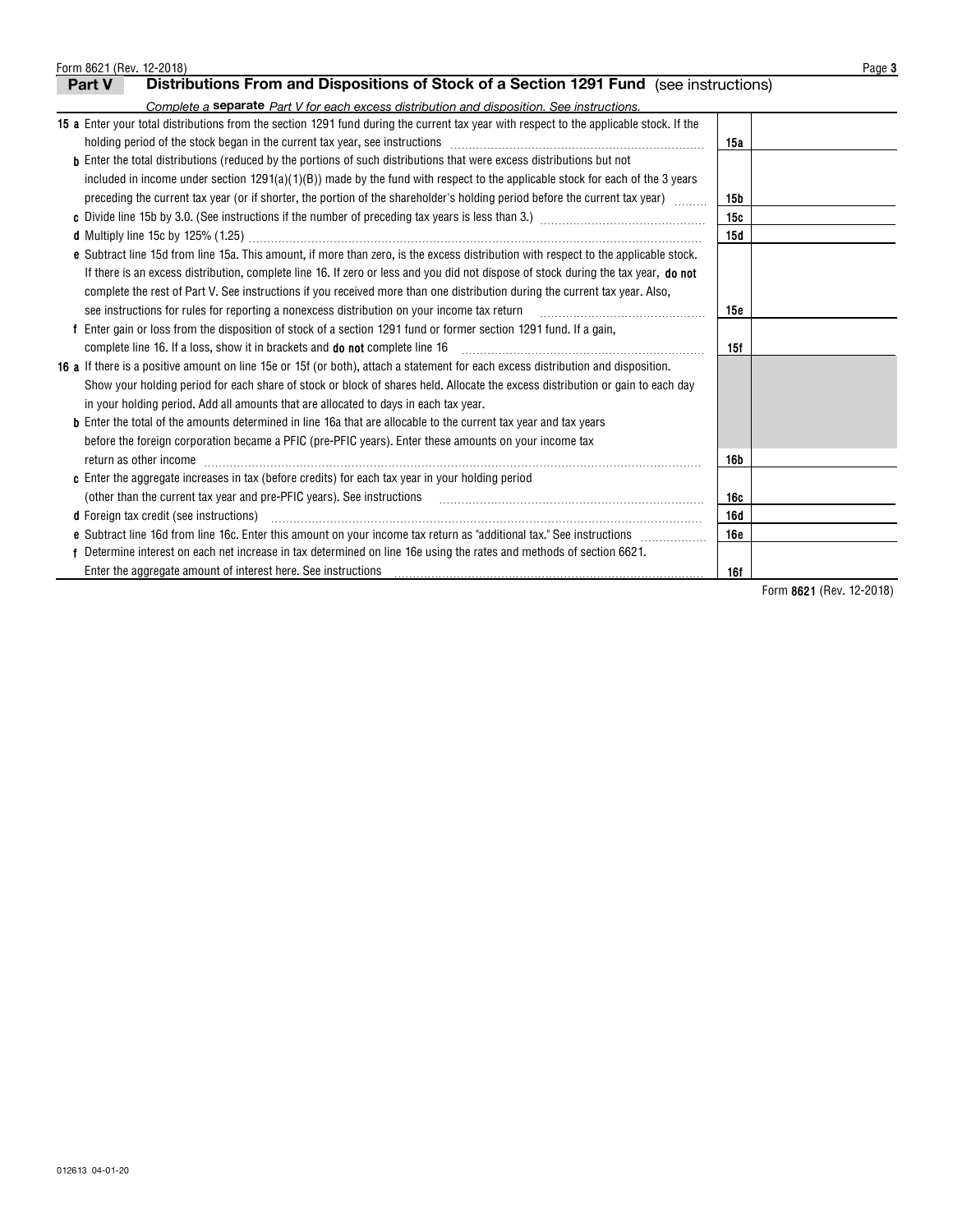| Form 8621 (Rev. 12-2018)                                                                                                                                                                                                       |            | Page 3 |  |  |  |  |  |  |
|--------------------------------------------------------------------------------------------------------------------------------------------------------------------------------------------------------------------------------|------------|--------|--|--|--|--|--|--|
| Distributions From and Dispositions of Stock of a Section 1291 Fund (see instructions)<br>Part V                                                                                                                               |            |        |  |  |  |  |  |  |
| Complete a separate Part V for each excess distribution and disposition. See instructions.                                                                                                                                     |            |        |  |  |  |  |  |  |
| 15 a Enter your total distributions from the section 1291 fund during the current tax year with respect to the applicable stock. If the                                                                                        |            |        |  |  |  |  |  |  |
| holding period of the stock began in the current tax year, see instructions [11] manufacture manufacture manufacture manufacture manufacture manufacture manufacture manufacture manufacture manufacture manufacture manufactu | 15a        |        |  |  |  |  |  |  |
| <b>b</b> Enter the total distributions (reduced by the portions of such distributions that were excess distributions but not                                                                                                   |            |        |  |  |  |  |  |  |
| included in income under section $1291(a)(1)(B)$ made by the fund with respect to the applicable stock for each of the 3 years                                                                                                 |            |        |  |  |  |  |  |  |
| preceding the current tax year (or if shorter, the portion of the shareholder's holding period before the current tax year)<br>15 <sub>b</sub>                                                                                 |            |        |  |  |  |  |  |  |
|                                                                                                                                                                                                                                | 15c        |        |  |  |  |  |  |  |
|                                                                                                                                                                                                                                | 15d        |        |  |  |  |  |  |  |
| e Subtract line 15d from line 15a. This amount, if more than zero, is the excess distribution with respect to the applicable stock.                                                                                            |            |        |  |  |  |  |  |  |
| If there is an excess distribution, complete line 16. If zero or less and you did not dispose of stock during the tax year, do not                                                                                             |            |        |  |  |  |  |  |  |
| complete the rest of Part V. See instructions if you received more than one distribution during the current tax year. Also,                                                                                                    |            |        |  |  |  |  |  |  |
| see instructions for rules for reporting a nonexcess distribution on your income tax return                                                                                                                                    | 15e        |        |  |  |  |  |  |  |
| Enter gain or loss from the disposition of stock of a section 1291 fund or former section 1291 fund. If a gain,                                                                                                                |            |        |  |  |  |  |  |  |
| complete line 16. If a loss, show it in brackets and <b>do not</b> complete line 16                                                                                                                                            | 15f        |        |  |  |  |  |  |  |
| 16 a If there is a positive amount on line 15e or 15f (or both), attach a statement for each excess distribution and disposition.                                                                                              |            |        |  |  |  |  |  |  |
| Show your holding period for each share of stock or block of shares held. Allocate the excess distribution or gain to each day                                                                                                 |            |        |  |  |  |  |  |  |
| in your holding period. Add all amounts that are allocated to days in each tax year.                                                                                                                                           |            |        |  |  |  |  |  |  |
| <b>b</b> Enter the total of the amounts determined in line 16a that are allocable to the current tax year and tax years                                                                                                        |            |        |  |  |  |  |  |  |
| before the foreign corporation became a PFIC (pre-PFIC years). Enter these amounts on your income tax                                                                                                                          |            |        |  |  |  |  |  |  |
| return as other income                                                                                                                                                                                                         | 16b        |        |  |  |  |  |  |  |
| c Enter the aggregate increases in tax (before credits) for each tax year in your holding period                                                                                                                               |            |        |  |  |  |  |  |  |
|                                                                                                                                                                                                                                | 16c        |        |  |  |  |  |  |  |
| <b>d</b> Foreign tax credit (see instructions)                                                                                                                                                                                 | 16d        |        |  |  |  |  |  |  |
| e Subtract line 16d from line 16c. Enter this amount on your income tax return as "additional tax." See instructions                                                                                                           | <b>16e</b> |        |  |  |  |  |  |  |
| Determine interest on each net increase in tax determined on line 16e using the rates and methods of section 6621.                                                                                                             |            |        |  |  |  |  |  |  |
| Enter the aggregate amount of interest here. See instructions                                                                                                                                                                  | 16f        |        |  |  |  |  |  |  |

**8621**  Form (Rev. 12-2018)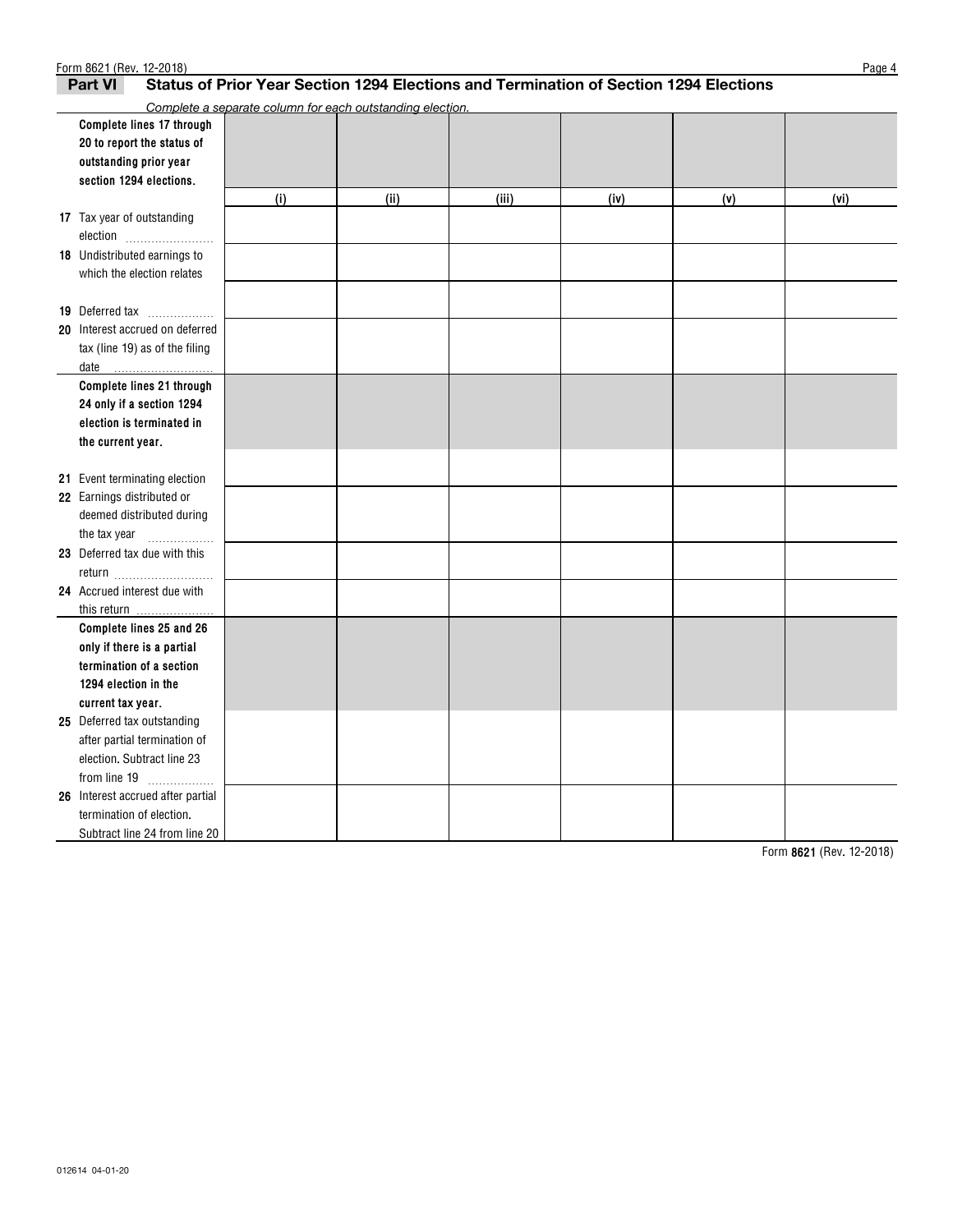| Form 8621 (Rev. 12-2018)<br>Page 4                                                                      |                                                           |      |       |      |     |      |  |  |
|---------------------------------------------------------------------------------------------------------|-----------------------------------------------------------|------|-------|------|-----|------|--|--|
| Status of Prior Year Section 1294 Elections and Termination of Section 1294 Elections<br><b>Part VI</b> |                                                           |      |       |      |     |      |  |  |
|                                                                                                         | Complete a separate column for each outstanding election. |      |       |      |     |      |  |  |
| Complete lines 17 through                                                                               |                                                           |      |       |      |     |      |  |  |
| 20 to report the status of                                                                              |                                                           |      |       |      |     |      |  |  |
| outstanding prior year                                                                                  |                                                           |      |       |      |     |      |  |  |
| section 1294 elections.                                                                                 |                                                           |      |       |      |     |      |  |  |
|                                                                                                         | (i)                                                       | (ii) | (iii) | (iv) | (v) | (vi) |  |  |
| 17 Tax year of outstanding                                                                              |                                                           |      |       |      |     |      |  |  |
| election                                                                                                |                                                           |      |       |      |     |      |  |  |
| <b>18</b> Undistributed earnings to                                                                     |                                                           |      |       |      |     |      |  |  |
| which the election relates                                                                              |                                                           |      |       |      |     |      |  |  |
|                                                                                                         |                                                           |      |       |      |     |      |  |  |
| 19 Deferred tax                                                                                         |                                                           |      |       |      |     |      |  |  |
| 20 Interest accrued on deferred                                                                         |                                                           |      |       |      |     |      |  |  |
| tax (line 19) as of the filing                                                                          |                                                           |      |       |      |     |      |  |  |
| date                                                                                                    |                                                           |      |       |      |     |      |  |  |
| Complete lines 21 through                                                                               |                                                           |      |       |      |     |      |  |  |
| 24 only if a section 1294                                                                               |                                                           |      |       |      |     |      |  |  |
| election is terminated in                                                                               |                                                           |      |       |      |     |      |  |  |
| the current year.                                                                                       |                                                           |      |       |      |     |      |  |  |
|                                                                                                         |                                                           |      |       |      |     |      |  |  |
| 21 Event terminating election                                                                           |                                                           |      |       |      |     |      |  |  |
| 22 Earnings distributed or                                                                              |                                                           |      |       |      |     |      |  |  |
| deemed distributed during                                                                               |                                                           |      |       |      |     |      |  |  |
| the tax year<br>.                                                                                       |                                                           |      |       |      |     |      |  |  |
| 23 Deferred tax due with this                                                                           |                                                           |      |       |      |     |      |  |  |
| return                                                                                                  |                                                           |      |       |      |     |      |  |  |
| 24 Accrued interest due with                                                                            |                                                           |      |       |      |     |      |  |  |
|                                                                                                         |                                                           |      |       |      |     |      |  |  |
| Complete lines 25 and 26                                                                                |                                                           |      |       |      |     |      |  |  |
| only if there is a partial                                                                              |                                                           |      |       |      |     |      |  |  |
| termination of a section                                                                                |                                                           |      |       |      |     |      |  |  |
| 1294 election in the                                                                                    |                                                           |      |       |      |     |      |  |  |
| current tax year.                                                                                       |                                                           |      |       |      |     |      |  |  |
| 25 Deferred tax outstanding                                                                             |                                                           |      |       |      |     |      |  |  |
| after partial termination of                                                                            |                                                           |      |       |      |     |      |  |  |
| election. Subtract line 23                                                                              |                                                           |      |       |      |     |      |  |  |
| from line $19$                                                                                          |                                                           |      |       |      |     |      |  |  |
| 26 Interest accrued after partial                                                                       |                                                           |      |       |      |     |      |  |  |
| termination of election.                                                                                |                                                           |      |       |      |     |      |  |  |
| Subtract line 24 from line 20                                                                           |                                                           |      |       |      |     |      |  |  |

**8621**  Form (Rev. 12-2018)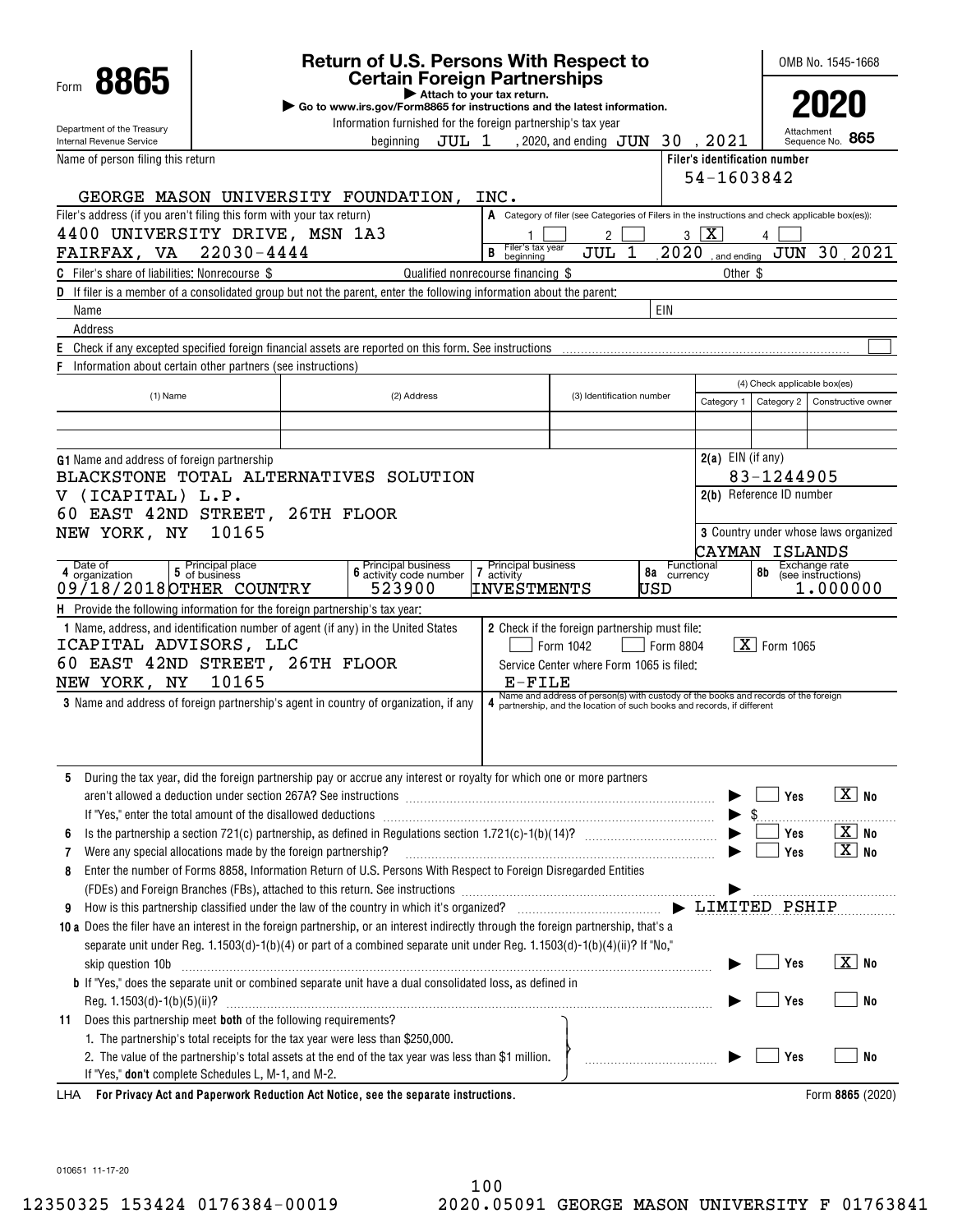|                                                                                                                                                                                                                                                                                  |                                                                                                                                      | <b>Return of U.S. Persons With Respect to</b>                           |             |       |                                                                                                  |                                                                                    |                           |           |                               | OMB No. 1545-1668                                    |              |                                                            |
|----------------------------------------------------------------------------------------------------------------------------------------------------------------------------------------------------------------------------------------------------------------------------------|--------------------------------------------------------------------------------------------------------------------------------------|-------------------------------------------------------------------------|-------------|-------|--------------------------------------------------------------------------------------------------|------------------------------------------------------------------------------------|---------------------------|-----------|-------------------------------|------------------------------------------------------|--------------|------------------------------------------------------------|
| 8865<br>Form                                                                                                                                                                                                                                                                     |                                                                                                                                      |                                                                         |             |       | <b>Certain Foreign Partnerships</b><br>Attach to your tax return.                                |                                                                                    |                           |           |                               |                                                      |              |                                                            |
|                                                                                                                                                                                                                                                                                  |                                                                                                                                      | Go to www.irs.gov/Form8865 for instructions and the latest information. |             |       |                                                                                                  |                                                                                    |                           |           |                               |                                                      |              |                                                            |
| Department of the Treasury<br>Internal Revenue Service                                                                                                                                                                                                                           |                                                                                                                                      |                                                                         | beainnina   | JUL 1 | Information furnished for the foreign partnership's tax year                                     | , 2020, and ending $JUN$ 30, 2021                                                  |                           |           |                               |                                                      | Sequence No. | 865                                                        |
| Name of person filing this return                                                                                                                                                                                                                                                |                                                                                                                                      |                                                                         |             |       |                                                                                                  |                                                                                    |                           |           | Filer's identification number |                                                      |              |                                                            |
|                                                                                                                                                                                                                                                                                  |                                                                                                                                      |                                                                         |             |       |                                                                                                  |                                                                                    |                           |           | 54-1603842                    |                                                      |              |                                                            |
| GEORGE MASON UNIVERSITY FOUNDATION,                                                                                                                                                                                                                                              |                                                                                                                                      |                                                                         |             |       | INC.                                                                                             |                                                                                    |                           |           |                               |                                                      |              |                                                            |
| Filer's address (if you aren't filing this form with your tax return)                                                                                                                                                                                                            |                                                                                                                                      |                                                                         |             |       | A Category of filer (see Categories of Filers in the instructions and check applicable box(es)): |                                                                                    |                           |           |                               |                                                      |              |                                                            |
| 4400 UNIVERSITY DRIVE, MSN 1A3                                                                                                                                                                                                                                                   |                                                                                                                                      |                                                                         |             |       | Filer's tax year                                                                                 | 2                                                                                  |                           | 3         | $\overline{\mathbf{x}}$       |                                                      |              |                                                            |
| FAIRFAX, VA                                                                                                                                                                                                                                                                      | 22030-4444                                                                                                                           |                                                                         |             |       | B<br>beainning                                                                                   | JUL                                                                                | 1                         | 2020      |                               | $\frac{1}{2}$ and ending $\frac{1}{2}$ $\frac{1}{2}$ |              | 30 2021                                                    |
| <b>C</b> Filer's share of liabilities: Nonrecourse \$                                                                                                                                                                                                                            |                                                                                                                                      |                                                                         |             |       | Qualified nonrecourse financing \$                                                               |                                                                                    |                           |           | Other \$                      |                                                      |              |                                                            |
|                                                                                                                                                                                                                                                                                  | <b>D</b> If filer is a member of a consolidated group but not the parent, enter the following information about the parent:<br>EIN   |                                                                         |             |       |                                                                                                  |                                                                                    |                           |           |                               |                                                      |              |                                                            |
| Name<br>Address                                                                                                                                                                                                                                                                  |                                                                                                                                      |                                                                         |             |       |                                                                                                  |                                                                                    |                           |           |                               |                                                      |              |                                                            |
| E<br>Check if any excepted specified foreign financial assets are reported on this form. See instructions                                                                                                                                                                        |                                                                                                                                      |                                                                         |             |       |                                                                                                  |                                                                                    |                           |           |                               |                                                      |              |                                                            |
| F<br>Information about certain other partners (see instructions)                                                                                                                                                                                                                 |                                                                                                                                      |                                                                         |             |       |                                                                                                  |                                                                                    |                           |           |                               |                                                      |              |                                                            |
|                                                                                                                                                                                                                                                                                  |                                                                                                                                      |                                                                         |             |       |                                                                                                  |                                                                                    |                           |           |                               | (4) Check applicable box(es)                         |              |                                                            |
| $(1)$ Name                                                                                                                                                                                                                                                                       |                                                                                                                                      |                                                                         | (2) Address |       |                                                                                                  |                                                                                    | (3) Identification number |           | Category 1                    | Category 2                                           |              | Constructive owner                                         |
|                                                                                                                                                                                                                                                                                  |                                                                                                                                      |                                                                         |             |       |                                                                                                  |                                                                                    |                           |           |                               |                                                      |              |                                                            |
|                                                                                                                                                                                                                                                                                  |                                                                                                                                      |                                                                         |             |       |                                                                                                  |                                                                                    |                           |           |                               |                                                      |              |                                                            |
| G1 Name and address of foreign partnership                                                                                                                                                                                                                                       |                                                                                                                                      |                                                                         |             |       |                                                                                                  |                                                                                    |                           |           | $2(a)$ EIN (if any)           |                                                      |              |                                                            |
| BLACKSTONE TOTAL ALTERNATIVES SOLUTION                                                                                                                                                                                                                                           |                                                                                                                                      |                                                                         |             |       |                                                                                                  |                                                                                    |                           |           |                               | 83-1244905<br>2(b) Reference ID number               |              |                                                            |
| V (ICAPITAL) L.P.<br>60 EAST 42ND STREET, 26TH FLOOR                                                                                                                                                                                                                             |                                                                                                                                      |                                                                         |             |       |                                                                                                  |                                                                                    |                           |           |                               |                                                      |              |                                                            |
| NEW YORK, NY                                                                                                                                                                                                                                                                     | 10165                                                                                                                                |                                                                         |             |       |                                                                                                  |                                                                                    |                           |           |                               | 3 Country under whose laws organized                 |              |                                                            |
|                                                                                                                                                                                                                                                                                  | ISLANDS<br>CAYMAN                                                                                                                    |                                                                         |             |       |                                                                                                  |                                                                                    |                           |           |                               |                                                      |              |                                                            |
| <b>6</b> Principal business<br><b>6</b> activity code number<br>Date of<br>5 Principal place<br>5 of business<br><b>Principal business</b><br>Functional<br>Exchange rate<br>$\overline{\mathbf{r}}$<br>8b<br>8a<br>4 organization<br>(see instructions)<br>activity<br>currency |                                                                                                                                      |                                                                         |             |       |                                                                                                  |                                                                                    |                           |           |                               |                                                      |              |                                                            |
| 09/18/2018 OTHER COUNTRY                                                                                                                                                                                                                                                         |                                                                                                                                      |                                                                         | 523900      |       | INVESTMENTS                                                                                      |                                                                                    | USD                       |           |                               |                                                      | 1,000000     |                                                            |
| H Provide the following information for the foreign partnership's tax year:                                                                                                                                                                                                      |                                                                                                                                      |                                                                         |             |       |                                                                                                  |                                                                                    |                           |           |                               |                                                      |              |                                                            |
| 1 Name, address, and identification number of agent (if any) in the United States                                                                                                                                                                                                |                                                                                                                                      |                                                                         |             |       | 2 Check if the foreign partnership must file:                                                    |                                                                                    |                           |           |                               |                                                      |              |                                                            |
| ICAPITAL ADVISORS, LLC<br>60 EAST 42ND STREET, 26TH FLOOR                                                                                                                                                                                                                        |                                                                                                                                      |                                                                         |             |       |                                                                                                  | Form 1042                                                                          |                           | Form 8804 |                               | $\overline{\textbf{X}}$ Form 1065                    |              |                                                            |
| NEW YORK, NY                                                                                                                                                                                                                                                                     | 10165                                                                                                                                |                                                                         |             |       | E-FILE                                                                                           | Service Center where Form 1065 is filed:                                           |                           |           |                               |                                                      |              |                                                            |
| <b>3</b> Name and address of foreign partnership's agent in country of organization, if any                                                                                                                                                                                      |                                                                                                                                      |                                                                         |             |       | 4 partnership, and the location of such books and records, if different                          | Name and address of person(s) with custody of the books and records of the foreign |                           |           |                               |                                                      |              |                                                            |
|                                                                                                                                                                                                                                                                                  |                                                                                                                                      |                                                                         |             |       |                                                                                                  |                                                                                    |                           |           |                               |                                                      |              |                                                            |
|                                                                                                                                                                                                                                                                                  |                                                                                                                                      |                                                                         |             |       |                                                                                                  |                                                                                    |                           |           |                               |                                                      |              |                                                            |
|                                                                                                                                                                                                                                                                                  |                                                                                                                                      |                                                                         |             |       |                                                                                                  |                                                                                    |                           |           |                               |                                                      |              |                                                            |
| During the tax year, did the foreign partnership pay or accrue any interest or royalty for which one or more partners<br>5                                                                                                                                                       |                                                                                                                                      |                                                                         |             |       |                                                                                                  |                                                                                    |                           |           |                               |                                                      |              |                                                            |
| aren't allowed a deduction under section 267A? See instructions [111] match match and allowed a deduction under section 267A? See instructions [11] match match match and allowed a deduction match and allowed a definition o                                                   |                                                                                                                                      |                                                                         |             |       |                                                                                                  |                                                                                    |                           |           |                               | Yes                                                  |              | $\boxed{\text{X}}$ No                                      |
|                                                                                                                                                                                                                                                                                  |                                                                                                                                      |                                                                         |             |       |                                                                                                  |                                                                                    |                           |           |                               | \$                                                   |              |                                                            |
| 6<br>Were any special allocations made by the foreign partnership?                                                                                                                                                                                                               |                                                                                                                                      |                                                                         |             |       |                                                                                                  |                                                                                    |                           |           |                               | Yes<br>Yes                                           |              | $\lfloor$ $\mathbf{X} \rfloor$ No<br>$\boxed{\text{X}}$ No |
| 7<br>Enter the number of Forms 8858, Information Return of U.S. Persons With Respect to Foreign Disregarded Entities<br>8                                                                                                                                                        |                                                                                                                                      |                                                                         |             |       |                                                                                                  |                                                                                    |                           |           |                               |                                                      |              |                                                            |
|                                                                                                                                                                                                                                                                                  |                                                                                                                                      |                                                                         |             |       |                                                                                                  |                                                                                    |                           |           |                               |                                                      |              |                                                            |
| (FDEs) and Foreign Branches (FBs), attached to this return. See instructions [[[[[[[[[[[[[[[[[[[[[[]]]]]]]]]]]<br>9                                                                                                                                                              |                                                                                                                                      |                                                                         |             |       |                                                                                                  |                                                                                    |                           |           |                               |                                                      |              |                                                            |
|                                                                                                                                                                                                                                                                                  | 10 a Does the filer have an interest in the foreign partnership, or an interest indirectly through the foreign partnership, that's a |                                                                         |             |       |                                                                                                  |                                                                                    |                           |           |                               |                                                      |              |                                                            |
|                                                                                                                                                                                                                                                                                  | separate unit under Reg. 1.1503(d)-1(b)(4) or part of a combined separate unit under Reg. 1.1503(d)-1(b)(4)(ii)? If "No,"            |                                                                         |             |       |                                                                                                  |                                                                                    |                           |           |                               |                                                      |              |                                                            |
| skip question 10b                                                                                                                                                                                                                                                                |                                                                                                                                      |                                                                         |             |       |                                                                                                  |                                                                                    |                           |           |                               | Yes                                                  |              | $\boxed{\text{X}}$ No                                      |
| <b>b</b> If "Yes," does the separate unit or combined separate unit have a dual consolidated loss, as defined in                                                                                                                                                                 |                                                                                                                                      |                                                                         |             |       |                                                                                                  |                                                                                    |                           |           |                               |                                                      |              |                                                            |
|                                                                                                                                                                                                                                                                                  |                                                                                                                                      |                                                                         |             |       |                                                                                                  |                                                                                    |                           |           |                               | Yes                                                  |              | <b>No</b>                                                  |
| Does this partnership meet both of the following requirements?<br>11                                                                                                                                                                                                             |                                                                                                                                      |                                                                         |             |       |                                                                                                  |                                                                                    |                           |           |                               |                                                      |              |                                                            |
| 1. The partnership's total receipts for the tax year were less than \$250,000.<br>2. The value of the partnership's total assets at the end of the tax year was less than \$1 million.                                                                                           |                                                                                                                                      |                                                                         |             |       |                                                                                                  |                                                                                    |                           |           |                               | Yes                                                  |              | <b>No</b>                                                  |
| If "Yes," don't complete Schedules L, M-1, and M-2.                                                                                                                                                                                                                              |                                                                                                                                      |                                                                         |             |       |                                                                                                  |                                                                                    |                           |           |                               |                                                      |              |                                                            |
| LHA For Privacy Act and Paperwork Reduction Act Notice, see the separate instructions.                                                                                                                                                                                           |                                                                                                                                      |                                                                         |             |       |                                                                                                  |                                                                                    |                           |           |                               |                                                      |              | Form 8865 (2020)                                           |
|                                                                                                                                                                                                                                                                                  |                                                                                                                                      |                                                                         |             |       |                                                                                                  |                                                                                    |                           |           |                               |                                                      |              |                                                            |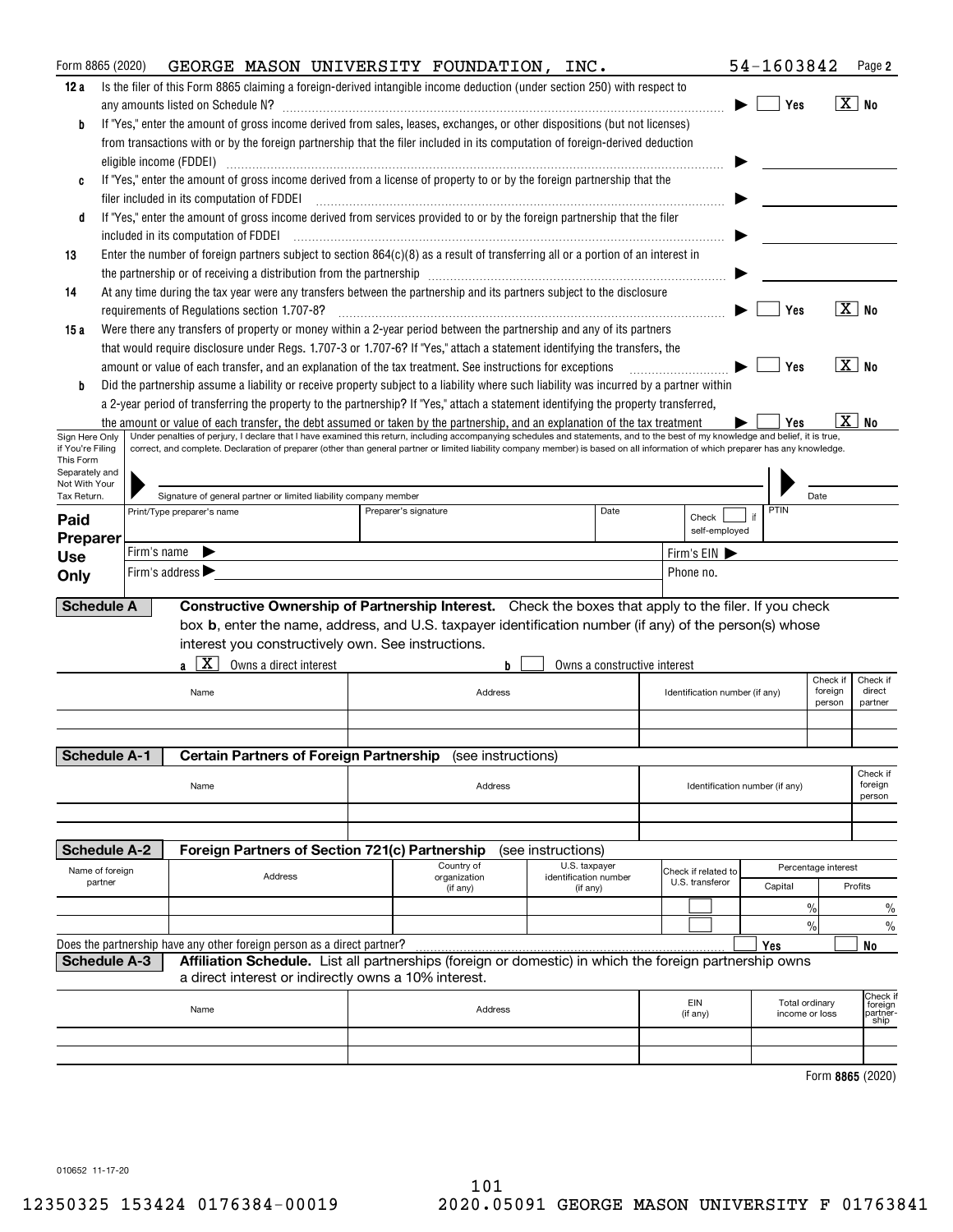| Form 8865 (2020)                                                                                                                                              |         |             | GEORGE MASON UNIVERSITY FOUNDATION, INC.                                                                                                                                                                                                                                                                                                                             |                                                      |  |  |                          |                                                                                                         |                    |                                   |  |                         |                |                                | 54-1603842     |                     | Page 2                                  |
|---------------------------------------------------------------------------------------------------------------------------------------------------------------|---------|-------------|----------------------------------------------------------------------------------------------------------------------------------------------------------------------------------------------------------------------------------------------------------------------------------------------------------------------------------------------------------------------|------------------------------------------------------|--|--|--------------------------|---------------------------------------------------------------------------------------------------------|--------------------|-----------------------------------|--|-------------------------|----------------|--------------------------------|----------------|---------------------|-----------------------------------------|
| 12 a                                                                                                                                                          |         |             | Is the filer of this Form 8865 claiming a foreign-derived intangible income deduction (under section 250) with respect to                                                                                                                                                                                                                                            |                                                      |  |  |                          |                                                                                                         |                    |                                   |  |                         |                |                                |                |                     |                                         |
|                                                                                                                                                               |         |             | any amounts listed on Schedule N?                                                                                                                                                                                                                                                                                                                                    |                                                      |  |  |                          |                                                                                                         |                    |                                   |  |                         |                |                                | Yes            |                     | $\boxed{\text{X}}$ No                   |
| b                                                                                                                                                             |         |             | If "Yes," enter the amount of gross income derived from sales, leases, exchanges, or other dispositions (but not licenses)                                                                                                                                                                                                                                           |                                                      |  |  |                          |                                                                                                         |                    |                                   |  |                         |                |                                |                |                     |                                         |
|                                                                                                                                                               |         |             | from transactions with or by the foreign partnership that the filer included in its computation of foreign-derived deduction                                                                                                                                                                                                                                         |                                                      |  |  |                          |                                                                                                         |                    |                                   |  |                         |                |                                |                |                     |                                         |
|                                                                                                                                                               |         |             | eligible income (FDDEI)                                                                                                                                                                                                                                                                                                                                              |                                                      |  |  |                          |                                                                                                         |                    |                                   |  |                         |                |                                |                |                     |                                         |
| C                                                                                                                                                             |         |             | If "Yes," enter the amount of gross income derived from a license of property to or by the foreign partnership that the                                                                                                                                                                                                                                              |                                                      |  |  |                          |                                                                                                         |                    |                                   |  |                         |                |                                |                |                     |                                         |
|                                                                                                                                                               |         |             | filer included in its computation of FDDEI                                                                                                                                                                                                                                                                                                                           |                                                      |  |  |                          |                                                                                                         |                    |                                   |  |                         |                |                                |                |                     |                                         |
| d                                                                                                                                                             |         |             | If "Yes," enter the amount of gross income derived from services provided to or by the foreign partnership that the filer                                                                                                                                                                                                                                            |                                                      |  |  |                          |                                                                                                         |                    |                                   |  |                         |                |                                |                |                     |                                         |
|                                                                                                                                                               |         |             |                                                                                                                                                                                                                                                                                                                                                                      |                                                      |  |  |                          |                                                                                                         |                    |                                   |  |                         |                |                                |                |                     |                                         |
| 13                                                                                                                                                            |         |             | Enter the number of foreign partners subject to section 864(c)(8) as a result of transferring all or a portion of an interest in                                                                                                                                                                                                                                     |                                                      |  |  |                          |                                                                                                         |                    |                                   |  |                         |                |                                |                |                     |                                         |
| 14                                                                                                                                                            |         |             | the partnership or of receiving a distribution from the partnership [11] matter contains an interaction or of receiving a distribution from the partnership [11] matter contains and the partnership [11] the partnership and<br>At any time during the tax year were any transfers between the partnership and its partners subject to the disclosure               |                                                      |  |  |                          |                                                                                                         |                    |                                   |  |                         |                |                                |                |                     |                                         |
|                                                                                                                                                               |         |             | requirements of Regulations section 1.707-8?                                                                                                                                                                                                                                                                                                                         |                                                      |  |  |                          |                                                                                                         |                    |                                   |  |                         |                |                                | Yes            |                     | $\boxed{\text{X}}$ No                   |
| 15 a                                                                                                                                                          |         |             | Were there any transfers of property or money within a 2-year period between the partnership and any of its partners                                                                                                                                                                                                                                                 |                                                      |  |  |                          |                                                                                                         |                    |                                   |  |                         |                |                                |                |                     |                                         |
|                                                                                                                                                               |         |             | that would require disclosure under Regs. 1.707-3 or 1.707-6? If "Yes," attach a statement identifying the transfers, the                                                                                                                                                                                                                                            |                                                      |  |  |                          |                                                                                                         |                    |                                   |  |                         |                |                                |                |                     |                                         |
|                                                                                                                                                               |         |             | amount or value of each transfer, and an explanation of the tax treatment. See instructions for exceptions                                                                                                                                                                                                                                                           |                                                      |  |  |                          |                                                                                                         |                    |                                   |  |                         |                |                                | Yes            |                     | $\overline{X}$ No                       |
| b                                                                                                                                                             |         |             | Did the partnership assume a liability or receive property subject to a liability where such liability was incurred by a partner within                                                                                                                                                                                                                              |                                                      |  |  |                          |                                                                                                         |                    |                                   |  |                         |                |                                |                |                     |                                         |
|                                                                                                                                                               |         |             | a 2-year period of transferring the property to the partnership? If "Yes," attach a statement identifying the property transferred,                                                                                                                                                                                                                                  |                                                      |  |  |                          |                                                                                                         |                    |                                   |  |                         |                |                                |                |                     |                                         |
|                                                                                                                                                               |         |             | the amount or value of each transfer, the debt assumed or taken by the partnership, and an explanation of the tax treatment                                                                                                                                                                                                                                          |                                                      |  |  |                          |                                                                                                         |                    |                                   |  |                         |                |                                | Yes            | хI                  | <b>No</b>                               |
| Sign Here Only<br>if You're Filina                                                                                                                            |         |             | Under penalties of perjury, I declare that I have examined this return, including accompanying schedules and statements, and to the best of my knowledge and belief, it is true,<br>correct, and complete. Declaration of preparer (other than general partner or limited liability company member) is based on all information of which preparer has any knowledge. |                                                      |  |  |                          |                                                                                                         |                    |                                   |  |                         |                |                                |                |                     |                                         |
| This Form                                                                                                                                                     |         |             |                                                                                                                                                                                                                                                                                                                                                                      |                                                      |  |  |                          |                                                                                                         |                    |                                   |  |                         |                |                                |                |                     |                                         |
| Separately and<br>Not With Your                                                                                                                               |         |             |                                                                                                                                                                                                                                                                                                                                                                      |                                                      |  |  |                          |                                                                                                         |                    |                                   |  |                         |                |                                |                |                     |                                         |
| Signature of general partner or limited liability company member<br>Date<br>Tax Return.<br>PTIN<br>Date<br>Print/Type preparer's name<br>Preparer's signature |         |             |                                                                                                                                                                                                                                                                                                                                                                      |                                                      |  |  |                          |                                                                                                         |                    |                                   |  |                         |                |                                |                |                     |                                         |
| Paid                                                                                                                                                          |         |             |                                                                                                                                                                                                                                                                                                                                                                      |                                                      |  |  |                          |                                                                                                         |                    |                                   |  | Check                   | self-employed  |                                |                |                     |                                         |
| Preparer                                                                                                                                                      |         | Firm's name |                                                                                                                                                                                                                                                                                                                                                                      |                                                      |  |  |                          |                                                                                                         |                    |                                   |  |                         |                |                                |                |                     |                                         |
| <b>Use</b>                                                                                                                                                    |         |             | Firm's address >                                                                                                                                                                                                                                                                                                                                                     |                                                      |  |  |                          |                                                                                                         |                    |                                   |  | Firm's EIN<br>Phone no. |                |                                |                |                     |                                         |
| Only                                                                                                                                                          |         |             |                                                                                                                                                                                                                                                                                                                                                                      |                                                      |  |  |                          |                                                                                                         |                    |                                   |  |                         |                |                                |                |                     |                                         |
| <b>Schedule A</b>                                                                                                                                             |         |             |                                                                                                                                                                                                                                                                                                                                                                      |                                                      |  |  |                          | Constructive Ownership of Partnership Interest. Check the boxes that apply to the filer. If you check   |                    |                                   |  |                         |                |                                |                |                     |                                         |
|                                                                                                                                                               |         |             |                                                                                                                                                                                                                                                                                                                                                                      |                                                      |  |  |                          | box b, enter the name, address, and U.S. taxpayer identification number (if any) of the person(s) whose |                    |                                   |  |                         |                |                                |                |                     |                                         |
|                                                                                                                                                               |         |             |                                                                                                                                                                                                                                                                                                                                                                      | interest you constructively own. See instructions.   |  |  |                          |                                                                                                         |                    |                                   |  |                         |                |                                |                |                     |                                         |
|                                                                                                                                                               |         |             | x                                                                                                                                                                                                                                                                                                                                                                    | Owns a direct interest                               |  |  |                          | b                                                                                                       |                    | Owns a constructive interest      |  |                         |                |                                |                |                     |                                         |
|                                                                                                                                                               |         |             | Name                                                                                                                                                                                                                                                                                                                                                                 |                                                      |  |  |                          | Address                                                                                                 |                    |                                   |  |                         |                |                                |                | Check if<br>foreign | Check if<br>direct                      |
|                                                                                                                                                               |         |             |                                                                                                                                                                                                                                                                                                                                                                      |                                                      |  |  |                          |                                                                                                         |                    | Identification number (if any)    |  |                         |                |                                |                | person              | partner                                 |
|                                                                                                                                                               |         |             |                                                                                                                                                                                                                                                                                                                                                                      |                                                      |  |  |                          |                                                                                                         |                    |                                   |  |                         |                |                                |                |                     |                                         |
|                                                                                                                                                               |         |             |                                                                                                                                                                                                                                                                                                                                                                      |                                                      |  |  |                          |                                                                                                         |                    |                                   |  |                         |                |                                |                |                     |                                         |
| <b>Schedule A-1</b>                                                                                                                                           |         |             |                                                                                                                                                                                                                                                                                                                                                                      |                                                      |  |  |                          | Certain Partners of Foreign Partnership (see instructions)                                              |                    |                                   |  |                         |                |                                |                |                     | Check if                                |
|                                                                                                                                                               |         |             | Name                                                                                                                                                                                                                                                                                                                                                                 |                                                      |  |  |                          | Address                                                                                                 |                    |                                   |  |                         |                | Identification number (if any) |                |                     | foreign                                 |
|                                                                                                                                                               |         |             |                                                                                                                                                                                                                                                                                                                                                                      |                                                      |  |  |                          |                                                                                                         |                    |                                   |  |                         |                |                                |                |                     | person                                  |
|                                                                                                                                                               |         |             |                                                                                                                                                                                                                                                                                                                                                                      |                                                      |  |  |                          |                                                                                                         |                    |                                   |  |                         |                |                                |                |                     |                                         |
| <b>Schedule A-2</b>                                                                                                                                           |         |             |                                                                                                                                                                                                                                                                                                                                                                      | Foreign Partners of Section 721(c) Partnership       |  |  |                          |                                                                                                         | (see instructions) |                                   |  |                         |                |                                |                |                     |                                         |
| Name of foreign                                                                                                                                               |         |             |                                                                                                                                                                                                                                                                                                                                                                      |                                                      |  |  | Country of               |                                                                                                         |                    | U.S. taxpayer                     |  | Check if related to     |                |                                |                | Percentage interest |                                         |
|                                                                                                                                                               | partner |             |                                                                                                                                                                                                                                                                                                                                                                      | Address                                              |  |  | organization<br>(if any) |                                                                                                         |                    | identification number<br>(if any) |  | U.S. transferor         |                |                                | Capital        |                     | Profits                                 |
|                                                                                                                                                               |         |             |                                                                                                                                                                                                                                                                                                                                                                      |                                                      |  |  |                          |                                                                                                         |                    |                                   |  |                         |                |                                | $\%$           |                     | $\%$                                    |
|                                                                                                                                                               |         |             |                                                                                                                                                                                                                                                                                                                                                                      |                                                      |  |  |                          |                                                                                                         |                    |                                   |  |                         |                |                                | $\frac{0}{0}$  |                     | $\%$                                    |
|                                                                                                                                                               |         |             | Does the partnership have any other foreign person as a direct partner?                                                                                                                                                                                                                                                                                              |                                                      |  |  |                          |                                                                                                         |                    |                                   |  |                         |                | Yes                            |                |                     | No                                      |
| <b>Schedule A-3</b>                                                                                                                                           |         |             |                                                                                                                                                                                                                                                                                                                                                                      |                                                      |  |  |                          | Affiliation Schedule. List all partnerships (foreign or domestic) in which the foreign partnership owns |                    |                                   |  |                         |                |                                |                |                     |                                         |
|                                                                                                                                                               |         |             |                                                                                                                                                                                                                                                                                                                                                                      | a direct interest or indirectly owns a 10% interest. |  |  |                          |                                                                                                         |                    |                                   |  |                         |                |                                |                |                     |                                         |
|                                                                                                                                                               |         |             | Name                                                                                                                                                                                                                                                                                                                                                                 |                                                      |  |  |                          | Address                                                                                                 |                    |                                   |  | EIN                     |                |                                | Total ordinary |                     | Check if<br>foreign<br>partner-<br>ship |
|                                                                                                                                                               |         |             |                                                                                                                                                                                                                                                                                                                                                                      |                                                      |  |  |                          |                                                                                                         |                    | (if any)                          |  |                         | income or loss |                                |                |                     |                                         |
|                                                                                                                                                               |         |             |                                                                                                                                                                                                                                                                                                                                                                      |                                                      |  |  |                          |                                                                                                         |                    |                                   |  |                         |                |                                |                |                     |                                         |
|                                                                                                                                                               |         |             |                                                                                                                                                                                                                                                                                                                                                                      |                                                      |  |  |                          |                                                                                                         |                    |                                   |  |                         |                |                                |                |                     |                                         |
|                                                                                                                                                               |         |             |                                                                                                                                                                                                                                                                                                                                                                      |                                                      |  |  |                          |                                                                                                         |                    |                                   |  |                         |                |                                |                |                     | Form 8865 (2020)                        |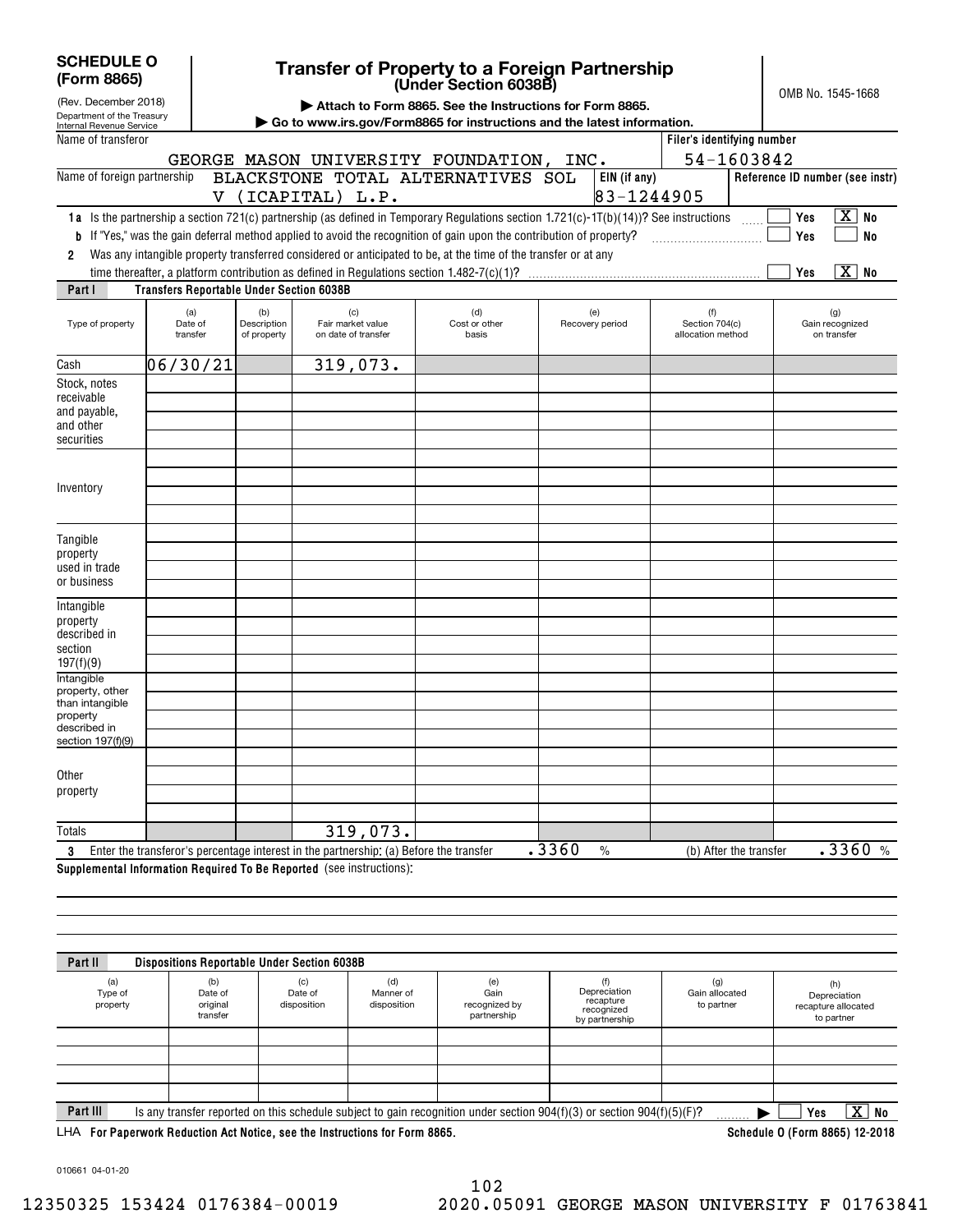| <b>SCHEDULE O</b><br>(Form 8865) | <b>Transfe</b>              |
|----------------------------------|-----------------------------|
| (Rev. December 2018)             | $\blacktriangleright$ Attac |

 $\mathsf{l}$ 

## **(Under Section 6038B) Transfer of Property to a Foreign Partnership**

OMB No. 1545-1668

|  |  |  |  |  |  |  |  | Attach to Form 8865. See the Instructions for Form 8865. |  |  |  |
|--|--|--|--|--|--|--|--|----------------------------------------------------------|--|--|--|
|--|--|--|--|--|--|--|--|----------------------------------------------------------|--|--|--|

| Department of the Treasury<br>Internal Revenue Service                                            |                                                 |                                   |                                                                                                                                                                                                                                               | <u>to i onin oooo. Occ the matricipita for Form</u> | $\triangleright$ Go to www.irs.gov/Form8865 for instructions and the latest information.                                              |                                            |                                                                                      |
|---------------------------------------------------------------------------------------------------|-------------------------------------------------|-----------------------------------|-----------------------------------------------------------------------------------------------------------------------------------------------------------------------------------------------------------------------------------------------|-----------------------------------------------------|---------------------------------------------------------------------------------------------------------------------------------------|--------------------------------------------|--------------------------------------------------------------------------------------|
| Name of transferor                                                                                |                                                 |                                   |                                                                                                                                                                                                                                               |                                                     |                                                                                                                                       | Filer's identifying number                 |                                                                                      |
|                                                                                                   |                                                 |                                   | GEORGE MASON UNIVERSITY FOUNDATION, INC.                                                                                                                                                                                                      |                                                     |                                                                                                                                       | 54-1603842                                 |                                                                                      |
| Name of foreign partnership                                                                       |                                                 |                                   | BLACKSTONE TOTAL ALTERNATIVES SOL<br>V (ICAPITAL) L.P.                                                                                                                                                                                        |                                                     | EIN (if any)<br>83-1244905                                                                                                            |                                            | Reference ID number (see instr)                                                      |
| 2                                                                                                 |                                                 |                                   | <b>b</b> If "Yes," was the gain deferral method applied to avoid the recognition of gain upon the contribution of property?<br>Was any intangible property transferred considered or anticipated to be, at the time of the transfer or at any |                                                     | 1a Is the partnership a section 721(c) partnership (as defined in Temporary Regulations section 1.721(c)-1T(b)(14))? See instructions |                                            | $\overline{X}$ No<br>Yes<br>Yes<br><b>No</b><br>$\overline{\mathbf{x}}$<br>No<br>Yes |
| Part I                                                                                            | <b>Transfers Reportable Under Section 6038B</b> |                                   |                                                                                                                                                                                                                                               |                                                     |                                                                                                                                       |                                            |                                                                                      |
| Type of property                                                                                  | (a)<br>Date of<br>transfer                      | (b)<br>Description<br>of property | (c)<br>Fair market value<br>on date of transfer                                                                                                                                                                                               | (d)<br>Cost or other<br>basis                       | (e)<br>Recovery period                                                                                                                | (f)<br>Section 704(c)<br>allocation method | (g)<br>Gain recognized<br>on transfer                                                |
| Cash                                                                                              | 06/30/21                                        |                                   | 319,073.                                                                                                                                                                                                                                      |                                                     |                                                                                                                                       |                                            |                                                                                      |
| Stock, notes<br>receivable<br>and payable,<br>and other<br>securities                             |                                                 |                                   |                                                                                                                                                                                                                                               |                                                     |                                                                                                                                       |                                            |                                                                                      |
| Inventory                                                                                         |                                                 |                                   |                                                                                                                                                                                                                                               |                                                     |                                                                                                                                       |                                            |                                                                                      |
| Tangible<br>property<br>used in trade<br>or business                                              |                                                 |                                   |                                                                                                                                                                                                                                               |                                                     |                                                                                                                                       |                                            |                                                                                      |
| Intangible<br>property<br>described in<br>section<br>197(f)(9)                                    |                                                 |                                   |                                                                                                                                                                                                                                               |                                                     |                                                                                                                                       |                                            |                                                                                      |
| Intangible<br>property, other<br>than intangible<br>property<br>described in<br>section 197(f)(9) |                                                 |                                   |                                                                                                                                                                                                                                               |                                                     |                                                                                                                                       |                                            |                                                                                      |
| Other<br>property                                                                                 |                                                 |                                   |                                                                                                                                                                                                                                               |                                                     |                                                                                                                                       |                                            |                                                                                      |
| <b>Totals</b>                                                                                     |                                                 |                                   | 319,073.                                                                                                                                                                                                                                      |                                                     |                                                                                                                                       |                                            |                                                                                      |
|                                                                                                   |                                                 |                                   | 3 Enter the transferor's percentage interest in the partnership: (a) Before the transfer                                                                                                                                                      |                                                     | .3360<br>$\frac{0}{0}$                                                                                                                | (b) After the transfer                     | .3360%                                                                               |

**Supplemental Information Required To Be Reported**  (see instructions):

| Part II                    | <b>Dispositions Reportable Under Section 6038B</b>                                                            |                               |                                 |                                             |                                                                                                                             |                                     |                                                          |
|----------------------------|---------------------------------------------------------------------------------------------------------------|-------------------------------|---------------------------------|---------------------------------------------|-----------------------------------------------------------------------------------------------------------------------------|-------------------------------------|----------------------------------------------------------|
| (a)<br>Type of<br>property | (b)<br>Date of<br>original<br>transfer                                                                        | (c)<br>Date of<br>disposition | (d)<br>Manner of<br>disposition | (e)<br>Gain<br>recognized by<br>partnership | (f)<br>Depreciation<br>recapture<br>recognized<br>by partnership                                                            | (g)<br>Gain allocated<br>to partner | (h)<br>Depreciation<br>recapture allocated<br>to partner |
|                            |                                                                                                               |                               |                                 |                                             |                                                                                                                             |                                     |                                                          |
|                            |                                                                                                               |                               |                                 |                                             |                                                                                                                             |                                     |                                                          |
|                            |                                                                                                               |                               |                                 |                                             |                                                                                                                             |                                     |                                                          |
| Part III                   |                                                                                                               |                               |                                 |                                             | Is any transfer reported on this schedule subject to gain recognition under section $904(f)(3)$ or section $904(f)(5)(F)$ ? |                                     | $\overline{\text{X}}$ No<br>Yes                          |
|                            | LHA For Paperwork Reduction Act Notice, see the Instructions for Form 8865.<br>Schedule 0 (Form 8865) 12-2018 |                               |                                 |                                             |                                                                                                                             |                                     |                                                          |

010661 04-01-20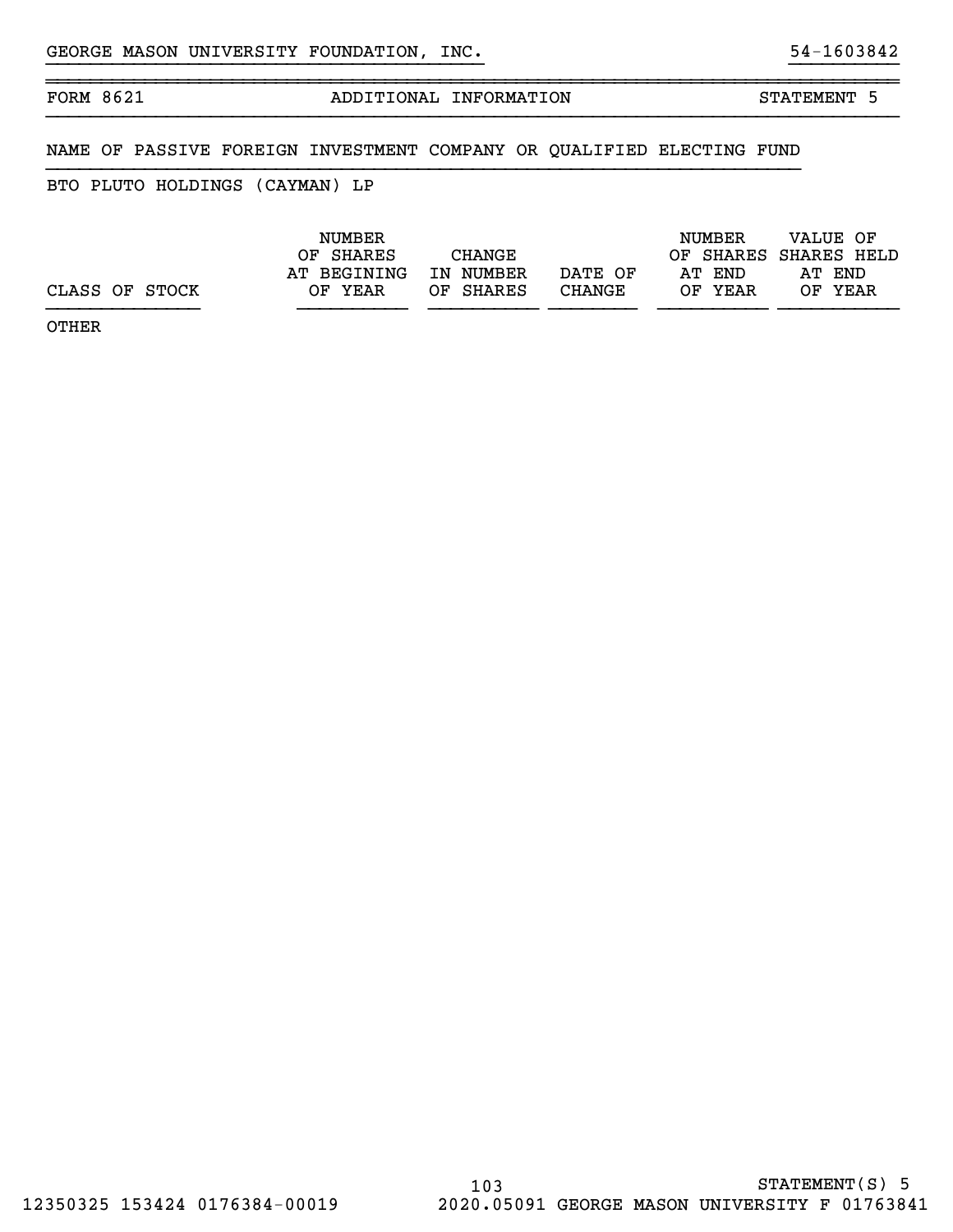# FORM 8621 ADDITIONAL INFORMATION STATEMENT 5

## NAME OF PASSIVE FOREIGN INVESTMENT COMPANY OR QUALIFIED ELECTING FUND

## BTO PLUTO HOLDINGS (CAYMAN) LP

~~~~~~~~~~~~~~~~~~~~~~~~~~~~~~~~~~~~~~~~~~~~~~~~~~~~~~~~~~~~~~~~~~~~~~~~~~~~~~

|                | <b>NUMBER</b> |           |         | NUMBER  | VALUE OF              |
|----------------|---------------|-----------|---------|---------|-----------------------|
|                | OF SHARES     | CHANGE    |         |         | OF SHARES SHARES HELD |
|                | AT BEGINING   | IN NUMBER | DATE OF | AT END  | AT END                |
| CLASS OF STOCK | OF YEAR       | OF SHARES | CHANGE  | OF YEAR | OF YEAR               |
|                |               |           |         |         |                       |

}}}}}}}}}}}}}}}}}}}}}}}}}}}}}}}}}}}}}}}} }}}}}}}}}}

OTHER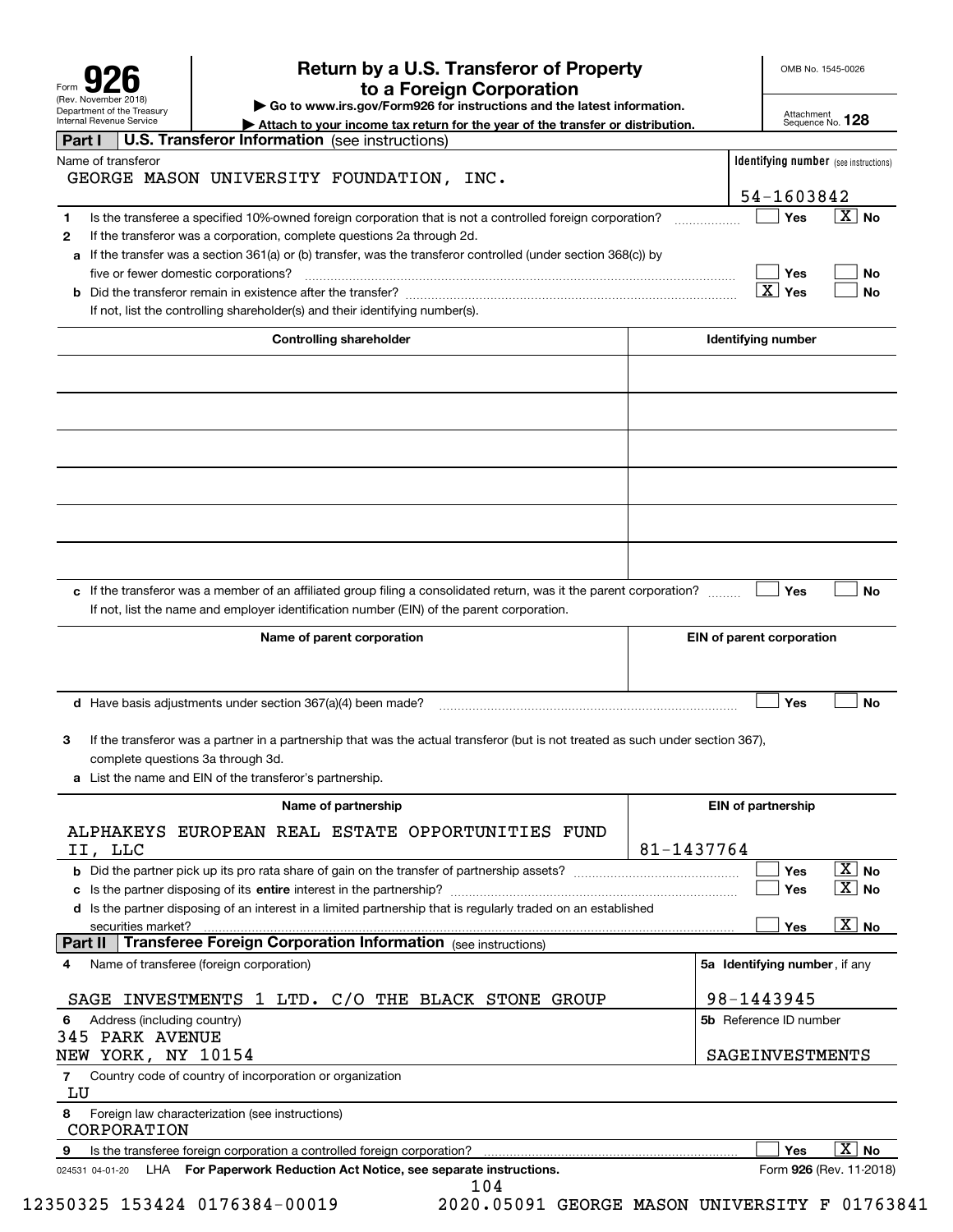| Form                                                   |
|--------------------------------------------------------|
| (Rev. November 2018)                                   |
| Department of the Treasury<br>Internal Revenue Service |

# **Return by a U.S. Transferor of Property 926 to a Foreign Corporation**

OMB No. 1545-0026

**| Go to www.irs.gov/Form926 for instructions and the latest information.**

Attachment Sequence No. **128**

| Internal Hevenue Service<br>Attach to your income tax return for the year of the transfer or distribution.                           |            |                                              | Sequence No. 120                     |
|--------------------------------------------------------------------------------------------------------------------------------------|------------|----------------------------------------------|--------------------------------------|
| <b>U.S. Transferor Information</b> (see instructions)<br>Part I                                                                      |            |                                              |                                      |
| Name of transferor                                                                                                                   |            | <b>Identifying number</b> (see instructions) |                                      |
| GEORGE MASON UNIVERSITY FOUNDATION, INC.                                                                                             |            |                                              |                                      |
|                                                                                                                                      |            | 54-1603842                                   |                                      |
| Is the transferee a specified 10%-owned foreign corporation that is not a controlled foreign corporation?<br>1                       |            | Yes                                          | $\mathbf{X}$<br><b>No</b>            |
| If the transferor was a corporation, complete questions 2a through 2d.<br>2                                                          |            |                                              |                                      |
| If the transfer was a section 361(a) or (b) transfer, was the transferor controlled (under section 368(c)) by<br>а                   |            |                                              |                                      |
| five or fewer domestic corporations?                                                                                                 |            | Yes                                          | No                                   |
|                                                                                                                                      |            | $\mathbf{X}$<br>Yes                          | No                                   |
| If not, list the controlling shareholder(s) and their identifying number(s).                                                         |            |                                              |                                      |
|                                                                                                                                      |            |                                              |                                      |
| <b>Controlling shareholder</b>                                                                                                       |            | <b>Identifying number</b>                    |                                      |
|                                                                                                                                      |            |                                              |                                      |
|                                                                                                                                      |            |                                              |                                      |
|                                                                                                                                      |            |                                              |                                      |
|                                                                                                                                      |            |                                              |                                      |
|                                                                                                                                      |            |                                              |                                      |
|                                                                                                                                      |            |                                              |                                      |
|                                                                                                                                      |            |                                              |                                      |
|                                                                                                                                      |            |                                              |                                      |
|                                                                                                                                      |            |                                              |                                      |
|                                                                                                                                      |            |                                              |                                      |
|                                                                                                                                      |            |                                              |                                      |
|                                                                                                                                      |            |                                              |                                      |
| c If the transferor was a member of an affiliated group filing a consolidated return, was it the parent corporation?                 |            | Yes                                          | <b>No</b>                            |
| If not, list the name and employer identification number (EIN) of the parent corporation.                                            |            |                                              |                                      |
| Name of parent corporation                                                                                                           |            | EIN of parent corporation                    |                                      |
|                                                                                                                                      |            |                                              |                                      |
|                                                                                                                                      |            |                                              |                                      |
|                                                                                                                                      |            |                                              |                                      |
| $d$ Have basis adjustments under section 367(a)(4) been made?                                                                        |            | Yes                                          | <b>No</b>                            |
|                                                                                                                                      |            |                                              |                                      |
| If the transferor was a partner in a partnership that was the actual transferor (but is not treated as such under section 367),<br>3 |            |                                              |                                      |
| complete questions 3a through 3d.                                                                                                    |            |                                              |                                      |
| a List the name and EIN of the transferor's partnership.                                                                             |            |                                              |                                      |
| Name of partnership                                                                                                                  |            | <b>EIN of partnership</b>                    |                                      |
| ALPHAKEYS EUROPEAN REAL ESTATE OPPORTUNITIES FUND                                                                                    |            |                                              |                                      |
| II, LLC                                                                                                                              | 81-1437764 |                                              |                                      |
|                                                                                                                                      |            |                                              | $\overline{X}$ No                    |
|                                                                                                                                      |            | <b>Yes</b>                                   | $\overline{\mathbf{X}}$<br>No        |
|                                                                                                                                      |            | Yes                                          |                                      |
| d Is the partner disposing of an interest in a limited partnership that is regularly traded on an established                        |            |                                              | $\overline{\mathbf{X}}$<br><b>No</b> |
| securities market?<br>Transferee Foreign Corporation Information (see instructions)<br>Part II                                       |            | Yes                                          |                                      |
| Name of transferee (foreign corporation)<br>4                                                                                        |            | 5a Identifying number, if any                |                                      |
|                                                                                                                                      |            |                                              |                                      |
| INVESTMENTS 1 LTD. C/O THE BLACK STONE GROUP<br>SAGE                                                                                 |            | 98-1443945                                   |                                      |
| Address (including country)<br>6                                                                                                     |            | 5b Reference ID number                       |                                      |
| 345 PARK AVENUE                                                                                                                      |            |                                              |                                      |
| NEW YORK, NY 10154                                                                                                                   |            | SAGEINVESTMENTS                              |                                      |
| Country code of country of incorporation or organization<br>7                                                                        |            |                                              |                                      |
| LU                                                                                                                                   |            |                                              |                                      |
| 8<br>Foreign law characterization (see instructions)                                                                                 |            |                                              |                                      |
| CORPORATION                                                                                                                          |            |                                              |                                      |
| 9<br>Is the transferee foreign corporation a controlled foreign corporation?                                                         |            | Yes                                          | $\overline{\mathbf{x}}$<br><b>No</b> |
| LHA For Paperwork Reduction Act Notice, see separate instructions.<br>024531 04-01-20                                                |            |                                              | Form 926 (Rev. 11-2018)              |
| 104                                                                                                                                  |            |                                              |                                      |

12350325 153424 0176384-00019 2020.05091 GEORGE MASON UNIVERSITY F 01763841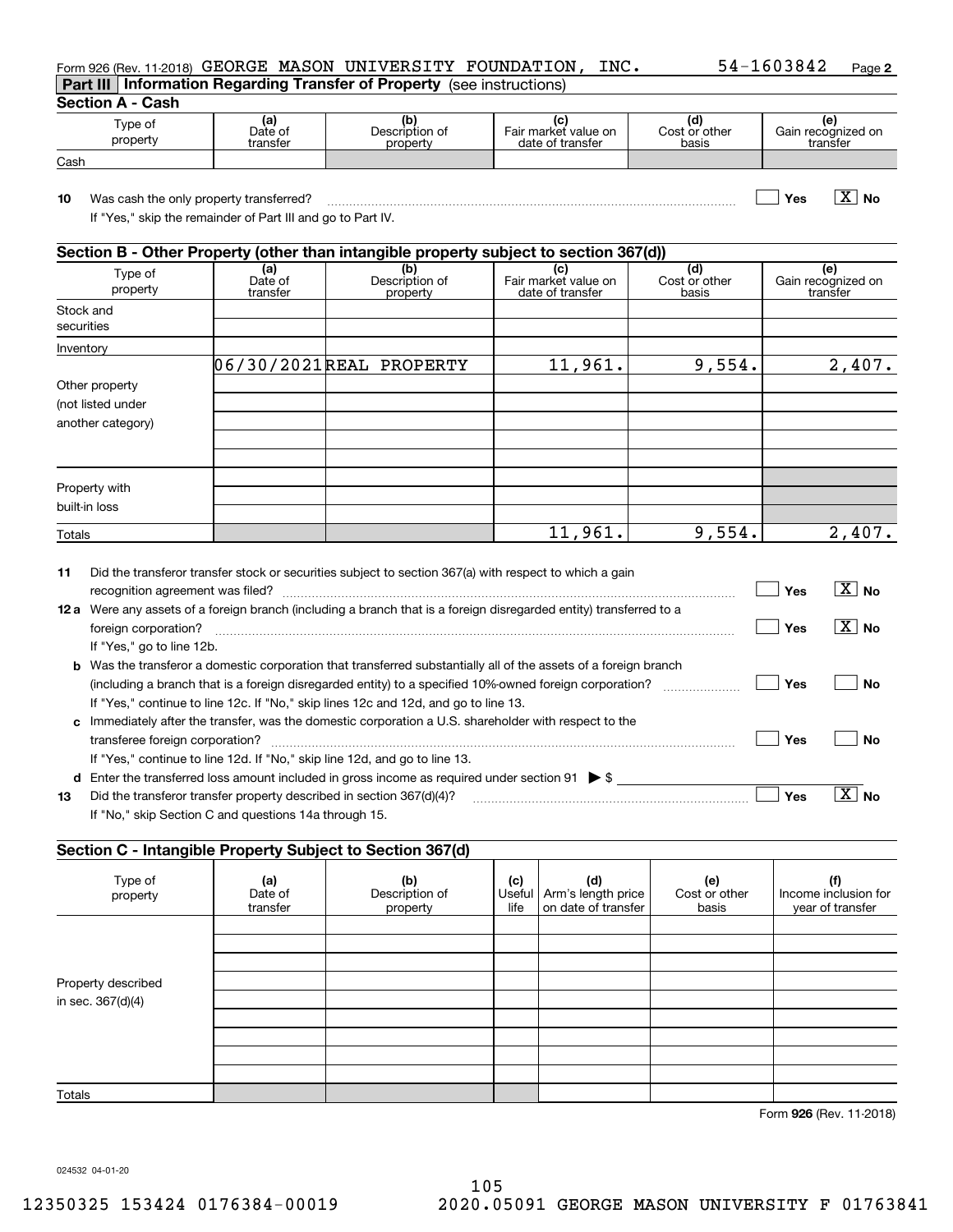## Form 926 (Rev. 11-2018)  $\rm{GEORGE}$  <code>MASON</code> <code>UNIVERSITY FOUNDATION</code> , <code>INC</code> .  $\rm{54-1603842}$  <code>Page</code> **Part III Information Regarding Transfer of Property**  (see instructions)

**2**

|  | Section A - Cash |
|--|------------------|
|--|------------------|

| ---------<br>-----  |                            |                                   |                                                |                              |                                      |
|---------------------|----------------------------|-----------------------------------|------------------------------------------------|------------------------------|--------------------------------------|
| ⊺ype of<br>property | (al<br>Date of<br>transfer | (b)<br>Description of<br>property | ιc<br>Fair market value on<br>date of transfer | ιa<br>Cost or other<br>basis | ιe<br>Gain recognized on<br>transfer |
| Cash                |                            |                                   |                                                |                              |                                      |

**10 Yes No** Was cash the only property transferred? ~~~~~~~~~~~~~~~~~~~~~~~~~~~~~~~~~~~~~ X

If "Yes," skip the remainder of Part III and go to Part IV.

|                                                          | Section B - Other Property (other than intangible property subject to section 367(d)) |                                   |                                                 |                               |                                       |  |  |  |  |
|----------------------------------------------------------|---------------------------------------------------------------------------------------|-----------------------------------|-------------------------------------------------|-------------------------------|---------------------------------------|--|--|--|--|
| Type of<br>property                                      | (a)<br>Date of<br>transfer                                                            | (b)<br>Description of<br>property | (c)<br>Fair market value on<br>date of transfer | (d)<br>Cost or other<br>basis | (e)<br>Gain recognized on<br>transfer |  |  |  |  |
| Stock and<br>securities                                  |                                                                                       |                                   |                                                 |                               |                                       |  |  |  |  |
| Inventory                                                |                                                                                       |                                   |                                                 |                               |                                       |  |  |  |  |
|                                                          |                                                                                       | 06/30/2021REAL PROPERTY           | 11,961.                                         | 9,554.                        | 2,407.                                |  |  |  |  |
| Other property<br>(not listed under<br>another category) |                                                                                       |                                   |                                                 |                               |                                       |  |  |  |  |
| Property with<br>built-in loss                           |                                                                                       |                                   |                                                 |                               |                                       |  |  |  |  |
| Totals                                                   |                                                                                       |                                   | 11,961.                                         | 9,554.                        | 2,407.                                |  |  |  |  |

| 11   | Did the transferor transfer stock or securities subject to section 367(a) with respect to which a gain                  |     |                          |
|------|-------------------------------------------------------------------------------------------------------------------------|-----|--------------------------|
|      |                                                                                                                         | Yes | $\overline{X}$ No        |
| 12 a | Were any assets of a foreign branch (including a branch that is a foreign disregarded entity) transferred to a          |     |                          |
|      | foreign corporation?                                                                                                    | Yes | $\overline{\text{X}}$ No |
|      | If "Yes," go to line 12b.                                                                                               |     |                          |
|      | <b>b</b> Was the transferor a domestic corporation that transferred substantially all of the assets of a foreign branch |     |                          |
|      | (including a branch that is a foreign disregarded entity) to a specified 10%-owned foreign corporation?                 | Yes | Nο                       |
|      | If "Yes," continue to line 12c. If "No," skip lines 12c and 12d, and go to line 13.                                     |     |                          |
| c    | Immediately after the transfer, was the domestic corporation a U.S. shareholder with respect to the                     |     |                          |
|      |                                                                                                                         | Yes | Nο                       |
|      | If "Yes," continue to line 12d. If "No," skip line 12d, and go to line 13.                                              |     |                          |
| d    | Enter the transferred loss amount included in gross income as required under section 91 $\triangleright$ \$             |     |                          |
| 13   | Did the transferor transfer property described in section 367(d)(4)?                                                    | Yes | Nο                       |
|      | If "No," skip Section C and questions 14a through 15.                                                                   |     |                          |

## **Section C - Intangible Property Subject to Section 367(d)**

| $\tilde{\phantom{a}}$ | . .                        | $\sqrt{2}$                        |             |                                                           |                               |                                                 |
|-----------------------|----------------------------|-----------------------------------|-------------|-----------------------------------------------------------|-------------------------------|-------------------------------------------------|
| Type of<br>property   | (a)<br>Date of<br>transfer | (b)<br>Description of<br>property | (c)<br>life | (d)<br>Useful   Arm's length price<br>on date of transfer | (e)<br>Cost or other<br>basis | (f)<br>Income inclusion for<br>year of transfer |
|                       |                            |                                   |             |                                                           |                               |                                                 |
|                       |                            |                                   |             |                                                           |                               |                                                 |
|                       |                            |                                   |             |                                                           |                               |                                                 |
| Property described    |                            |                                   |             |                                                           |                               |                                                 |
| in sec. 367(d)(4)     |                            |                                   |             |                                                           |                               |                                                 |
|                       |                            |                                   |             |                                                           |                               |                                                 |
|                       |                            |                                   |             |                                                           |                               |                                                 |
|                       |                            |                                   |             |                                                           |                               |                                                 |
|                       |                            |                                   |             |                                                           |                               |                                                 |
| Totals                |                            |                                   |             |                                                           |                               |                                                 |

**926**Form (Rev. 11-2018)

024532 04-01-20

105 12350325 153424 0176384-00019 2020.05091 GEORGE MASON UNIVERSITY F 01763841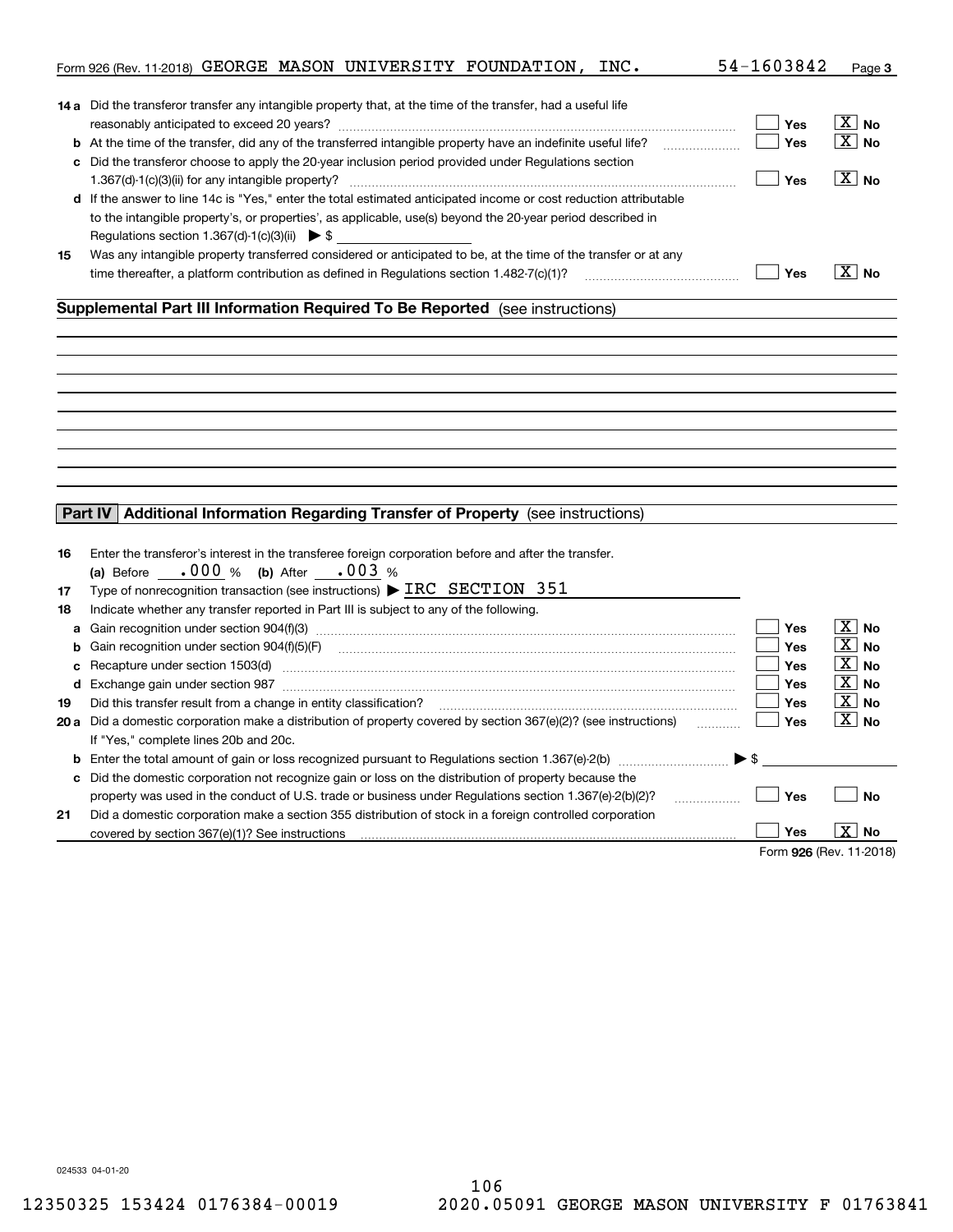|    | Form 926 (Rev. 11-2018) GEORGE MASON UNIVERSITY FOUNDATION, INC.                                                     | 54-1603842               | Page 3                |
|----|----------------------------------------------------------------------------------------------------------------------|--------------------------|-----------------------|
|    |                                                                                                                      |                          |                       |
|    | <b>14 a</b> Did the transferor transfer any intangible property that, at the time of the transfer, had a useful life |                          |                       |
|    |                                                                                                                      | Yes                      | $\boxed{\text{X}}$ No |
|    | <b>b</b> At the time of the transfer, did any of the transferred intangible property have an indefinite useful life? | Yes                      | $\boxed{\text{X}}$ No |
|    | c Did the transferor choose to apply the 20-year inclusion period provided under Regulations section                 |                          |                       |
|    |                                                                                                                      | Yes                      | $\sqrt{X}$ No         |
|    | d If the answer to line 14c is "Yes," enter the total estimated anticipated income or cost reduction attributable    |                          |                       |
|    | to the intangible property's, or properties', as applicable, use(s) beyond the 20-year period described in           |                          |                       |
|    | Regulations section 1.367(d)-1(c)(3)(ii) $\triangleright$ \$                                                         |                          |                       |
| 15 | Was any intangible property transferred considered or anticipated to be, at the time of the transfer or at any       |                          |                       |
|    |                                                                                                                      | Yes                      | $\boxed{\text{X}}$ No |
|    |                                                                                                                      |                          |                       |
|    | Supplemental Part III Information Required To Be Reported (see instructions)                                         |                          |                       |
|    |                                                                                                                      |                          |                       |
|    |                                                                                                                      |                          |                       |
|    |                                                                                                                      |                          |                       |
|    |                                                                                                                      |                          |                       |
|    |                                                                                                                      |                          |                       |
|    |                                                                                                                      |                          |                       |
|    |                                                                                                                      |                          |                       |
|    |                                                                                                                      |                          |                       |
|    |                                                                                                                      |                          |                       |
|    |                                                                                                                      |                          |                       |
|    | Part IV Additional Information Regarding Transfer of Property (see instructions)                                     |                          |                       |
|    |                                                                                                                      |                          |                       |
| 16 | Enter the transferor's interest in the transferee foreign corporation before and after the transfer.                 |                          |                       |
|    | (a) Before $.000 %$ (b) After $.003 %$                                                                               |                          |                       |
| 17 | Type of nonrecognition transaction (see instructions) $\triangleright$ IRC SECTION 351                               |                          |                       |
| 18 | Indicate whether any transfer reported in Part III is subject to any of the following.                               |                          |                       |
| a  |                                                                                                                      | Yes                      | $\boxed{\text{X}}$ No |
| b  |                                                                                                                      | <b>Yes</b>               | $\boxed{\text{X}}$ No |
|    |                                                                                                                      | <b>Yes</b>               | $\boxed{\text{X}}$ No |
| с  | Recapture under section 1503(d) encontractional contraction of the section of the section of the section 1503(d)     | <b>Yes</b>               | $\boxed{\text{X}}$ No |
|    |                                                                                                                      | Yes                      | $\boxed{\text{X}}$ No |
| 19 | Did this transfer result from a change in entity classification?                                                     |                          | $\boxed{\text{X}}$ No |
|    | 20 a Did a domestic corporation make a distribution of property covered by section 367(e)(2)? (see instructions)     | Yes                      |                       |
|    | If "Yes," complete lines 20b and 20c.                                                                                |                          |                       |
|    |                                                                                                                      | $\blacktriangleright$ \$ |                       |
|    | c Did the domestic corporation not recognize gain or loss on the distribution of property because the                |                          |                       |
|    | property was used in the conduct of U.S. trade or business under Regulations section 1.367(e)-2(b)(2)?<br>.          | Yes                      | <b>No</b>             |
| 21 | Did a domestic corporation make a section 355 distribution of stock in a foreign controlled corporation              |                          |                       |
|    | covered by section 367(e)(1)? See instructions                                                                       | Yes                      | $\boxed{\text{X}}$ No |
|    |                                                                                                                      | Form 926 (Rev. 11-2018)  |                       |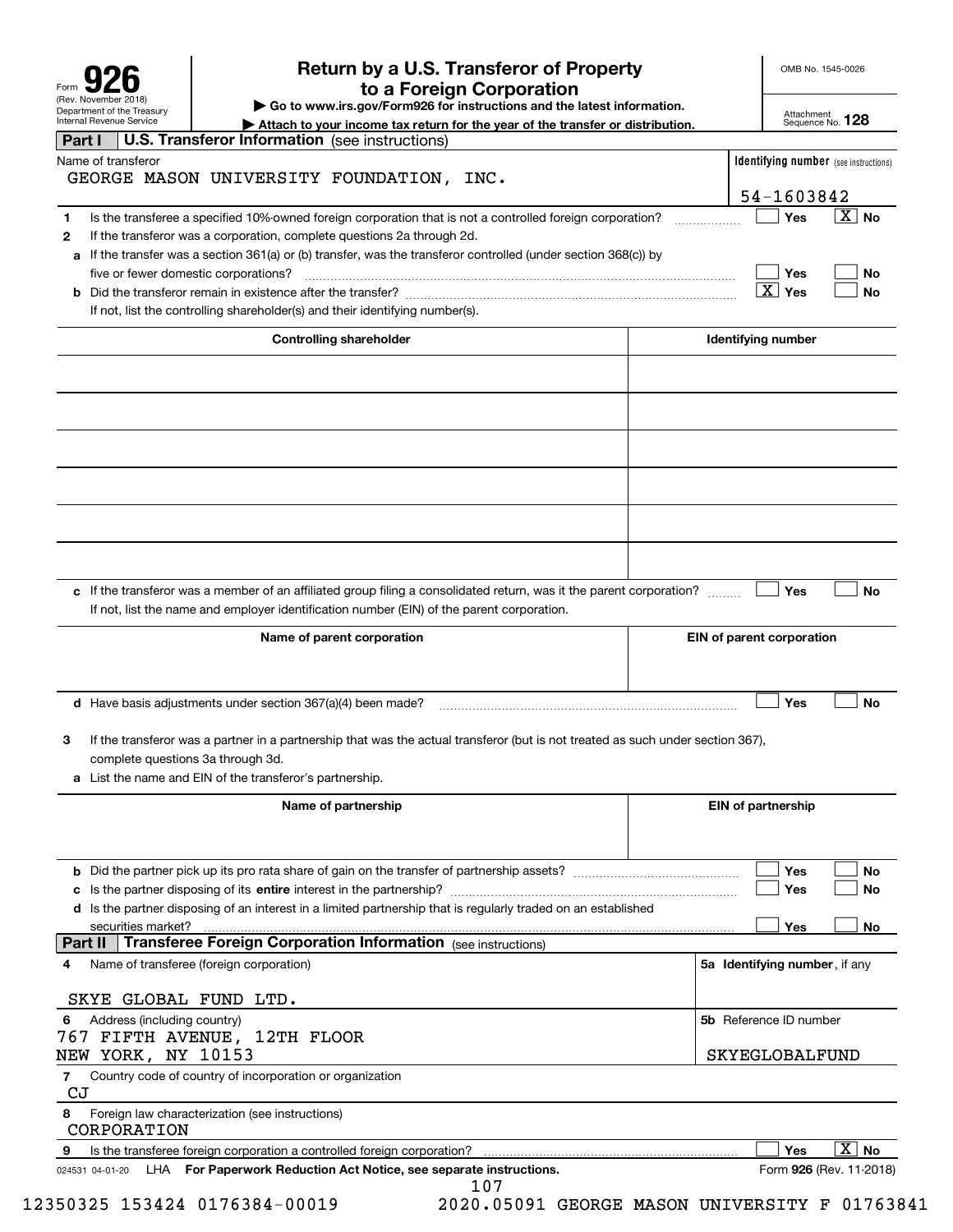| Form                                                   |
|--------------------------------------------------------|
| (Rev. November 2018)                                   |
| Department of the Treasury<br>Internal Revenue Service |

# **Return by a U.S. Transferor of Property 926 to a Foreign Corporation**

OMB No. 1545-0026

**| Go to www.irs.gov/Form926 for instructions and the latest information.**

Attachment Sequence No. **128**

| Internal Hevenue Service<br>Attach to your income tax return for the year of the transfer or distribution.                           | Sequence No. 120                             |
|--------------------------------------------------------------------------------------------------------------------------------------|----------------------------------------------|
| <b>U.S. Transferor Information</b> (see instructions)<br>Part I                                                                      |                                              |
| Name of transferor                                                                                                                   | <b>Identifying number</b> (see instructions) |
| GEORGE MASON UNIVERSITY FOUNDATION, INC.                                                                                             |                                              |
|                                                                                                                                      | 54-1603842                                   |
| Is the transferee a specified 10%-owned foreign corporation that is not a controlled foreign corporation?<br>1                       | $\mathbf{X}$<br>Yes<br>No                    |
| If the transferor was a corporation, complete questions 2a through 2d.<br>$\mathbf{2}$                                               |                                              |
|                                                                                                                                      |                                              |
| If the transfer was a section 361(a) or (b) transfer, was the transferor controlled (under section 368(c)) by<br>а                   |                                              |
| five or fewer domestic corporations?                                                                                                 | No<br>Yes                                    |
|                                                                                                                                      | $\mathbf{X}$<br>Yes<br><b>No</b>             |
| If not, list the controlling shareholder(s) and their identifying number(s).                                                         |                                              |
| <b>Controlling shareholder</b>                                                                                                       | <b>Identifying number</b>                    |
|                                                                                                                                      |                                              |
|                                                                                                                                      |                                              |
|                                                                                                                                      |                                              |
|                                                                                                                                      |                                              |
|                                                                                                                                      |                                              |
|                                                                                                                                      |                                              |
|                                                                                                                                      |                                              |
|                                                                                                                                      |                                              |
|                                                                                                                                      |                                              |
|                                                                                                                                      |                                              |
|                                                                                                                                      |                                              |
|                                                                                                                                      |                                              |
|                                                                                                                                      |                                              |
| c If the transferor was a member of an affiliated group filing a consolidated return, was it the parent corporation?                 | <b>No</b><br>Yes                             |
| If not, list the name and employer identification number (EIN) of the parent corporation.                                            |                                              |
|                                                                                                                                      |                                              |
| Name of parent corporation                                                                                                           | EIN of parent corporation                    |
|                                                                                                                                      |                                              |
|                                                                                                                                      |                                              |
| <b>d</b> Have basis adjustments under section $367(a)(4)$ been made?                                                                 | <b>No</b><br>Yes                             |
|                                                                                                                                      |                                              |
| If the transferor was a partner in a partnership that was the actual transferor (but is not treated as such under section 367),<br>3 |                                              |
| complete questions 3a through 3d.                                                                                                    |                                              |
| a List the name and EIN of the transferor's partnership.                                                                             |                                              |
|                                                                                                                                      |                                              |
| Name of partnership                                                                                                                  | <b>EIN of partnership</b>                    |
|                                                                                                                                      |                                              |
|                                                                                                                                      |                                              |
|                                                                                                                                      | Yes<br><b>No</b>                             |
|                                                                                                                                      | Yes<br>No                                    |
| d Is the partner disposing of an interest in a limited partnership that is regularly traded on an established                        |                                              |
|                                                                                                                                      |                                              |
| securities market?<br><b>Transferee Foreign Corporation Information</b> (see instructions)<br>Part II                                | Yes<br>No                                    |
|                                                                                                                                      |                                              |
| Name of transferee (foreign corporation)<br>4                                                                                        | 5a Identifying number, if any                |
|                                                                                                                                      |                                              |
| SKYE GLOBAL FUND LTD.                                                                                                                |                                              |
| Address (including country)<br>6                                                                                                     | 5b Reference ID number                       |
| 767 FIFTH AVENUE, 12TH FLOOR                                                                                                         |                                              |
| NEW YORK, NY 10153                                                                                                                   | SKYEGLOBALFUND                               |
| Country code of country of incorporation or organization<br>7                                                                        |                                              |
| CJ                                                                                                                                   |                                              |
| Foreign law characterization (see instructions)<br>8                                                                                 |                                              |
| CORPORATION                                                                                                                          |                                              |
| 9<br>Is the transferee foreign corporation a controlled foreign corporation?                                                         | $\overline{\texttt{x}}$<br>Yes<br><b>No</b>  |
| LHA For Paperwork Reduction Act Notice, see separate instructions.<br>024531 04-01-20                                                | Form 926 (Rev. 11-2018)                      |
| 107                                                                                                                                  |                                              |

12350325 153424 0176384-00019 2020.05091 GEORGE MASON UNIVERSITY F 01763841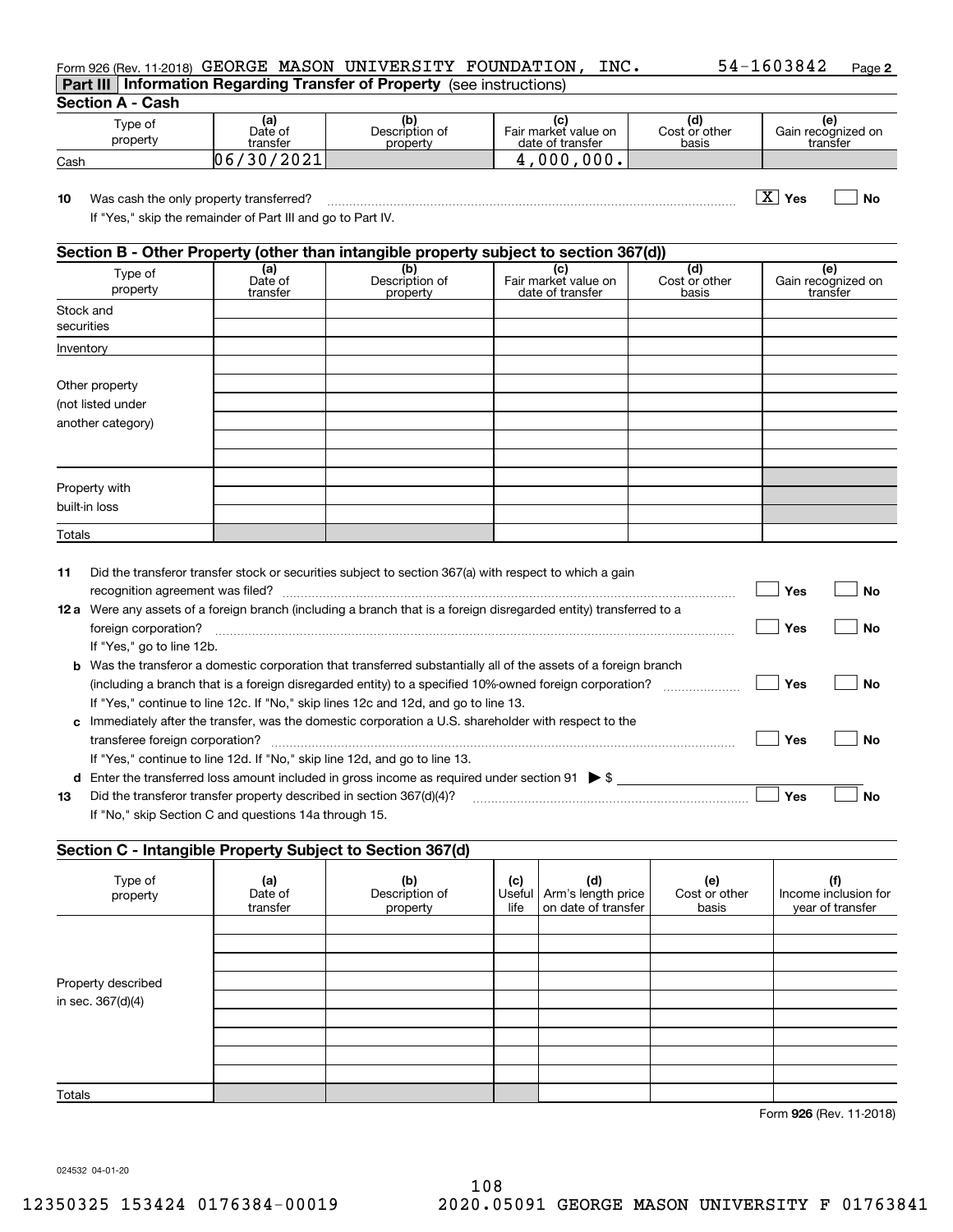| Form 926 (Rev. 11-2018) GEORGE MASON UNIVERSITY FOUNDATION,                   |  | INC. | 54-1603842 | Page 2 |
|-------------------------------------------------------------------------------|--|------|------------|--------|
| <b>Part III Information Regarding Transfer of Property</b> (see instructions) |  |      |            |        |

## **Section A - Cash**

| Type of<br>property | (a)<br>Date of<br>transfer | Description of<br>property | Fair market value on<br>date of transfer | ια<br>Cost or other<br>basis | Gain recognized on<br>transfer |
|---------------------|----------------------------|----------------------------|------------------------------------------|------------------------------|--------------------------------|
| Cash                | 12021<br>30<br><b>06</b>   |                            | nnn<br><b>900.</b>                       |                              |                                |

**10Yes No** Was cash the only property transferred? ~~~~~~~~~~~~~~~~~~~~~~~~~~~~~~~~~~~~~ X

If "Yes," skip the remainder of Part III and go to Part IV.

## **Section B - Other Property (other than intangible property subject to section 367(d))**

|                         | - -                        |                                   |                                                 | $\cdot$ $\cdot$               |                                |
|-------------------------|----------------------------|-----------------------------------|-------------------------------------------------|-------------------------------|--------------------------------|
| Type of<br>property     | (a)<br>Date of<br>transfer | (b)<br>Description of<br>property | (c)<br>Fair market value on<br>date of transfer | (d)<br>Cost or other<br>basis | Gain recognized on<br>transfer |
| Stock and<br>securities |                            |                                   |                                                 |                               |                                |
| Inventory               |                            |                                   |                                                 |                               |                                |
|                         |                            |                                   |                                                 |                               |                                |
| Other property          |                            |                                   |                                                 |                               |                                |
| (not listed under       |                            |                                   |                                                 |                               |                                |
| another category)       |                            |                                   |                                                 |                               |                                |
|                         |                            |                                   |                                                 |                               |                                |
|                         |                            |                                   |                                                 |                               |                                |
|                         |                            |                                   |                                                 |                               |                                |
| Property with           |                            |                                   |                                                 |                               |                                |
| built-in loss           |                            |                                   |                                                 |                               |                                |
| Totals                  |                            |                                   |                                                 |                               |                                |

| 11 | Did the transferor transfer stock or securities subject to section 367(a) with respect to which a gain                  |     |    |
|----|-------------------------------------------------------------------------------------------------------------------------|-----|----|
|    | recognition agreement was filed?                                                                                        | Yes | Nο |
|    | 12 a Were any assets of a foreign branch (including a branch that is a foreign disregarded entity) transferred to a     |     |    |
|    | foreign corporation?                                                                                                    | Yes | No |
|    | If "Yes," go to line 12b.                                                                                               |     |    |
|    | <b>b</b> Was the transferor a domestic corporation that transferred substantially all of the assets of a foreign branch |     |    |
|    | (including a branch that is a foreign disregarded entity) to a specified 10%-owned foreign corporation?                 | Yes | Nο |
|    | If "Yes," continue to line 12c. If "No," skip lines 12c and 12d, and go to line 13.                                     |     |    |
|    | c Immediately after the transfer, was the domestic corporation a U.S. shareholder with respect to the                   |     |    |
|    |                                                                                                                         | Yes | Nο |
|    | If "Yes," continue to line 12d. If "No," skip line 12d, and go to line 13.                                              |     |    |
|    | <b>d</b> Enter the transferred loss amount included in gross income as required under section 91 $\triangleright$ \$    |     |    |
| 13 | Did the transferor transfer property described in section 367(d)(4)?                                                    | Yes | Nο |
|    | If "No," skip Section C and questions 14a through 15.                                                                   |     |    |

## **Section C - Intangible Property Subject to Section 367(d)**

| $\tilde{\phantom{a}}$ | . .                        | $\cdots$                          |             |                                                           |                               |                                                 |
|-----------------------|----------------------------|-----------------------------------|-------------|-----------------------------------------------------------|-------------------------------|-------------------------------------------------|
| Type of<br>property   | (a)<br>Date of<br>transfer | (b)<br>Description of<br>property | (c)<br>life | (d)<br>Useful   Arm's length price<br>on date of transfer | (e)<br>Cost or other<br>basis | (f)<br>Income inclusion for<br>year of transfer |
|                       |                            |                                   |             |                                                           |                               |                                                 |
|                       |                            |                                   |             |                                                           |                               |                                                 |
|                       |                            |                                   |             |                                                           |                               |                                                 |
| Property described    |                            |                                   |             |                                                           |                               |                                                 |
| in sec. 367(d)(4)     |                            |                                   |             |                                                           |                               |                                                 |
|                       |                            |                                   |             |                                                           |                               |                                                 |
|                       |                            |                                   |             |                                                           |                               |                                                 |
|                       |                            |                                   |             |                                                           |                               |                                                 |
|                       |                            |                                   |             |                                                           |                               |                                                 |
| Totals                |                            |                                   |             |                                                           |                               |                                                 |

**926**Form (Rev. 11-2018)

024532 04-01-20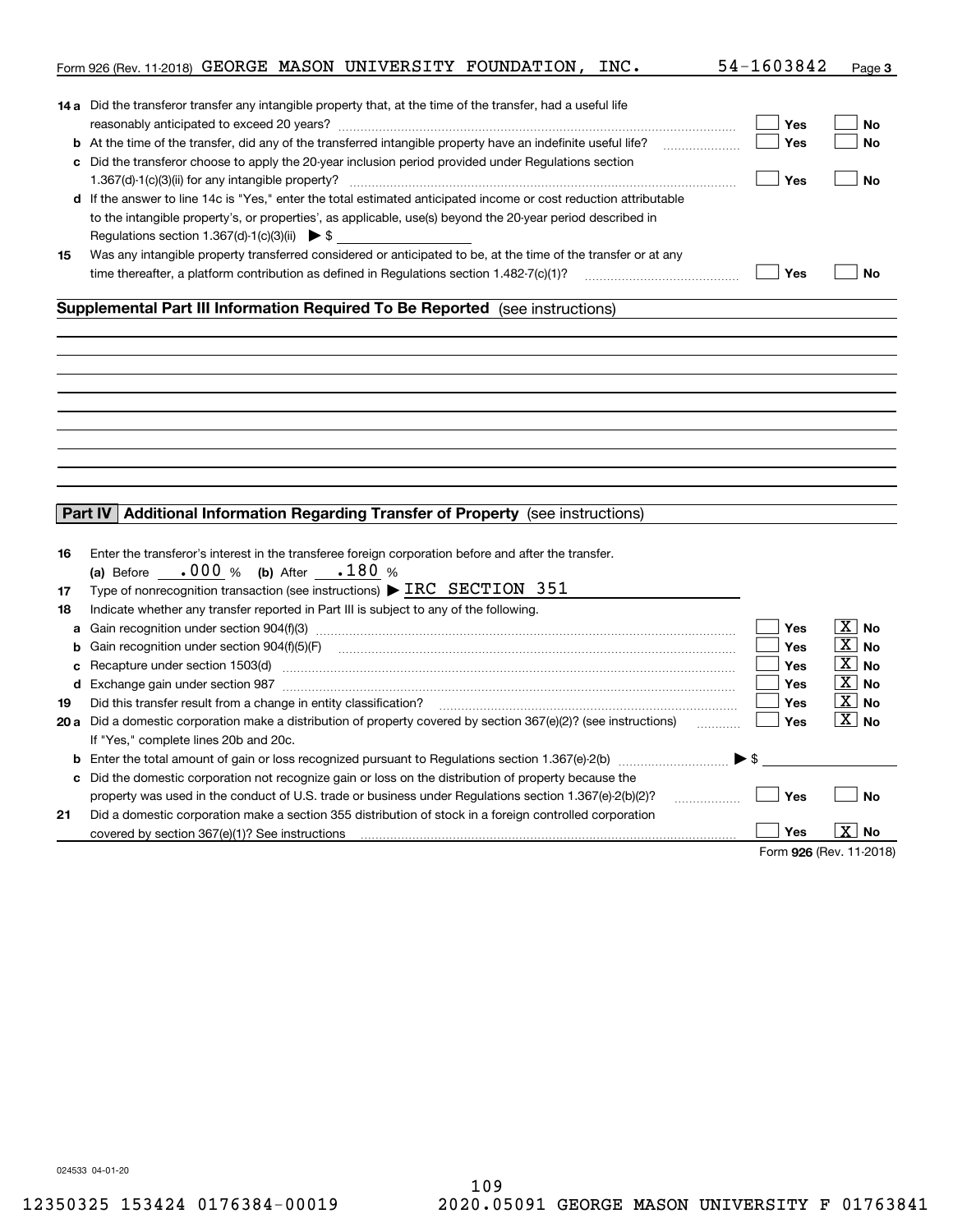|    | Form 926 (Rev. 11-2018) GEORGE MASON UNIVERSITY FOUNDATION, INC.                                                                                          | 54-1603842               | Page 3                |
|----|-----------------------------------------------------------------------------------------------------------------------------------------------------------|--------------------------|-----------------------|
|    |                                                                                                                                                           |                          |                       |
|    | 14 a Did the transferor transfer any intangible property that, at the time of the transfer, had a useful life                                             |                          |                       |
|    |                                                                                                                                                           | Yes                      | No                    |
|    |                                                                                                                                                           | Yes                      | <b>No</b>             |
|    | c Did the transferor choose to apply the 20-year inclusion period provided under Regulations section                                                      |                          |                       |
|    |                                                                                                                                                           | Yes                      | <b>No</b>             |
|    | d If the answer to line 14c is "Yes," enter the total estimated anticipated income or cost reduction attributable                                         |                          |                       |
|    | to the intangible property's, or properties', as applicable, use(s) beyond the 20-year period described in                                                |                          |                       |
|    | Regulations section 1.367(d)-1(c)(3)(ii) $\triangleright$ \$                                                                                              |                          |                       |
| 15 | Was any intangible property transferred considered or anticipated to be, at the time of the transfer or at any                                            |                          |                       |
|    | time thereafter, a platform contribution as defined in Regulations section 1.482-7(c)(1)?                                                                 | Yes                      | <b>No</b>             |
|    | Supplemental Part III Information Required To Be Reported (see instructions)                                                                              |                          |                       |
|    |                                                                                                                                                           |                          |                       |
|    |                                                                                                                                                           |                          |                       |
|    |                                                                                                                                                           |                          |                       |
|    |                                                                                                                                                           |                          |                       |
|    |                                                                                                                                                           |                          |                       |
|    |                                                                                                                                                           |                          |                       |
|    |                                                                                                                                                           |                          |                       |
|    |                                                                                                                                                           |                          |                       |
|    |                                                                                                                                                           |                          |                       |
|    | Part IV Additional Information Regarding Transfer of Property (see instructions)                                                                          |                          |                       |
|    |                                                                                                                                                           |                          |                       |
| 16 | Enter the transferor's interest in the transferee foreign corporation before and after the transfer.                                                      |                          |                       |
|    | (a) Before $.000 %$ (b) After $.180 %$                                                                                                                    |                          |                       |
| 17 | Type of nonrecognition transaction (see instructions) $\triangleright$ IRC SECTION 351                                                                    |                          |                       |
| 18 | Indicate whether any transfer reported in Part III is subject to any of the following.                                                                    |                          |                       |
| a  | Gain recognition under section 904(f)(3) material contracts controlled and recognition under section 904(f)(3)                                            | Yes                      | $\boxed{\text{X}}$ No |
| b  |                                                                                                                                                           | <b>Yes</b>               | $\boxed{\text{X}}$ No |
| c  | Recapture under section 1503(d) encontractional contraction and all the section of the section 1503(d)                                                    | <b>Yes</b>               | $ X $ No              |
|    |                                                                                                                                                           | <b>Yes</b>               | $\boxed{\text{X}}$ No |
| 19 | Did this transfer result from a change in entity classification?                                                                                          | <b>Yes</b>               | $\boxed{\text{X}}$ No |
|    | 20 a Did a domestic corporation make a distribution of property covered by section 367(e)(2)? (see instructions)                                          | Yes                      | $\boxed{\text{X}}$ No |
|    | If "Yes," complete lines 20b and 20c.                                                                                                                     |                          |                       |
|    |                                                                                                                                                           | $\blacktriangleright$ \$ |                       |
|    | c Did the domestic corporation not recognize gain or loss on the distribution of property because the                                                     |                          |                       |
|    |                                                                                                                                                           | Yes                      | <b>No</b>             |
|    | property was used in the conduct of U.S. trade or business under Regulations section 1.367(e)-2(b)(2)?<br>.                                               |                          |                       |
| 21 | Did a domestic corporation make a section 355 distribution of stock in a foreign controlled corporation<br>covered by section 367(e)(1)? See instructions | Yes                      | X  <br>No             |
|    |                                                                                                                                                           | Form 926 (Rev. 11-2018)  |                       |
|    |                                                                                                                                                           |                          |                       |

024533 04-01-20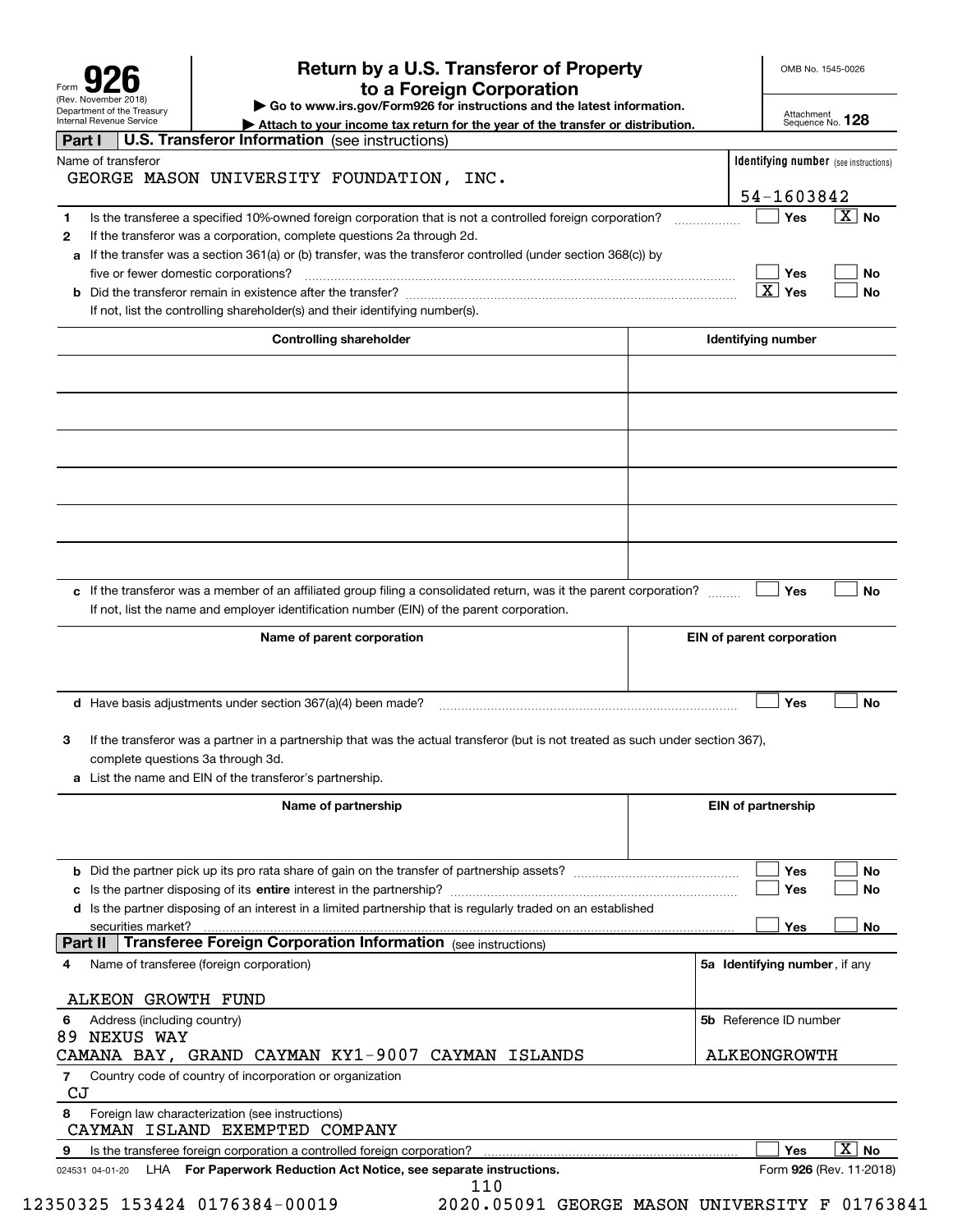| Form                                                   |
|--------------------------------------------------------|
| (Rev. November 2018)                                   |
| Department of the Treasury<br>Internal Revenue Service |

# **Return by a U.S. Transferor of Property 926 to a Foreign Corporation**

OMB No. 1545-0026

**| Go to www.irs.gov/Form926 for instructions and the latest information.**

Attachment Sequence No. **128**

|         | Department or the Treasury<br><b>Internal Revenue Service</b> |                                             |                                                                                   |                                                                                           | Attach to your income tax return for the year of the transfer or distribution.                                                                                                                                               |                               | Attachment<br>Sequence No. 128       |                                              |
|---------|---------------------------------------------------------------|---------------------------------------------|-----------------------------------------------------------------------------------|-------------------------------------------------------------------------------------------|------------------------------------------------------------------------------------------------------------------------------------------------------------------------------------------------------------------------------|-------------------------------|--------------------------------------|----------------------------------------------|
| Part I  |                                                               |                                             |                                                                                   | U.S. Transferor Information (see instructions)                                            |                                                                                                                                                                                                                              |                               |                                      |                                              |
|         | Name of transferor                                            |                                             |                                                                                   | GEORGE MASON UNIVERSITY FOUNDATION, INC.                                                  |                                                                                                                                                                                                                              |                               |                                      | <b>Identifying number</b> (see instructions) |
|         |                                                               |                                             |                                                                                   | 54-1603842                                                                                |                                                                                                                                                                                                                              |                               |                                      |                                              |
| 1<br>2  |                                                               |                                             | five or fewer domestic corporations?                                              | If the transferor was a corporation, complete questions 2a through 2d.                    | Is the transferee a specified 10%-owned foreign corporation that is not a controlled foreign corporation?<br>a If the transfer was a section 361(a) or (b) transfer, was the transferor controlled (under section 368(c)) by |                               | Yes<br>Yes<br>$\boxed{\text{X}}$ Yes | $\boxed{\text{X}}$ No<br>No<br><b>No</b>     |
|         |                                                               |                                             |                                                                                   | If not, list the controlling shareholder(s) and their identifying number(s).              |                                                                                                                                                                                                                              |                               |                                      |                                              |
|         |                                                               |                                             |                                                                                   | <b>Controlling shareholder</b>                                                            |                                                                                                                                                                                                                              | Identifying number            |                                      |                                              |
|         |                                                               |                                             |                                                                                   |                                                                                           |                                                                                                                                                                                                                              |                               |                                      |                                              |
|         |                                                               |                                             |                                                                                   |                                                                                           |                                                                                                                                                                                                                              |                               |                                      |                                              |
|         |                                                               |                                             |                                                                                   |                                                                                           |                                                                                                                                                                                                                              |                               |                                      |                                              |
|         |                                                               |                                             |                                                                                   |                                                                                           |                                                                                                                                                                                                                              |                               |                                      |                                              |
|         |                                                               |                                             |                                                                                   |                                                                                           |                                                                                                                                                                                                                              |                               |                                      |                                              |
|         |                                                               |                                             |                                                                                   |                                                                                           |                                                                                                                                                                                                                              |                               |                                      |                                              |
|         |                                                               |                                             |                                                                                   |                                                                                           |                                                                                                                                                                                                                              |                               |                                      |                                              |
|         |                                                               |                                             |                                                                                   | If not, list the name and employer identification number (EIN) of the parent corporation. | c If the transferor was a member of an affiliated group filing a consolidated return, was it the parent corporation?                                                                                                         |                               | Yes                                  | <b>No</b>                                    |
|         |                                                               |                                             |                                                                                   | Name of parent corporation                                                                |                                                                                                                                                                                                                              | EIN of parent corporation     |                                      |                                              |
|         |                                                               |                                             | <b>d</b> Have basis adjustments under section $367(a)(4)$ been made?              |                                                                                           |                                                                                                                                                                                                                              |                               | Yes                                  | <b>No</b>                                    |
| 3       |                                                               |                                             | complete questions 3a through 3d.                                                 |                                                                                           | If the transferor was a partner in a partnership that was the actual transferor (but is not treated as such under section 367),                                                                                              |                               |                                      |                                              |
|         |                                                               |                                             | a List the name and EIN of the transferor's partnership.                          |                                                                                           |                                                                                                                                                                                                                              |                               |                                      |                                              |
|         |                                                               |                                             |                                                                                   | Name of partnership                                                                       |                                                                                                                                                                                                                              | <b>EIN of partnership</b>     |                                      |                                              |
|         |                                                               |                                             |                                                                                   |                                                                                           |                                                                                                                                                                                                                              |                               | Yes                                  | No                                           |
|         |                                                               |                                             |                                                                                   |                                                                                           | d Is the partner disposing of an interest in a limited partnership that is regularly traded on an established                                                                                                                |                               | Yes                                  | No                                           |
| Part II |                                                               | securities market?                          |                                                                                   |                                                                                           |                                                                                                                                                                                                                              |                               | Yes                                  | No                                           |
| 4       |                                                               |                                             | Name of transferee (foreign corporation)                                          |                                                                                           |                                                                                                                                                                                                                              | 5a Identifying number, if any |                                      |                                              |
|         |                                                               |                                             | ALKEON GROWTH FUND                                                                |                                                                                           |                                                                                                                                                                                                                              |                               |                                      |                                              |
| 6       |                                                               | Address (including country)<br>89 NEXUS WAY |                                                                                   |                                                                                           |                                                                                                                                                                                                                              | 5b Reference ID number        |                                      |                                              |
|         |                                                               |                                             |                                                                                   |                                                                                           | CAMANA BAY, GRAND CAYMAN KY1-9007 CAYMAN ISLANDS                                                                                                                                                                             | <b>ALKEONGROWTH</b>           |                                      |                                              |
| 7<br>CJ |                                                               |                                             | Country code of country of incorporation or organization                          |                                                                                           |                                                                                                                                                                                                                              |                               |                                      |                                              |
| 8       |                                                               |                                             | Foreign law characterization (see instructions)<br>CAYMAN ISLAND EXEMPTED COMPANY |                                                                                           |                                                                                                                                                                                                                              |                               |                                      |                                              |
| 9       |                                                               |                                             |                                                                                   | Is the transferee foreign corporation a controlled foreign corporation?                   |                                                                                                                                                                                                                              |                               | Yes                                  | $\overline{X}$ No                            |
|         | 024531 04-01-20                                               |                                             |                                                                                   | LHA For Paperwork Reduction Act Notice, see separate instructions.                        | 110                                                                                                                                                                                                                          |                               |                                      | Form 926 (Rev. 11-2018)                      |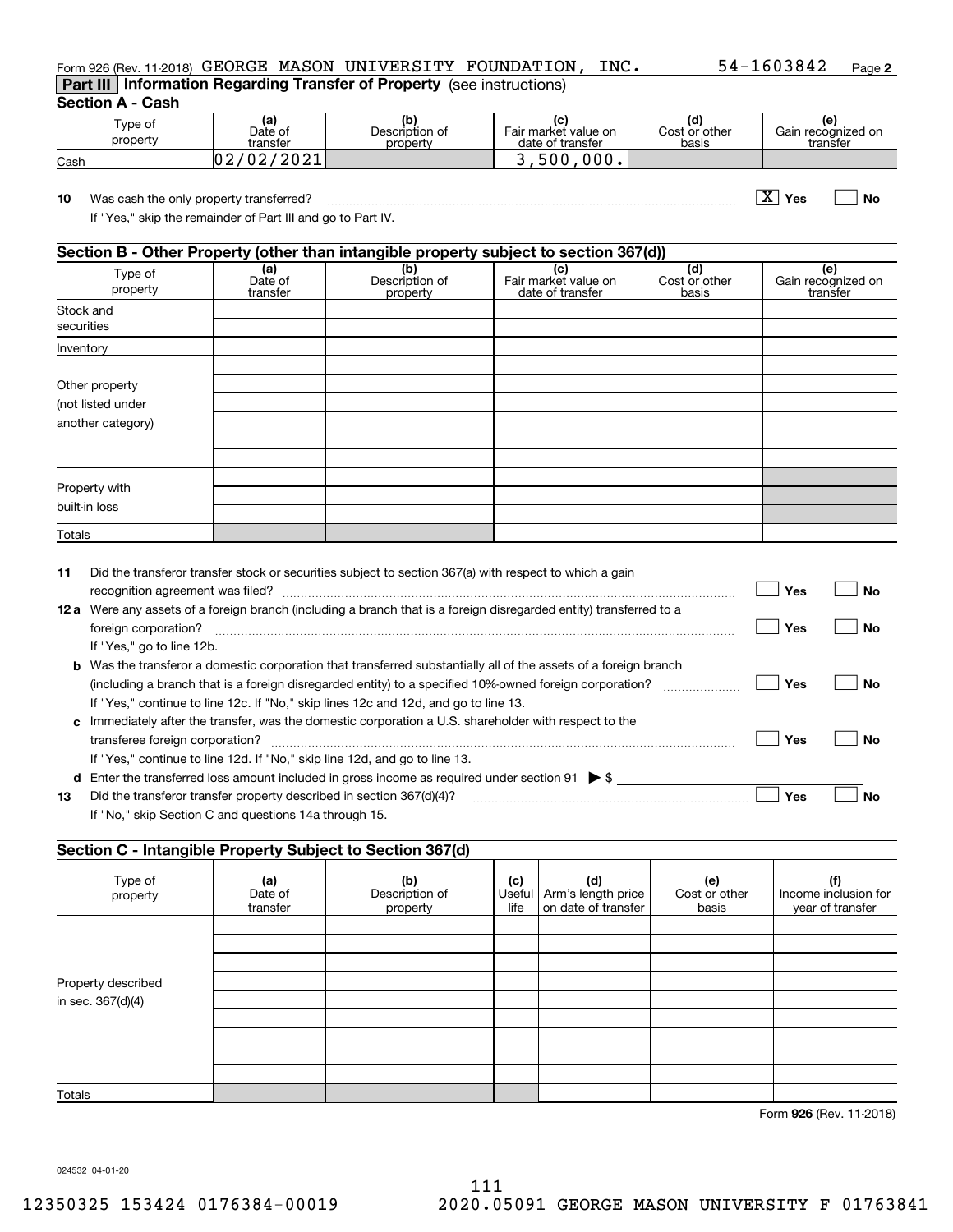| Form 926 (Rev. 11-2018) GEORGE MASON UNIVERSITY FOUNDATION,                   |  | INC. | 54-1603842 | Page 2 |
|-------------------------------------------------------------------------------|--|------|------------|--------|
| <b>Part III Information Regarding Transfer of Property</b> (see instructions) |  |      |            |        |

**Section A - Cash**

| Type of<br>property | (a)<br>Date of<br>transfer | Description of<br>property | Fair market value on<br>date of transfer | Cost or other<br>basis | ١e<br>Gain recognized on<br>transfer |
|---------------------|----------------------------|----------------------------|------------------------------------------|------------------------|--------------------------------------|
| Cash                | 12021<br>02<br>ັບ ພ        |                            | <b>000.</b><br>500                       |                        |                                      |

**10Yes No** Was cash the only property transferred? ~~~~~~~~~~~~~~~~~~~~~~~~~~~~~~~~~~~~~ X

If "Yes," skip the remainder of Part III and go to Part IV.

## **Section B - Other Property (other than intangible property subject to section 367(d))**

|                         |                            |                                   |                                                 | .                             |                                       |
|-------------------------|----------------------------|-----------------------------------|-------------------------------------------------|-------------------------------|---------------------------------------|
| Type of<br>property     | (a)<br>Date of<br>transfer | (b)<br>Description of<br>property | (c)<br>Fair market value on<br>date of transfer | (d)<br>Cost or other<br>basis | (e)<br>Gain recognized on<br>transfer |
| Stock and<br>securities |                            |                                   |                                                 |                               |                                       |
| Inventory               |                            |                                   |                                                 |                               |                                       |
|                         |                            |                                   |                                                 |                               |                                       |
| Other property          |                            |                                   |                                                 |                               |                                       |
| (not listed under       |                            |                                   |                                                 |                               |                                       |
| another category)       |                            |                                   |                                                 |                               |                                       |
|                         |                            |                                   |                                                 |                               |                                       |
|                         |                            |                                   |                                                 |                               |                                       |
|                         |                            |                                   |                                                 |                               |                                       |
| Property with           |                            |                                   |                                                 |                               |                                       |
| built-in loss           |                            |                                   |                                                 |                               |                                       |
| Totals                  |                            |                                   |                                                 |                               |                                       |

| 11   | Did the transferor transfer stock or securities subject to section 367(a) with respect to which a gain         |     |    |
|------|----------------------------------------------------------------------------------------------------------------|-----|----|
|      | recognition agreement was filed?                                                                               | Yes | Nο |
| 12 a | Were any assets of a foreign branch (including a branch that is a foreign disregarded entity) transferred to a |     |    |
|      | foreign corporation?                                                                                           | Yes | Nο |
|      | If "Yes," go to line 12b.                                                                                      |     |    |
| b    | Was the transferor a domestic corporation that transferred substantially all of the assets of a foreign branch |     |    |
|      | (including a branch that is a foreign disregarded entity) to a specified 10%-owned foreign corporation?        | Yes | Nο |
|      | If "Yes," continue to line 12c. If "No," skip lines 12c and 12d, and go to line 13.                            |     |    |
| C    | Immediately after the transfer, was the domestic corporation a U.S. shareholder with respect to the            |     |    |
|      | transferee foreign corporation?                                                                                | Yes | Nο |
|      | If "Yes," continue to line 12d. If "No," skip line 12d, and go to line 13.                                     |     |    |
| d    | Enter the transferred loss amount included in gross income as required under section 91 $\triangleright$ \$    |     |    |
| 13   | Did the transferor transfer property described in section 367(d)(4)?                                           | Yes | Nο |
|      | If "No." skip Section C and questions 14a through 15.                                                          |     |    |

## **Section C - Intangible Property Subject to Section 367(d)**

| Type of<br>property | (a)<br>Date of<br>transfer | (b)<br>Description of<br>property | (c)<br>life | (d)<br>Useful   Arm's length price<br>on date of transfer | (e)<br>Cost or other<br>basis | (f)<br>Income inclusion for<br>year of transfer |
|---------------------|----------------------------|-----------------------------------|-------------|-----------------------------------------------------------|-------------------------------|-------------------------------------------------|
|                     |                            |                                   |             |                                                           |                               |                                                 |
|                     |                            |                                   |             |                                                           |                               |                                                 |
|                     |                            |                                   |             |                                                           |                               |                                                 |
| Property described  |                            |                                   |             |                                                           |                               |                                                 |
| in sec. 367(d)(4)   |                            |                                   |             |                                                           |                               |                                                 |
|                     |                            |                                   |             |                                                           |                               |                                                 |
|                     |                            |                                   |             |                                                           |                               |                                                 |
|                     |                            |                                   |             |                                                           |                               |                                                 |
|                     |                            |                                   |             |                                                           |                               |                                                 |
| Totals              |                            |                                   |             |                                                           |                               |                                                 |

**926**Form (Rev. 11-2018)

024532 04-01-20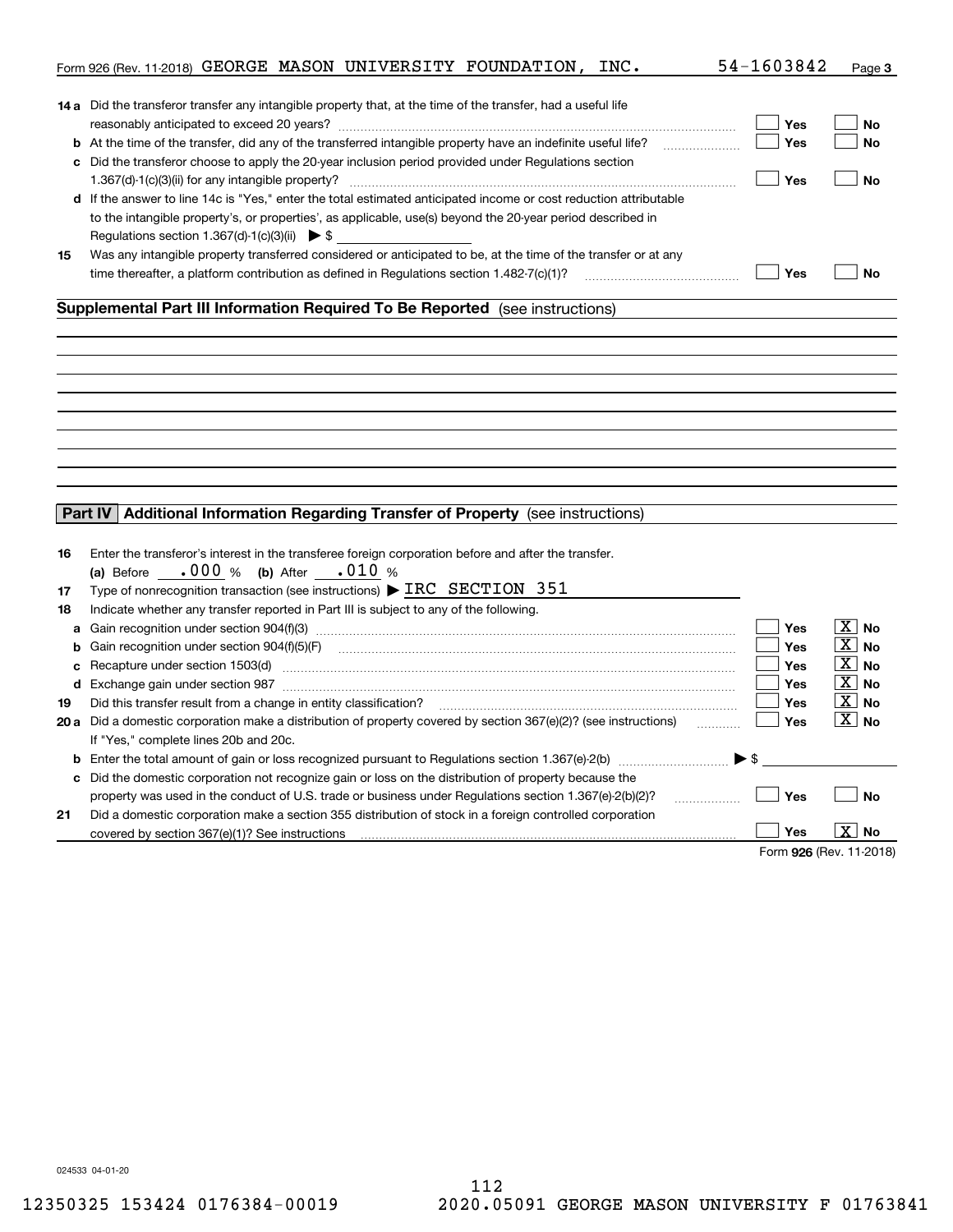|    | Form 926 (Rev. 11-2018) GEORGE MASON UNIVERSITY FOUNDATION, INC.                                                     | 54-1603842               | Page 3                |
|----|----------------------------------------------------------------------------------------------------------------------|--------------------------|-----------------------|
|    |                                                                                                                      |                          |                       |
|    | 14 a Did the transferor transfer any intangible property that, at the time of the transfer, had a useful life        |                          |                       |
|    |                                                                                                                      | Yes                      | <b>No</b>             |
|    | <b>b</b> At the time of the transfer, did any of the transferred intangible property have an indefinite useful life? | Yes                      | <b>No</b>             |
|    | c Did the transferor choose to apply the 20-year inclusion period provided under Regulations section                 |                          |                       |
|    |                                                                                                                      | Yes                      | <b>No</b>             |
|    | d If the answer to line 14c is "Yes," enter the total estimated anticipated income or cost reduction attributable    |                          |                       |
|    | to the intangible property's, or properties', as applicable, use(s) beyond the 20-year period described in           |                          |                       |
|    | Regulations section 1.367(d)-1(c)(3)(ii) $\triangleright$ \$                                                         |                          |                       |
| 15 | Was any intangible property transferred considered or anticipated to be, at the time of the transfer or at any       |                          |                       |
|    | time thereafter, a platform contribution as defined in Regulations section $1.482 \cdot 7(c)(1)$ ?                   | Yes                      | <b>No</b>             |
|    | Supplemental Part III Information Required To Be Reported (see instructions)                                         |                          |                       |
|    |                                                                                                                      |                          |                       |
|    |                                                                                                                      |                          |                       |
|    |                                                                                                                      |                          |                       |
|    |                                                                                                                      |                          |                       |
|    |                                                                                                                      |                          |                       |
|    |                                                                                                                      |                          |                       |
|    |                                                                                                                      |                          |                       |
|    |                                                                                                                      |                          |                       |
|    |                                                                                                                      |                          |                       |
|    |                                                                                                                      |                          |                       |
|    | Part IV   Additional Information Regarding Transfer of Property (see instructions)                                   |                          |                       |
|    |                                                                                                                      |                          |                       |
| 16 | Enter the transferor's interest in the transferee foreign corporation before and after the transfer.                 |                          |                       |
|    | (a) Before $.000 %$ (b) After $.010 %$                                                                               |                          |                       |
| 17 | Type of nonrecognition transaction (see instructions) $\triangleright$ IRC SECTION 351                               |                          |                       |
| 18 | Indicate whether any transfer reported in Part III is subject to any of the following.                               |                          |                       |
| a  |                                                                                                                      | Yes                      | $\overline{X}$ No     |
| b  |                                                                                                                      | <b>Yes</b>               | $\boxed{\text{X}}$ No |
| c  |                                                                                                                      | <b>Yes</b>               | $\boxed{\text{X}}$ No |
|    |                                                                                                                      | Yes                      | $\boxed{\text{X}}$ No |
| 19 | Did this transfer result from a change in entity classification?                                                     | <b>Yes</b>               | $\boxed{\text{X}}$ No |
|    | 20 a Did a domestic corporation make a distribution of property covered by section 367(e)(2)? (see instructions)     | Yes                      | $\boxed{\text{X}}$ No |
|    | If "Yes," complete lines 20b and 20c.                                                                                |                          |                       |
|    |                                                                                                                      | $\blacktriangleright$ \$ |                       |
|    | c Did the domestic corporation not recognize gain or loss on the distribution of property because the                |                          |                       |
|    | property was used in the conduct of U.S. trade or business under Regulations section 1.367(e)-2(b)(2)?<br>.          | Yes                      | No                    |
| 21 | Did a domestic corporation make a section 355 distribution of stock in a foreign controlled corporation              |                          |                       |
|    | covered by section 367(e)(1)? See instructions                                                                       | Yes                      | X  <br>No             |
|    |                                                                                                                      | Form 926 (Rev. 11-2018)  |                       |
|    |                                                                                                                      |                          |                       |

024533 04-01-20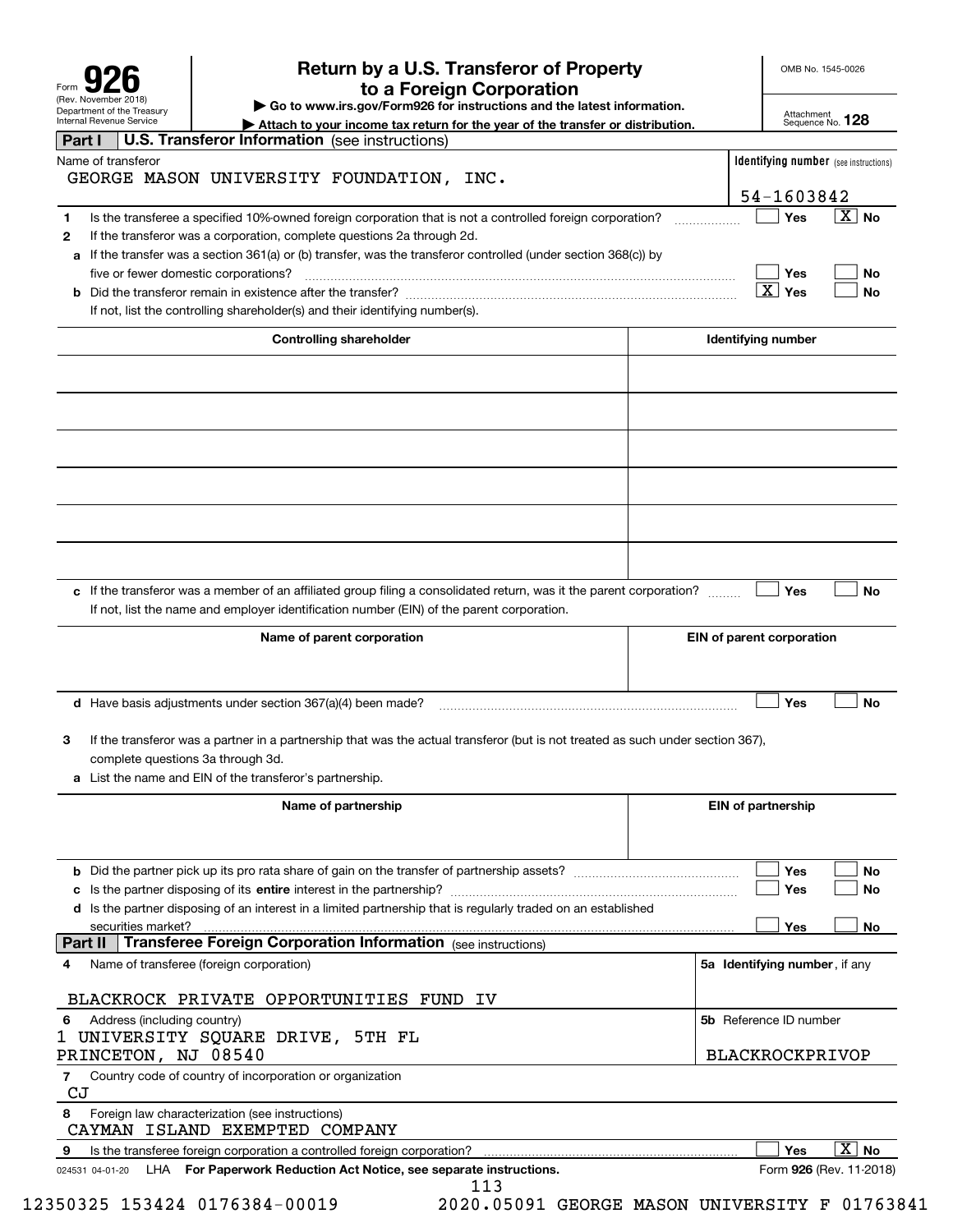| Form                                                   |
|--------------------------------------------------------|
| (Rev. November 2018)                                   |
| Department of the Treasury<br>Internal Revenue Service |

# **Return by a U.S. Transferor of Property 926 to a Foreign Corporation**

OMB No. 1545-0026

**| Go to www.irs.gov/Form926 for instructions and the latest information.**

Attachment Sequence No. **128**

|         | Department or the Treasury<br><b>Internal Revenue Service</b> |                             |                                                                                                                                                                                                                   |                                |  |  |  |     |  | Attach to your income tax return for the year of the transfer or distribution. |                           |                                              | Attachment<br>Sequence No. 128 |                       |           |
|---------|---------------------------------------------------------------|-----------------------------|-------------------------------------------------------------------------------------------------------------------------------------------------------------------------------------------------------------------|--------------------------------|--|--|--|-----|--|--------------------------------------------------------------------------------|---------------------------|----------------------------------------------|--------------------------------|-----------------------|-----------|
| Part I  |                                                               |                             | U.S. Transferor Information (see instructions)                                                                                                                                                                    |                                |  |  |  |     |  |                                                                                |                           |                                              |                                |                       |           |
|         | Name of transferor                                            |                             | GEORGE MASON UNIVERSITY FOUNDATION, INC.                                                                                                                                                                          |                                |  |  |  |     |  |                                                                                |                           | <b>Identifying number</b> (see instructions) |                                |                       |           |
|         |                                                               |                             |                                                                                                                                                                                                                   |                                |  |  |  |     |  |                                                                                |                           | 54-1603842                                   |                                |                       |           |
| 1<br>2  |                                                               |                             | Is the transferee a specified 10%-owned foreign corporation that is not a controlled foreign corporation?<br>If the transferor was a corporation, complete questions 2a through 2d.                               |                                |  |  |  |     |  |                                                                                |                           | Yes                                          |                                | $\boxed{\text{X}}$ No |           |
|         |                                                               |                             | a If the transfer was a section 361(a) or (b) transfer, was the transferor controlled (under section 368(c)) by                                                                                                   |                                |  |  |  |     |  |                                                                                |                           |                                              |                                |                       |           |
|         |                                                               |                             | five or fewer domestic corporations?                                                                                                                                                                              |                                |  |  |  |     |  |                                                                                |                           | Yes                                          |                                |                       | No        |
|         |                                                               |                             |                                                                                                                                                                                                                   |                                |  |  |  |     |  |                                                                                |                           | $\boxed{\text{X}}$ Yes                       |                                |                       | <b>No</b> |
|         |                                                               |                             | If not, list the controlling shareholder(s) and their identifying number(s).                                                                                                                                      |                                |  |  |  |     |  |                                                                                |                           |                                              |                                |                       |           |
|         |                                                               |                             |                                                                                                                                                                                                                   | <b>Controlling shareholder</b> |  |  |  |     |  |                                                                                |                           | Identifying number                           |                                |                       |           |
|         |                                                               |                             |                                                                                                                                                                                                                   |                                |  |  |  |     |  |                                                                                |                           |                                              |                                |                       |           |
|         |                                                               |                             |                                                                                                                                                                                                                   |                                |  |  |  |     |  |                                                                                |                           |                                              |                                |                       |           |
|         |                                                               |                             |                                                                                                                                                                                                                   |                                |  |  |  |     |  |                                                                                |                           |                                              |                                |                       |           |
|         |                                                               |                             |                                                                                                                                                                                                                   |                                |  |  |  |     |  |                                                                                |                           |                                              |                                |                       |           |
|         |                                                               |                             |                                                                                                                                                                                                                   |                                |  |  |  |     |  |                                                                                |                           |                                              |                                |                       |           |
|         |                                                               |                             |                                                                                                                                                                                                                   |                                |  |  |  |     |  |                                                                                |                           |                                              |                                |                       |           |
|         |                                                               |                             |                                                                                                                                                                                                                   |                                |  |  |  |     |  |                                                                                |                           |                                              |                                |                       |           |
|         |                                                               |                             | c If the transferor was a member of an affiliated group filing a consolidated return, was it the parent corporation?<br>If not, list the name and employer identification number (EIN) of the parent corporation. |                                |  |  |  |     |  |                                                                                |                           | Yes                                          |                                |                       | <b>No</b> |
|         |                                                               |                             |                                                                                                                                                                                                                   | Name of parent corporation     |  |  |  |     |  |                                                                                | EIN of parent corporation |                                              |                                |                       |           |
|         |                                                               |                             |                                                                                                                                                                                                                   |                                |  |  |  |     |  |                                                                                |                           |                                              |                                |                       |           |
|         |                                                               |                             | <b>d</b> Have basis adjustments under section $367(a)(4)$ been made?                                                                                                                                              |                                |  |  |  |     |  |                                                                                |                           | Yes                                          |                                |                       | <b>No</b> |
| 3       |                                                               |                             | If the transferor was a partner in a partnership that was the actual transferor (but is not treated as such under section 367),<br>complete questions 3a through 3d.                                              |                                |  |  |  |     |  |                                                                                |                           |                                              |                                |                       |           |
|         |                                                               |                             | a List the name and EIN of the transferor's partnership.                                                                                                                                                          |                                |  |  |  |     |  |                                                                                |                           |                                              |                                |                       |           |
|         |                                                               |                             |                                                                                                                                                                                                                   |                                |  |  |  |     |  |                                                                                |                           |                                              |                                |                       |           |
|         |                                                               |                             |                                                                                                                                                                                                                   | Name of partnership            |  |  |  |     |  |                                                                                |                           | <b>EIN of partnership</b>                    |                                |                       |           |
|         |                                                               |                             |                                                                                                                                                                                                                   |                                |  |  |  |     |  |                                                                                |                           | Yes                                          |                                |                       | No        |
|         |                                                               |                             |                                                                                                                                                                                                                   |                                |  |  |  |     |  |                                                                                |                           | Yes                                          |                                |                       | No        |
|         |                                                               |                             | d Is the partner disposing of an interest in a limited partnership that is regularly traded on an established                                                                                                     |                                |  |  |  |     |  |                                                                                |                           | Yes                                          |                                |                       |           |
| Part II |                                                               | securities market?          | Transferee Foreign Corporation Information (see instructions)                                                                                                                                                     |                                |  |  |  |     |  |                                                                                |                           |                                              |                                |                       | No        |
| 4       |                                                               |                             | Name of transferee (foreign corporation)                                                                                                                                                                          |                                |  |  |  |     |  |                                                                                |                           | 5a Identifying number, if any                |                                |                       |           |
|         |                                                               |                             | BLACKROCK PRIVATE OPPORTUNITIES FUND IV                                                                                                                                                                           |                                |  |  |  |     |  |                                                                                |                           |                                              |                                |                       |           |
| 6       |                                                               | Address (including country) |                                                                                                                                                                                                                   |                                |  |  |  |     |  |                                                                                |                           | 5b Reference ID number                       |                                |                       |           |
|         |                                                               |                             | 1 UNIVERSITY SQUARE DRIVE, 5TH FL<br>PRINCETON, NJ 08540                                                                                                                                                          |                                |  |  |  |     |  |                                                                                |                           | BLACKROCKPRIVOP                              |                                |                       |           |
| 7<br>CJ |                                                               |                             | Country code of country of incorporation or organization                                                                                                                                                          |                                |  |  |  |     |  |                                                                                |                           |                                              |                                |                       |           |
| 8       |                                                               |                             | Foreign law characterization (see instructions)<br>CAYMAN ISLAND EXEMPTED COMPANY                                                                                                                                 |                                |  |  |  |     |  |                                                                                |                           |                                              |                                |                       |           |
| 9       |                                                               |                             | Is the transferee foreign corporation a controlled foreign corporation?                                                                                                                                           |                                |  |  |  |     |  |                                                                                |                           | Yes                                          |                                | $\overline{X}$ No     |           |
|         | 024531 04-01-20                                               |                             | LHA For Paperwork Reduction Act Notice, see separate instructions.                                                                                                                                                |                                |  |  |  | 113 |  |                                                                                |                           | Form 926 (Rev. 11-2018)                      |                                |                       |           |

12350325 153424 0176384-00019 2020.05091 GEORGE MASON UNIVERSITY F 01763841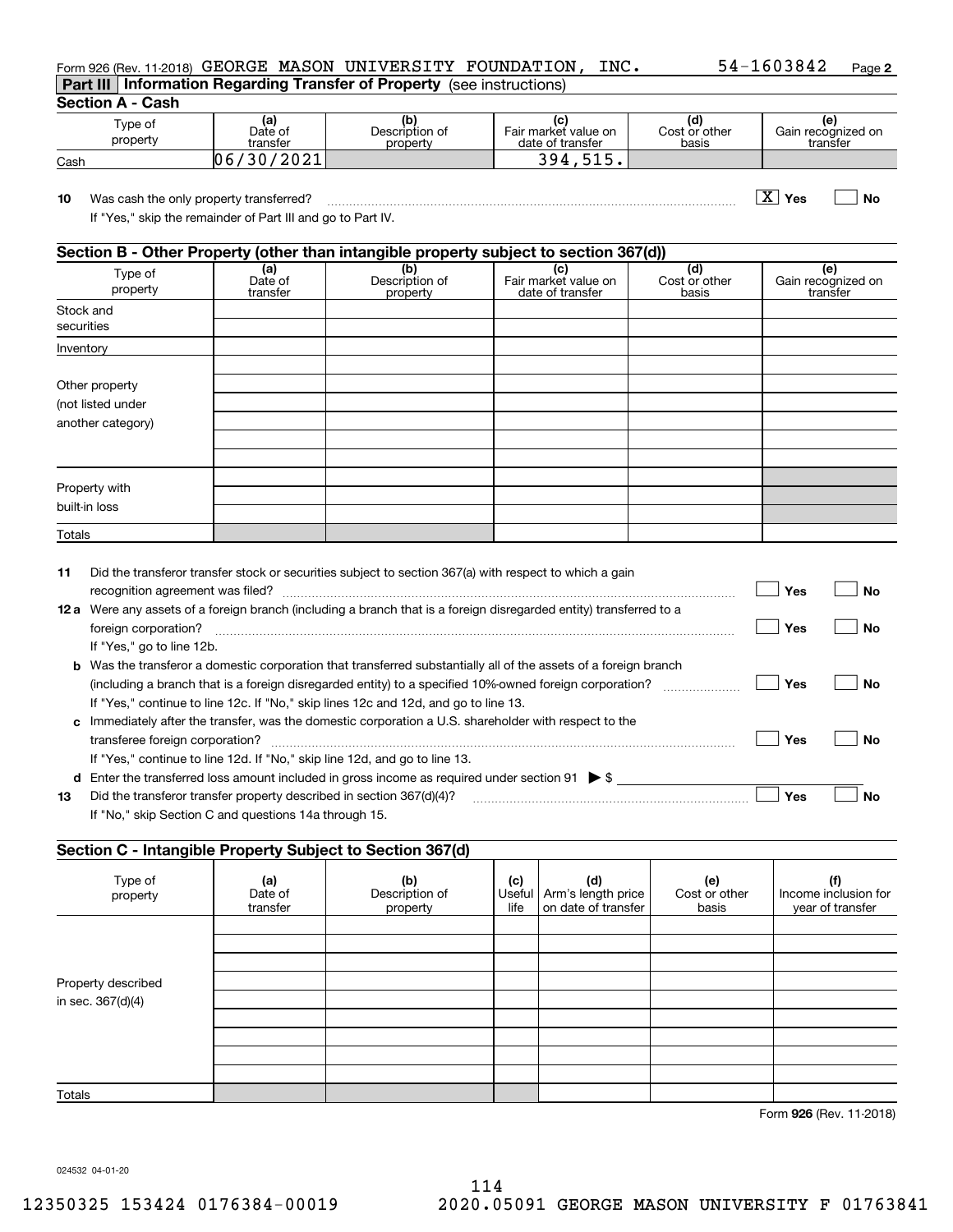| <b>Part III Information Regarding Transfer of Property</b> (see instructions) |  |      |            |        |
|-------------------------------------------------------------------------------|--|------|------------|--------|
| Form 926 (Rev. 11-2018) GEORGE MASON UNIVERSITY FOUNDATION,                   |  | INC. | 54-1603842 | Page 2 |

**Section A - Cash**

| Type of<br>property | (a)<br>Date of<br>transfer    | Description of<br>property | Fair market value on<br>date of transfer | Cost or other<br>basis | ١e<br>Gain recognized on<br>transfer |
|---------------------|-------------------------------|----------------------------|------------------------------------------|------------------------|--------------------------------------|
| Cash                | /2021<br>0 <sub>0</sub><br>30 |                            | 394<br>F 1 F<br>∸ →                      |                        |                                      |

**10Yes No** Was cash the only property transferred? ~~~~~~~~~~~~~~~~~~~~~~~~~~~~~~~~~~~~~ X

If "Yes," skip the remainder of Part III and go to Part IV.

## **Section B - Other Property (other than intangible property subject to section 367(d))**

| Type of<br>property     | (a)<br>Date of<br>transfer | (b)<br>Description of<br>property | Fair market value on<br>date of transfer | (d)<br>Cost or other<br>basis | (e)<br>Gain recognized on<br>transfer |
|-------------------------|----------------------------|-----------------------------------|------------------------------------------|-------------------------------|---------------------------------------|
| Stock and<br>securities |                            |                                   |                                          |                               |                                       |
| Inventory               |                            |                                   |                                          |                               |                                       |
|                         |                            |                                   |                                          |                               |                                       |
| Other property          |                            |                                   |                                          |                               |                                       |
| (not listed under       |                            |                                   |                                          |                               |                                       |
| another category)       |                            |                                   |                                          |                               |                                       |
|                         |                            |                                   |                                          |                               |                                       |
|                         |                            |                                   |                                          |                               |                                       |
|                         |                            |                                   |                                          |                               |                                       |
| Property with           |                            |                                   |                                          |                               |                                       |
| built-in loss           |                            |                                   |                                          |                               |                                       |
| Totals                  |                            |                                   |                                          |                               |                                       |

| 11   | Did the transferor transfer stock or securities subject to section 367(a) with respect to which a gain                  |     |    |
|------|-------------------------------------------------------------------------------------------------------------------------|-----|----|
|      | recognition agreement was filed?                                                                                        | Yes | Nο |
| 12 a | Were any assets of a foreign branch (including a branch that is a foreign disregarded entity) transferred to a          |     |    |
|      | foreign corporation?                                                                                                    | Yes | No |
|      | If "Yes," go to line 12b.                                                                                               |     |    |
|      | <b>b</b> Was the transferor a domestic corporation that transferred substantially all of the assets of a foreign branch |     |    |
|      | (including a branch that is a foreign disregarded entity) to a specified 10%-owned foreign corporation?                 | Yes | Nο |
|      | If "Yes," continue to line 12c. If "No," skip lines 12c and 12d, and go to line 13.                                     |     |    |
|      | c Immediately after the transfer, was the domestic corporation a U.S. shareholder with respect to the                   |     |    |
|      |                                                                                                                         | Yes | Nο |
|      | If "Yes," continue to line 12d. If "No," skip line 12d, and go to line 13.                                              |     |    |
| d    | Enter the transferred loss amount included in gross income as required under section 91 $\triangleright$ \$             |     |    |
| 13   | Did the transferor transfer property described in section 367(d)(4)?                                                    | Yes | Nο |
|      | If "No," skip Section C and questions 14a through 15.                                                                   |     |    |

## **Section C - Intangible Property Subject to Section 367(d)**

| Type of<br>property | (a)<br>Date of<br>transfer | (b)<br>Description of<br>property | (c)<br>life | (d)<br>Useful   Arm's length price<br>on date of transfer | (e)<br>Cost or other<br>basis | (f)<br>Income inclusion for<br>year of transfer |
|---------------------|----------------------------|-----------------------------------|-------------|-----------------------------------------------------------|-------------------------------|-------------------------------------------------|
|                     |                            |                                   |             |                                                           |                               |                                                 |
|                     |                            |                                   |             |                                                           |                               |                                                 |
|                     |                            |                                   |             |                                                           |                               |                                                 |
| Property described  |                            |                                   |             |                                                           |                               |                                                 |
| in sec. 367(d)(4)   |                            |                                   |             |                                                           |                               |                                                 |
|                     |                            |                                   |             |                                                           |                               |                                                 |
|                     |                            |                                   |             |                                                           |                               |                                                 |
|                     |                            |                                   |             |                                                           |                               |                                                 |
|                     |                            |                                   |             |                                                           |                               |                                                 |
| Totals              |                            |                                   |             |                                                           |                               |                                                 |

**926**Form (Rev. 11-2018)

024532 04-01-20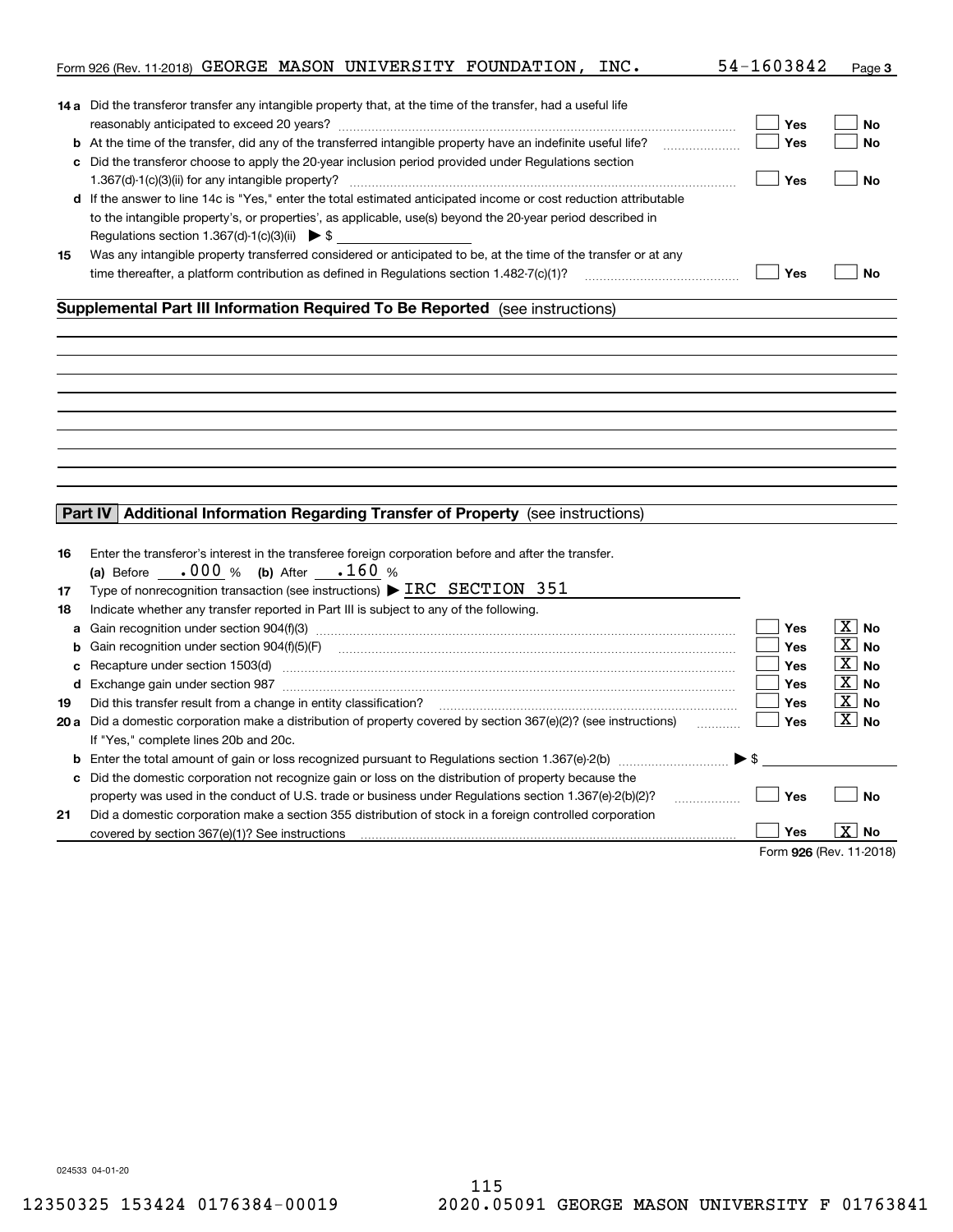|    | Form 926 (Rev. 11-2018) GEORGE MASON UNIVERSITY FOUNDATION, INC.                                                  | 54-1603842               | Page 3                |
|----|-------------------------------------------------------------------------------------------------------------------|--------------------------|-----------------------|
|    | 14 a Did the transferor transfer any intangible property that, at the time of the transfer, had a useful life     |                          |                       |
|    |                                                                                                                   | Yes                      | No                    |
|    |                                                                                                                   | Yes                      | <b>No</b>             |
|    | c Did the transferor choose to apply the 20-year inclusion period provided under Regulations section              |                          |                       |
|    |                                                                                                                   | Yes                      | <b>No</b>             |
|    | d If the answer to line 14c is "Yes," enter the total estimated anticipated income or cost reduction attributable |                          |                       |
|    | to the intangible property's, or properties', as applicable, use(s) beyond the 20-year period described in        |                          |                       |
|    | Regulations section 1.367(d)-1(c)(3)(ii) $\triangleright$ \$                                                      |                          |                       |
| 15 | Was any intangible property transferred considered or anticipated to be, at the time of the transfer or at any    |                          |                       |
|    | time thereafter, a platform contribution as defined in Regulations section 1.482-7(c)(1)?                         | Yes                      | <b>No</b>             |
|    | Supplemental Part III Information Required To Be Reported (see instructions)                                      |                          |                       |
|    |                                                                                                                   |                          |                       |
|    |                                                                                                                   |                          |                       |
|    |                                                                                                                   |                          |                       |
|    |                                                                                                                   |                          |                       |
|    |                                                                                                                   |                          |                       |
|    |                                                                                                                   |                          |                       |
|    |                                                                                                                   |                          |                       |
|    |                                                                                                                   |                          |                       |
|    |                                                                                                                   |                          |                       |
|    | Part IV Additional Information Regarding Transfer of Property (see instructions)                                  |                          |                       |
|    |                                                                                                                   |                          |                       |
| 16 | Enter the transferor's interest in the transferee foreign corporation before and after the transfer.              |                          |                       |
|    | (a) Before $.000 %$ (b) After $.160 %$                                                                            |                          |                       |
| 17 | Type of nonrecognition transaction (see instructions) $\triangleright$ IRC SECTION 351                            |                          |                       |
| 18 | Indicate whether any transfer reported in Part III is subject to any of the following.                            |                          |                       |
| a  | Gain recognition under section 904(f)(3) material contracts controlled and recognition under section 904(f)(3)    | Yes                      | $\boxed{\text{X}}$ No |
| b  |                                                                                                                   | <b>Yes</b>               | $\boxed{\text{X}}$ No |
| c  | Recapture under section 1503(d) encontractional contraction and all the section of the section 1503(d)            | <b>Yes</b>               | $ X $ No              |
|    |                                                                                                                   | <b>Yes</b>               | $\boxed{\text{X}}$ No |
| 19 | Did this transfer result from a change in entity classification?                                                  | <b>Yes</b>               | $\boxed{\text{X}}$ No |
|    | 20 a Did a domestic corporation make a distribution of property covered by section 367(e)(2)? (see instructions)  | Yes                      | $\boxed{\text{X}}$ No |
|    | If "Yes," complete lines 20b and 20c.                                                                             |                          |                       |
|    |                                                                                                                   | $\blacktriangleright$ \$ |                       |
|    | c Did the domestic corporation not recognize gain or loss on the distribution of property because the             |                          |                       |
|    | property was used in the conduct of U.S. trade or business under Regulations section 1.367(e)-2(b)(2)?<br>.       | Yes                      | <b>No</b>             |
| 21 | Did a domestic corporation make a section 355 distribution of stock in a foreign controlled corporation           |                          |                       |
|    | covered by section 367(e)(1)? See instructions                                                                    | Yes                      | X  <br>No             |
|    |                                                                                                                   | Form 926 (Rev. 11-2018)  |                       |

024533 04-01-20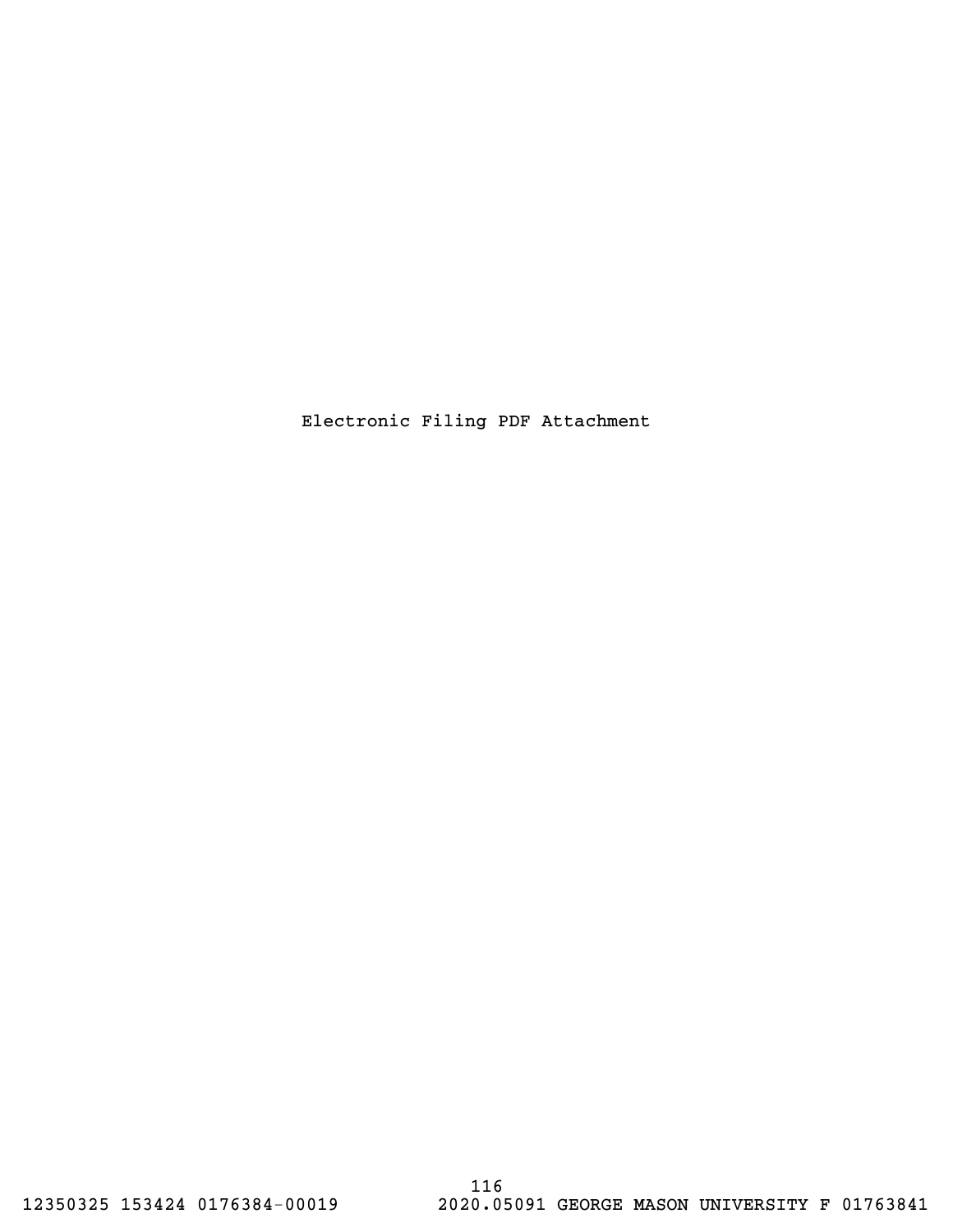Electronic Filing PDF Attachment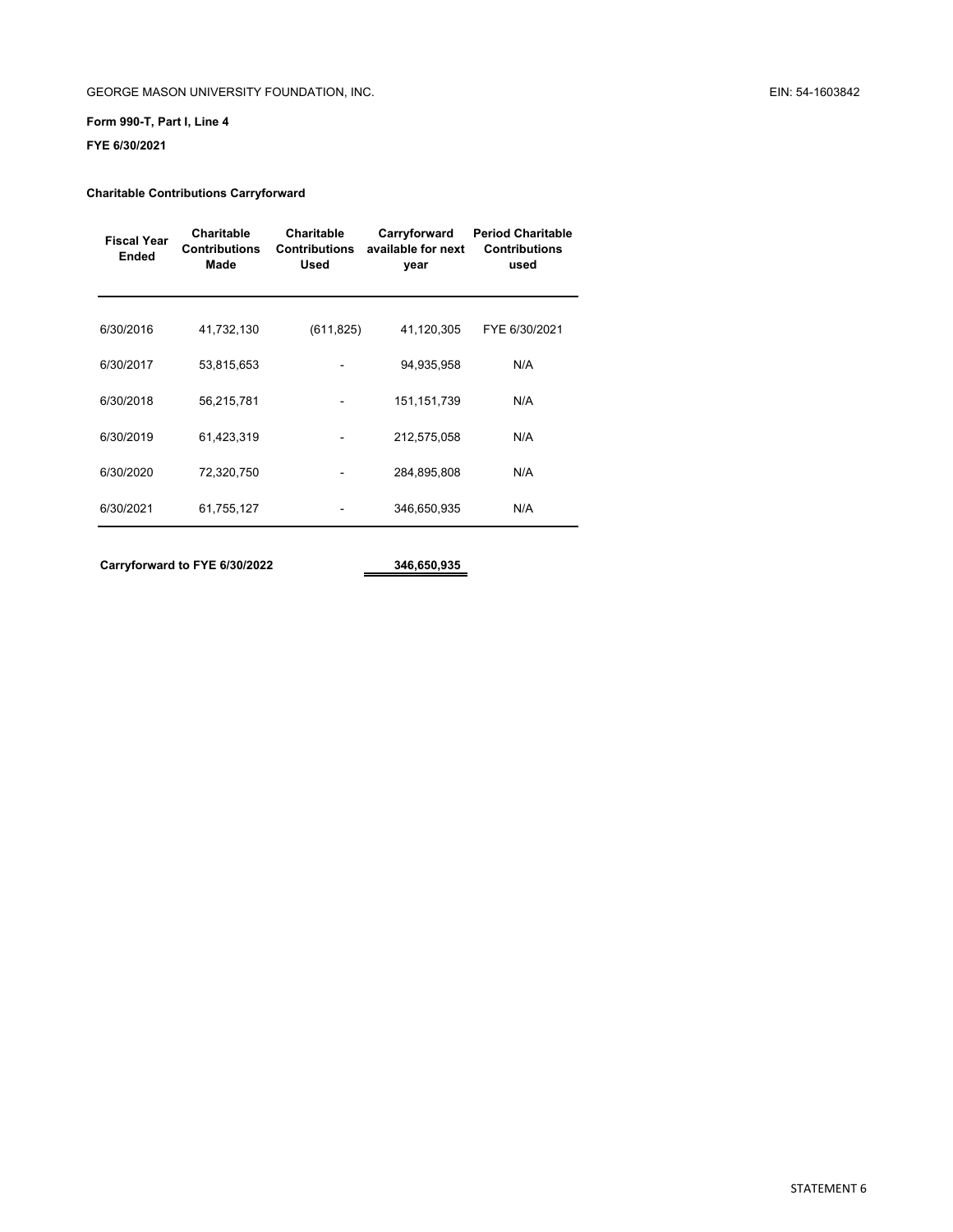## GEORGE MASON UNIVERSITY FOUNDATION, INC. **EIN: 54-1603842**

## **Form 990-T, Part I, Line 4**

**FYE 6/30/2021**

#### **Charitable Contributions Carryforward**

| <b>Fiscal Year</b><br><b>Ended</b> | Charitable<br><b>Contributions</b><br>Made | <b>Charitable</b><br><b>Contributions</b><br><b>Used</b> | Carryforward<br>available for next<br>year | <b>Period Charitable</b><br><b>Contributions</b><br>used |
|------------------------------------|--------------------------------------------|----------------------------------------------------------|--------------------------------------------|----------------------------------------------------------|
| 6/30/2016                          | 41,732,130                                 | (611, 825)                                               | 41,120,305                                 | FYE 6/30/2021                                            |
| 6/30/2017                          | 53,815,653                                 |                                                          | 94,935,958                                 | N/A                                                      |
| 6/30/2018                          | 56,215,781                                 |                                                          | 151, 151, 739                              | N/A                                                      |
| 6/30/2019                          | 61,423,319                                 |                                                          | 212,575,058                                | N/A                                                      |
| 6/30/2020                          | 72,320,750                                 |                                                          | 284,895,808                                | N/A                                                      |
| 6/30/2021                          | 61,755,127                                 |                                                          | 346,650,935                                | N/A                                                      |
|                                    |                                            |                                                          |                                            |                                                          |

**Carryforward to FYE 6/30/2022 346,650,935**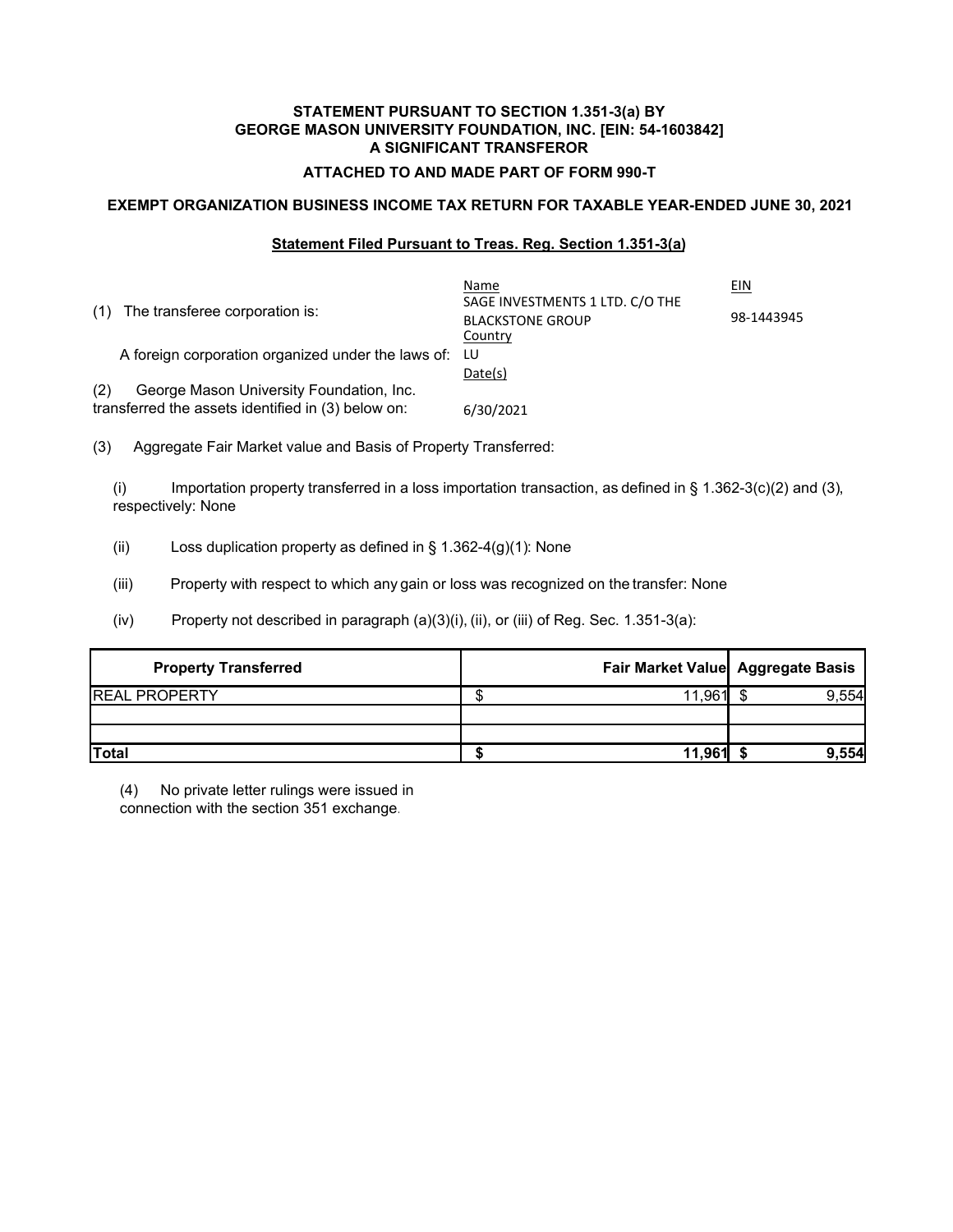## **ATTACHED TO AND MADE PART OF FORM 990-T**

## **EXEMPT ORGANIZATION BUSINESS INCOME TAX RETURN FOR TAXABLE YEAR-ENDED JUNE 30, 2021**

## **Statement Filed Pursuant to Treas. Reg. Section 1.351-3(a)**

| The transferee corporation is:<br>(1)                 | Name<br>SAGE INVESTMENTS 1 LTD. C/O THE<br><b>BLACKSTONE GROUP</b><br>Country | EIN<br>98-1443945 |
|-------------------------------------------------------|-------------------------------------------------------------------------------|-------------------|
| A foreign corporation organized under the laws of: LU |                                                                               |                   |
|                                                       | Date(s)                                                                       |                   |
| (2)<br>George Mason University Foundation, Inc.       |                                                                               |                   |
| transferred the assets identified in (3) below on:    | 6/30/2021                                                                     |                   |

(3) Aggregate Fair Market value and Basis of Property Transferred:

(i) Importation property transferred in a loss importation transaction, as defined in § 1.362-3(c)(2) and (3), respectively: None

- (ii) Loss duplication property as defined in  $\S$  1.362-4(g)(1): None
- (iii) Property with respect to which any gain or loss was recognized on the transfer: None
- $(iv)$  Property not described in paragraph  $(a)(3)(i)$ ,  $(ii)$ , or  $(iii)$  of Reg. Sec. 1.351-3(a):

| <b>Property Transferred</b> |           | Fair Market Value Aggregate Basis |
|-----------------------------|-----------|-----------------------------------|
| <b>REAL PROPERTY</b>        | ຳ1.961∎ . | 9,554                             |
|                             |           |                                   |
| Total                       | 11.961    | 9,554                             |

(4) No private letter rulings were issued in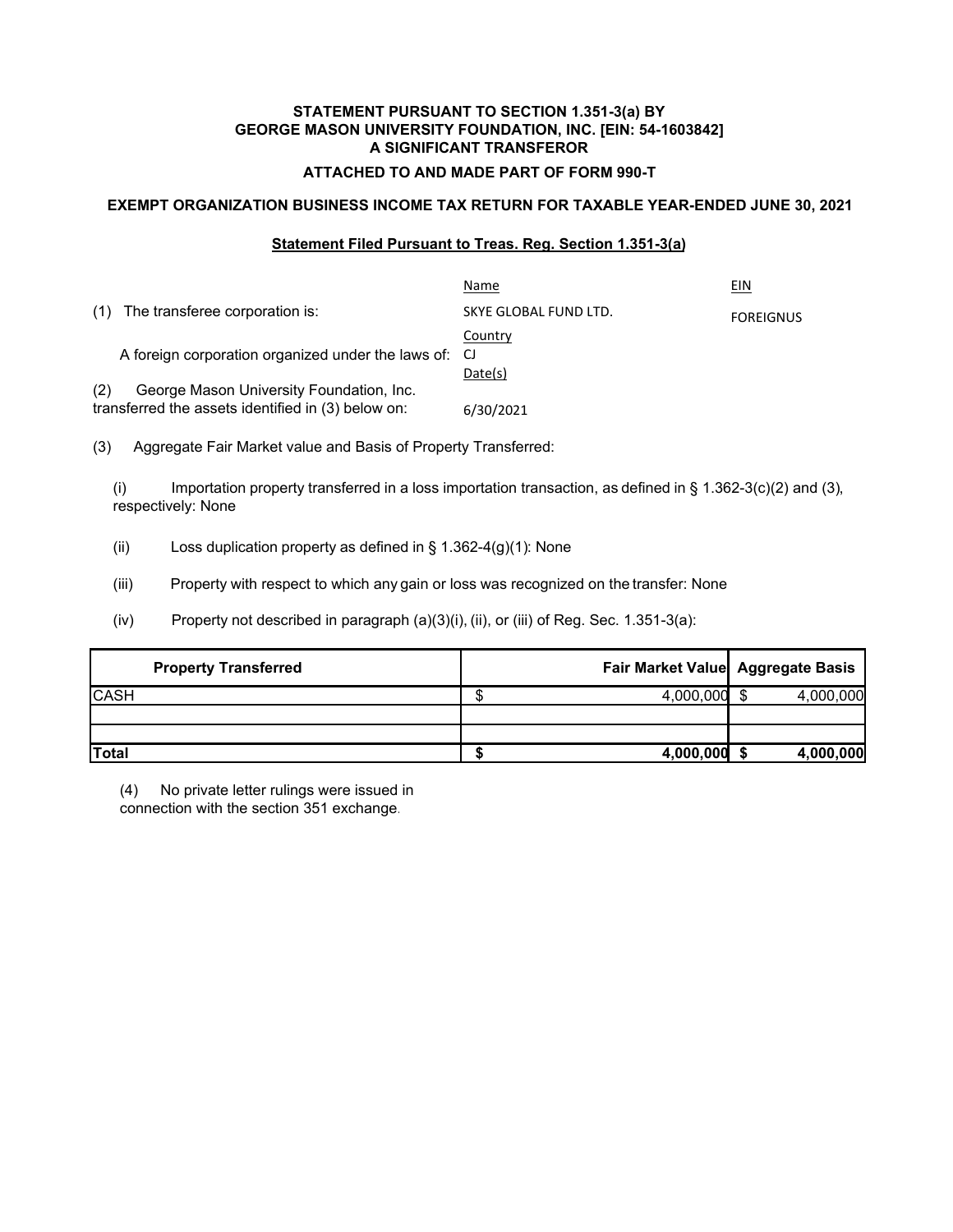## **ATTACHED TO AND MADE PART OF FORM 990-T**

## **EXEMPT ORGANIZATION BUSINESS INCOME TAX RETURN FOR TAXABLE YEAR-ENDED JUNE 30, 2021**

## **Statement Filed Pursuant to Treas. Reg. Section 1.351-3(a)**

|                                                       | Name                  | EIN              |
|-------------------------------------------------------|-----------------------|------------------|
| The transferee corporation is:<br>(1)                 | SKYE GLOBAL FUND LTD. | <b>FOREIGNUS</b> |
|                                                       | Country               |                  |
| A foreign corporation organized under the laws of: CJ |                       |                  |
|                                                       | Date(s)               |                  |
| (2)<br>George Mason University Foundation, Inc.       |                       |                  |
| transferred the assets identified in (3) below on:    | 6/30/2021             |                  |

(3) Aggregate Fair Market value and Basis of Property Transferred:

(i) Importation property transferred in a loss importation transaction, as defined in § 1.362-3(c)(2) and (3), respectively: None

(ii) Loss duplication property as defined in  $\S$  1.362-4(g)(1): None

(iii) Property with respect to which any gain or loss was recognized on the transfer: None

 $(iv)$  Property not described in paragraph  $(a)(3)(i)$ ,  $(ii)$ , or  $(iii)$  of Reg. Sec. 1.351-3(a):

| <b>Property Transferred</b> |           | Fair Market Value Aggregate Basis |
|-----------------------------|-----------|-----------------------------------|
| <b>CASH</b>                 | 4,000,000 | 4,000,000                         |
|                             |           |                                   |
|                             |           |                                   |
| <b>Total</b>                | 4,000,000 | 4,000,000                         |

(4) No private letter rulings were issued in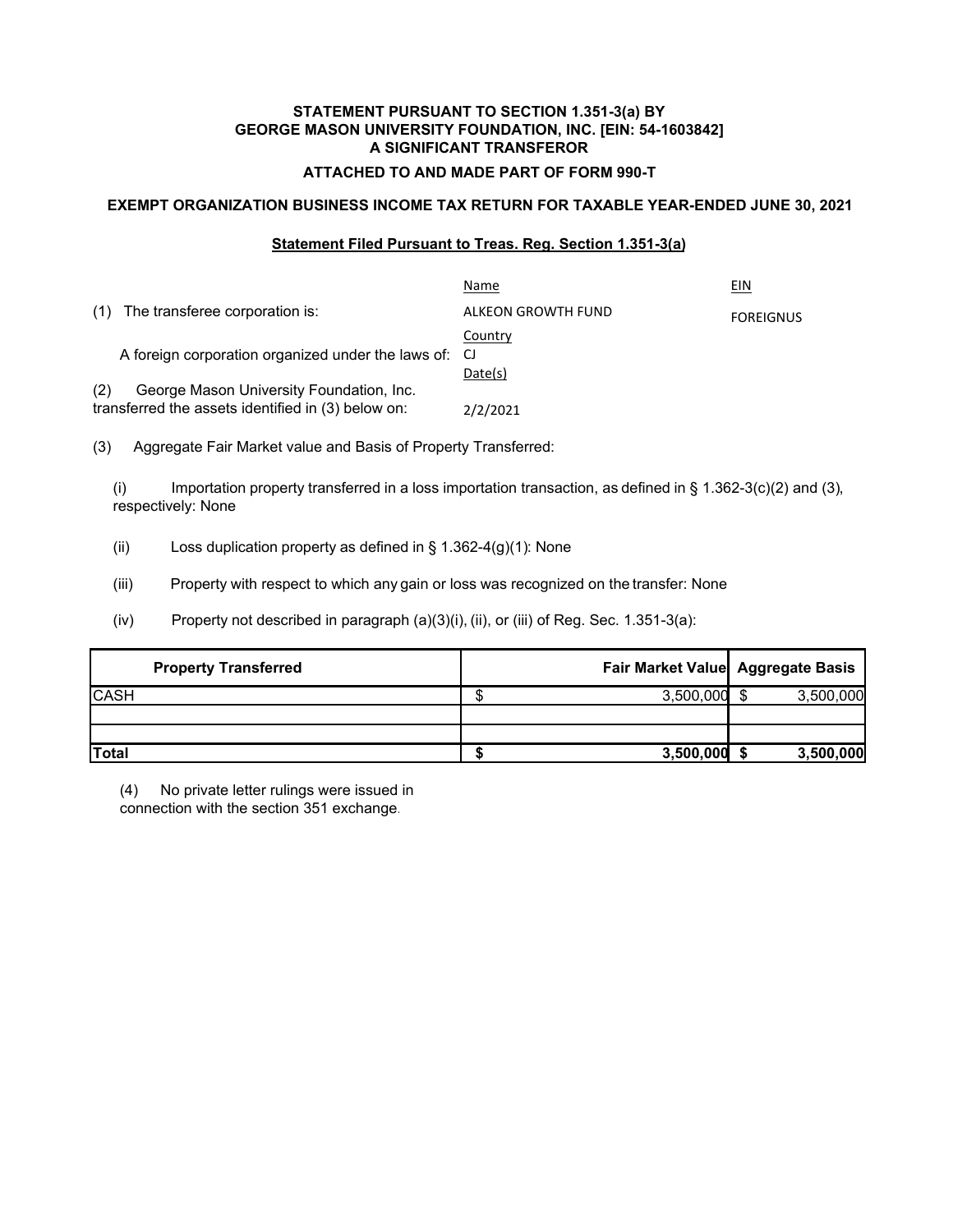## **ATTACHED TO AND MADE PART OF FORM 990-T**

## **EXEMPT ORGANIZATION BUSINESS INCOME TAX RETURN FOR TAXABLE YEAR-ENDED JUNE 30, 2021**

## **Statement Filed Pursuant to Treas. Reg. Section 1.351-3(a)**

|     |                                                       | Name               | EIN              |
|-----|-------------------------------------------------------|--------------------|------------------|
| (1) | The transferee corporation is:                        | ALKEON GROWTH FUND | <b>FOREIGNUS</b> |
|     |                                                       | Country            |                  |
|     | A foreign corporation organized under the laws of: CJ |                    |                  |
|     |                                                       | Date(s)            |                  |
| (2) | George Mason University Foundation, Inc.              |                    |                  |
|     | transferred the assets identified in (3) below on:    | 2/2/2021           |                  |

(3) Aggregate Fair Market value and Basis of Property Transferred:

(i) Importation property transferred in a loss importation transaction, as defined in § 1.362-3(c)(2) and (3), respectively: None

(ii) Loss duplication property as defined in  $\S$  1.362-4(g)(1): None

(iii) Property with respect to which any gain or loss was recognized on the transfer: None

 $(iv)$  Property not described in paragraph  $(a)(3)(i)$ ,  $(ii)$ , or  $(iii)$  of Reg. Sec. 1.351-3(a):

| <b>Property Transferred</b> |           | Fair Market Value Aggregate Basis |
|-----------------------------|-----------|-----------------------------------|
| <b>CASH</b>                 | 3,500,000 | 3,500,000                         |
|                             |           |                                   |
|                             |           |                                   |
| <b>Total</b>                | 3,500,000 | 3,500,000                         |

(4) No private letter rulings were issued in